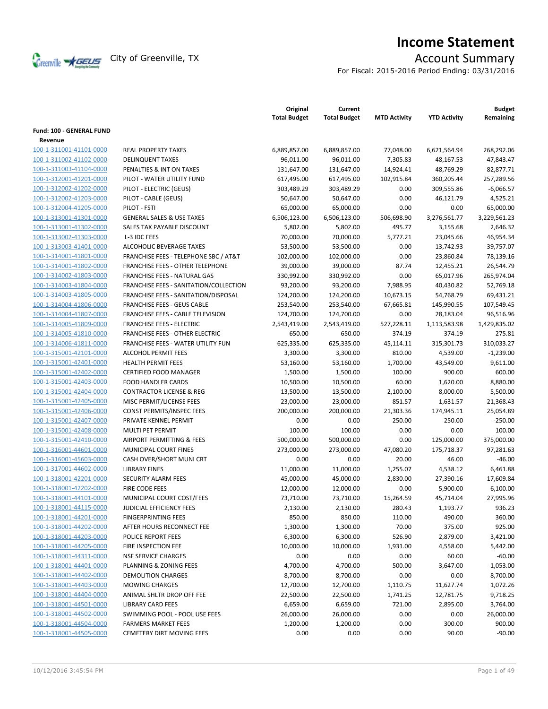

# **Income Statement**

For Fiscal: 2015-2016 Period Ending: 03/31/2016

|                          |                                                  | Original<br><b>Total Budget</b> | Current<br><b>Total Budget</b> | <b>MTD Activity</b> | <b>YTD Activity</b> | <b>Budget</b><br>Remaining |
|--------------------------|--------------------------------------------------|---------------------------------|--------------------------------|---------------------|---------------------|----------------------------|
| Fund: 100 - GENERAL FUND |                                                  |                                 |                                |                     |                     |                            |
| Revenue                  |                                                  |                                 |                                |                     |                     |                            |
| 100-1-311001-41101-0000  | <b>REAL PROPERTY TAXES</b>                       | 6,889,857.00                    | 6,889,857.00                   | 77,048.00           | 6,621,564.94        | 268,292.06                 |
| 100-1-311002-41102-0000  | <b>DELINQUENT TAXES</b>                          | 96,011.00                       | 96,011.00                      | 7,305.83            | 48,167.53           | 47,843.47                  |
| 100-1-311003-41104-0000  | PENALTIES & INT ON TAXES                         | 131,647.00                      | 131,647.00                     | 14,924.41           | 48,769.29           | 82,877.71                  |
| 100-1-312001-41201-0000  | PILOT - WATER UTILITY FUND                       | 617,495.00                      | 617,495.00                     | 102,915.84          | 360,205.44          | 257,289.56                 |
| 100-1-312002-41202-0000  | PILOT - ELECTRIC (GEUS)                          | 303,489.29                      | 303,489.29                     | 0.00                | 309,555.86          | $-6,066.57$                |
| 100-1-312002-41203-0000  | PILOT - CABLE (GEUS)                             | 50,647.00                       | 50,647.00                      | 0.00                | 46,121.79           | 4,525.21                   |
| 100-1-312004-41205-0000  | PILOT - FSTI                                     | 65,000.00                       | 65,000.00                      | 0.00                | 0.00                | 65,000.00                  |
| 100-1-313001-41301-0000  | <b>GENERAL SALES &amp; USE TAXES</b>             | 6,506,123.00                    | 6,506,123.00                   | 506,698.90          | 3,276,561.77        | 3,229,561.23               |
| 100-1-313001-41302-0000  | SALES TAX PAYABLE DISCOUNT                       | 5,802.00                        | 5,802.00                       | 495.77              | 3,155.68            | 2,646.32                   |
| 100-1-313002-41303-0000  | L-3 IDC FEES                                     | 70,000.00                       | 70,000.00                      | 5,777.21            | 23,045.66           | 46,954.34                  |
| 100-1-313003-41401-0000  | ALCOHOLIC BEVERAGE TAXES                         | 53,500.00                       | 53,500.00                      | 0.00                | 13,742.93           | 39,757.07                  |
| 100-1-314001-41801-0000  | <b>FRANCHISE FEES - TELEPHONE SBC / AT&amp;T</b> | 102,000.00                      | 102,000.00                     | 0.00                | 23,860.84           | 78,139.16                  |
| 100-1-314001-41802-0000  | FRANCHISE FEES - OTHER TELEPHONE                 | 39,000.00                       | 39,000.00                      | 87.74               | 12,455.21           | 26,544.79                  |
| 100-1-314002-41803-0000  | FRANCHISE FEES - NATURAL GAS                     | 330,992.00                      | 330,992.00                     | 0.00                | 65,017.96           | 265,974.04                 |
| 100-1-314003-41804-0000  | FRANCHISE FEES - SANITATION/COLLECTION           | 93,200.00                       | 93,200.00                      | 7,988.95            | 40,430.82           | 52,769.18                  |
| 100-1-314003-41805-0000  | FRANCHISE FEES - SANITATION/DISPOSAL             | 124,200.00                      | 124,200.00                     | 10,673.15           | 54,768.79           | 69,431.21                  |
| 100-1-314004-41806-0000  | <b>FRANCHISE FEES - GEUS CABLE</b>               | 253,540.00                      | 253,540.00                     | 67,665.81           | 145,990.55          | 107,549.45                 |
| 100-1-314004-41807-0000  | FRANCHISE FEES - CABLE TELEVISION                | 124,700.00                      | 124,700.00                     | 0.00                | 28,183.04           | 96,516.96                  |
| 100-1-314005-41809-0000  | <b>FRANCHISE FEES - ELECTRIC</b>                 | 2,543,419.00                    | 2,543,419.00                   | 527,228.11          | 1,113,583.98        | 1,429,835.02               |
| 100-1-314005-41810-0000  | <b>FRANCHISE FEES - OTHER ELECTRIC</b>           | 650.00                          | 650.00                         | 374.19              | 374.19              | 275.81                     |
| 100-1-314006-41811-0000  | FRANCHISE FEES - WATER UTILITY FUN               | 625,335.00                      | 625,335.00                     | 45,114.11           | 315,301.73          | 310,033.27                 |
| 100-1-315001-42101-0000  | <b>ALCOHOL PERMIT FEES</b>                       | 3,300.00                        | 3,300.00                       | 810.00              | 4,539.00            | $-1,239.00$                |
| 100-1-315001-42401-0000  | <b>HEALTH PERMIT FEES</b>                        | 53,160.00                       | 53,160.00                      | 1,700.00            | 43,549.00           | 9,611.00                   |
| 100-1-315001-42402-0000  | <b>CERTIFIED FOOD MANAGER</b>                    | 1,500.00                        | 1,500.00                       | 100.00              | 900.00              | 600.00                     |
| 100-1-315001-42403-0000  | <b>FOOD HANDLER CARDS</b>                        | 10,500.00                       | 10,500.00                      | 60.00               | 1,620.00            | 8,880.00                   |
| 100-1-315001-42404-0000  | <b>CONTRACTOR LICENSE &amp; REG</b>              | 13,500.00                       | 13,500.00                      | 2,100.00            | 8,000.00            | 5,500.00                   |
| 100-1-315001-42405-0000  | MISC PERMIT/LICENSE FEES                         | 23,000.00                       | 23,000.00                      | 851.57              | 1,631.57            | 21,368.43                  |
| 100-1-315001-42406-0000  | CONST PERMITS/INSPEC FEES                        | 200,000.00                      | 200,000.00                     | 21,303.36           | 174,945.11          | 25,054.89                  |
| 100-1-315001-42407-0000  | PRIVATE KENNEL PERMIT                            | 0.00                            | 0.00                           | 250.00              | 250.00              | $-250.00$                  |
| 100-1-315001-42408-0000  | MULTI PET PERMIT                                 | 100.00                          | 100.00                         | 0.00                | 0.00                | 100.00                     |
| 100-1-315001-42410-0000  | AIRPORT PERMITTING & FEES                        | 500,000.00                      | 500,000.00                     | 0.00                | 125,000.00          | 375,000.00                 |
| 100-1-316001-44601-0000  | <b>MUNICIPAL COURT FINES</b>                     | 273,000.00                      | 273,000.00                     | 47,080.20           | 175,718.37          | 97,281.63                  |
| 100-1-316001-45603-0000  | CASH OVER/SHORT MUNI CRT                         | 0.00                            | 0.00                           | 20.00               | 46.00               | $-46.00$                   |
| 100-1-317001-44602-0000  | <b>LIBRARY FINES</b>                             | 11,000.00                       | 11,000.00                      | 1,255.07            | 4,538.12            | 6,461.88                   |
| 100-1-318001-42201-0000  | SECURITY ALARM FEES                              | 45,000.00                       | 45,000.00                      | 2,830.00            | 27,390.16           | 17,609.84                  |
| 100-1-318001-42202-0000  | FIRE CODE FEES                                   | 12,000.00                       | 12,000.00                      | 0.00                | 5,900.00            | 6,100.00                   |
| 100-1-318001-44101-0000  | MUNICIPAL COURT COST/FEES                        | 73,710.00                       | 73,710.00                      | 15,264.59           | 45,714.04           | 27,995.96                  |
| 100-1-318001-44115-0000  | JUDICIAL EFFICIENCY FEES                         | 2,130.00                        | 2,130.00                       | 280.43              | 1,193.77            | 936.23                     |
| 100-1-318001-44201-0000  | <b>FINGERPRINTING FEES</b>                       | 850.00                          | 850.00                         | 110.00              | 490.00              | 360.00                     |
| 100-1-318001-44202-0000  | AFTER HOURS RECONNECT FEE                        | 1,300.00                        | 1,300.00                       | 70.00               | 375.00              | 925.00                     |
| 100-1-318001-44203-0000  | POLICE REPORT FEES                               | 6,300.00                        | 6,300.00                       | 526.90              | 2,879.00            | 3,421.00                   |
| 100-1-318001-44205-0000  | FIRE INSPECTION FEE                              | 10,000.00                       | 10,000.00                      | 1,931.00            | 4,558.00            | 5,442.00                   |
| 100-1-318001-44311-0000  | <b>NSF SERVICE CHARGES</b>                       | 0.00                            | 0.00                           | 0.00                | 60.00               | $-60.00$                   |
| 100-1-318001-44401-0000  | PLANNING & ZONING FEES                           | 4,700.00                        | 4,700.00                       | 500.00              | 3,647.00            | 1,053.00                   |
| 100-1-318001-44402-0000  | <b>DEMOLITION CHARGES</b>                        | 8,700.00                        | 8,700.00                       | 0.00                | 0.00                | 8,700.00                   |
| 100-1-318001-44403-0000  | <b>MOWING CHARGES</b>                            | 12,700.00                       | 12,700.00                      | 1,110.75            | 11,627.74           | 1,072.26                   |
| 100-1-318001-44404-0000  | ANIMAL SHLTR DROP OFF FEE                        | 22,500.00                       | 22,500.00                      | 1,741.25            | 12,781.75           | 9,718.25                   |
| 100-1-318001-44501-0000  | <b>LIBRARY CARD FEES</b>                         | 6,659.00                        | 6,659.00                       | 721.00              | 2,895.00            | 3,764.00                   |
| 100-1-318001-44502-0000  | SWIMMING POOL - POOL USE FEES                    | 26,000.00                       | 26,000.00                      | 0.00                | 0.00                | 26,000.00                  |
| 100-1-318001-44504-0000  | <b>FARMERS MARKET FEES</b>                       | 1,200.00                        | 1,200.00                       | 0.00                | 300.00              | 900.00                     |
| 100-1-318001-44505-0000  | <b>CEMETERY DIRT MOVING FEES</b>                 |                                 |                                |                     |                     |                            |
|                          |                                                  | 0.00                            | 0.00                           | 0.00                | 90.00               | $-90.00$                   |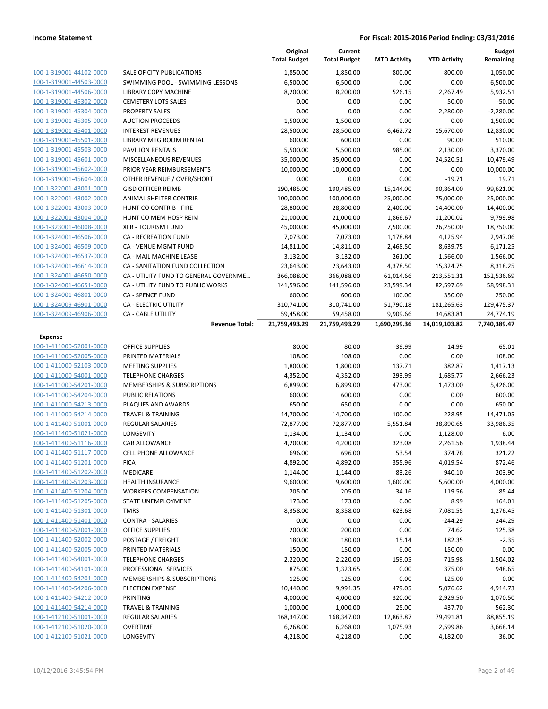|                         |                                                    | Original<br><b>Total Budget</b> | Current<br><b>Total Budget</b> | <b>MTD Activity</b>      | <b>YTD Activity</b>        | <b>Budget</b><br>Remaining |
|-------------------------|----------------------------------------------------|---------------------------------|--------------------------------|--------------------------|----------------------------|----------------------------|
| 100-1-319001-44102-0000 | <b>SALE OF CITY PUBLICATIONS</b>                   | 1,850.00                        | 1,850.00                       | 800.00                   | 800.00                     | 1,050.00                   |
| 100-1-319001-44503-0000 | SWIMMING POOL - SWIMMING LESSONS                   | 6,500.00                        | 6,500.00                       | 0.00                     | 0.00                       | 6,500.00                   |
| 100-1-319001-44506-0000 | LIBRARY COPY MACHINE                               | 8,200.00                        | 8,200.00                       | 526.15                   | 2,267.49                   | 5,932.51                   |
| 100-1-319001-45302-0000 | <b>CEMETERY LOTS SALES</b>                         | 0.00                            | 0.00                           | 0.00                     | 50.00                      | $-50.00$                   |
| 100-1-319001-45304-0000 | <b>PROPERTY SALES</b>                              | 0.00                            | 0.00                           | 0.00                     | 2,280.00                   | $-2,280.00$                |
| 100-1-319001-45305-0000 | <b>AUCTION PROCEEDS</b>                            | 1,500.00                        | 1,500.00                       | 0.00                     | 0.00                       | 1,500.00                   |
| 100-1-319001-45401-0000 | <b>INTEREST REVENUES</b>                           | 28,500.00                       | 28,500.00                      | 6,462.72                 | 15,670.00                  | 12,830.00                  |
| 100-1-319001-45501-0000 | <b>LIBRARY MTG ROOM RENTAL</b>                     | 600.00                          | 600.00                         | 0.00                     | 90.00                      | 510.00                     |
| 100-1-319001-45503-0000 | <b>PAVILION RENTALS</b>                            | 5,500.00                        | 5,500.00                       | 985.00                   | 2,130.00                   | 3,370.00                   |
| 100-1-319001-45601-0000 | MISCELLANEOUS REVENUES                             | 35,000.00                       | 35,000.00                      | 0.00                     | 24,520.51                  | 10,479.49                  |
| 100-1-319001-45602-0000 | PRIOR YEAR REIMBURSEMENTS                          | 10,000.00                       | 10,000.00                      | 0.00                     | 0.00                       | 10,000.00                  |
| 100-1-319001-45604-0000 | OTHER REVENUE / OVER/SHORT                         | 0.00                            | 0.00                           | 0.00                     | $-19.71$                   | 19.71                      |
| 100-1-322001-43001-0000 | <b>GISD OFFICER REIMB</b>                          | 190,485.00                      | 190,485.00                     | 15,144.00                | 90,864.00                  | 99,621.00                  |
| 100-1-322001-43002-0000 | ANIMAL SHELTER CONTRIB                             | 100,000.00                      | 100,000.00                     | 25,000.00                | 75,000.00                  | 25,000.00                  |
| 100-1-322001-43003-0000 | HUNT CO CONTRIB - FIRE                             | 28,800.00                       | 28,800.00                      | 2,400.00                 | 14,400.00                  | 14,400.00                  |
| 100-1-322001-43004-0000 | HUNT CO MEM HOSP REIM                              | 21,000.00                       | 21,000.00                      | 1,866.67                 | 11,200.02                  | 9,799.98                   |
| 100-1-323001-46008-0000 | <b>XFR - TOURISM FUND</b>                          | 45,000.00                       | 45,000.00                      | 7,500.00                 | 26,250.00                  | 18,750.00                  |
| 100-1-324001-46506-0000 | <b>CA - RECREATION FUND</b>                        | 7,073.00                        | 7,073.00                       | 1,178.84                 | 4,125.94                   | 2,947.06                   |
| 100-1-324001-46509-0000 | <b>CA - VENUE MGMT FUND</b>                        | 14,811.00                       | 14,811.00                      | 2,468.50                 | 8,639.75                   | 6,171.25                   |
| 100-1-324001-46537-0000 | <b>CA - MAIL MACHINE LEASE</b>                     | 3,132.00                        | 3,132.00                       | 261.00                   | 1,566.00                   | 1,566.00                   |
| 100-1-324001-46614-0000 | CA - SANITATION FUND COLLECTION                    | 23,643.00                       | 23,643.00                      | 4,378.50                 | 15,324.75                  | 8,318.25                   |
| 100-1-324001-46650-0000 | CA - UTILITY FUND TO GENERAL GOVERNME              | 366,088.00                      | 366,088.00                     | 61,014.66                | 213,551.31                 | 152,536.69                 |
| 100-1-324001-46651-0000 | CA - UTILITY FUND TO PUBLIC WORKS                  | 141,596.00                      | 141,596.00                     | 23,599.34                | 82,597.69                  | 58,998.31                  |
| 100-1-324001-46801-0000 | <b>CA - SPENCE FUND</b>                            | 600.00                          | 600.00                         | 100.00                   | 350.00                     | 250.00                     |
| 100-1-324009-46901-0000 | CA - ELECTRIC UTILITY                              | 310,741.00                      | 310,741.00                     | 51,790.18                | 181,265.63                 | 129,475.37                 |
| 100-1-324009-46906-0000 | <b>CA - CABLE UTILITY</b><br><b>Revenue Total:</b> | 59,458.00<br>21,759,493.29      | 59,458.00<br>21,759,493.29     | 9,909.66<br>1,690,299.36 | 34,683.81<br>14,019,103.82 | 24,774.19<br>7,740,389.47  |
| Expense                 |                                                    |                                 |                                |                          |                            |                            |
| 100-1-411000-52001-0000 | <b>OFFICE SUPPLIES</b>                             | 80.00                           | 80.00                          | $-39.99$                 | 14.99                      | 65.01                      |
| 100-1-411000-52005-0000 | PRINTED MATERIALS                                  | 108.00                          | 108.00                         | 0.00                     | 0.00                       | 108.00                     |
| 100-1-411000-52103-0000 | <b>MEETING SUPPLIES</b>                            | 1,800.00                        | 1,800.00                       | 137.71                   | 382.87                     | 1,417.13                   |
| 100-1-411000-54001-0000 | <b>TELEPHONE CHARGES</b>                           | 4,352.00                        | 4,352.00                       | 293.99                   | 1,685.77                   | 2,666.23                   |
| 100-1-411000-54201-0000 | <b>MEMBERSHIPS &amp; SUBSCRIPTIONS</b>             | 6,899.00                        | 6,899.00                       | 473.00                   | 1,473.00                   | 5,426.00                   |
| 100-1-411000-54204-0000 | <b>PUBLIC RELATIONS</b>                            | 600.00                          | 600.00                         | 0.00                     | 0.00                       | 600.00                     |
| 100-1-411000-54213-0000 | PLAQUES AND AWARDS                                 | 650.00                          | 650.00                         | 0.00                     | 0.00                       | 650.00                     |
| 100-1-411000-54214-0000 | <b>TRAVEL &amp; TRAINING</b>                       | 14,700.00                       | 14,700.00                      | 100.00                   | 228.95                     | 14,471.05                  |
| 100-1-411400-51001-0000 | <b>REGULAR SALARIES</b>                            | 72,877.00                       | 72,877.00                      | 5,551.84                 | 38,890.65                  | 33,986.35                  |
| 100-1-411400-51021-0000 | LONGEVITY                                          | 1,134.00                        | 1,134.00                       | 0.00                     | 1,128.00                   | 6.00                       |
| 100-1-411400-51116-0000 | <b>CAR ALLOWANCE</b>                               | 4,200.00                        | 4,200.00                       | 323.08                   | 2,261.56                   | 1,938.44                   |
| 100-1-411400-51117-0000 | <b>CELL PHONE ALLOWANCE</b>                        | 696.00                          | 696.00                         | 53.54                    | 374.78                     | 321.22                     |
| 100-1-411400-51201-0000 | <b>FICA</b>                                        | 4,892.00                        | 4,892.00                       | 355.96                   | 4,019.54                   | 872.46                     |
| 100-1-411400-51202-0000 | <b>MEDICARE</b>                                    | 1,144.00                        | 1,144.00                       | 83.26                    | 940.10                     | 203.90                     |
| 100-1-411400-51203-0000 | <b>HEALTH INSURANCE</b>                            | 9,600.00                        | 9,600.00                       | 1,600.00                 | 5,600.00                   | 4,000.00                   |
| 100-1-411400-51204-0000 | <b>WORKERS COMPENSATION</b>                        | 205.00                          | 205.00                         | 34.16                    | 119.56                     | 85.44                      |
| 100-1-411400-51205-0000 | <b>STATE UNEMPLOYMENT</b>                          | 173.00                          | 173.00                         | 0.00                     | 8.99                       | 164.01                     |
| 100-1-411400-51301-0000 | <b>TMRS</b>                                        | 8,358.00                        | 8,358.00                       | 623.68                   | 7,081.55                   | 1,276.45                   |
| 100-1-411400-51401-0000 | <b>CONTRA - SALARIES</b>                           | 0.00                            | 0.00                           | 0.00                     | $-244.29$                  | 244.29                     |
| 100-1-411400-52001-0000 | <b>OFFICE SUPPLIES</b>                             | 200.00                          | 200.00                         | 0.00                     | 74.62                      | 125.38                     |
| 100-1-411400-52002-0000 | POSTAGE / FREIGHT                                  | 180.00                          | 180.00                         | 15.14                    | 182.35                     | $-2.35$                    |
| 100-1-411400-52005-0000 | PRINTED MATERIALS                                  | 150.00                          | 150.00                         | 0.00                     | 150.00                     | 0.00                       |
| 100-1-411400-54001-0000 | <b>TELEPHONE CHARGES</b>                           | 2,220.00                        | 2,220.00                       | 159.05                   | 715.98                     | 1,504.02                   |
| 100-1-411400-54101-0000 | PROFESSIONAL SERVICES                              | 875.00                          | 1,323.65                       | 0.00                     | 375.00                     | 948.65                     |
| 100-1-411400-54201-0000 | MEMBERSHIPS & SUBSCRIPTIONS                        | 125.00                          | 125.00                         | 0.00                     | 125.00                     | 0.00                       |
| 100-1-411400-54206-0000 | <b>ELECTION EXPENSE</b>                            | 10,440.00                       | 9,991.35                       | 479.05                   | 5,076.62                   | 4,914.73                   |
| 100-1-411400-54212-0000 | <b>PRINTING</b>                                    | 4,000.00                        | 4,000.00                       | 320.00                   | 2,929.50                   | 1,070.50                   |
| 100-1-411400-54214-0000 | <b>TRAVEL &amp; TRAINING</b>                       | 1,000.00                        | 1,000.00                       | 25.00                    | 437.70                     | 562.30                     |
| 100-1-412100-51001-0000 | <b>REGULAR SALARIES</b>                            | 168,347.00                      | 168,347.00                     | 12,863.87                | 79,491.81                  | 88,855.19                  |
| 100-1-412100-51020-0000 | <b>OVERTIME</b>                                    | 6,268.00                        | 6,268.00                       | 1,075.93                 | 2,599.86                   | 3,668.14                   |
| 100-1-412100-51021-0000 | LONGEVITY                                          | 4,218.00                        | 4,218.00                       | 0.00                     | 4,182.00                   | 36.00                      |
|                         |                                                    |                                 |                                |                          |                            |                            |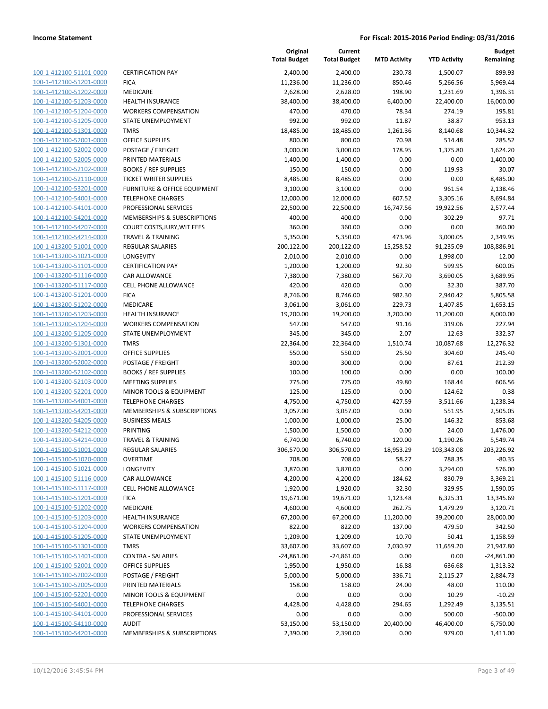| 100-1-412100-51101-0000<br>100-1-412100-51201-0000<br>100-1-412100-51202-0000<br>100-1-412100-51203-0000<br>100-1-412100-51204-0000<br>100-1-412100-51205-0000<br>100-1-412100-51301-0000<br>100-1-412100-52001-0000<br>100-1-412100-52002-0000<br>100-1-412100-52005-0000<br>100-1-412100-52102-0000<br>100-1-412100-52110-0000<br>100-1-412100-53201-0000<br>100-1-412100-54001-0000<br><u>100-1-412100-54101-0000</u><br>100-1-412100-54201-0000<br>100-1-412100-54207-0000<br>100-1-412100-54214-0000<br>100-1-413200-51001-0000<br><u>100-1-413200-51021-0000</u><br>100-1-413200-51101-0000<br>100-1-413200-51116-0000<br>100-1-413200-51117-0000<br>100-1-413200-51201-0000<br><u>100-1-413200-51202-0000</u><br>100-1-413200-51203-0000<br>100-1-413200-51204-0000<br>100-1-413200-51205-0000<br>100-1-413200-51301-0000<br>100-1-413200-52001-0000<br>100-1-413200-52002-0000<br>100-1-413200-52102-0000<br>100-1-413200-52103-0000<br>100-1-413200-52201-0000<br><u>100-1-413200-54001-0000</u><br>100-1-413200-54201-0000<br>100-1-413200-54205-0000<br>100-1-413200-54212-0000<br>100-1-413200-54214-0000<br>100-1-415100-51001-0000<br>100-1-415100-51020-0000<br><u>100-1-415100-51021-0000</u><br>100-1-415100-51116-0000<br><u>100-1-415100-51117-0000</u><br><u>100-1-415100-51201-0000</u><br>100-1-415100-51202-0000<br>100-1-415100-51203-0000<br>100-1-415100-51204-0000<br><u>100-1-415100-51205-0000</u><br><u>100-1-415100-51301-0000</u><br><u>100-1-415100-51401-0000</u><br>100-1-415100-52001-0000<br>100-1-415100-52002-0000<br><u>100-1-415100-52005-0000</u><br><u>100-1-415100-52201-0000</u><br><u>100-1-415100-54001-0000</u><br><u>100-1-415100-54101-0000</u><br><u>100-1-415100-54110-0000</u><br><u>100-1-415100-54201-0000</u> |  |
|-----------------------------------------------------------------------------------------------------------------------------------------------------------------------------------------------------------------------------------------------------------------------------------------------------------------------------------------------------------------------------------------------------------------------------------------------------------------------------------------------------------------------------------------------------------------------------------------------------------------------------------------------------------------------------------------------------------------------------------------------------------------------------------------------------------------------------------------------------------------------------------------------------------------------------------------------------------------------------------------------------------------------------------------------------------------------------------------------------------------------------------------------------------------------------------------------------------------------------------------------------------------------------------------------------------------------------------------------------------------------------------------------------------------------------------------------------------------------------------------------------------------------------------------------------------------------------------------------------------------------------------------------------------------------------------------------------------------------------------------------------------------------|--|
|                                                                                                                                                                                                                                                                                                                                                                                                                                                                                                                                                                                                                                                                                                                                                                                                                                                                                                                                                                                                                                                                                                                                                                                                                                                                                                                                                                                                                                                                                                                                                                                                                                                                                                                                                                       |  |
|                                                                                                                                                                                                                                                                                                                                                                                                                                                                                                                                                                                                                                                                                                                                                                                                                                                                                                                                                                                                                                                                                                                                                                                                                                                                                                                                                                                                                                                                                                                                                                                                                                                                                                                                                                       |  |
|                                                                                                                                                                                                                                                                                                                                                                                                                                                                                                                                                                                                                                                                                                                                                                                                                                                                                                                                                                                                                                                                                                                                                                                                                                                                                                                                                                                                                                                                                                                                                                                                                                                                                                                                                                       |  |
|                                                                                                                                                                                                                                                                                                                                                                                                                                                                                                                                                                                                                                                                                                                                                                                                                                                                                                                                                                                                                                                                                                                                                                                                                                                                                                                                                                                                                                                                                                                                                                                                                                                                                                                                                                       |  |
|                                                                                                                                                                                                                                                                                                                                                                                                                                                                                                                                                                                                                                                                                                                                                                                                                                                                                                                                                                                                                                                                                                                                                                                                                                                                                                                                                                                                                                                                                                                                                                                                                                                                                                                                                                       |  |
|                                                                                                                                                                                                                                                                                                                                                                                                                                                                                                                                                                                                                                                                                                                                                                                                                                                                                                                                                                                                                                                                                                                                                                                                                                                                                                                                                                                                                                                                                                                                                                                                                                                                                                                                                                       |  |
|                                                                                                                                                                                                                                                                                                                                                                                                                                                                                                                                                                                                                                                                                                                                                                                                                                                                                                                                                                                                                                                                                                                                                                                                                                                                                                                                                                                                                                                                                                                                                                                                                                                                                                                                                                       |  |
|                                                                                                                                                                                                                                                                                                                                                                                                                                                                                                                                                                                                                                                                                                                                                                                                                                                                                                                                                                                                                                                                                                                                                                                                                                                                                                                                                                                                                                                                                                                                                                                                                                                                                                                                                                       |  |
|                                                                                                                                                                                                                                                                                                                                                                                                                                                                                                                                                                                                                                                                                                                                                                                                                                                                                                                                                                                                                                                                                                                                                                                                                                                                                                                                                                                                                                                                                                                                                                                                                                                                                                                                                                       |  |
|                                                                                                                                                                                                                                                                                                                                                                                                                                                                                                                                                                                                                                                                                                                                                                                                                                                                                                                                                                                                                                                                                                                                                                                                                                                                                                                                                                                                                                                                                                                                                                                                                                                                                                                                                                       |  |
|                                                                                                                                                                                                                                                                                                                                                                                                                                                                                                                                                                                                                                                                                                                                                                                                                                                                                                                                                                                                                                                                                                                                                                                                                                                                                                                                                                                                                                                                                                                                                                                                                                                                                                                                                                       |  |
|                                                                                                                                                                                                                                                                                                                                                                                                                                                                                                                                                                                                                                                                                                                                                                                                                                                                                                                                                                                                                                                                                                                                                                                                                                                                                                                                                                                                                                                                                                                                                                                                                                                                                                                                                                       |  |
|                                                                                                                                                                                                                                                                                                                                                                                                                                                                                                                                                                                                                                                                                                                                                                                                                                                                                                                                                                                                                                                                                                                                                                                                                                                                                                                                                                                                                                                                                                                                                                                                                                                                                                                                                                       |  |
|                                                                                                                                                                                                                                                                                                                                                                                                                                                                                                                                                                                                                                                                                                                                                                                                                                                                                                                                                                                                                                                                                                                                                                                                                                                                                                                                                                                                                                                                                                                                                                                                                                                                                                                                                                       |  |
|                                                                                                                                                                                                                                                                                                                                                                                                                                                                                                                                                                                                                                                                                                                                                                                                                                                                                                                                                                                                                                                                                                                                                                                                                                                                                                                                                                                                                                                                                                                                                                                                                                                                                                                                                                       |  |
|                                                                                                                                                                                                                                                                                                                                                                                                                                                                                                                                                                                                                                                                                                                                                                                                                                                                                                                                                                                                                                                                                                                                                                                                                                                                                                                                                                                                                                                                                                                                                                                                                                                                                                                                                                       |  |
|                                                                                                                                                                                                                                                                                                                                                                                                                                                                                                                                                                                                                                                                                                                                                                                                                                                                                                                                                                                                                                                                                                                                                                                                                                                                                                                                                                                                                                                                                                                                                                                                                                                                                                                                                                       |  |
|                                                                                                                                                                                                                                                                                                                                                                                                                                                                                                                                                                                                                                                                                                                                                                                                                                                                                                                                                                                                                                                                                                                                                                                                                                                                                                                                                                                                                                                                                                                                                                                                                                                                                                                                                                       |  |
|                                                                                                                                                                                                                                                                                                                                                                                                                                                                                                                                                                                                                                                                                                                                                                                                                                                                                                                                                                                                                                                                                                                                                                                                                                                                                                                                                                                                                                                                                                                                                                                                                                                                                                                                                                       |  |
|                                                                                                                                                                                                                                                                                                                                                                                                                                                                                                                                                                                                                                                                                                                                                                                                                                                                                                                                                                                                                                                                                                                                                                                                                                                                                                                                                                                                                                                                                                                                                                                                                                                                                                                                                                       |  |
|                                                                                                                                                                                                                                                                                                                                                                                                                                                                                                                                                                                                                                                                                                                                                                                                                                                                                                                                                                                                                                                                                                                                                                                                                                                                                                                                                                                                                                                                                                                                                                                                                                                                                                                                                                       |  |
|                                                                                                                                                                                                                                                                                                                                                                                                                                                                                                                                                                                                                                                                                                                                                                                                                                                                                                                                                                                                                                                                                                                                                                                                                                                                                                                                                                                                                                                                                                                                                                                                                                                                                                                                                                       |  |
|                                                                                                                                                                                                                                                                                                                                                                                                                                                                                                                                                                                                                                                                                                                                                                                                                                                                                                                                                                                                                                                                                                                                                                                                                                                                                                                                                                                                                                                                                                                                                                                                                                                                                                                                                                       |  |
|                                                                                                                                                                                                                                                                                                                                                                                                                                                                                                                                                                                                                                                                                                                                                                                                                                                                                                                                                                                                                                                                                                                                                                                                                                                                                                                                                                                                                                                                                                                                                                                                                                                                                                                                                                       |  |
|                                                                                                                                                                                                                                                                                                                                                                                                                                                                                                                                                                                                                                                                                                                                                                                                                                                                                                                                                                                                                                                                                                                                                                                                                                                                                                                                                                                                                                                                                                                                                                                                                                                                                                                                                                       |  |
|                                                                                                                                                                                                                                                                                                                                                                                                                                                                                                                                                                                                                                                                                                                                                                                                                                                                                                                                                                                                                                                                                                                                                                                                                                                                                                                                                                                                                                                                                                                                                                                                                                                                                                                                                                       |  |
|                                                                                                                                                                                                                                                                                                                                                                                                                                                                                                                                                                                                                                                                                                                                                                                                                                                                                                                                                                                                                                                                                                                                                                                                                                                                                                                                                                                                                                                                                                                                                                                                                                                                                                                                                                       |  |
|                                                                                                                                                                                                                                                                                                                                                                                                                                                                                                                                                                                                                                                                                                                                                                                                                                                                                                                                                                                                                                                                                                                                                                                                                                                                                                                                                                                                                                                                                                                                                                                                                                                                                                                                                                       |  |
|                                                                                                                                                                                                                                                                                                                                                                                                                                                                                                                                                                                                                                                                                                                                                                                                                                                                                                                                                                                                                                                                                                                                                                                                                                                                                                                                                                                                                                                                                                                                                                                                                                                                                                                                                                       |  |
|                                                                                                                                                                                                                                                                                                                                                                                                                                                                                                                                                                                                                                                                                                                                                                                                                                                                                                                                                                                                                                                                                                                                                                                                                                                                                                                                                                                                                                                                                                                                                                                                                                                                                                                                                                       |  |
|                                                                                                                                                                                                                                                                                                                                                                                                                                                                                                                                                                                                                                                                                                                                                                                                                                                                                                                                                                                                                                                                                                                                                                                                                                                                                                                                                                                                                                                                                                                                                                                                                                                                                                                                                                       |  |
|                                                                                                                                                                                                                                                                                                                                                                                                                                                                                                                                                                                                                                                                                                                                                                                                                                                                                                                                                                                                                                                                                                                                                                                                                                                                                                                                                                                                                                                                                                                                                                                                                                                                                                                                                                       |  |
|                                                                                                                                                                                                                                                                                                                                                                                                                                                                                                                                                                                                                                                                                                                                                                                                                                                                                                                                                                                                                                                                                                                                                                                                                                                                                                                                                                                                                                                                                                                                                                                                                                                                                                                                                                       |  |
|                                                                                                                                                                                                                                                                                                                                                                                                                                                                                                                                                                                                                                                                                                                                                                                                                                                                                                                                                                                                                                                                                                                                                                                                                                                                                                                                                                                                                                                                                                                                                                                                                                                                                                                                                                       |  |
|                                                                                                                                                                                                                                                                                                                                                                                                                                                                                                                                                                                                                                                                                                                                                                                                                                                                                                                                                                                                                                                                                                                                                                                                                                                                                                                                                                                                                                                                                                                                                                                                                                                                                                                                                                       |  |
|                                                                                                                                                                                                                                                                                                                                                                                                                                                                                                                                                                                                                                                                                                                                                                                                                                                                                                                                                                                                                                                                                                                                                                                                                                                                                                                                                                                                                                                                                                                                                                                                                                                                                                                                                                       |  |
|                                                                                                                                                                                                                                                                                                                                                                                                                                                                                                                                                                                                                                                                                                                                                                                                                                                                                                                                                                                                                                                                                                                                                                                                                                                                                                                                                                                                                                                                                                                                                                                                                                                                                                                                                                       |  |
|                                                                                                                                                                                                                                                                                                                                                                                                                                                                                                                                                                                                                                                                                                                                                                                                                                                                                                                                                                                                                                                                                                                                                                                                                                                                                                                                                                                                                                                                                                                                                                                                                                                                                                                                                                       |  |
|                                                                                                                                                                                                                                                                                                                                                                                                                                                                                                                                                                                                                                                                                                                                                                                                                                                                                                                                                                                                                                                                                                                                                                                                                                                                                                                                                                                                                                                                                                                                                                                                                                                                                                                                                                       |  |
|                                                                                                                                                                                                                                                                                                                                                                                                                                                                                                                                                                                                                                                                                                                                                                                                                                                                                                                                                                                                                                                                                                                                                                                                                                                                                                                                                                                                                                                                                                                                                                                                                                                                                                                                                                       |  |
|                                                                                                                                                                                                                                                                                                                                                                                                                                                                                                                                                                                                                                                                                                                                                                                                                                                                                                                                                                                                                                                                                                                                                                                                                                                                                                                                                                                                                                                                                                                                                                                                                                                                                                                                                                       |  |
|                                                                                                                                                                                                                                                                                                                                                                                                                                                                                                                                                                                                                                                                                                                                                                                                                                                                                                                                                                                                                                                                                                                                                                                                                                                                                                                                                                                                                                                                                                                                                                                                                                                                                                                                                                       |  |
|                                                                                                                                                                                                                                                                                                                                                                                                                                                                                                                                                                                                                                                                                                                                                                                                                                                                                                                                                                                                                                                                                                                                                                                                                                                                                                                                                                                                                                                                                                                                                                                                                                                                                                                                                                       |  |
|                                                                                                                                                                                                                                                                                                                                                                                                                                                                                                                                                                                                                                                                                                                                                                                                                                                                                                                                                                                                                                                                                                                                                                                                                                                                                                                                                                                                                                                                                                                                                                                                                                                                                                                                                                       |  |
|                                                                                                                                                                                                                                                                                                                                                                                                                                                                                                                                                                                                                                                                                                                                                                                                                                                                                                                                                                                                                                                                                                                                                                                                                                                                                                                                                                                                                                                                                                                                                                                                                                                                                                                                                                       |  |
|                                                                                                                                                                                                                                                                                                                                                                                                                                                                                                                                                                                                                                                                                                                                                                                                                                                                                                                                                                                                                                                                                                                                                                                                                                                                                                                                                                                                                                                                                                                                                                                                                                                                                                                                                                       |  |
|                                                                                                                                                                                                                                                                                                                                                                                                                                                                                                                                                                                                                                                                                                                                                                                                                                                                                                                                                                                                                                                                                                                                                                                                                                                                                                                                                                                                                                                                                                                                                                                                                                                                                                                                                                       |  |
|                                                                                                                                                                                                                                                                                                                                                                                                                                                                                                                                                                                                                                                                                                                                                                                                                                                                                                                                                                                                                                                                                                                                                                                                                                                                                                                                                                                                                                                                                                                                                                                                                                                                                                                                                                       |  |
|                                                                                                                                                                                                                                                                                                                                                                                                                                                                                                                                                                                                                                                                                                                                                                                                                                                                                                                                                                                                                                                                                                                                                                                                                                                                                                                                                                                                                                                                                                                                                                                                                                                                                                                                                                       |  |
|                                                                                                                                                                                                                                                                                                                                                                                                                                                                                                                                                                                                                                                                                                                                                                                                                                                                                                                                                                                                                                                                                                                                                                                                                                                                                                                                                                                                                                                                                                                                                                                                                                                                                                                                                                       |  |
|                                                                                                                                                                                                                                                                                                                                                                                                                                                                                                                                                                                                                                                                                                                                                                                                                                                                                                                                                                                                                                                                                                                                                                                                                                                                                                                                                                                                                                                                                                                                                                                                                                                                                                                                                                       |  |
|                                                                                                                                                                                                                                                                                                                                                                                                                                                                                                                                                                                                                                                                                                                                                                                                                                                                                                                                                                                                                                                                                                                                                                                                                                                                                                                                                                                                                                                                                                                                                                                                                                                                                                                                                                       |  |
|                                                                                                                                                                                                                                                                                                                                                                                                                                                                                                                                                                                                                                                                                                                                                                                                                                                                                                                                                                                                                                                                                                                                                                                                                                                                                                                                                                                                                                                                                                                                                                                                                                                                                                                                                                       |  |
|                                                                                                                                                                                                                                                                                                                                                                                                                                                                                                                                                                                                                                                                                                                                                                                                                                                                                                                                                                                                                                                                                                                                                                                                                                                                                                                                                                                                                                                                                                                                                                                                                                                                                                                                                                       |  |
|                                                                                                                                                                                                                                                                                                                                                                                                                                                                                                                                                                                                                                                                                                                                                                                                                                                                                                                                                                                                                                                                                                                                                                                                                                                                                                                                                                                                                                                                                                                                                                                                                                                                                                                                                                       |  |
|                                                                                                                                                                                                                                                                                                                                                                                                                                                                                                                                                                                                                                                                                                                                                                                                                                                                                                                                                                                                                                                                                                                                                                                                                                                                                                                                                                                                                                                                                                                                                                                                                                                                                                                                                                       |  |
|                                                                                                                                                                                                                                                                                                                                                                                                                                                                                                                                                                                                                                                                                                                                                                                                                                                                                                                                                                                                                                                                                                                                                                                                                                                                                                                                                                                                                                                                                                                                                                                                                                                                                                                                                                       |  |
|                                                                                                                                                                                                                                                                                                                                                                                                                                                                                                                                                                                                                                                                                                                                                                                                                                                                                                                                                                                                                                                                                                                                                                                                                                                                                                                                                                                                                                                                                                                                                                                                                                                                                                                                                                       |  |
|                                                                                                                                                                                                                                                                                                                                                                                                                                                                                                                                                                                                                                                                                                                                                                                                                                                                                                                                                                                                                                                                                                                                                                                                                                                                                                                                                                                                                                                                                                                                                                                                                                                                                                                                                                       |  |
|                                                                                                                                                                                                                                                                                                                                                                                                                                                                                                                                                                                                                                                                                                                                                                                                                                                                                                                                                                                                                                                                                                                                                                                                                                                                                                                                                                                                                                                                                                                                                                                                                                                                                                                                                                       |  |

|                         |                                    | Original<br><b>Total Budget</b> | Current<br><b>Total Budget</b> | <b>MTD Activity</b> | <b>YTD Activity</b> | <b>Budget</b><br>Remaining |
|-------------------------|------------------------------------|---------------------------------|--------------------------------|---------------------|---------------------|----------------------------|
| 100-1-412100-51101-0000 | <b>CERTIFICATION PAY</b>           | 2,400.00                        | 2,400.00                       | 230.78              | 1,500.07            | 899.93                     |
| 100-1-412100-51201-0000 | <b>FICA</b>                        | 11,236.00                       | 11,236.00                      | 850.46              | 5,266.56            | 5,969.44                   |
| 100-1-412100-51202-0000 | <b>MEDICARE</b>                    | 2,628.00                        | 2,628.00                       | 198.90              | 1,231.69            | 1,396.31                   |
| 100-1-412100-51203-0000 | <b>HEALTH INSURANCE</b>            | 38,400.00                       | 38,400.00                      | 6,400.00            | 22,400.00           | 16,000.00                  |
| 100-1-412100-51204-0000 | <b>WORKERS COMPENSATION</b>        | 470.00                          | 470.00                         | 78.34               | 274.19              | 195.81                     |
| 100-1-412100-51205-0000 | <b>STATE UNEMPLOYMENT</b>          | 992.00                          | 992.00                         | 11.87               | 38.87               | 953.13                     |
| 100-1-412100-51301-0000 | <b>TMRS</b>                        | 18,485.00                       | 18,485.00                      | 1,261.36            | 8,140.68            | 10,344.32                  |
| 100-1-412100-52001-0000 | <b>OFFICE SUPPLIES</b>             | 800.00                          | 800.00                         | 70.98               | 514.48              | 285.52                     |
| 100-1-412100-52002-0000 | POSTAGE / FREIGHT                  | 3,000.00                        | 3,000.00                       | 178.95              | 1,375.80            | 1,624.20                   |
| 100-1-412100-52005-0000 | PRINTED MATERIALS                  | 1,400.00                        | 1,400.00                       | 0.00                | 0.00                | 1,400.00                   |
| 100-1-412100-52102-0000 | <b>BOOKS / REF SUPPLIES</b>        | 150.00                          | 150.00                         | 0.00                | 119.93              | 30.07                      |
| 100-1-412100-52110-0000 | <b>TICKET WRITER SUPPLIES</b>      | 8,485.00                        | 8,485.00                       | 0.00                | 0.00                | 8,485.00                   |
| 100-1-412100-53201-0000 | FURNITURE & OFFICE EQUIPMENT       | 3,100.00                        | 3,100.00                       | 0.00                | 961.54              | 2,138.46                   |
| 100-1-412100-54001-0000 | <b>TELEPHONE CHARGES</b>           | 12,000.00                       | 12,000.00                      | 607.52              | 3,305.16            | 8,694.84                   |
| 100-1-412100-54101-0000 | PROFESSIONAL SERVICES              | 22,500.00                       | 22,500.00                      | 16,747.56           | 19,922.56           | 2,577.44                   |
| 100-1-412100-54201-0000 | MEMBERSHIPS & SUBSCRIPTIONS        | 400.00                          | 400.00                         | 0.00                | 302.29              | 97.71                      |
| 100-1-412100-54207-0000 | <b>COURT COSTS, JURY, WIT FEES</b> | 360.00                          | 360.00                         | 0.00                | 0.00                | 360.00                     |
| 100-1-412100-54214-0000 | <b>TRAVEL &amp; TRAINING</b>       | 5,350.00                        | 5,350.00                       | 473.96              | 3,000.05            | 2,349.95                   |
| 100-1-413200-51001-0000 | <b>REGULAR SALARIES</b>            | 200,122.00                      | 200,122.00                     | 15,258.52           | 91,235.09           | 108,886.91                 |
| 100-1-413200-51021-0000 | <b>LONGEVITY</b>                   | 2,010.00                        | 2,010.00                       | 0.00                | 1,998.00            | 12.00                      |
| 100-1-413200-51101-0000 | <b>CERTIFICATION PAY</b>           | 1,200.00                        | 1,200.00                       | 92.30               | 599.95              | 600.05                     |
| 100-1-413200-51116-0000 | CAR ALLOWANCE                      | 7,380.00                        | 7,380.00                       | 567.70              | 3,690.05            | 3,689.95                   |
| 100-1-413200-51117-0000 | <b>CELL PHONE ALLOWANCE</b>        | 420.00                          | 420.00                         | 0.00                | 32.30               | 387.70                     |
| 100-1-413200-51201-0000 | <b>FICA</b>                        | 8,746.00                        | 8,746.00                       | 982.30              | 2,940.42            | 5,805.58                   |
| 100-1-413200-51202-0000 | MEDICARE                           | 3,061.00                        | 3,061.00                       | 229.73              | 1,407.85            | 1,653.15                   |
| 100-1-413200-51203-0000 | <b>HEALTH INSURANCE</b>            | 19,200.00                       | 19,200.00                      | 3,200.00            | 11,200.00           | 8,000.00                   |
| 100-1-413200-51204-0000 | <b>WORKERS COMPENSATION</b>        | 547.00                          | 547.00                         | 91.16               | 319.06              | 227.94                     |
| 100-1-413200-51205-0000 | STATE UNEMPLOYMENT                 | 345.00                          | 345.00                         | 2.07                | 12.63               | 332.37                     |
| 100-1-413200-51301-0000 | <b>TMRS</b>                        | 22,364.00                       | 22,364.00                      | 1,510.74            | 10,087.68           | 12,276.32                  |
| 100-1-413200-52001-0000 | <b>OFFICE SUPPLIES</b>             | 550.00                          | 550.00                         | 25.50               | 304.60              | 245.40                     |
| 100-1-413200-52002-0000 | POSTAGE / FREIGHT                  | 300.00                          | 300.00                         | 0.00                | 87.61               | 212.39                     |
| 100-1-413200-52102-0000 | <b>BOOKS / REF SUPPLIES</b>        | 100.00                          | 100.00                         | 0.00                | 0.00                | 100.00                     |
| 100-1-413200-52103-0000 | <b>MEETING SUPPLIES</b>            | 775.00                          | 775.00                         | 49.80               | 168.44              | 606.56                     |
| 100-1-413200-52201-0000 | MINOR TOOLS & EQUIPMENT            | 125.00                          | 125.00                         | 0.00                | 124.62              | 0.38                       |
| 100-1-413200-54001-0000 | <b>TELEPHONE CHARGES</b>           | 4,750.00                        | 4,750.00                       | 427.59              | 3,511.66            | 1,238.34                   |
| 100-1-413200-54201-0000 | MEMBERSHIPS & SUBSCRIPTIONS        | 3,057.00                        | 3,057.00                       | 0.00                | 551.95              | 2,505.05                   |
| 100-1-413200-54205-0000 | <b>BUSINESS MEALS</b>              | 1,000.00                        | 1,000.00                       | 25.00               | 146.32              | 853.68                     |
| 100-1-413200-54212-0000 | PRINTING                           | 1,500.00                        | 1,500.00                       | 0.00                | 24.00               | 1,476.00                   |
| 100-1-413200-54214-0000 | <b>TRAVEL &amp; TRAINING</b>       | 6,740.00                        | 6,740.00                       | 120.00              | 1,190.26            | 5,549.74                   |
| 100-1-415100-51001-0000 | REGULAR SALARIES                   | 306,570.00                      | 306,570.00                     | 18,953.29           | 103,343.08          | 203,226.92                 |
| 100-1-415100-51020-0000 | <b>OVERTIME</b>                    | 708.00                          | 708.00                         | 58.27               | 788.35              | $-80.35$                   |
| 100-1-415100-51021-0000 | LONGEVITY                          | 3,870.00                        | 3,870.00                       | 0.00                | 3,294.00            | 576.00                     |
| 100-1-415100-51116-0000 | CAR ALLOWANCE                      | 4,200.00                        | 4,200.00                       | 184.62              | 830.79              | 3,369.21                   |
| 100-1-415100-51117-0000 | <b>CELL PHONE ALLOWANCE</b>        | 1,920.00                        | 1,920.00                       | 32.30               | 329.95              | 1,590.05                   |
| 100-1-415100-51201-0000 | <b>FICA</b>                        | 19,671.00                       | 19,671.00                      | 1,123.48            | 6,325.31            | 13,345.69                  |
| 100-1-415100-51202-0000 | MEDICARE                           | 4,600.00                        | 4,600.00                       | 262.75              | 1,479.29            | 3,120.71                   |
| 100-1-415100-51203-0000 | <b>HEALTH INSURANCE</b>            | 67,200.00                       | 67,200.00                      | 11,200.00           | 39,200.00           | 28,000.00                  |
| 100-1-415100-51204-0000 | <b>WORKERS COMPENSATION</b>        | 822.00                          | 822.00                         | 137.00              | 479.50              | 342.50                     |
| 100-1-415100-51205-0000 | <b>STATE UNEMPLOYMENT</b>          | 1,209.00                        | 1,209.00                       | 10.70               | 50.41               | 1,158.59                   |
| 100-1-415100-51301-0000 | <b>TMRS</b>                        | 33,607.00                       | 33,607.00                      | 2,030.97            | 11,659.20           | 21,947.80                  |
| 100-1-415100-51401-0000 | <b>CONTRA - SALARIES</b>           | $-24,861.00$                    | $-24,861.00$                   | 0.00                | 0.00                | $-24,861.00$               |
| 100-1-415100-52001-0000 | <b>OFFICE SUPPLIES</b>             | 1,950.00                        | 1,950.00                       | 16.88               | 636.68              | 1,313.32                   |
| 100-1-415100-52002-0000 | POSTAGE / FREIGHT                  | 5,000.00                        | 5,000.00                       | 336.71              | 2,115.27            | 2,884.73                   |
| 100-1-415100-52005-0000 | PRINTED MATERIALS                  | 158.00                          | 158.00                         | 24.00               | 48.00               | 110.00                     |
| 100-1-415100-52201-0000 | MINOR TOOLS & EQUIPMENT            | 0.00                            | 0.00                           | 0.00                | 10.29               | $-10.29$                   |
| 100-1-415100-54001-0000 | <b>TELEPHONE CHARGES</b>           | 4,428.00                        | 4,428.00                       | 294.65              | 1,292.49            | 3,135.51                   |
| 100-1-415100-54101-0000 | PROFESSIONAL SERVICES              | 0.00                            | 0.00                           | 0.00                | 500.00              | $-500.00$                  |
| 100-1-415100-54110-0000 | <b>AUDIT</b>                       | 53,150.00                       | 53,150.00                      | 20,400.00           | 46,400.00           | 6,750.00                   |
| 100-1-415100-54201-0000 | MEMBERSHIPS & SUBSCRIPTIONS        | 2,390.00                        | 2,390.00                       | 0.00                | 979.00              | 1,411.00                   |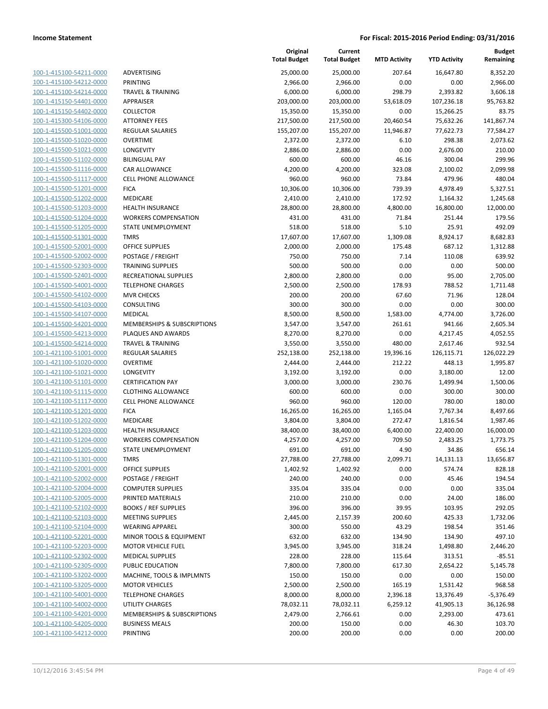| 100-1-415100-54211-0000        |
|--------------------------------|
| 100-1-415100-54212-0000        |
| 100-1-415100-54214-0000        |
| 100-1-415150-54401-0000        |
| 100-1-415150-54402-0000        |
| 100-1-415300-54106-0000        |
| 100-1-415500-51001-0000        |
| 100-1-415500-51020-0000        |
| 100-1-415500-51021-0000        |
| 100-1-415500-51102-0000        |
| 100-1-415500-51116-0000        |
| 100-1-415500-51117-0000        |
| 100-1-415500-51201-0000        |
| 100-1-415500-51202-0000        |
|                                |
| 100-1-415500-51203-0000        |
| 100-1-415500-51204-0000        |
| 100-1-415500-51205-0000        |
| 100-1-415500-51301-0000        |
| 100-1-415500-52001-0000        |
| 100-1-415500-52002-0000        |
| 100-1-415500-52303-0000        |
| 100-1-415500-52401-0000        |
| 100-1-415500-54001-0000        |
| 100-1-415500-54102-0000        |
| 100-1-415500-54103-0000        |
| 100-1-415500-54107-0000        |
| 100-1-415500-54201-0000        |
| 100-1-415500-54213-0000        |
| 100-1-415500-54214-0000        |
|                                |
| 100-1-421100-51001-0000        |
| 100-1-421100-51020-0000        |
| 100-1-421100-51021-0000        |
| 100-1-421100-51101-0000        |
| 100-1-421100-51115-0000        |
| 100-1-421100-51117-0000        |
| 100-1-421100-51201-0000        |
| 100-1-421100-51202-0000        |
| 100-1-421100-51203-0000        |
| 100-1-421100-51204-0000        |
| 100-1-421100-51205-0000        |
| 100-1-421100-51301-0000        |
| 100-1-421100-52001-0000        |
| <u>100-1-421100-52002-0000</u> |
| <u>100-1-421100-52004-0000</u> |
| <u>100-1-421100-52005-0000</u> |
| 100-1-421100-52102-0000        |
| 100-1-421100-52103-0000        |
|                                |
| 100-1-421100-52104-0000        |
| <u>100-1-421100-52201-0000</u> |
| <u>100-1-421100-52203-0000</u> |
| 100-1-421100-52302-0000        |
| 100-1-421100-52305-0000        |
| 100-1-421100-53202-0000        |
| <u>100-1-421100-53205-0000</u> |
| 100-1-421100-54001-0000        |
| <u>100-1-421100-54002-0000</u> |
| 100-1-421100-54201-0000        |
| <u>100-1-421100-54205-0000</u> |
| 100-1-421100-54212-0000        |
|                                |

|                                                           |                                        | Original<br><b>Total Budget</b> | Current<br><b>Total Budget</b> | <b>MTD Activity</b> | <b>YTD Activity</b> | <b>Budget</b><br>Remaining |
|-----------------------------------------------------------|----------------------------------------|---------------------------------|--------------------------------|---------------------|---------------------|----------------------------|
| 100-1-415100-54211-0000                                   | <b>ADVERTISING</b>                     | 25,000.00                       | 25,000.00                      | 207.64              | 16,647.80           | 8,352.20                   |
| 100-1-415100-54212-0000                                   | <b>PRINTING</b>                        | 2,966.00                        | 2,966.00                       | 0.00                | 0.00                | 2,966.00                   |
| 100-1-415100-54214-0000                                   | <b>TRAVEL &amp; TRAINING</b>           | 6,000.00                        | 6,000.00                       | 298.79              | 2,393.82            | 3,606.18                   |
| 100-1-415150-54401-0000                                   | <b>APPRAISER</b>                       | 203,000.00                      | 203,000.00                     | 53,618.09           | 107,236.18          | 95,763.82                  |
| 100-1-415150-54402-0000                                   | <b>COLLECTOR</b>                       | 15,350.00                       | 15,350.00                      | 0.00                | 15,266.25           | 83.75                      |
| 100-1-415300-54106-0000                                   | <b>ATTORNEY FEES</b>                   | 217,500.00                      | 217,500.00                     | 20,460.54           | 75,632.26           | 141,867.74                 |
| 100-1-415500-51001-0000                                   | <b>REGULAR SALARIES</b>                | 155,207.00                      | 155,207.00                     | 11,946.87           | 77,622.73           | 77,584.27                  |
| 100-1-415500-51020-0000                                   | <b>OVERTIME</b>                        | 2,372.00                        | 2,372.00                       | 6.10                | 298.38              | 2,073.62                   |
| 100-1-415500-51021-0000                                   | LONGEVITY                              | 2,886.00                        | 2,886.00                       | 0.00                | 2,676.00            | 210.00                     |
| 100-1-415500-51102-0000                                   | <b>BILINGUAL PAY</b>                   | 600.00                          | 600.00                         | 46.16               | 300.04              | 299.96                     |
| 100-1-415500-51116-0000                                   | CAR ALLOWANCE                          | 4,200.00                        | 4,200.00                       | 323.08              | 2,100.02            | 2,099.98                   |
| 100-1-415500-51117-0000                                   | <b>CELL PHONE ALLOWANCE</b>            | 960.00                          | 960.00                         | 73.84               | 479.96              | 480.04                     |
| 100-1-415500-51201-0000                                   | <b>FICA</b>                            | 10,306.00                       | 10,306.00                      | 739.39              | 4,978.49            | 5,327.51                   |
| 100-1-415500-51202-0000                                   | MEDICARE                               | 2,410.00                        | 2,410.00                       | 172.92              | 1,164.32            | 1,245.68                   |
| 100-1-415500-51203-0000                                   | <b>HEALTH INSURANCE</b>                | 28,800.00                       | 28,800.00                      | 4,800.00            | 16,800.00           | 12,000.00                  |
| 100-1-415500-51204-0000                                   | <b>WORKERS COMPENSATION</b>            | 431.00                          | 431.00                         | 71.84               | 251.44              | 179.56                     |
| 100-1-415500-51205-0000                                   | <b>STATE UNEMPLOYMENT</b>              | 518.00                          | 518.00                         | 5.10                | 25.91               | 492.09                     |
| 100-1-415500-51301-0000                                   | <b>TMRS</b>                            | 17,607.00                       | 17,607.00                      | 1,309.08            | 8,924.17            | 8,682.83                   |
| 100-1-415500-52001-0000                                   | <b>OFFICE SUPPLIES</b>                 | 2,000.00                        | 2,000.00                       | 175.48              | 687.12              | 1,312.88                   |
| 100-1-415500-52002-0000                                   | POSTAGE / FREIGHT                      | 750.00                          | 750.00                         | 7.14                | 110.08              | 639.92                     |
| 100-1-415500-52303-0000                                   | <b>TRAINING SUPPLIES</b>               | 500.00                          | 500.00                         | 0.00                | 0.00                | 500.00                     |
| 100-1-415500-52401-0000                                   | <b>RECREATIONAL SUPPLIES</b>           | 2,800.00                        | 2,800.00                       | 0.00                | 95.00               | 2,705.00                   |
| 100-1-415500-54001-0000                                   | <b>TELEPHONE CHARGES</b>               | 2,500.00                        | 2,500.00                       | 178.93              | 788.52              | 1,711.48                   |
| 100-1-415500-54102-0000                                   | <b>MVR CHECKS</b>                      | 200.00                          | 200.00                         | 67.60               | 71.96               | 128.04                     |
| 100-1-415500-54103-0000                                   | CONSULTING                             | 300.00                          | 300.00                         | 0.00                | 0.00                | 300.00                     |
| 100-1-415500-54107-0000                                   | <b>MEDICAL</b>                         | 8,500.00                        | 8,500.00                       | 1,583.00            | 4,774.00            | 3,726.00                   |
| 100-1-415500-54201-0000                                   | <b>MEMBERSHIPS &amp; SUBSCRIPTIONS</b> | 3,547.00                        | 3,547.00                       | 261.61              | 941.66              | 2,605.34                   |
| 100-1-415500-54213-0000                                   | PLAQUES AND AWARDS                     | 8,270.00                        | 8,270.00                       | 0.00                | 4,217.45            | 4,052.55                   |
| 100-1-415500-54214-0000                                   | <b>TRAVEL &amp; TRAINING</b>           | 3,550.00                        | 3,550.00                       | 480.00              | 2,617.46            | 932.54                     |
| 100-1-421100-51001-0000                                   | <b>REGULAR SALARIES</b>                | 252,138.00                      | 252,138.00                     | 19,396.16           | 126,115.71          | 126,022.29                 |
| 100-1-421100-51020-0000                                   | <b>OVERTIME</b>                        | 2,444.00                        | 2,444.00                       | 212.22              | 448.13              | 1,995.87                   |
| 100-1-421100-51021-0000                                   | LONGEVITY                              | 3,192.00                        | 3,192.00                       | 0.00                | 3,180.00            | 12.00                      |
| 100-1-421100-51101-0000                                   | <b>CERTIFICATION PAY</b>               | 3,000.00                        | 3,000.00                       | 230.76              | 1,499.94            | 1,500.06                   |
| 100-1-421100-51115-0000                                   | <b>CLOTHING ALLOWANCE</b>              | 600.00                          | 600.00                         | 0.00                | 300.00              | 300.00                     |
| 100-1-421100-51117-0000                                   | <b>CELL PHONE ALLOWANCE</b>            | 960.00                          | 960.00                         | 120.00              | 780.00              | 180.00                     |
| 100-1-421100-51201-0000                                   | <b>FICA</b>                            | 16,265.00                       | 16,265.00                      | 1,165.04            | 7,767.34            | 8,497.66                   |
| 100-1-421100-51202-0000                                   | MEDICARE                               | 3,804.00                        | 3,804.00                       | 272.47              | 1,816.54            | 1,987.46                   |
| 100-1-421100-51203-0000                                   | <b>HEALTH INSURANCE</b>                | 38,400.00                       | 38,400.00                      | 6,400.00            | 22,400.00           | 16,000.00                  |
| 100-1-421100-51204-0000                                   | <b>WORKERS COMPENSATION</b>            | 4,257.00                        | 4,257.00                       | 709.50              | 2,483.25            | 1,773.75                   |
| <u>100-1-421100-51205-0000</u><br>100-1-421100-51301-0000 | STATE UNEMPLOYMENT<br><b>TMRS</b>      | 691.00                          | 691.00                         | 4.90<br>2,099.71    | 34.86               | 656.14                     |
| 100-1-421100-52001-0000                                   | <b>OFFICE SUPPLIES</b>                 | 27,788.00<br>1,402.92           | 27,788.00<br>1,402.92          | 0.00                | 14,131.13<br>574.74 | 13,656.87<br>828.18        |
| 100-1-421100-52002-0000                                   | POSTAGE / FREIGHT                      | 240.00                          | 240.00                         | 0.00                | 45.46               | 194.54                     |
| 100-1-421100-52004-0000                                   | <b>COMPUTER SUPPLIES</b>               | 335.04                          | 335.04                         | 0.00                | 0.00                | 335.04                     |
| 100-1-421100-52005-0000                                   | PRINTED MATERIALS                      | 210.00                          | 210.00                         | 0.00                | 24.00               | 186.00                     |
| 100-1-421100-52102-0000                                   | <b>BOOKS / REF SUPPLIES</b>            | 396.00                          | 396.00                         | 39.95               | 103.95              | 292.05                     |
| 100-1-421100-52103-0000                                   | <b>MEETING SUPPLIES</b>                | 2,445.00                        | 2,157.39                       | 200.60              | 425.33              | 1,732.06                   |
| 100-1-421100-52104-0000                                   | <b>WEARING APPAREL</b>                 | 300.00                          | 550.00                         | 43.29               | 198.54              | 351.46                     |
| 100-1-421100-52201-0000                                   | MINOR TOOLS & EQUIPMENT                | 632.00                          | 632.00                         | 134.90              | 134.90              | 497.10                     |
| 100-1-421100-52203-0000                                   | <b>MOTOR VEHICLE FUEL</b>              | 3,945.00                        | 3,945.00                       | 318.24              | 1,498.80            | 2,446.20                   |
| 100-1-421100-52302-0000                                   | <b>MEDICAL SUPPLIES</b>                | 228.00                          | 228.00                         | 115.64              | 313.51              | $-85.51$                   |
| 100-1-421100-52305-0000                                   | PUBLIC EDUCATION                       | 7,800.00                        | 7,800.00                       | 617.30              | 2,654.22            | 5,145.78                   |
| 100-1-421100-53202-0000                                   | MACHINE, TOOLS & IMPLMNTS              | 150.00                          | 150.00                         | 0.00                | 0.00                | 150.00                     |
| 100-1-421100-53205-0000                                   | <b>MOTOR VEHICLES</b>                  | 2,500.00                        | 2,500.00                       | 165.19              | 1,531.42            | 968.58                     |
| 100-1-421100-54001-0000                                   | <b>TELEPHONE CHARGES</b>               | 8,000.00                        | 8,000.00                       | 2,396.18            | 13,376.49           | $-5,376.49$                |
| 100-1-421100-54002-0000                                   | <b>UTILITY CHARGES</b>                 | 78,032.11                       | 78,032.11                      | 6,259.12            | 41,905.13           | 36,126.98                  |
| 100-1-421100-54201-0000                                   | MEMBERSHIPS & SUBSCRIPTIONS            | 2,479.00                        | 2,766.61                       | 0.00                | 2,293.00            | 473.61                     |
| 100-1-421100-54205-0000                                   | <b>BUSINESS MEALS</b>                  | 200.00                          | 150.00                         | 0.00                | 46.30               | 103.70                     |
| 100-1-421100-54212-0000                                   | PRINTING                               | 200.00                          | 200.00                         | 0.00                | 0.00                | 200.00                     |
|                                                           |                                        |                                 |                                |                     |                     |                            |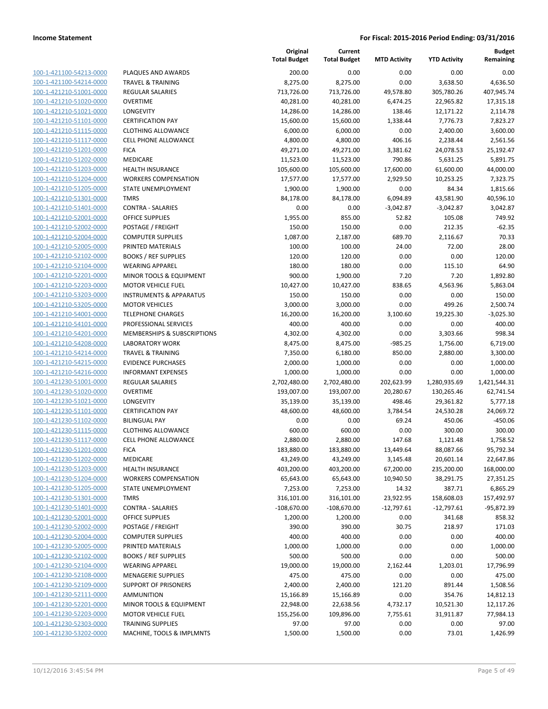| 100-1-421100-54213-0000                            |
|----------------------------------------------------|
| 100-1-421100-54214-0000                            |
| 100-1-421210-51001-0000                            |
| 100-1-421210-51020-0000                            |
| 100-1-421210-51021-0000                            |
| 100-1-421210-51101-0000                            |
| 100-1-421210-51115-0000                            |
| 100-1-421210-51117-0000                            |
| 100-1-421210-51201-0000                            |
| 100-1-421210-51202-0000                            |
| 100-1-421210-51203-0000                            |
| 100-1-421210-51204-0000                            |
| 100-1-421210-51205-0000                            |
| 100-1-421210-51301-0000                            |
| 100-1-421210-51401-0000                            |
| 100-1-421210-52001-0000                            |
| 100-1-421210-52002-0000                            |
| 100-1-421210-52004-0000                            |
| 100-1-421210-52005-0000                            |
| 100-1-421210-52102-0000                            |
| 100-1-421210-52104-0000                            |
| 100-1-421210-52201-0000                            |
| 100-1-421210-52203-0000                            |
| 100-1-421210-53203-0000                            |
| 100-1-421210-53205-0000                            |
| 100-1-421210-54001-0000                            |
| 100-1-421210-54101-0000                            |
|                                                    |
| 100-1-421210-54201-0000                            |
| 100-1-421210-54208-0000                            |
| 100-1-421210-54214-0000                            |
| 100-1-421210-54215-0000                            |
| 100-1-421210-54216-0000                            |
| 100-1-421230-51001-0000<br>100-1-421230-51020-0000 |
| 100-1-421230-51021-0000                            |
| 100-1-421230-51101-0000                            |
|                                                    |
| 100-1-421230-51102-0000                            |
| 100-1-421230-51115-0000                            |
| 100-1-421230-51117-0000                            |
| 100-1-421230-51201-0000                            |
| 100-1-421230-51202-0000                            |
| 100-1-421230-51203-0000                            |
| <u>100-1-421230-51204-0000</u>                     |
| <u>100-1-421230-51205-0000</u>                     |
| <u>100-1-421230-51301-0000</u>                     |
| <u>100-1-421230-51401-0000</u>                     |
| 100-1-421230-52001-0000                            |
| <u>100-1-421230-52002-0000</u>                     |
| <u>100-1-421230-52004-0000</u>                     |
| <u>100-1-421230-52005-0000</u>                     |
| <u>100-1-421230-52102-0000</u>                     |
| 100-1-421230-52104-0000                            |
| 100-1-421230-52108-0000                            |
| <u>100-1-421230-52109-0000</u>                     |
| <u>100-1-421230-52111-0000</u>                     |
| <u>100-1-421230-52201-0000</u>                     |
| 100-1-421230-52203-0000                            |
| <u>100-1-421230-52303-0000</u>                     |
| 100-1-421230-53202-0000                            |

|                         |                                    | Original<br><b>Total Budget</b> | Current<br><b>Total Budget</b> | <b>MTD Activity</b> | <b>YTD Activity</b> | <b>Budget</b><br>Remaining |
|-------------------------|------------------------------------|---------------------------------|--------------------------------|---------------------|---------------------|----------------------------|
| 100-1-421100-54213-0000 | PLAQUES AND AWARDS                 | 200.00                          | 0.00                           | 0.00                | 0.00                | 0.00                       |
| 100-1-421100-54214-0000 | <b>TRAVEL &amp; TRAINING</b>       | 8,275.00                        | 8,275.00                       | 0.00                | 3,638.50            | 4,636.50                   |
| 100-1-421210-51001-0000 | <b>REGULAR SALARIES</b>            | 713,726.00                      | 713,726.00                     | 49,578.80           | 305,780.26          | 407,945.74                 |
| 100-1-421210-51020-0000 | <b>OVERTIME</b>                    | 40,281.00                       | 40,281.00                      | 6,474.25            | 22,965.82           | 17,315.18                  |
| 100-1-421210-51021-0000 | <b>LONGEVITY</b>                   | 14,286.00                       | 14,286.00                      | 138.46              | 12,171.22           | 2,114.78                   |
| 100-1-421210-51101-0000 | <b>CERTIFICATION PAY</b>           | 15,600.00                       | 15,600.00                      | 1,338.44            | 7,776.73            | 7,823.27                   |
| 100-1-421210-51115-0000 | <b>CLOTHING ALLOWANCE</b>          | 6,000.00                        | 6,000.00                       | 0.00                | 2,400.00            | 3,600.00                   |
| 100-1-421210-51117-0000 | CELL PHONE ALLOWANCE               | 4,800.00                        | 4,800.00                       | 406.16              | 2,238.44            | 2,561.56                   |
| 100-1-421210-51201-0000 | <b>FICA</b>                        | 49,271.00                       | 49,271.00                      | 3,381.62            | 24,078.53           | 25,192.47                  |
| 100-1-421210-51202-0000 | MEDICARE                           | 11,523.00                       | 11,523.00                      | 790.86              | 5,631.25            | 5,891.75                   |
| 100-1-421210-51203-0000 | <b>HEALTH INSURANCE</b>            | 105,600.00                      | 105,600.00                     | 17,600.00           | 61,600.00           | 44,000.00                  |
| 100-1-421210-51204-0000 | <b>WORKERS COMPENSATION</b>        | 17,577.00                       | 17,577.00                      | 2,929.50            | 10,253.25           | 7,323.75                   |
| 100-1-421210-51205-0000 | STATE UNEMPLOYMENT                 | 1,900.00                        | 1,900.00                       | 0.00                | 84.34               | 1,815.66                   |
| 100-1-421210-51301-0000 | <b>TMRS</b>                        | 84,178.00                       | 84,178.00                      | 6,094.89            | 43,581.90           | 40,596.10                  |
| 100-1-421210-51401-0000 | <b>CONTRA - SALARIES</b>           | 0.00                            | 0.00                           | $-3,042.87$         | $-3,042.87$         | 3,042.87                   |
| 100-1-421210-52001-0000 | <b>OFFICE SUPPLIES</b>             | 1,955.00                        | 855.00                         | 52.82               | 105.08              | 749.92                     |
| 100-1-421210-52002-0000 | POSTAGE / FREIGHT                  | 150.00                          | 150.00                         | 0.00                | 212.35              | $-62.35$                   |
| 100-1-421210-52004-0000 | <b>COMPUTER SUPPLIES</b>           | 1,087.00                        | 2,187.00                       | 689.70              | 2,116.67            | 70.33                      |
| 100-1-421210-52005-0000 | PRINTED MATERIALS                  | 100.00                          | 100.00                         | 24.00               | 72.00               | 28.00                      |
| 100-1-421210-52102-0000 | <b>BOOKS / REF SUPPLIES</b>        | 120.00                          | 120.00                         | 0.00                | 0.00                | 120.00                     |
| 100-1-421210-52104-0000 | <b>WEARING APPAREL</b>             | 180.00                          | 180.00                         | 0.00                | 115.10              | 64.90                      |
| 100-1-421210-52201-0000 | MINOR TOOLS & EQUIPMENT            | 900.00                          | 1,900.00                       | 7.20                | 7.20                | 1,892.80                   |
| 100-1-421210-52203-0000 | <b>MOTOR VEHICLE FUEL</b>          | 10,427.00                       | 10,427.00                      | 838.65              | 4,563.96            | 5,863.04                   |
| 100-1-421210-53203-0000 | <b>INSTRUMENTS &amp; APPARATUS</b> | 150.00                          | 150.00                         | 0.00                | 0.00                | 150.00                     |
| 100-1-421210-53205-0000 | <b>MOTOR VEHICLES</b>              | 3,000.00                        | 3,000.00                       | 0.00                | 499.26              | 2,500.74                   |
| 100-1-421210-54001-0000 | <b>TELEPHONE CHARGES</b>           | 16,200.00                       | 16,200.00                      | 3,100.60            | 19,225.30           | $-3,025.30$                |
| 100-1-421210-54101-0000 | PROFESSIONAL SERVICES              | 400.00                          | 400.00                         | 0.00                | 0.00                | 400.00                     |
| 100-1-421210-54201-0000 | MEMBERSHIPS & SUBSCRIPTIONS        | 4,302.00                        | 4,302.00                       | 0.00                | 3,303.66            | 998.34                     |
| 100-1-421210-54208-0000 | <b>LABORATORY WORK</b>             | 8,475.00                        | 8,475.00                       | $-985.25$           | 1,756.00            | 6,719.00                   |
| 100-1-421210-54214-0000 | <b>TRAVEL &amp; TRAINING</b>       | 7,350.00                        | 6,180.00                       | 850.00              | 2,880.00            | 3,300.00                   |
| 100-1-421210-54215-0000 | <b>EVIDENCE PURCHASES</b>          | 2,000.00                        | 1,000.00                       | 0.00                | 0.00                | 1,000.00                   |
| 100-1-421210-54216-0000 | <b>INFORMANT EXPENSES</b>          | 1,000.00                        | 1,000.00                       | 0.00                | 0.00                | 1,000.00                   |
| 100-1-421230-51001-0000 | REGULAR SALARIES                   | 2,702,480.00                    | 2,702,480.00                   | 202,623.99          | 1,280,935.69        | 1,421,544.31               |
| 100-1-421230-51020-0000 | <b>OVERTIME</b>                    | 193,007.00                      | 193,007.00                     | 20,280.67           | 130,265.46          | 62,741.54                  |
| 100-1-421230-51021-0000 | <b>LONGEVITY</b>                   | 35,139.00                       | 35,139.00                      | 498.46              | 29,361.82           | 5,777.18                   |
| 100-1-421230-51101-0000 | <b>CERTIFICATION PAY</b>           | 48,600.00                       | 48,600.00                      | 3,784.54            | 24,530.28           | 24,069.72                  |
| 100-1-421230-51102-0000 | <b>BILINGUAL PAY</b>               | 0.00                            | 0.00                           | 69.24               | 450.06              | $-450.06$                  |
| 100-1-421230-51115-0000 | <b>CLOTHING ALLOWANCE</b>          | 600.00                          | 600.00                         | 0.00                | 300.00              | 300.00                     |
| 100-1-421230-51117-0000 | <b>CELL PHONE ALLOWANCE</b>        | 2,880.00                        | 2,880.00                       | 147.68              | 1,121.48            | 1,758.52                   |
| 100-1-421230-51201-0000 | <b>FICA</b>                        | 183,880.00                      | 183,880.00                     | 13,449.64           | 88,087.66           | 95,792.34                  |
| 100-1-421230-51202-0000 | MEDICARE                           | 43,249.00                       | 43,249.00                      | 3,145.48            | 20,601.14           | 22,647.86                  |
| 100-1-421230-51203-0000 | <b>HEALTH INSURANCE</b>            | 403,200.00                      | 403,200.00                     | 67,200.00           | 235,200.00          | 168,000.00                 |
| 100-1-421230-51204-0000 | <b>WORKERS COMPENSATION</b>        | 65,643.00                       | 65,643.00                      | 10,940.50           | 38,291.75           | 27,351.25                  |
| 100-1-421230-51205-0000 | STATE UNEMPLOYMENT                 | 7,253.00                        | 7,253.00                       | 14.32               | 387.71              | 6,865.29                   |
| 100-1-421230-51301-0000 | <b>TMRS</b>                        | 316,101.00                      | 316,101.00                     | 23,922.95           | 158,608.03          | 157,492.97                 |
| 100-1-421230-51401-0000 | <b>CONTRA - SALARIES</b>           | $-108,670.00$                   | $-108,670.00$                  | $-12,797.61$        | $-12,797.61$        | $-95,872.39$               |
| 100-1-421230-52001-0000 | <b>OFFICE SUPPLIES</b>             | 1,200.00                        | 1,200.00                       | 0.00                | 341.68              | 858.32                     |
| 100-1-421230-52002-0000 | POSTAGE / FREIGHT                  | 390.00                          | 390.00                         | 30.75               | 218.97              | 171.03                     |
| 100-1-421230-52004-0000 | <b>COMPUTER SUPPLIES</b>           | 400.00                          | 400.00                         | 0.00                | 0.00                | 400.00                     |
| 100-1-421230-52005-0000 | PRINTED MATERIALS                  | 1,000.00                        | 1,000.00                       | 0.00                | 0.00                | 1,000.00                   |
| 100-1-421230-52102-0000 | <b>BOOKS / REF SUPPLIES</b>        | 500.00                          | 500.00                         | 0.00                | 0.00                | 500.00                     |
| 100-1-421230-52104-0000 | <b>WEARING APPAREL</b>             | 19,000.00                       | 19,000.00                      | 2,162.44            | 1,203.01            | 17,796.99                  |
| 100-1-421230-52108-0000 | <b>MENAGERIE SUPPLIES</b>          | 475.00                          | 475.00                         | 0.00                | 0.00                | 475.00                     |
| 100-1-421230-52109-0000 | <b>SUPPORT OF PRISONERS</b>        | 2,400.00                        | 2,400.00                       | 121.20              | 891.44              | 1,508.56                   |
| 100-1-421230-52111-0000 | <b>AMMUNITION</b>                  | 15,166.89                       | 15,166.89                      | 0.00                | 354.76              | 14,812.13                  |
| 100-1-421230-52201-0000 | MINOR TOOLS & EQUIPMENT            | 22,948.00                       | 22,638.56                      | 4,732.17            | 10,521.30           | 12,117.26                  |
| 100-1-421230-52203-0000 | <b>MOTOR VEHICLE FUEL</b>          | 155,256.00                      | 109,896.00                     | 7,755.61            | 31,911.87           | 77,984.13                  |
| 100-1-421230-52303-0000 | <b>TRAINING SUPPLIES</b>           | 97.00                           | 97.00                          | 0.00                | 0.00                | 97.00                      |
| 100-1-421230-53202-0000 | MACHINE, TOOLS & IMPLMNTS          | 1,500.00                        | 1,500.00                       | 0.00                | 73.01               | 1,426.99                   |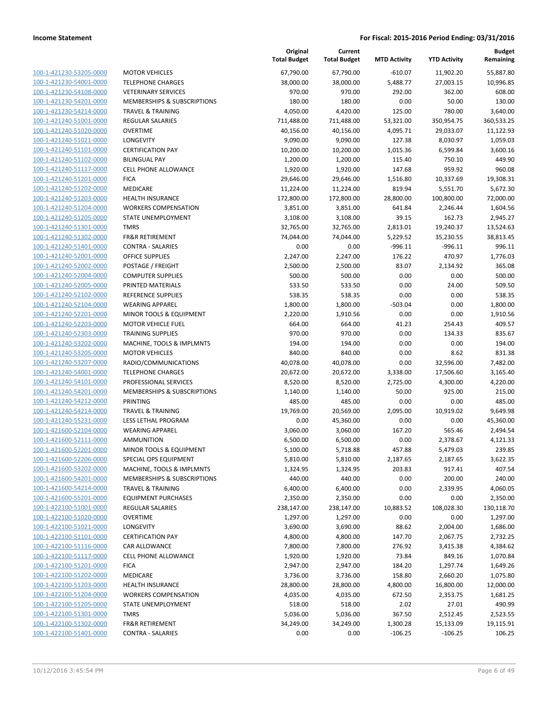| 100-1-421230-53205-0000        |
|--------------------------------|
| 100-1-421230-54001-0000        |
| 100-1-421230-54108-0000        |
| <u>100-1-421230-54201-0000</u> |
| 100-1-421230-54214-0000        |
| 100-1-421240-51001-0000        |
| 100-1-421240-51020-0000        |
| 100-1-421240-51021-0000        |
| 100-1-421240-51101-0000        |
| 100-1-421240-51102-0000        |
| 100-1-421240-51117-0000        |
| 100-1-421240-51201-0000        |
| 100-1-421240-51202-0000        |
| 100-1-421240-51203-0000        |
| 100-1-421240-51204-0000        |
| 100-1-421240-51205-0000        |
| 100-1-421240-51301-0000        |
|                                |
| 100-1-421240-51302-0000        |
| 100-1-421240-51401-0000        |
| 100-1-421240-52001-0000        |
| 100-1-421240-52002-0000        |
| 100-1-421240-52004-0000        |
| 100-1-421240-52005-0000        |
| <u>100-1-421240-52102-0000</u> |
| 100-1-421240-52104-0000        |
| 100-1-421240-52201-0000        |
| 100-1-421240-52203-0000        |
| 100-1-421240-52303-0000        |
| 100-1-421240-53202-0000        |
| 100-1-421240-53205-0000        |
| 100-1-421240-53207-0000        |
| 100-1-421240-54001-0000        |
| 100-1-421240-54101-0000        |
| 100-1-421240-54201-0000        |
| 100-1-421240-54212-0000        |
| 100-1-421240-54214-0000        |
| 100-1-421240-55231-0000        |
| 100-1-421600-52104-0000        |
| 100-1-421600-52111-0000        |
| 100-1-421600-52201-0000        |
| 100-1-421600-52206-0000        |
| 100-1-421600-53202-0000        |
| 100-1-421600-54201-0000        |
|                                |
| <u>100-1-421600-54214-0000</u> |
| <u>100-1-421600-55201-0000</u> |
| <u>100-1-422100-51001-0000</u> |
| 100-1-422100-51020-0000        |
| <u>100-1-422100-51021-0000</u> |
| <u>100-1-422100-51101-0000</u> |
| <u>100-1-422100-51116-0000</u> |
| 100-1-422100-51117-0000        |
| 100-1-422100-51201-0000        |
| <u>100-1-422100-51202-0000</u> |
| <u>100-1-422100-51203-0000</u> |
| <u>100-1-422100-51204-0000</u> |
| 100-1-422100-51205-0000        |
| 100-1-422100-51301-0000        |
| <u>100-1-422100-51302-0000</u> |
| <u>100-1-422100-51401-0000</u> |
|                                |

|                                                    |                              | Original<br><b>Total Budget</b> | Current<br><b>Total Budget</b> | <b>MTD Activity</b> | <b>YTD Activity</b> | <b>Budget</b><br>Remaining |
|----------------------------------------------------|------------------------------|---------------------------------|--------------------------------|---------------------|---------------------|----------------------------|
| 100-1-421230-53205-0000                            | <b>MOTOR VEHICLES</b>        | 67,790.00                       | 67,790.00                      | $-610.07$           | 11,902.20           | 55,887.80                  |
| 100-1-421230-54001-0000                            | <b>TELEPHONE CHARGES</b>     | 38,000.00                       | 38,000.00                      | 5,488.77            | 27,003.15           | 10,996.85                  |
| 100-1-421230-54108-0000                            | <b>VETERINARY SERVICES</b>   | 970.00                          | 970.00                         | 292.00              | 362.00              | 608.00                     |
| 100-1-421230-54201-0000                            | MEMBERSHIPS & SUBSCRIPTIONS  | 180.00                          | 180.00                         | 0.00                | 50.00               | 130.00                     |
| 100-1-421230-54214-0000                            | <b>TRAVEL &amp; TRAINING</b> | 4,050.00                        | 4,420.00                       | 125.00              | 780.00              | 3,640.00                   |
| 100-1-421240-51001-0000                            | REGULAR SALARIES             | 711,488.00                      | 711,488.00                     | 53,321.00           | 350,954.75          | 360,533.25                 |
| 100-1-421240-51020-0000                            | <b>OVERTIME</b>              | 40,156.00                       | 40,156.00                      | 4,095.71            | 29,033.07           | 11,122.93                  |
| 100-1-421240-51021-0000                            | LONGEVITY                    | 9,090.00                        | 9,090.00                       | 127.38              | 8,030.97            | 1,059.03                   |
| 100-1-421240-51101-0000                            | <b>CERTIFICATION PAY</b>     | 10,200.00                       | 10,200.00                      | 1,015.36            | 6,599.84            | 3,600.16                   |
| 100-1-421240-51102-0000                            | <b>BILINGUAL PAY</b>         | 1,200.00                        | 1,200.00                       | 115.40              | 750.10              | 449.90                     |
| 100-1-421240-51117-0000                            | <b>CELL PHONE ALLOWANCE</b>  | 1,920.00                        | 1,920.00                       | 147.68              | 959.92              | 960.08                     |
| 100-1-421240-51201-0000                            | <b>FICA</b>                  | 29,646.00                       | 29,646.00                      | 1,516.80            | 10,337.69           | 19,308.31                  |
| 100-1-421240-51202-0000                            | MEDICARE                     | 11,224.00                       | 11,224.00                      | 819.94              | 5,551.70            | 5,672.30                   |
| 100-1-421240-51203-0000                            | <b>HEALTH INSURANCE</b>      | 172,800.00                      | 172,800.00                     | 28,800.00           | 100,800.00          | 72,000.00                  |
| 100-1-421240-51204-0000                            | <b>WORKERS COMPENSATION</b>  | 3,851.00                        | 3,851.00                       | 641.84              | 2,246.44            | 1,604.56                   |
| 100-1-421240-51205-0000                            | STATE UNEMPLOYMENT           | 3,108.00                        | 3,108.00                       | 39.15               | 162.73              | 2,945.27                   |
| 100-1-421240-51301-0000                            | <b>TMRS</b>                  | 32,765.00                       | 32,765.00                      | 2,813.01            | 19,240.37           | 13,524.63                  |
| 100-1-421240-51302-0000                            | <b>FR&amp;R RETIREMENT</b>   | 74,044.00                       | 74,044.00                      | 5,229.52            | 35,230.55           | 38,813.45                  |
| 100-1-421240-51401-0000                            | <b>CONTRA - SALARIES</b>     | 0.00                            | 0.00                           | $-996.11$           | $-996.11$           | 996.11                     |
| 100-1-421240-52001-0000                            | <b>OFFICE SUPPLIES</b>       | 2,247.00                        | 2,247.00                       | 176.22              | 470.97              | 1,776.03                   |
| 100-1-421240-52002-0000                            | POSTAGE / FREIGHT            | 2,500.00                        | 2,500.00                       | 83.07               | 2,134.92            | 365.08                     |
| 100-1-421240-52004-0000                            | <b>COMPUTER SUPPLIES</b>     | 500.00                          | 500.00                         | 0.00                | 0.00                | 500.00                     |
| 100-1-421240-52005-0000                            | PRINTED MATERIALS            | 533.50                          | 533.50                         | 0.00                | 24.00               | 509.50                     |
| 100-1-421240-52102-0000                            | <b>REFERENCE SUPPLIES</b>    | 538.35                          | 538.35                         | 0.00                | 0.00                | 538.35                     |
| 100-1-421240-52104-0000                            | <b>WEARING APPAREL</b>       | 1,800.00                        | 1,800.00                       | $-503.04$           | 0.00                | 1,800.00                   |
| 100-1-421240-52201-0000                            | MINOR TOOLS & EQUIPMENT      | 2,220.00                        | 1,910.56                       | 0.00                | 0.00                | 1,910.56                   |
| 100-1-421240-52203-0000                            | <b>MOTOR VEHICLE FUEL</b>    | 664.00                          | 664.00                         | 41.23               | 254.43              | 409.57                     |
| 100-1-421240-52303-0000                            | <b>TRAINING SUPPLIES</b>     | 970.00                          | 970.00                         | 0.00                | 134.33              | 835.67                     |
| 100-1-421240-53202-0000                            | MACHINE, TOOLS & IMPLMNTS    | 194.00                          | 194.00                         | 0.00                | 0.00                | 194.00                     |
| 100-1-421240-53205-0000                            | <b>MOTOR VEHICLES</b>        | 840.00                          | 840.00                         | 0.00                | 8.62                | 831.38                     |
| 100-1-421240-53207-0000                            | RADIO/COMMUNICATIONS         | 40,078.00                       | 40,078.00                      | 0.00                | 32,596.00           | 7,482.00                   |
| 100-1-421240-54001-0000                            | <b>TELEPHONE CHARGES</b>     | 20,672.00                       | 20,672.00                      | 3,338.00            | 17,506.60           | 3,165.40                   |
| 100-1-421240-54101-0000                            | PROFESSIONAL SERVICES        | 8,520.00                        | 8,520.00                       | 2,725.00            | 4,300.00            | 4,220.00                   |
| 100-1-421240-54201-0000                            | MEMBERSHIPS & SUBSCRIPTIONS  | 1,140.00                        | 1,140.00                       | 50.00               | 925.00              | 215.00                     |
| 100-1-421240-54212-0000                            | <b>PRINTING</b>              | 485.00                          | 485.00                         | 0.00                | 0.00                | 485.00                     |
| 100-1-421240-54214-0000                            | <b>TRAVEL &amp; TRAINING</b> | 19,769.00                       | 20,569.00                      | 2,095.00            | 10,919.02           | 9,649.98                   |
| 100-1-421240-55231-0000                            | LESS LETHAL PROGRAM          | 0.00                            | 45,360.00                      | 0.00                | 0.00                | 45,360.00                  |
| 100-1-421600-52104-0000                            | <b>WEARING APPAREL</b>       | 3,060.00                        | 3,060.00                       | 167.20              | 565.46              | 2,494.54                   |
| 100-1-421600-52111-0000                            | AMMUNITION                   | 6,500.00                        | 6,500.00                       | 0.00                | 2,378.67            | 4,121.33                   |
| 100-1-421600-52201-0000                            | MINOR TOOLS & EQUIPMENT      | 5,100.00                        | 5,718.88                       | 457.88              | 5,479.03            | 239.85                     |
| 100-1-421600-52206-0000                            | SPECIAL OPS EQUIPMENT        | 5,810.00                        | 5,810.00                       | 2,187.65            | 2,187.65            | 3,622.35                   |
| 100-1-421600-53202-0000                            | MACHINE, TOOLS & IMPLMNTS    | 1,324.95                        | 1,324.95                       | 203.83              | 917.41              | 407.54                     |
| 100-1-421600-54201-0000                            | MEMBERSHIPS & SUBSCRIPTIONS  | 440.00                          | 440.00                         | 0.00                | 200.00              | 240.00                     |
| 100-1-421600-54214-0000                            | <b>TRAVEL &amp; TRAINING</b> | 6,400.00                        | 6,400.00                       | 0.00                | 2,339.95            | 4,060.05                   |
| 100-1-421600-55201-0000                            | <b>EQUIPMENT PURCHASES</b>   | 2,350.00                        | 2,350.00                       | 0.00                | 0.00                | 2,350.00                   |
| 100-1-422100-51001-0000                            | <b>REGULAR SALARIES</b>      | 238,147.00                      | 238,147.00                     | 10,883.52           | 108,028.30          | 130,118.70                 |
| 100-1-422100-51020-0000                            | <b>OVERTIME</b>              | 1,297.00                        | 1,297.00                       | 0.00                | 0.00                | 1,297.00                   |
| 100-1-422100-51021-0000                            | LONGEVITY                    | 3,690.00                        | 3,690.00                       | 88.62               | 2,004.00            | 1,686.00                   |
| 100-1-422100-51101-0000                            | <b>CERTIFICATION PAY</b>     | 4,800.00                        | 4,800.00                       | 147.70              | 2,067.75            | 2,732.25                   |
| 100-1-422100-51116-0000                            | CAR ALLOWANCE                | 7,800.00                        | 7,800.00                       | 276.92              | 3,415.38            | 4,384.62                   |
| 100-1-422100-51117-0000                            | <b>CELL PHONE ALLOWANCE</b>  |                                 |                                | 73.84               | 849.16              | 1,070.84                   |
| 100-1-422100-51201-0000                            | <b>FICA</b>                  | 1,920.00<br>2,947.00            | 1,920.00<br>2,947.00           | 184.20              | 1,297.74            | 1,649.26                   |
| 100-1-422100-51202-0000                            | MEDICARE                     | 3,736.00                        | 3,736.00                       | 158.80              | 2,660.20            | 1,075.80                   |
| 100-1-422100-51203-0000                            | <b>HEALTH INSURANCE</b>      | 28,800.00                       | 28,800.00                      | 4,800.00            | 16,800.00           | 12,000.00                  |
| 100-1-422100-51204-0000                            | <b>WORKERS COMPENSATION</b>  | 4,035.00                        | 4,035.00                       | 672.50              | 2,353.75            | 1,681.25                   |
| 100-1-422100-51205-0000                            | STATE UNEMPLOYMENT           | 518.00                          |                                | 2.02                | 27.01               | 490.99                     |
|                                                    | <b>TMRS</b>                  |                                 | 518.00                         |                     |                     |                            |
| 100-1-422100-51301-0000                            |                              | 5,036.00                        | 5,036.00                       | 367.50              | 2,512.45            | 2,523.55                   |
| 100-1-422100-51302-0000<br>100-1-422100-51401-0000 | <b>FR&amp;R RETIREMENT</b>   | 34,249.00                       | 34,249.00                      | 1,300.28            | 15,133.09           | 19,115.91                  |
|                                                    | <b>CONTRA - SALARIES</b>     | 0.00                            | 0.00                           | $-106.25$           | $-106.25$           | 106.25                     |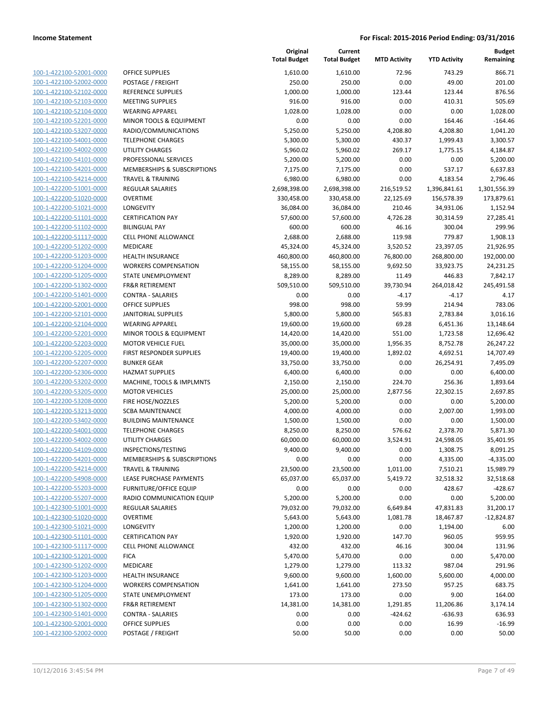| 100-1-422100-52001-0000                                |
|--------------------------------------------------------|
| <u>100-1-422100-52002-0000</u>                         |
| 100-1-422100-52102-0000                                |
| 100-1-422100-52103-0000                                |
| 100-1-422100-52104-0000                                |
| 100-1-422100-52201-0000                                |
|                                                        |
| 100-1-422100-53207-0000                                |
| 100-1-422100-54001-0000                                |
| 100-1-422100-54002-0000                                |
| $100-$<br>$\mathbf{1}$<br>$-422100 - 54101$<br>$-0000$ |
| 100-1-422100-54201-0000                                |
| 100-1-422100-54214-0000                                |
| 100-1-422200-51001-0000                                |
| 100-1-422200-51020-0000                                |
| $100 - 1$<br>-422200-51021-0000                        |
| 100-1-422200-51101-0000                                |
|                                                        |
| <u>100-1-422200-51102-0000</u>                         |
| 100-1-422200-51117-0000                                |
| 100-1-422200-51202-0000                                |
| $100-$<br>$\mathbf{1}$<br>-422200-51203-0000           |
| 100-1-422200-51204-0000                                |
| 100-1-422200-51205-0000                                |
| 100-1-422200-51302-0000                                |
| 100-1-422200-51401-0000                                |
| $100 - 1$<br>$-422200 - 52001$<br>-0000                |
| 100-1-422200-52101-0000                                |
| 100-1-422200-52104-0000                                |
| 100-1-422200-52201-0000                                |
|                                                        |
| 100-1-422200-52203-0000                                |
| $100-$<br>$\mathbf{1}$<br>-422200-52205-0000           |
| 100-1-422200-52207-0000                                |
| 100-1-422200-52306-0000                                |
| 100-1-422200-53202-0000                                |
| 100-1-422200-53205-0000                                |
| 100-1-422200-53208-0000                                |
| 100-1-422200-53213-0000                                |
| 100-1-422200-53402-0000                                |
| 100-1-422200-54001-0000                                |
| 100-1-422200-54002-0000                                |
| 100-1-422200-54109-0000                                |
| 100-1-422200-54201-0000                                |
|                                                        |
| 100-1-422200-54214-0000                                |
| <u>100-1-422200-54908-0000</u>                         |
| 100-1-422200-55203-0000                                |
| 100-1-422200-55207-0000                                |
| 100-1-422300-51001-0000                                |
| 100-1-422300-51020-0000                                |
| <u>100-1-422300-51021-0000</u>                         |
| 100-1-422300-51101-0000                                |
| 100-1-422300-51117-0000                                |
| 100-1-422300-51201-0000                                |
| 100-1-422300-51202-0000                                |
|                                                        |
| 100-1-422300-51203-0000                                |
| 100-1-422300-51204-0000                                |
| 100-1-422300-51205-0000                                |
| 100-1-422300-51302-0000                                |
| 100-1-422300-51401-0000                                |
| <u>100-1-422300-52001-0000</u>                         |
| <u>100-1-422300-52002-0000</u>                         |
|                                                        |

|                         |                               | Original<br><b>Total Budget</b> | Current<br><b>Total Budget</b> | <b>MTD Activity</b> | <b>YTD Activity</b> | <b>Budget</b><br>Remaining |
|-------------------------|-------------------------------|---------------------------------|--------------------------------|---------------------|---------------------|----------------------------|
| 100-1-422100-52001-0000 | <b>OFFICE SUPPLIES</b>        | 1,610.00                        | 1,610.00                       | 72.96               | 743.29              | 866.71                     |
| 100-1-422100-52002-0000 | POSTAGE / FREIGHT             | 250.00                          | 250.00                         | 0.00                | 49.00               | 201.00                     |
| 100-1-422100-52102-0000 | <b>REFERENCE SUPPLIES</b>     | 1,000.00                        | 1,000.00                       | 123.44              | 123.44              | 876.56                     |
| 100-1-422100-52103-0000 | <b>MEETING SUPPLIES</b>       | 916.00                          | 916.00                         | 0.00                | 410.31              | 505.69                     |
| 100-1-422100-52104-0000 | <b>WEARING APPAREL</b>        | 1,028.00                        | 1,028.00                       | 0.00                | 0.00                | 1,028.00                   |
| 100-1-422100-52201-0000 | MINOR TOOLS & EQUIPMENT       | 0.00                            | 0.00                           | 0.00                | 164.46              | $-164.46$                  |
| 100-1-422100-53207-0000 | RADIO/COMMUNICATIONS          | 5,250.00                        | 5,250.00                       | 4,208.80            | 4,208.80            | 1,041.20                   |
| 100-1-422100-54001-0000 | <b>TELEPHONE CHARGES</b>      | 5,300.00                        | 5,300.00                       | 430.37              | 1,999.43            | 3,300.57                   |
| 100-1-422100-54002-0000 | <b>UTILITY CHARGES</b>        | 5,960.02                        | 5,960.02                       | 269.17              | 1,775.15            | 4,184.87                   |
| 100-1-422100-54101-0000 | PROFESSIONAL SERVICES         | 5,200.00                        | 5,200.00                       | 0.00                | 0.00                | 5,200.00                   |
| 100-1-422100-54201-0000 | MEMBERSHIPS & SUBSCRIPTIONS   | 7,175.00                        | 7,175.00                       | 0.00                | 537.17              | 6,637.83                   |
| 100-1-422100-54214-0000 | <b>TRAVEL &amp; TRAINING</b>  | 6,980.00                        | 6,980.00                       | 0.00                | 4,183.54            | 2,796.46                   |
| 100-1-422200-51001-0000 | REGULAR SALARIES              | 2,698,398.00                    | 2,698,398.00                   | 216,519.52          | 1,396,841.61        | 1,301,556.39               |
| 100-1-422200-51020-0000 | <b>OVERTIME</b>               | 330,458.00                      | 330,458.00                     | 22,125.69           | 156,578.39          | 173,879.61                 |
| 100-1-422200-51021-0000 | LONGEVITY                     | 36,084.00                       | 36,084.00                      | 210.46              | 34,931.06           | 1,152.94                   |
| 100-1-422200-51101-0000 | <b>CERTIFICATION PAY</b>      | 57,600.00                       | 57,600.00                      | 4,726.28            | 30,314.59           | 27,285.41                  |
| 100-1-422200-51102-0000 | <b>BILINGUAL PAY</b>          | 600.00                          | 600.00                         | 46.16               | 300.04              | 299.96                     |
| 100-1-422200-51117-0000 | CELL PHONE ALLOWANCE          | 2,688.00                        | 2,688.00                       | 119.98              | 779.87              | 1,908.13                   |
| 100-1-422200-51202-0000 | <b>MEDICARE</b>               | 45,324.00                       | 45,324.00                      | 3,520.52            | 23,397.05           | 21,926.95                  |
| 100-1-422200-51203-0000 | <b>HEALTH INSURANCE</b>       | 460,800.00                      | 460,800.00                     | 76,800.00           | 268,800.00          | 192,000.00                 |
| 100-1-422200-51204-0000 | <b>WORKERS COMPENSATION</b>   | 58,155.00                       | 58,155.00                      | 9,692.50            | 33,923.75           | 24,231.25                  |
| 100-1-422200-51205-0000 | STATE UNEMPLOYMENT            | 8,289.00                        | 8,289.00                       | 11.49               | 446.83              | 7,842.17                   |
| 100-1-422200-51302-0000 | <b>FR&amp;R RETIREMENT</b>    | 509,510.00                      | 509,510.00                     | 39,730.94           | 264,018.42          | 245,491.58                 |
| 100-1-422200-51401-0000 | <b>CONTRA - SALARIES</b>      | 0.00                            | 0.00                           | $-4.17$             | $-4.17$             | 4.17                       |
| 100-1-422200-52001-0000 | <b>OFFICE SUPPLIES</b>        | 998.00                          | 998.00                         | 59.99               | 214.94              | 783.06                     |
| 100-1-422200-52101-0000 | <b>JANITORIAL SUPPLIES</b>    | 5,800.00                        | 5,800.00                       | 565.83              | 2,783.84            | 3,016.16                   |
| 100-1-422200-52104-0000 | <b>WEARING APPAREL</b>        | 19,600.00                       | 19,600.00                      | 69.28               | 6,451.36            | 13,148.64                  |
| 100-1-422200-52201-0000 | MINOR TOOLS & EQUIPMENT       | 14,420.00                       | 14,420.00                      | 551.00              | 1,723.58            | 12,696.42                  |
| 100-1-422200-52203-0000 | <b>MOTOR VEHICLE FUEL</b>     | 35,000.00                       | 35,000.00                      | 1,956.35            | 8,752.78            | 26,247.22                  |
| 100-1-422200-52205-0000 | FIRST RESPONDER SUPPLIES      | 19,400.00                       | 19,400.00                      | 1,892.02            | 4,692.51            | 14,707.49                  |
| 100-1-422200-52207-0000 | <b>BUNKER GEAR</b>            | 33,750.00                       | 33,750.00                      | 0.00                | 26,254.91           | 7,495.09                   |
| 100-1-422200-52306-0000 | <b>HAZMAT SUPPLIES</b>        | 6,400.00                        | 6,400.00                       | 0.00                | 0.00                | 6,400.00                   |
| 100-1-422200-53202-0000 | MACHINE, TOOLS & IMPLMNTS     | 2,150.00                        | 2,150.00                       | 224.70              | 256.36              | 1,893.64                   |
| 100-1-422200-53205-0000 | <b>MOTOR VEHICLES</b>         | 25,000.00                       | 25,000.00                      | 2,877.56            | 22,302.15           | 2,697.85                   |
| 100-1-422200-53208-0000 | FIRE HOSE/NOZZLES             | 5,200.00                        | 5,200.00                       | 0.00                | 0.00                | 5,200.00                   |
| 100-1-422200-53213-0000 | <b>SCBA MAINTENANCE</b>       | 4,000.00                        | 4,000.00                       | 0.00                | 2,007.00            | 1,993.00                   |
| 100-1-422200-53402-0000 | <b>BUILDING MAINTENANCE</b>   | 1,500.00                        | 1,500.00                       | 0.00                | 0.00                | 1,500.00                   |
| 100-1-422200-54001-0000 | <b>TELEPHONE CHARGES</b>      | 8,250.00                        | 8,250.00                       | 576.62              | 2,378.70            | 5,871.30                   |
| 100-1-422200-54002-0000 | <b>UTILITY CHARGES</b>        | 60,000.00                       | 60,000.00                      | 3,524.91            | 24,598.05           | 35,401.95                  |
| 100-1-422200-54109-0000 | INSPECTIONS/TESTING           | 9,400.00                        | 9,400.00                       | 0.00                | 1,308.75            | 8,091.25                   |
| 100-1-422200-54201-0000 | MEMBERSHIPS & SUBSCRIPTIONS   | 0.00                            | 0.00                           | 0.00                | 4,335.00            | $-4,335.00$                |
| 100-1-422200-54214-0000 | <b>TRAVEL &amp; TRAINING</b>  | 23,500.00                       | 23,500.00                      | 1,011.00            | 7,510.21            | 15,989.79                  |
| 100-1-422200-54908-0000 | LEASE PURCHASE PAYMENTS       | 65,037.00                       | 65,037.00                      | 5,419.72            | 32,518.32           | 32,518.68                  |
| 100-1-422200-55203-0000 | <b>FURNITURE/OFFICE EQUIP</b> | 0.00                            | 0.00                           | 0.00                | 428.67              | $-428.67$                  |
| 100-1-422200-55207-0000 | RADIO COMMUNICATION EQUIP     | 5,200.00                        | 5,200.00                       | 0.00                | 0.00                | 5,200.00                   |
| 100-1-422300-51001-0000 | <b>REGULAR SALARIES</b>       | 79,032.00                       | 79,032.00                      | 6,649.84            | 47,831.83           | 31,200.17                  |
| 100-1-422300-51020-0000 | <b>OVERTIME</b>               | 5,643.00                        | 5,643.00                       | 1,081.78            | 18,467.87           | $-12,824.87$               |
| 100-1-422300-51021-0000 | LONGEVITY                     | 1,200.00                        | 1,200.00                       | 0.00                | 1,194.00            | 6.00                       |
| 100-1-422300-51101-0000 | <b>CERTIFICATION PAY</b>      | 1,920.00                        | 1,920.00                       | 147.70              | 960.05              | 959.95                     |
| 100-1-422300-51117-0000 | <b>CELL PHONE ALLOWANCE</b>   | 432.00                          | 432.00                         | 46.16               | 300.04              | 131.96                     |
| 100-1-422300-51201-0000 | <b>FICA</b>                   | 5,470.00                        | 5,470.00                       | 0.00                | 0.00                | 5,470.00                   |
| 100-1-422300-51202-0000 | MEDICARE                      | 1,279.00                        | 1,279.00                       | 113.32              | 987.04              | 291.96                     |
| 100-1-422300-51203-0000 | HEALTH INSURANCE              | 9,600.00                        | 9,600.00                       | 1,600.00            | 5,600.00            | 4,000.00                   |
| 100-1-422300-51204-0000 | <b>WORKERS COMPENSATION</b>   | 1,641.00                        | 1,641.00                       | 273.50              | 957.25              | 683.75                     |
| 100-1-422300-51205-0000 | STATE UNEMPLOYMENT            | 173.00                          | 173.00                         | 0.00                | 9.00                | 164.00                     |
| 100-1-422300-51302-0000 | <b>FR&amp;R RETIREMENT</b>    | 14,381.00                       | 14,381.00                      | 1,291.85            | 11,206.86           | 3,174.14                   |
| 100-1-422300-51401-0000 | <b>CONTRA - SALARIES</b>      | 0.00                            | 0.00                           | $-424.62$           | $-636.93$           | 636.93                     |
| 100-1-422300-52001-0000 | <b>OFFICE SUPPLIES</b>        | 0.00                            | 0.00                           | 0.00                | 16.99               | $-16.99$                   |
| 100-1-422300-52002-0000 | POSTAGE / FREIGHT             | 50.00                           | 50.00                          | 0.00                | 0.00                | 50.00                      |
|                         |                               |                                 |                                |                     |                     |                            |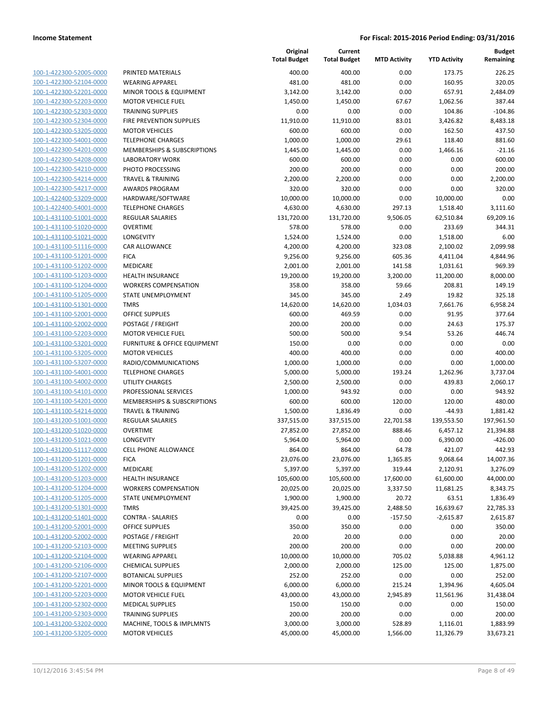| 100-1-422300-52005-0000                            |
|----------------------------------------------------|
| 100-1-422300-52104-0000                            |
| 100-1-422300-52201-0000                            |
| 100-1-422300-52203-0000                            |
| 100-1-422300-52303-0000                            |
| 100-1-422300-52304-0000                            |
| 100-1-422300-53205-0000                            |
| 100-1-422300-54001-0000                            |
| 100-1-422300-54201-0000                            |
| 100-1-422300-54208-0000                            |
|                                                    |
| 100-1-422300-54210-0000                            |
| 100-1-422300-54214-0000                            |
| 100-1-422300-54217-0000                            |
| 100-1-422400-53209-0000                            |
| 100-1-422400-54001-0000                            |
| 100-1-431100-51001-0000                            |
| 100-1-431100-51020-0000                            |
| 100-1-431100-51021-0000                            |
| 100-1-431100-51116-0000                            |
| 100-1-431100-51201-0000                            |
| 100-1-431100-51202-0000                            |
| 100-1-431100-51203-0000                            |
| 100-1-431100-51204-0000                            |
| 100-1-431100-51205-0000                            |
|                                                    |
| 100-1-431100-51301-0000                            |
| 100-1-431100-52001-0000                            |
| 100-1-431100-52002-0000                            |
| 100-1-431100-52203-0000                            |
| 100-1-431100-53201-0000                            |
| 100-1-431100-53205-0000                            |
| 100-1-431100-53207-0000                            |
| 100-1-431100-54001-0000                            |
| 100-1-431100-54002-0000                            |
| 100-1-431100-54101-0000                            |
| 100-1-431100-54201-0000                            |
| 100-1-431100-54214-0000                            |
| 100-1-431200-51001-0000                            |
| 100-1-431200-51020-0000                            |
| 100-1-431200-51021-0000                            |
|                                                    |
| 100-1-431200-51117-0000                            |
| 100-1-431200-51201-0000                            |
| 100-1-431200-51202-0000                            |
| 100-1-431200-51203-0000                            |
| <u>100-1-431200-51204-0000</u>                     |
| 100-1-431200-51205-0000                            |
| 100-1-431200-51301-0000                            |
| <u>100-1-431200-51401-0000</u>                     |
| 100-1-431200-52001-0000                            |
| 100-1-431200-52002-0000                            |
| 100-1-431200-52103-0000                            |
| 100-1-431200-52104-0000                            |
| 100-1-431200-52106-0000                            |
|                                                    |
| <u>100-1-431200-52107-0000</u>                     |
| 100-1-431200-52201-0000                            |
| 100-1-431200-52203-0000                            |
| 100-1-431200-52302-0000                            |
|                                                    |
| <u>100-1-431200-52303-0000</u>                     |
| 100-1-431200-53202-0000<br>100-1-431200-53205-0000 |

|                                                    |                                                       | Original<br><b>Total Budget</b> | Current<br><b>Total Budget</b> | <b>MTD Activity</b> | <b>YTD Activity</b>   | <b>Budget</b><br>Remaining |
|----------------------------------------------------|-------------------------------------------------------|---------------------------------|--------------------------------|---------------------|-----------------------|----------------------------|
| 100-1-422300-52005-0000                            | PRINTED MATERIALS                                     | 400.00                          | 400.00                         | 0.00                | 173.75                | 226.25                     |
| 100-1-422300-52104-0000                            | <b>WEARING APPAREL</b>                                | 481.00                          | 481.00                         | 0.00                | 160.95                | 320.05                     |
| 100-1-422300-52201-0000                            | MINOR TOOLS & EQUIPMENT                               | 3,142.00                        | 3,142.00                       | 0.00                | 657.91                | 2,484.09                   |
| 100-1-422300-52203-0000                            | <b>MOTOR VEHICLE FUEL</b>                             | 1,450.00                        | 1,450.00                       | 67.67               | 1,062.56              | 387.44                     |
| 100-1-422300-52303-0000                            | <b>TRAINING SUPPLIES</b>                              | 0.00                            | 0.00                           | 0.00                | 104.86                | $-104.86$                  |
| 100-1-422300-52304-0000                            | FIRE PREVENTION SUPPLIES                              | 11,910.00                       | 11,910.00                      | 83.01               | 3,426.82              | 8,483.18                   |
| 100-1-422300-53205-0000                            | <b>MOTOR VEHICLES</b>                                 | 600.00                          | 600.00                         | 0.00                | 162.50                | 437.50                     |
| 100-1-422300-54001-0000                            | <b>TELEPHONE CHARGES</b>                              | 1,000.00                        | 1,000.00                       | 29.61               | 118.40                | 881.60                     |
| 100-1-422300-54201-0000                            | <b>MEMBERSHIPS &amp; SUBSCRIPTIONS</b>                | 1,445.00                        | 1,445.00                       | 0.00                | 1,466.16              | $-21.16$                   |
| 100-1-422300-54208-0000                            | <b>LABORATORY WORK</b>                                | 600.00                          | 600.00                         | 0.00                | 0.00                  | 600.00                     |
| 100-1-422300-54210-0000                            | PHOTO PROCESSING                                      | 200.00                          | 200.00                         | 0.00                | 0.00                  | 200.00                     |
| 100-1-422300-54214-0000                            | <b>TRAVEL &amp; TRAINING</b>                          | 2,200.00                        | 2,200.00                       | 0.00                | 0.00                  | 2,200.00                   |
| 100-1-422300-54217-0000                            | <b>AWARDS PROGRAM</b>                                 | 320.00                          | 320.00                         | 0.00                | 0.00                  | 320.00                     |
| 100-1-422400-53209-0000                            | HARDWARE/SOFTWARE                                     | 10,000.00                       | 10,000.00                      | 0.00                | 10,000.00             | 0.00                       |
| 100-1-422400-54001-0000                            | <b>TELEPHONE CHARGES</b>                              | 4,630.00                        | 4,630.00                       | 297.13              | 1,518.40              | 3,111.60                   |
| 100-1-431100-51001-0000                            | <b>REGULAR SALARIES</b>                               | 131,720.00                      | 131,720.00                     | 9,506.05            | 62,510.84             | 69,209.16                  |
| 100-1-431100-51020-0000                            | <b>OVERTIME</b><br><b>LONGEVITY</b>                   | 578.00                          | 578.00                         | 0.00                | 233.69                | 344.31                     |
| 100-1-431100-51021-0000                            | <b>CAR ALLOWANCE</b>                                  | 1,524.00                        | 1,524.00                       | 0.00                | 1,518.00              | 6.00                       |
| 100-1-431100-51116-0000<br>100-1-431100-51201-0000 | <b>FICA</b>                                           | 4,200.00<br>9,256.00            | 4,200.00<br>9,256.00           | 323.08<br>605.36    | 2,100.02              | 2,099.98<br>4,844.96       |
| 100-1-431100-51202-0000                            | MEDICARE                                              |                                 |                                | 141.58              | 4,411.04<br>1,031.61  | 969.39                     |
| 100-1-431100-51203-0000                            | <b>HEALTH INSURANCE</b>                               | 2,001.00<br>19,200.00           | 2,001.00<br>19,200.00          | 3,200.00            | 11,200.00             | 8,000.00                   |
| 100-1-431100-51204-0000                            | <b>WORKERS COMPENSATION</b>                           | 358.00                          | 358.00                         | 59.66               | 208.81                | 149.19                     |
| 100-1-431100-51205-0000                            | <b>STATE UNEMPLOYMENT</b>                             | 345.00                          | 345.00                         | 2.49                | 19.82                 | 325.18                     |
| 100-1-431100-51301-0000                            | <b>TMRS</b>                                           | 14,620.00                       | 14,620.00                      | 1,034.03            | 7,661.76              | 6,958.24                   |
| 100-1-431100-52001-0000                            | <b>OFFICE SUPPLIES</b>                                | 600.00                          | 469.59                         | 0.00                | 91.95                 | 377.64                     |
| 100-1-431100-52002-0000                            | POSTAGE / FREIGHT                                     | 200.00                          | 200.00                         | 0.00                | 24.63                 | 175.37                     |
| 100-1-431100-52203-0000                            | <b>MOTOR VEHICLE FUEL</b>                             | 500.00                          | 500.00                         | 9.54                | 53.26                 | 446.74                     |
| 100-1-431100-53201-0000                            | FURNITURE & OFFICE EQUIPMENT                          | 150.00                          | 0.00                           | 0.00                | 0.00                  | 0.00                       |
| 100-1-431100-53205-0000                            | <b>MOTOR VEHICLES</b>                                 | 400.00                          | 400.00                         | 0.00                | 0.00                  | 400.00                     |
| 100-1-431100-53207-0000                            | RADIO/COMMUNICATIONS                                  | 1,000.00                        | 1,000.00                       | 0.00                | 0.00                  | 1,000.00                   |
| 100-1-431100-54001-0000                            | <b>TELEPHONE CHARGES</b>                              | 5,000.00                        | 5,000.00                       | 193.24              | 1,262.96              | 3,737.04                   |
| 100-1-431100-54002-0000                            | <b>UTILITY CHARGES</b>                                | 2,500.00                        | 2,500.00                       | 0.00                | 439.83                | 2,060.17                   |
| 100-1-431100-54101-0000                            | PROFESSIONAL SERVICES                                 | 1,000.00                        | 943.92                         | 0.00                | 0.00                  | 943.92                     |
| 100-1-431100-54201-0000                            | MEMBERSHIPS & SUBSCRIPTIONS                           | 600.00                          | 600.00                         | 120.00              | 120.00                | 480.00                     |
| 100-1-431100-54214-0000                            | <b>TRAVEL &amp; TRAINING</b>                          | 1,500.00                        | 1,836.49                       | 0.00                | $-44.93$              | 1,881.42                   |
| 100-1-431200-51001-0000                            | <b>REGULAR SALARIES</b>                               | 337,515.00                      | 337,515.00                     | 22,701.58           | 139,553.50            | 197,961.50                 |
| 100-1-431200-51020-0000                            | <b>OVERTIME</b>                                       | 27,852.00                       | 27,852.00                      | 888.46              | 6,457.12              | 21,394.88                  |
| 100-1-431200-51021-0000                            | LONGEVITY                                             | 5,964.00                        | 5,964.00                       | 0.00                | 6,390.00              | $-426.00$                  |
| 100-1-431200-51117-0000                            | CELL PHONE ALLOWANCE                                  | 864.00                          | 864.00                         | 64.78               | 421.07                | 442.93                     |
| 100-1-431200-51201-0000                            | <b>FICA</b>                                           | 23,076.00                       | 23,076.00                      | 1,365.85            | 9,068.64              | 14,007.36                  |
| 100-1-431200-51202-0000                            | MEDICARE                                              | 5,397.00                        | 5,397.00                       | 319.44              | 2,120.91              | 3,276.09                   |
| 100-1-431200-51203-0000                            | <b>HEALTH INSURANCE</b>                               | 105,600.00                      | 105,600.00                     | 17,600.00           | 61,600.00             | 44,000.00                  |
| 100-1-431200-51204-0000                            | <b>WORKERS COMPENSATION</b>                           | 20,025.00                       | 20,025.00                      | 3,337.50            | 11,681.25             | 8,343.75                   |
| 100-1-431200-51205-0000                            | <b>STATE UNEMPLOYMENT</b>                             | 1,900.00                        | 1,900.00                       | 20.72               | 63.51                 | 1,836.49                   |
| 100-1-431200-51301-0000                            | <b>TMRS</b>                                           | 39,425.00                       | 39,425.00                      | 2,488.50            | 16,639.67             | 22,785.33                  |
| 100-1-431200-51401-0000                            | <b>CONTRA - SALARIES</b>                              | 0.00                            | 0.00                           | $-157.50$           | $-2,615.87$           | 2,615.87                   |
| 100-1-431200-52001-0000                            | <b>OFFICE SUPPLIES</b>                                | 350.00                          | 350.00                         | 0.00                | 0.00                  | 350.00                     |
| 100-1-431200-52002-0000                            | POSTAGE / FREIGHT                                     | 20.00                           | 20.00                          | 0.00                | 0.00                  | 20.00                      |
| 100-1-431200-52103-0000                            | <b>MEETING SUPPLIES</b>                               | 200.00                          | 200.00                         | 0.00                | 0.00                  | 200.00                     |
| 100-1-431200-52104-0000                            | <b>WEARING APPAREL</b>                                | 10,000.00                       | 10,000.00                      | 705.02              | 5,038.88              | 4,961.12                   |
| 100-1-431200-52106-0000                            | <b>CHEMICAL SUPPLIES</b>                              | 2,000.00                        | 2,000.00                       | 125.00              | 125.00                | 1,875.00                   |
| 100-1-431200-52107-0000<br>100-1-431200-52201-0000 | <b>BOTANICAL SUPPLIES</b>                             | 252.00                          | 252.00                         | 0.00                | 0.00                  | 252.00                     |
|                                                    | MINOR TOOLS & EQUIPMENT                               | 6,000.00                        | 6,000.00                       | 215.24              | 1,394.96              | 4,605.04                   |
| 100-1-431200-52203-0000                            | <b>MOTOR VEHICLE FUEL</b>                             | 43,000.00                       | 43,000.00                      | 2,945.89            | 11,561.96             | 31,438.04                  |
| 100-1-431200-52302-0000                            | <b>MEDICAL SUPPLIES</b>                               | 150.00                          | 150.00                         | 0.00                | 0.00                  | 150.00                     |
| 100-1-431200-52303-0000<br>100-1-431200-53202-0000 | <b>TRAINING SUPPLIES</b><br>MACHINE, TOOLS & IMPLMNTS | 200.00<br>3,000.00              | 200.00                         | 0.00<br>528.89      | 0.00                  | 200.00                     |
| 100-1-431200-53205-0000                            | <b>MOTOR VEHICLES</b>                                 | 45,000.00                       | 3,000.00<br>45,000.00          | 1,566.00            | 1,116.01<br>11,326.79 | 1,883.99<br>33,673.21      |
|                                                    |                                                       |                                 |                                |                     |                       |                            |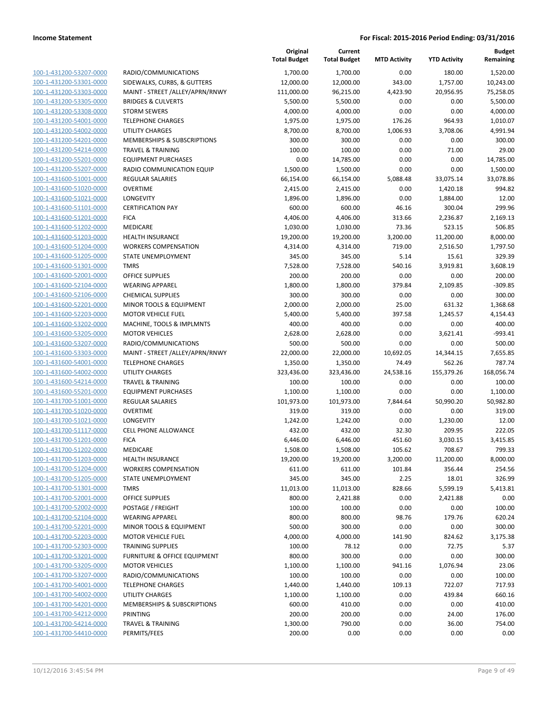|                                                    |                                                    | Original<br><b>Total Budget</b> | Current<br><b>Total Budget</b> | <b>MTD Activity</b> | <b>YTD Activity</b> | <b>Budget</b><br>Remaining |
|----------------------------------------------------|----------------------------------------------------|---------------------------------|--------------------------------|---------------------|---------------------|----------------------------|
| 100-1-431200-53207-0000                            | RADIO/COMMUNICATIONS                               | 1,700.00                        | 1,700.00                       | 0.00                | 180.00              | 1,520.00                   |
| 100-1-431200-53301-0000                            | SIDEWALKS, CURBS, & GUTTERS                        | 12,000.00                       | 12,000.00                      | 343.00              | 1,757.00            | 10,243.00                  |
| 100-1-431200-53303-0000                            | MAINT - STREET /ALLEY/APRN/RNWY                    | 111,000.00                      | 96,215.00                      | 4,423.90            | 20,956.95           | 75,258.05                  |
| 100-1-431200-53305-0000                            | <b>BRIDGES &amp; CULVERTS</b>                      | 5,500.00                        | 5,500.00                       | 0.00                | 0.00                | 5,500.00                   |
| 100-1-431200-53308-0000                            | <b>STORM SEWERS</b>                                | 4,000.00                        | 4,000.00                       | 0.00                | 0.00                | 4,000.00                   |
| 100-1-431200-54001-0000                            | <b>TELEPHONE CHARGES</b>                           | 1,975.00                        | 1,975.00                       | 176.26              | 964.93              | 1,010.07                   |
| 100-1-431200-54002-0000                            | <b>UTILITY CHARGES</b>                             | 8,700.00                        | 8,700.00                       | 1,006.93            | 3,708.06            | 4,991.94                   |
| 100-1-431200-54201-0000                            | <b>MEMBERSHIPS &amp; SUBSCRIPTIONS</b>             | 300.00                          | 300.00                         | 0.00                | 0.00                | 300.00                     |
| 100-1-431200-54214-0000                            | <b>TRAVEL &amp; TRAINING</b>                       | 100.00                          | 100.00                         | 0.00                | 71.00               | 29.00                      |
| 100-1-431200-55201-0000                            | <b>EQUIPMENT PURCHASES</b>                         | 0.00                            | 14,785.00                      | 0.00                | 0.00                | 14,785.00                  |
| 100-1-431200-55207-0000                            | RADIO COMMUNICATION EQUIP                          | 1,500.00                        | 1,500.00                       | 0.00                | 0.00                | 1,500.00                   |
| 100-1-431600-51001-0000                            | <b>REGULAR SALARIES</b>                            | 66,154.00                       | 66,154.00                      | 5,088.48            | 33,075.14           | 33,078.86                  |
| 100-1-431600-51020-0000                            | <b>OVERTIME</b>                                    | 2,415.00                        | 2,415.00                       | 0.00                | 1,420.18            | 994.82                     |
| 100-1-431600-51021-0000                            | LONGEVITY                                          | 1,896.00                        | 1,896.00                       | 0.00                | 1,884.00            | 12.00                      |
| 100-1-431600-51101-0000                            | <b>CERTIFICATION PAY</b>                           | 600.00                          | 600.00                         | 46.16               | 300.04              | 299.96                     |
| 100-1-431600-51201-0000                            | <b>FICA</b>                                        | 4,406.00                        | 4,406.00                       | 313.66              | 2,236.87            | 2,169.13                   |
| 100-1-431600-51202-0000                            | MEDICARE                                           | 1,030.00                        | 1,030.00                       | 73.36               | 523.15              | 506.85                     |
| 100-1-431600-51203-0000                            | <b>HEALTH INSURANCE</b>                            | 19,200.00                       | 19,200.00                      | 3,200.00            | 11,200.00           | 8,000.00                   |
| 100-1-431600-51204-0000                            | <b>WORKERS COMPENSATION</b>                        | 4,314.00                        | 4,314.00                       | 719.00              | 2,516.50            | 1,797.50                   |
| 100-1-431600-51205-0000                            | STATE UNEMPLOYMENT                                 | 345.00                          | 345.00                         | 5.14                | 15.61               | 329.39                     |
| 100-1-431600-51301-0000                            | <b>TMRS</b>                                        | 7,528.00                        | 7,528.00                       | 540.16              | 3,919.81            | 3,608.19                   |
| 100-1-431600-52001-0000                            | <b>OFFICE SUPPLIES</b>                             | 200.00                          | 200.00                         | 0.00                | 0.00                | 200.00                     |
| 100-1-431600-52104-0000                            | <b>WEARING APPAREL</b>                             | 1,800.00                        | 1,800.00                       | 379.84              | 2,109.85            | $-309.85$                  |
| 100-1-431600-52106-0000                            | <b>CHEMICAL SUPPLIES</b>                           | 300.00                          | 300.00                         | 0.00                | 0.00                | 300.00                     |
| 100-1-431600-52201-0000                            | MINOR TOOLS & EQUIPMENT                            | 2,000.00                        | 2,000.00                       | 25.00               | 631.32              | 1,368.68                   |
| 100-1-431600-52203-0000                            | <b>MOTOR VEHICLE FUEL</b>                          | 5,400.00                        | 5,400.00<br>400.00             | 397.58              | 1,245.57            | 4,154.43                   |
| 100-1-431600-53202-0000<br>100-1-431600-53205-0000 | MACHINE, TOOLS & IMPLMNTS<br><b>MOTOR VEHICLES</b> | 400.00                          |                                | 0.00<br>0.00        | 0.00                | 400.00<br>$-993.41$        |
| 100-1-431600-53207-0000                            | RADIO/COMMUNICATIONS                               | 2,628.00<br>500.00              | 2,628.00<br>500.00             | 0.00                | 3,621.41<br>0.00    | 500.00                     |
| 100-1-431600-53303-0000                            | MAINT - STREET /ALLEY/APRN/RNWY                    | 22,000.00                       | 22,000.00                      | 10,692.05           | 14,344.15           | 7,655.85                   |
| 100-1-431600-54001-0000                            | <b>TELEPHONE CHARGES</b>                           | 1,350.00                        | 1,350.00                       | 74.49               | 562.26              | 787.74                     |
| 100-1-431600-54002-0000                            | UTILITY CHARGES                                    | 323,436.00                      | 323,436.00                     | 24,538.16           | 155,379.26          | 168,056.74                 |
| 100-1-431600-54214-0000                            | <b>TRAVEL &amp; TRAINING</b>                       | 100.00                          | 100.00                         | 0.00                | 0.00                | 100.00                     |
| 100-1-431600-55201-0000                            | <b>EQUIPMENT PURCHASES</b>                         | 1,100.00                        | 1,100.00                       | 0.00                | 0.00                | 1,100.00                   |
| 100-1-431700-51001-0000                            | REGULAR SALARIES                                   | 101,973.00                      | 101,973.00                     | 7,844.64            | 50,990.20           | 50,982.80                  |
| 100-1-431700-51020-0000                            | <b>OVERTIME</b>                                    | 319.00                          | 319.00                         | 0.00                | 0.00                | 319.00                     |
| 100-1-431700-51021-0000                            | LONGEVITY                                          | 1,242.00                        | 1,242.00                       | 0.00                | 1,230.00            | 12.00                      |
| 100-1-431700-51117-0000                            | <b>CELL PHONE ALLOWANCE</b>                        | 432.00                          | 432.00                         | 32.30               | 209.95              | 222.05                     |
| 100-1-431700-51201-0000                            | <b>FICA</b>                                        | 6,446.00                        | 6,446.00                       | 451.60              | 3,030.15            | 3,415.85                   |
| 100-1-431700-51202-0000                            | MEDICARE                                           | 1,508.00                        | 1,508.00                       | 105.62              | 708.67              | 799.33                     |
| 100-1-431700-51203-0000                            | <b>HEALTH INSURANCE</b>                            | 19,200.00                       | 19,200.00                      | 3,200.00            | 11,200.00           | 8,000.00                   |
| 100-1-431700-51204-0000                            | <b>WORKERS COMPENSATION</b>                        | 611.00                          | 611.00                         | 101.84              | 356.44              | 254.56                     |
| 100-1-431700-51205-0000                            | STATE UNEMPLOYMENT                                 | 345.00                          | 345.00                         | 2.25                | 18.01               | 326.99                     |
| 100-1-431700-51301-0000                            | <b>TMRS</b>                                        | 11,013.00                       | 11,013.00                      | 828.66              | 5,599.19            | 5,413.81                   |
| 100-1-431700-52001-0000                            | <b>OFFICE SUPPLIES</b>                             | 800.00                          | 2,421.88                       | 0.00                | 2,421.88            | 0.00                       |
| 100-1-431700-52002-0000                            | POSTAGE / FREIGHT                                  | 100.00                          | 100.00                         | 0.00                | 0.00                | 100.00                     |
| 100-1-431700-52104-0000                            | <b>WEARING APPAREL</b>                             | 800.00                          | 800.00                         | 98.76               | 179.76              | 620.24                     |
| 100-1-431700-52201-0000                            | MINOR TOOLS & EQUIPMENT                            | 500.00                          | 300.00                         | 0.00                | 0.00                | 300.00                     |
| 100-1-431700-52203-0000                            | <b>MOTOR VEHICLE FUEL</b>                          | 4,000.00                        | 4,000.00                       | 141.90              | 824.62              | 3,175.38                   |
| 100-1-431700-52303-0000                            | <b>TRAINING SUPPLIES</b>                           | 100.00                          | 78.12                          | 0.00                | 72.75               | 5.37                       |
| 100-1-431700-53201-0000                            | <b>FURNITURE &amp; OFFICE EQUIPMENT</b>            | 800.00                          | 300.00                         | 0.00                | 0.00                | 300.00                     |
| 100-1-431700-53205-0000                            | <b>MOTOR VEHICLES</b>                              | 1,100.00                        | 1,100.00                       | 941.16              | 1,076.94            | 23.06                      |
| 100-1-431700-53207-0000                            | RADIO/COMMUNICATIONS                               | 100.00                          | 100.00                         | 0.00                | 0.00                | 100.00                     |
| 100-1-431700-54001-0000                            | <b>TELEPHONE CHARGES</b>                           | 1,440.00                        | 1,440.00                       | 109.13              | 722.07              | 717.93                     |
| 100-1-431700-54002-0000                            | UTILITY CHARGES                                    | 1,100.00                        | 1,100.00                       | 0.00                | 439.84              | 660.16                     |
| 100-1-431700-54201-0000                            | MEMBERSHIPS & SUBSCRIPTIONS                        | 600.00                          | 410.00                         | 0.00                | 0.00                | 410.00                     |
| 100-1-431700-54212-0000                            | <b>PRINTING</b>                                    | 200.00                          | 200.00                         | 0.00                | 24.00               | 176.00                     |
| 100-1-431700-54214-0000                            | <b>TRAVEL &amp; TRAINING</b>                       | 1,300.00                        | 790.00                         | 0.00                | 36.00               | 754.00                     |
| 100-1-431700-54410-0000                            | PERMITS/FEES                                       | 200.00                          | 0.00                           | 0.00                | 0.00                | 0.00                       |
|                                                    |                                                    |                                 |                                |                     |                     |                            |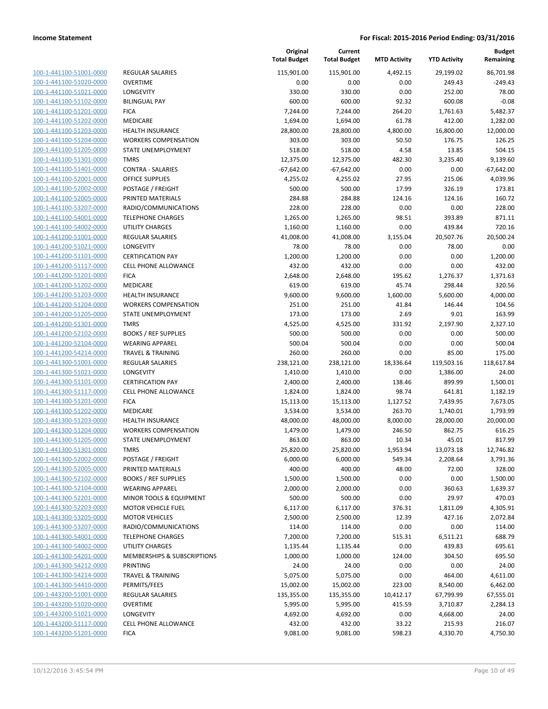| 100-1-441100-51001-0000                 |
|-----------------------------------------|
| 100-1-441100-51020-0000                 |
| 100-1-441100-51021-0000                 |
| 100-1-441100-51102-0000                 |
| 100-1-441100-51201-0000                 |
| 100-1-441100-51202-0000                 |
| 100-1-441100-51203-0000                 |
| 100-1-441100-51204-0000                 |
| 100-1-441100-51205-0000                 |
| 100-1-441100-51301-0000                 |
| 100-1-441100-51401-0000                 |
| 100-1-441100-52001-<br>-0000            |
| 100-1-441100-52002-0000                 |
| 100-1-441100-52005-0000                 |
| 100-1-441100-53207-0000                 |
| 100-1-441100-54001-0000                 |
| 100-1-441100-54002-0000                 |
| 100-1-441200-51001-0000                 |
| 100-1-441200-51021-0000                 |
| 100-1-441200-51101-0000                 |
| 100-1-441200-51117-0000                 |
| 100-1-441200-51201-<br>-0000            |
| 100-1-441200-51202-0000                 |
| 100-1-441200-51203-0000                 |
| 100-1-441200-51204-0000                 |
| 100-1-441200-51205-0000                 |
| 100-1-441200-51301-0000                 |
| 100-1-441200-52102-0000                 |
| 100-1-441200-52104-0000                 |
| 100-1-441200-54214-0000                 |
| 100-1-441300-51001-0000                 |
| $1 - 441300 - 51021$<br>$100-$<br>-0000 |
| 100-1-441300-51101-0000                 |
| 100-1-441300-51117-0000                 |
| 100-1-441300-51201-0000                 |
| 100-1-441300-51202-0000                 |
| 100-1-441300-51203-0000                 |
| 100-1-441300-51204-0000                 |
| 100-1-441300-51205-0000                 |
| 100-1-441300-51301-0000                 |
| 100-1-441300-52002-0000                 |
| 100-1-441300-52005-0000                 |
| 100-1-441300-52102-0000                 |
| <u>100-1-441300-52104-0000</u>          |
| <u>100-1-441300-52201-0000</u>          |
| 100-1-441300-52203-0000                 |
| 100-1-441300-53205-0000                 |
| 100-1-441300-53207-0000                 |
| <u>100-1-441300-54001-0000</u>          |
| <u>100-1-441300-54002-0000</u>          |
| <u>100-1-441300-54201-0000</u>          |
| 100-1-441300-54212-0000                 |
| 100-1-441300-54214-0000                 |
| <u>100-1-441300-54410-0000</u>          |
| 100-1-443200-51001-0000                 |
| <u>100-1-443200-51020-0000</u>          |
| 100-1-443200-51021-0000                 |
| 100-1-443200-51117-0000                 |
| 100-1-443200-51201-0000                 |

|                                                    |                                                       | Original<br><b>Total Budget</b> | Current<br><b>Total Budget</b> | <b>MTD Activity</b> | <b>YTD Activity</b> | <b>Budget</b><br>Remaining |
|----------------------------------------------------|-------------------------------------------------------|---------------------------------|--------------------------------|---------------------|---------------------|----------------------------|
| 100-1-441100-51001-0000                            | <b>REGULAR SALARIES</b>                               | 115,901.00                      | 115,901.00                     | 4,492.15            | 29,199.02           | 86,701.98                  |
| 100-1-441100-51020-0000                            | <b>OVERTIME</b>                                       | 0.00                            | 0.00                           | 0.00                | 249.43              | $-249.43$                  |
| 100-1-441100-51021-0000                            | LONGEVITY                                             | 330.00                          | 330.00                         | 0.00                | 252.00              | 78.00                      |
| 100-1-441100-51102-0000                            | <b>BILINGUAL PAY</b>                                  | 600.00                          | 600.00                         | 92.32               | 600.08              | $-0.08$                    |
| 100-1-441100-51201-0000                            | <b>FICA</b>                                           | 7,244.00                        | 7,244.00                       | 264.20              | 1,761.63            | 5,482.37                   |
| 100-1-441100-51202-0000                            | MEDICARE                                              | 1,694.00                        | 1,694.00                       | 61.78               | 412.00              | 1,282.00                   |
| 100-1-441100-51203-0000                            | <b>HEALTH INSURANCE</b>                               | 28,800.00                       | 28,800.00                      | 4,800.00            | 16,800.00           | 12,000.00                  |
| 100-1-441100-51204-0000                            | <b>WORKERS COMPENSATION</b>                           | 303.00                          | 303.00                         | 50.50               | 176.75              | 126.25                     |
| 100-1-441100-51205-0000                            | STATE UNEMPLOYMENT                                    | 518.00                          | 518.00                         | 4.58                | 13.85               | 504.15                     |
| 100-1-441100-51301-0000                            | <b>TMRS</b>                                           | 12,375.00                       | 12,375.00                      | 482.30              | 3,235.40            | 9,139.60                   |
| 100-1-441100-51401-0000                            | <b>CONTRA - SALARIES</b>                              | $-67,642.00$                    | $-67,642.00$                   | 0.00                | 0.00                | $-67,642.00$               |
| 100-1-441100-52001-0000                            | <b>OFFICE SUPPLIES</b>                                | 4,255.02                        | 4,255.02                       | 27.95               | 215.06              | 4,039.96                   |
| 100-1-441100-52002-0000                            | POSTAGE / FREIGHT                                     | 500.00                          | 500.00                         | 17.99               | 326.19              | 173.81                     |
| 100-1-441100-52005-0000                            | PRINTED MATERIALS                                     | 284.88                          | 284.88                         | 124.16              | 124.16              | 160.72                     |
| 100-1-441100-53207-0000                            | RADIO/COMMUNICATIONS                                  | 228.00                          | 228.00                         | 0.00                | 0.00                | 228.00                     |
| 100-1-441100-54001-0000                            | <b>TELEPHONE CHARGES</b>                              | 1,265.00                        | 1,265.00                       | 98.51               | 393.89              | 871.11                     |
| 100-1-441100-54002-0000                            | <b>UTILITY CHARGES</b>                                | 1,160.00                        | 1,160.00                       | 0.00                | 439.84              | 720.16                     |
| 100-1-441200-51001-0000                            | <b>REGULAR SALARIES</b>                               | 41,008.00                       | 41,008.00                      | 3,155.04            | 20,507.76           | 20,500.24                  |
| 100-1-441200-51021-0000                            | LONGEVITY                                             | 78.00                           | 78.00                          | 0.00                | 78.00               | 0.00                       |
| 100-1-441200-51101-0000                            | <b>CERTIFICATION PAY</b>                              | 1,200.00                        | 1,200.00                       | 0.00                | 0.00                | 1,200.00                   |
| 100-1-441200-51117-0000                            | <b>CELL PHONE ALLOWANCE</b>                           | 432.00                          | 432.00                         | 0.00                | 0.00                | 432.00                     |
| 100-1-441200-51201-0000                            | <b>FICA</b>                                           | 2,648.00                        | 2,648.00                       | 195.62              | 1,276.37            | 1,371.63                   |
| 100-1-441200-51202-0000                            | <b>MEDICARE</b>                                       | 619.00                          | 619.00                         | 45.74               | 298.44              | 320.56                     |
| 100-1-441200-51203-0000                            | <b>HEALTH INSURANCE</b>                               | 9,600.00                        | 9,600.00                       | 1,600.00            | 5,600.00            | 4,000.00                   |
| 100-1-441200-51204-0000                            | <b>WORKERS COMPENSATION</b>                           | 251.00                          | 251.00                         | 41.84               | 146.44              | 104.56                     |
| 100-1-441200-51205-0000                            | STATE UNEMPLOYMENT                                    | 173.00                          | 173.00                         | 2.69                | 9.01                | 163.99                     |
| 100-1-441200-51301-0000                            | <b>TMRS</b>                                           | 4,525.00<br>500.00              | 4,525.00                       | 331.92              | 2,197.90            | 2,327.10<br>500.00         |
| 100-1-441200-52102-0000<br>100-1-441200-52104-0000 | <b>BOOKS / REF SUPPLIES</b><br><b>WEARING APPAREL</b> | 500.04                          | 500.00<br>500.04               | 0.00<br>0.00        | 0.00<br>0.00        | 500.04                     |
| 100-1-441200-54214-0000                            | <b>TRAVEL &amp; TRAINING</b>                          | 260.00                          | 260.00                         | 0.00                | 85.00               | 175.00                     |
| 100-1-441300-51001-0000                            | <b>REGULAR SALARIES</b>                               | 238,121.00                      | 238,121.00                     | 18,336.64           | 119,503.16          | 118,617.84                 |
| 100-1-441300-51021-0000                            | LONGEVITY                                             | 1,410.00                        | 1,410.00                       | 0.00                | 1,386.00            | 24.00                      |
| 100-1-441300-51101-0000                            | <b>CERTIFICATION PAY</b>                              | 2,400.00                        | 2,400.00                       | 138.46              | 899.99              | 1,500.01                   |
| 100-1-441300-51117-0000                            | <b>CELL PHONE ALLOWANCE</b>                           | 1,824.00                        | 1,824.00                       | 98.74               | 641.81              | 1,182.19                   |
| 100-1-441300-51201-0000                            | <b>FICA</b>                                           | 15,113.00                       | 15,113.00                      | 1,127.52            | 7,439.95            | 7,673.05                   |
| 100-1-441300-51202-0000                            | MEDICARE                                              | 3,534.00                        | 3,534.00                       | 263.70              | 1,740.01            | 1,793.99                   |
| 100-1-441300-51203-0000                            | <b>HEALTH INSURANCE</b>                               | 48,000.00                       | 48,000.00                      | 8,000.00            | 28,000.00           | 20,000.00                  |
| 100-1-441300-51204-0000                            | <b>WORKERS COMPENSATION</b>                           | 1,479.00                        | 1,479.00                       | 246.50              | 862.75              | 616.25                     |
| 100-1-441300-51205-0000                            | <b>STATE UNEMPLOYMENT</b>                             | 863.00                          | 863.00                         | 10.34               | 45.01               | 817.99                     |
| 100-1-441300-51301-0000                            | TMRS                                                  | 25,820.00                       | 25,820.00                      | 1,953.94            | 13,073.18           | 12,746.82                  |
| 100-1-441300-52002-0000                            | POSTAGE / FREIGHT                                     | 6,000.00                        | 6,000.00                       | 549.34              | 2,208.64            | 3,791.36                   |
| 100-1-441300-52005-0000                            | PRINTED MATERIALS                                     | 400.00                          | 400.00                         | 48.00               | 72.00               | 328.00                     |
| 100-1-441300-52102-0000                            | <b>BOOKS / REF SUPPLIES</b>                           | 1,500.00                        | 1,500.00                       | 0.00                | 0.00                | 1,500.00                   |
| 100-1-441300-52104-0000                            | <b>WEARING APPAREL</b>                                | 2,000.00                        | 2,000.00                       | 0.00                | 360.63              | 1,639.37                   |
| 100-1-441300-52201-0000                            | MINOR TOOLS & EQUIPMENT                               | 500.00                          | 500.00                         | 0.00                | 29.97               | 470.03                     |
| 100-1-441300-52203-0000                            | <b>MOTOR VEHICLE FUEL</b>                             | 6,117.00                        | 6,117.00                       | 376.31              | 1,811.09            | 4,305.91                   |
| 100-1-441300-53205-0000                            | <b>MOTOR VEHICLES</b>                                 | 2,500.00                        | 2,500.00                       | 12.39               | 427.16              | 2,072.84                   |
| 100-1-441300-53207-0000                            | RADIO/COMMUNICATIONS                                  | 114.00                          | 114.00                         | 0.00                | 0.00                | 114.00                     |
| 100-1-441300-54001-0000                            | <b>TELEPHONE CHARGES</b>                              | 7,200.00                        | 7,200.00                       | 515.31              | 6,511.21            | 688.79                     |
| 100-1-441300-54002-0000                            | <b>UTILITY CHARGES</b>                                | 1,135.44                        | 1,135.44                       | 0.00                | 439.83              | 695.61                     |
| 100-1-441300-54201-0000                            | <b>MEMBERSHIPS &amp; SUBSCRIPTIONS</b>                | 1,000.00                        | 1,000.00                       | 124.00              | 304.50              | 695.50                     |
| 100-1-441300-54212-0000                            | PRINTING                                              | 24.00                           | 24.00                          | 0.00                | 0.00                | 24.00                      |
| 100-1-441300-54214-0000                            | <b>TRAVEL &amp; TRAINING</b>                          | 5,075.00                        | 5,075.00                       | 0.00                | 464.00              | 4,611.00                   |
| 100-1-441300-54410-0000                            | PERMITS/FEES                                          | 15,002.00                       | 15,002.00                      | 223.00              | 8,540.00            | 6,462.00                   |
| 100-1-443200-51001-0000                            | REGULAR SALARIES                                      | 135,355.00                      | 135,355.00                     | 10,412.17           | 67,799.99           | 67,555.01                  |
| 100-1-443200-51020-0000                            | OVERTIME                                              | 5,995.00                        | 5,995.00                       | 415.59              | 3,710.87            | 2,284.13                   |
| 100-1-443200-51021-0000                            | LONGEVITY                                             | 4,692.00                        | 4,692.00                       | 0.00                | 4,668.00            | 24.00                      |
| 100-1-443200-51117-0000                            | CELL PHONE ALLOWANCE                                  | 432.00                          | 432.00                         | 33.22               | 215.93              | 216.07                     |
| 100-1-443200-51201-0000                            | <b>FICA</b>                                           | 9,081.00                        | 9,081.00                       | 598.23              | 4,330.70            | 4,750.30                   |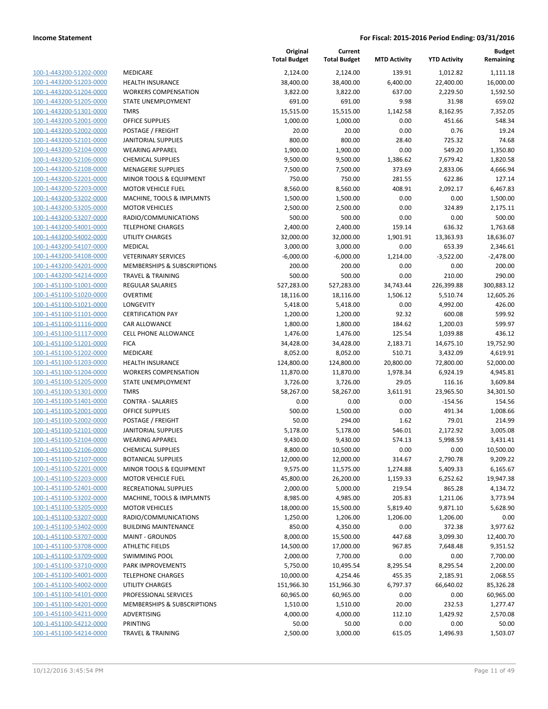|                                                    |                                                    | Original<br><b>Total Budget</b> | Current<br><b>Total Budget</b> | <b>MTD Activity</b> | <b>YTD Activity</b> | <b>Budget</b><br>Remaining |
|----------------------------------------------------|----------------------------------------------------|---------------------------------|--------------------------------|---------------------|---------------------|----------------------------|
| 100-1-443200-51202-0000                            | MEDICARE                                           | 2,124.00                        | 2,124.00                       | 139.91              | 1,012.82            | 1,111.18                   |
| 100-1-443200-51203-0000                            | <b>HEALTH INSURANCE</b>                            | 38,400.00                       | 38,400.00                      | 6,400.00            | 22,400.00           | 16,000.00                  |
| 100-1-443200-51204-0000                            | <b>WORKERS COMPENSATION</b>                        | 3,822.00                        | 3,822.00                       | 637.00              | 2,229.50            | 1,592.50                   |
| 100-1-443200-51205-0000                            | STATE UNEMPLOYMENT                                 | 691.00                          | 691.00                         | 9.98                | 31.98               | 659.02                     |
| 100-1-443200-51301-0000                            | <b>TMRS</b>                                        | 15,515.00                       | 15,515.00                      | 1,142.58            | 8,162.95            | 7,352.05                   |
| 100-1-443200-52001-0000                            | <b>OFFICE SUPPLIES</b>                             | 1,000.00                        | 1,000.00                       | 0.00                | 451.66              | 548.34                     |
| 100-1-443200-52002-0000                            | POSTAGE / FREIGHT                                  | 20.00                           | 20.00                          | 0.00                | 0.76                | 19.24                      |
| 100-1-443200-52101-0000                            | <b>JANITORIAL SUPPLIES</b>                         | 800.00                          | 800.00                         | 28.40               | 725.32              | 74.68                      |
| 100-1-443200-52104-0000                            | <b>WEARING APPAREL</b>                             | 1,900.00                        | 1,900.00                       | 0.00                | 549.20              | 1,350.80                   |
| 100-1-443200-52106-0000                            | <b>CHEMICAL SUPPLIES</b>                           | 9,500.00                        | 9,500.00                       | 1,386.62            | 7,679.42            | 1,820.58                   |
| 100-1-443200-52108-0000                            | <b>MENAGERIE SUPPLIES</b>                          | 7,500.00                        | 7,500.00                       | 373.69              | 2,833.06            | 4,666.94                   |
| 100-1-443200-52201-0000                            | MINOR TOOLS & EQUIPMENT                            | 750.00                          | 750.00                         | 281.55              | 622.86              | 127.14                     |
| 100-1-443200-52203-0000                            | <b>MOTOR VEHICLE FUEL</b>                          | 8,560.00                        | 8,560.00                       | 408.91              | 2,092.17            | 6,467.83                   |
| 100-1-443200-53202-0000                            | MACHINE, TOOLS & IMPLMNTS                          | 1,500.00                        | 1,500.00                       | 0.00                | 0.00                | 1,500.00                   |
| 100-1-443200-53205-0000                            | <b>MOTOR VEHICLES</b>                              | 2,500.00                        | 2,500.00                       | 0.00                | 324.89              | 2,175.11                   |
| 100-1-443200-53207-0000                            | RADIO/COMMUNICATIONS                               | 500.00                          | 500.00                         | 0.00                | 0.00                | 500.00                     |
| 100-1-443200-54001-0000                            | <b>TELEPHONE CHARGES</b>                           | 2,400.00                        | 2,400.00                       | 159.14              | 636.32              | 1,763.68                   |
| 100-1-443200-54002-0000                            | <b>UTILITY CHARGES</b>                             | 32,000.00                       | 32,000.00                      | 1,901.91            | 13,363.93           | 18,636.07                  |
| 100-1-443200-54107-0000                            | <b>MEDICAL</b>                                     | 3,000.00                        | 3,000.00                       | 0.00                | 653.39              | 2,346.61                   |
| 100-1-443200-54108-0000                            | <b>VETERINARY SERVICES</b>                         | $-6,000.00$                     | $-6,000.00$                    | 1,214.00            | $-3,522.00$         | $-2,478.00$                |
| 100-1-443200-54201-0000                            | MEMBERSHIPS & SUBSCRIPTIONS                        | 200.00                          | 200.00                         | 0.00                | 0.00                | 200.00                     |
| 100-1-443200-54214-0000                            | <b>TRAVEL &amp; TRAINING</b>                       | 500.00                          | 500.00                         | 0.00                | 210.00              | 290.00                     |
| 100-1-451100-51001-0000                            | <b>REGULAR SALARIES</b>                            | 527,283.00                      | 527,283.00                     | 34,743.44           | 226,399.88          | 300,883.12                 |
| 100-1-451100-51020-0000                            | <b>OVERTIME</b>                                    | 18,116.00                       | 18,116.00                      | 1,506.12            | 5,510.74            | 12,605.26                  |
| 100-1-451100-51021-0000                            | <b>LONGEVITY</b>                                   | 5,418.00                        | 5,418.00                       | 0.00                | 4,992.00            | 426.00                     |
| 100-1-451100-51101-0000                            | <b>CERTIFICATION PAY</b>                           | 1,200.00                        | 1,200.00                       | 92.32               | 600.08              | 599.92                     |
| 100-1-451100-51116-0000                            | CAR ALLOWANCE                                      | 1,800.00                        | 1,800.00                       | 184.62              | 1,200.03            | 599.97                     |
| 100-1-451100-51117-0000                            | CELL PHONE ALLOWANCE                               | 1,476.00                        | 1,476.00                       | 125.54              | 1,039.88            | 436.12                     |
| 100-1-451100-51201-0000                            | <b>FICA</b>                                        | 34,428.00                       | 34,428.00                      | 2,183.71            | 14,675.10           | 19,752.90                  |
| 100-1-451100-51202-0000                            | MEDICARE                                           | 8,052.00                        | 8,052.00                       | 510.71              | 3,432.09            | 4,619.91                   |
| 100-1-451100-51203-0000                            | <b>HEALTH INSURANCE</b>                            | 124,800.00                      | 124,800.00                     | 20,800.00           | 72,800.00           | 52,000.00                  |
| 100-1-451100-51204-0000                            | <b>WORKERS COMPENSATION</b>                        | 11,870.00                       | 11,870.00                      | 1,978.34            | 6,924.19            | 4,945.81                   |
| 100-1-451100-51205-0000                            | STATE UNEMPLOYMENT                                 | 3,726.00                        | 3,726.00                       | 29.05               | 116.16              | 3,609.84                   |
| 100-1-451100-51301-0000                            | <b>TMRS</b>                                        | 58,267.00                       | 58,267.00                      | 3,611.91            | 23,965.50           | 34,301.50                  |
| 100-1-451100-51401-0000                            | <b>CONTRA - SALARIES</b>                           | 0.00                            | 0.00                           | 0.00                | $-154.56$           | 154.56                     |
| 100-1-451100-52001-0000                            | <b>OFFICE SUPPLIES</b>                             | 500.00                          | 1,500.00                       | 0.00                | 491.34              | 1,008.66                   |
| 100-1-451100-52002-0000                            | POSTAGE / FREIGHT                                  | 50.00                           | 294.00                         | 1.62                | 79.01               | 214.99                     |
| 100-1-451100-52101-0000                            | <b>JANITORIAL SUPPLIES</b>                         | 5,178.00                        | 5,178.00                       | 546.01              | 2,172.92            | 3,005.08                   |
| 100-1-451100-52104-0000                            | <b>WEARING APPAREL</b>                             | 9,430.00                        | 9,430.00                       | 574.13              | 5,998.59            | 3,431.41                   |
| 100-1-451100-52106-0000                            | <b>CHEMICAL SUPPLIES</b>                           | 8,800.00                        | 10,500.00                      | 0.00                | 0.00                | 10,500.00                  |
| 100-1-451100-52107-0000                            | <b>BOTANICAL SUPPLIES</b>                          | 12,000.00                       | 12,000.00                      | 314.67              | 2,790.78            | 9,209.22                   |
| 100-1-451100-52201-0000                            | MINOR TOOLS & EQUIPMENT                            | 9,575.00                        | 11,575.00                      | 1,274.88            | 5,409.33            | 6,165.67                   |
| 100-1-451100-52203-0000<br>100-1-451100-52401-0000 | <b>MOTOR VEHICLE FUEL</b>                          | 45,800.00<br>2,000.00           | 26,200.00                      | 1,159.33            | 6,252.62            | 19,947.38                  |
| 100-1-451100-53202-0000                            | RECREATIONAL SUPPLIES<br>MACHINE, TOOLS & IMPLMNTS | 8,985.00                        | 5,000.00<br>4,985.00           | 219.54<br>205.83    | 865.28<br>1,211.06  | 4,134.72<br>3,773.94       |
| 100-1-451100-53205-0000                            | <b>MOTOR VEHICLES</b>                              | 18,000.00                       | 15,500.00                      | 5,819.40            | 9,871.10            | 5,628.90                   |
| 100-1-451100-53207-0000                            | RADIO/COMMUNICATIONS                               | 1,250.00                        | 1,206.00                       | 1,206.00            | 1,206.00            | 0.00                       |
| 100-1-451100-53402-0000                            | <b>BUILDING MAINTENANCE</b>                        | 850.00                          | 4,350.00                       | 0.00                | 372.38              | 3,977.62                   |
| 100-1-451100-53707-0000                            | <b>MAINT - GROUNDS</b>                             | 8,000.00                        | 15,500.00                      | 447.68              | 3,099.30            | 12,400.70                  |
| 100-1-451100-53708-0000                            | <b>ATHLETIC FIELDS</b>                             | 14,500.00                       | 17,000.00                      | 967.85              | 7,648.48            | 9,351.52                   |
| 100-1-451100-53709-0000                            | <b>SWIMMING POOL</b>                               | 2,000.00                        | 7,700.00                       | 0.00                | 0.00                | 7,700.00                   |
| 100-1-451100-53710-0000                            | PARK IMPROVEMENTS                                  | 5,750.00                        | 10,495.54                      | 8,295.54            | 8,295.54            | 2,200.00                   |
| 100-1-451100-54001-0000                            | <b>TELEPHONE CHARGES</b>                           | 10,000.00                       | 4,254.46                       | 455.35              | 2,185.91            | 2,068.55                   |
| 100-1-451100-54002-0000                            | <b>UTILITY CHARGES</b>                             | 151,966.30                      | 151,966.30                     | 6,797.37            | 66,640.02           | 85,326.28                  |
| 100-1-451100-54101-0000                            | PROFESSIONAL SERVICES                              | 60,965.00                       | 60,965.00                      | 0.00                | 0.00                | 60,965.00                  |
| 100-1-451100-54201-0000                            | MEMBERSHIPS & SUBSCRIPTIONS                        | 1,510.00                        | 1,510.00                       | 20.00               | 232.53              | 1,277.47                   |
| 100-1-451100-54211-0000                            | ADVERTISING                                        | 4,000.00                        | 4,000.00                       | 112.10              | 1,429.92            | 2,570.08                   |
| 100-1-451100-54212-0000                            | PRINTING                                           | 50.00                           | 50.00                          | 0.00                | 0.00                | 50.00                      |
| 100-1-451100-54214-0000                            | <b>TRAVEL &amp; TRAINING</b>                       | 2,500.00                        | 3,000.00                       | 615.05              | 1,496.93            | 1,503.07                   |
|                                                    |                                                    |                                 |                                |                     |                     |                            |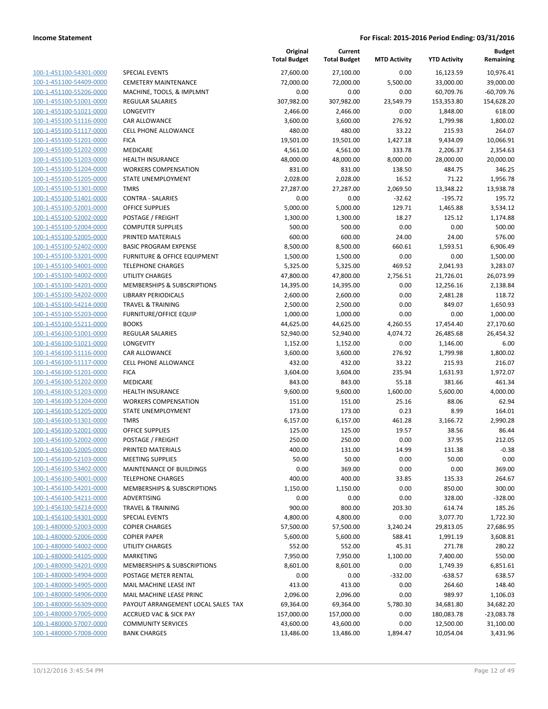|                                                    |                                                                  | Original<br><b>Total Budget</b> | Current<br><b>Total Budget</b> | <b>MTD Activity</b> | <b>YTD Activity</b>   | Budget<br>Remaining |
|----------------------------------------------------|------------------------------------------------------------------|---------------------------------|--------------------------------|---------------------|-----------------------|---------------------|
| 100-1-451100-54301-0000                            | <b>SPECIAL EVENTS</b>                                            | 27,600.00                       | 27,100.00                      | 0.00                | 16,123.59             | 10,976.41           |
| 100-1-451100-54409-0000                            | <b>CEMETERY MAINTENANCE</b>                                      | 72,000.00                       | 72,000.00                      | 5,500.00            | 33,000.00             | 39,000.00           |
| 100-1-451100-55206-0000                            | MACHINE, TOOLS, & IMPLMNT                                        | 0.00                            | 0.00                           | 0.00                | 60,709.76             | $-60,709.76$        |
| 100-1-455100-51001-0000                            | REGULAR SALARIES                                                 | 307,982.00                      | 307,982.00                     | 23,549.79           | 153,353.80            | 154,628.20          |
| 100-1-455100-51021-0000                            | LONGEVITY                                                        | 2,466.00                        | 2,466.00                       | 0.00                | 1,848.00              | 618.00              |
| 100-1-455100-51116-0000                            | CAR ALLOWANCE                                                    | 3,600.00                        | 3,600.00                       | 276.92              | 1,799.98              | 1,800.02            |
| 100-1-455100-51117-0000                            | <b>CELL PHONE ALLOWANCE</b>                                      | 480.00                          | 480.00                         | 33.22               | 215.93                | 264.07              |
| 100-1-455100-51201-0000                            | <b>FICA</b>                                                      | 19,501.00                       | 19,501.00                      | 1,427.18            | 9,434.09              | 10,066.91           |
| 100-1-455100-51202-0000                            | MEDICARE                                                         | 4,561.00                        | 4,561.00                       | 333.78              | 2,206.37              | 2,354.63            |
| 100-1-455100-51203-0000                            | HEALTH INSURANCE                                                 | 48,000.00                       | 48,000.00                      | 8,000.00            | 28,000.00             | 20,000.00           |
| 100-1-455100-51204-0000                            | <b>WORKERS COMPENSATION</b>                                      | 831.00                          | 831.00                         | 138.50              | 484.75                | 346.25              |
| 100-1-455100-51205-0000                            | STATE UNEMPLOYMENT                                               | 2,028.00                        | 2,028.00                       | 16.52               | 71.22                 | 1,956.78            |
| 100-1-455100-51301-0000                            | <b>TMRS</b>                                                      | 27,287.00                       | 27,287.00                      | 2,069.50            | 13,348.22             | 13,938.78           |
| 100-1-455100-51401-0000                            | <b>CONTRA - SALARIES</b>                                         | 0.00                            | 0.00                           | $-32.62$            | $-195.72$             | 195.72              |
| 100-1-455100-52001-0000                            | <b>OFFICE SUPPLIES</b>                                           | 5,000.00                        | 5,000.00                       | 129.71              | 1,465.88              | 3,534.12            |
| 100-1-455100-52002-0000                            | POSTAGE / FREIGHT                                                | 1,300.00                        | 1,300.00                       | 18.27               | 125.12                | 1,174.88            |
| 100-1-455100-52004-0000                            | <b>COMPUTER SUPPLIES</b>                                         | 500.00                          | 500.00                         | 0.00                | 0.00                  | 500.00              |
| 100-1-455100-52005-0000                            | PRINTED MATERIALS                                                | 600.00                          | 600.00                         | 24.00               | 24.00                 | 576.00              |
| 100-1-455100-52402-0000                            | <b>BASIC PROGRAM EXPENSE</b>                                     | 8,500.00                        | 8,500.00                       | 660.61              | 1,593.51              | 6,906.49            |
| 100-1-455100-53201-0000                            | <b>FURNITURE &amp; OFFICE EQUIPMENT</b>                          | 1,500.00                        | 1,500.00                       | 0.00                | 0.00                  | 1,500.00            |
| 100-1-455100-54001-0000<br>100-1-455100-54002-0000 | <b>TELEPHONE CHARGES</b>                                         | 5,325.00<br>47,800.00           | 5,325.00<br>47,800.00          | 469.52              | 2,041.93              | 3,283.07            |
| 100-1-455100-54201-0000                            | <b>UTILITY CHARGES</b><br><b>MEMBERSHIPS &amp; SUBSCRIPTIONS</b> |                                 |                                | 2,756.51            | 21,726.01             | 26,073.99           |
| 100-1-455100-54202-0000                            | <b>LIBRARY PERIODICALS</b>                                       | 14,395.00<br>2,600.00           | 14,395.00<br>2,600.00          | 0.00<br>0.00        | 12,256.16<br>2,481.28 | 2,138.84<br>118.72  |
| 100-1-455100-54214-0000                            | <b>TRAVEL &amp; TRAINING</b>                                     | 2,500.00                        | 2,500.00                       | 0.00                | 849.07                | 1,650.93            |
| 100-1-455100-55203-0000                            | <b>FURNITURE/OFFICE EQUIP</b>                                    | 1,000.00                        | 1,000.00                       | 0.00                | 0.00                  | 1,000.00            |
| 100-1-455100-55211-0000                            | <b>BOOKS</b>                                                     | 44,625.00                       | 44,625.00                      | 4,260.55            | 17,454.40             | 27,170.60           |
| 100-1-456100-51001-0000                            | REGULAR SALARIES                                                 | 52,940.00                       | 52,940.00                      | 4,074.72            | 26,485.68             | 26,454.32           |
| 100-1-456100-51021-0000                            | LONGEVITY                                                        | 1,152.00                        | 1,152.00                       | 0.00                | 1,146.00              | 6.00                |
| 100-1-456100-51116-0000                            | CAR ALLOWANCE                                                    | 3,600.00                        | 3,600.00                       | 276.92              | 1,799.98              | 1,800.02            |
| 100-1-456100-51117-0000                            | <b>CELL PHONE ALLOWANCE</b>                                      | 432.00                          | 432.00                         | 33.22               | 215.93                | 216.07              |
| 100-1-456100-51201-0000                            | <b>FICA</b>                                                      | 3,604.00                        | 3,604.00                       | 235.94              | 1,631.93              | 1,972.07            |
| 100-1-456100-51202-0000                            | MEDICARE                                                         | 843.00                          | 843.00                         | 55.18               | 381.66                | 461.34              |
| 100-1-456100-51203-0000                            | <b>HEALTH INSURANCE</b>                                          | 9,600.00                        | 9,600.00                       | 1,600.00            | 5,600.00              | 4,000.00            |
| 100-1-456100-51204-0000                            | <b>WORKERS COMPENSATION</b>                                      | 151.00                          | 151.00                         | 25.16               | 88.06                 | 62.94               |
| 100-1-456100-51205-0000                            | STATE UNEMPLOYMENT                                               | 173.00                          | 173.00                         | 0.23                | 8.99                  | 164.01              |
| 100-1-456100-51301-0000                            | <b>TMRS</b>                                                      | 6,157.00                        | 6,157.00                       | 461.28              | 3,166.72              | 2,990.28            |
| 100-1-456100-52001-0000                            | <b>OFFICE SUPPLIES</b>                                           | 125.00                          | 125.00                         | 19.57               | 38.56                 | 86.44               |
| 100-1-456100-52002-0000                            | POSTAGE / FREIGHT                                                | 250.00                          | 250.00                         | 0.00                | 37.95                 | 212.05              |
| 100-1-456100-52005-0000                            | PRINTED MATERIALS                                                | 400.00                          | 131.00                         | 14.99               | 131.38                | $-0.38$             |
| 100-1-456100-52103-0000                            | <b>MEETING SUPPLIES</b>                                          | 50.00                           | 50.00                          | 0.00                | 50.00                 | 0.00                |
| 100-1-456100-53402-0000                            | MAINTENANCE OF BUILDINGS                                         | 0.00                            | 369.00                         | 0.00                | 0.00                  | 369.00              |
| 100-1-456100-54001-0000                            | <b>TELEPHONE CHARGES</b>                                         | 400.00                          | 400.00                         | 33.85               | 135.33                | 264.67              |
| 100-1-456100-54201-0000                            | MEMBERSHIPS & SUBSCRIPTIONS                                      | 1,150.00                        | 1,150.00                       | 0.00                | 850.00                | 300.00              |
| 100-1-456100-54211-0000                            | ADVERTISING                                                      | 0.00                            | 0.00                           | 0.00                | 328.00                | $-328.00$           |
| 100-1-456100-54214-0000                            | <b>TRAVEL &amp; TRAINING</b>                                     | 900.00                          | 800.00                         | 203.30              | 614.74                | 185.26              |
| 100-1-456100-54301-0000                            | <b>SPECIAL EVENTS</b>                                            | 4,800.00                        | 4,800.00                       | 0.00                | 3,077.70              | 1,722.30            |
| 100-1-480000-52003-0000                            | <b>COPIER CHARGES</b>                                            | 57,500.00                       | 57,500.00                      | 3,240.24            | 29,813.05             | 27,686.95           |
| 100-1-480000-52006-0000                            | <b>COPIER PAPER</b>                                              | 5,600.00                        | 5,600.00                       | 588.41              | 1,991.19              | 3,608.81            |
| 100-1-480000-54002-0000                            | <b>UTILITY CHARGES</b>                                           | 552.00                          | 552.00                         | 45.31               | 271.78                | 280.22              |
| 100-1-480000-54105-0000                            | <b>MARKETING</b>                                                 | 7,950.00                        | 7,950.00                       | 1,100.00            | 7,400.00              | 550.00              |
| 100-1-480000-54201-0000                            | MEMBERSHIPS & SUBSCRIPTIONS                                      | 8,601.00                        | 8,601.00                       | 0.00                | 1,749.39              | 6,851.61            |
| 100-1-480000-54904-0000                            | POSTAGE METER RENTAL                                             | 0.00                            | 0.00                           | $-332.00$           | -638.57               | 638.57              |
| 100-1-480000-54905-0000                            | MAIL MACHINE LEASE INT                                           | 413.00                          | 413.00                         | 0.00                | 264.60                | 148.40              |
| 100-1-480000-54906-0000                            | MAIL MACHINE LEASE PRINC                                         | 2,096.00                        | 2,096.00                       | 0.00                | 989.97                | 1,106.03            |
| 100-1-480000-56309-0000                            | PAYOUT ARRANGEMENT LOCAL SALES TAX                               | 69,364.00                       | 69,364.00                      | 5,780.30            | 34,681.80             | 34,682.20           |
| 100-1-480000-57005-0000                            | <b>ACCRUED VAC &amp; SICK PAY</b>                                | 157,000.00                      | 157,000.00                     | 0.00                | 180,083.78            | $-23,083.78$        |
| 100-1-480000-57007-0000                            | <b>COMMUNITY SERVICES</b>                                        | 43,600.00                       | 43,600.00                      | 0.00                | 12,500.00             | 31,100.00           |
| 100-1-480000-57008-0000                            | <b>BANK CHARGES</b>                                              | 13,486.00                       | 13,486.00                      | 1,894.47            | 10,054.04             | 3,431.96            |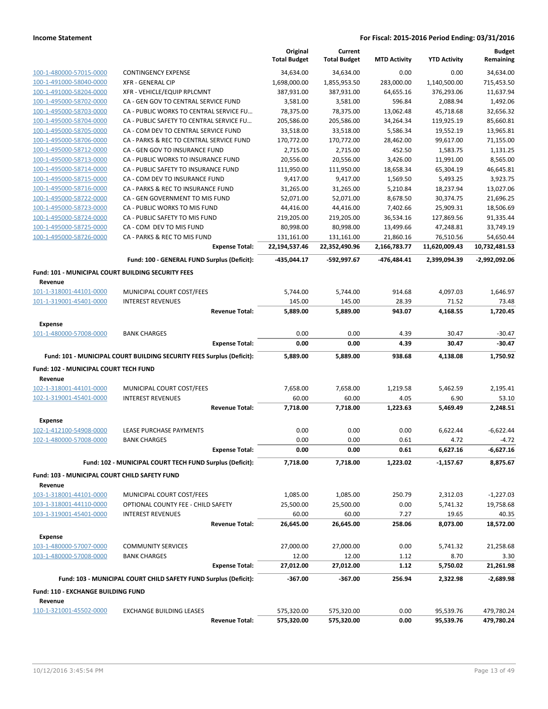|                                                    |                                                                       |                       | Original<br><b>Total Budget</b> | Current<br><b>Total Budget</b> | <b>MTD Activity</b> | <b>YTD Activity</b> | <b>Budget</b><br>Remaining |
|----------------------------------------------------|-----------------------------------------------------------------------|-----------------------|---------------------------------|--------------------------------|---------------------|---------------------|----------------------------|
| 100-1-480000-57015-0000                            | <b>CONTINGENCY EXPENSE</b>                                            |                       | 34,634.00                       | 34,634.00                      | 0.00                | 0.00                | 34,634.00                  |
| 100-1-491000-58040-0000                            | <b>XFR - GENERAL CIP</b>                                              |                       | 1,698,000.00                    | 1,855,953.50                   | 283,000.00          | 1,140,500.00        | 715,453.50                 |
| 100-1-491000-58204-0000                            | XFR - VEHICLE/EQUIP RPLCMNT                                           |                       | 387,931.00                      | 387,931.00                     | 64,655.16           | 376,293.06          | 11,637.94                  |
| 100-1-495000-58702-0000                            | CA - GEN GOV TO CENTRAL SERVICE FUND                                  |                       | 3,581.00                        | 3,581.00                       | 596.84              | 2,088.94            | 1,492.06                   |
| 100-1-495000-58703-0000                            | CA - PUBLIC WORKS TO CENTRAL SERVICE FU                               |                       | 78,375.00                       | 78,375.00                      | 13,062.48           | 45,718.68           | 32,656.32                  |
| 100-1-495000-58704-0000                            | CA - PUBLIC SAFETY TO CENTRAL SERVICE FU                              |                       | 205,586.00                      | 205,586.00                     | 34,264.34           | 119,925.19          | 85,660.81                  |
| 100-1-495000-58705-0000                            | CA - COM DEV TO CENTRAL SERVICE FUND                                  |                       | 33,518.00                       | 33,518.00                      | 5,586.34            | 19,552.19           | 13,965.81                  |
| 100-1-495000-58706-0000                            | CA - PARKS & REC TO CENTRAL SERVICE FUND                              |                       | 170,772.00                      | 170,772.00                     | 28,462.00           | 99,617.00           | 71,155.00                  |
| 100-1-495000-58712-0000                            | CA - GEN GOV TO INSURANCE FUND                                        |                       | 2,715.00                        | 2,715.00                       | 452.50              | 1,583.75            | 1,131.25                   |
| 100-1-495000-58713-0000                            | CA - PUBLIC WORKS TO INSURANCE FUND                                   |                       | 20,556.00                       | 20,556.00                      | 3,426.00            | 11,991.00           | 8,565.00                   |
| 100-1-495000-58714-0000                            | CA - PUBLIC SAFETY TO INSURANCE FUND                                  |                       | 111,950.00                      | 111,950.00                     | 18,658.34           | 65,304.19           | 46,645.81                  |
| 100-1-495000-58715-0000                            | CA - COM DEV TO INSURANCE FUND                                        |                       | 9,417.00                        | 9,417.00                       | 1,569.50            | 5,493.25            | 3,923.75                   |
| 100-1-495000-58716-0000                            | CA - PARKS & REC TO INSURANCE FUND                                    |                       | 31,265.00                       | 31,265.00                      | 5,210.84            | 18,237.94           | 13,027.06                  |
| 100-1-495000-58722-0000                            | CA - GEN GOVERNMENT TO MIS FUND                                       |                       | 52,071.00                       | 52,071.00                      | 8,678.50            | 30,374.75           | 21,696.25                  |
| 100-1-495000-58723-0000                            | CA - PUBLIC WORKS TO MIS FUND                                         |                       | 44,416.00                       | 44,416.00                      | 7,402.66            | 25,909.31           | 18,506.69                  |
| 100-1-495000-58724-0000                            | CA - PUBLIC SAFETY TO MIS FUND                                        |                       | 219,205.00                      | 219,205.00                     | 36,534.16           | 127,869.56          | 91,335.44                  |
| 100-1-495000-58725-0000                            | CA - COM DEV TO MIS FUND                                              |                       | 80,998.00                       | 80,998.00                      | 13,499.66           | 47,248.81           | 33,749.19                  |
| 100-1-495000-58726-0000                            | CA - PARKS & REC TO MIS FUND                                          |                       | 131,161.00                      | 131,161.00                     | 21,860.16           | 76,510.56           | 54,650.44                  |
|                                                    |                                                                       | <b>Expense Total:</b> | 22,194,537.46                   | 22,352,490.96                  | 2,166,783.77        | 11,620,009.43       | 10,732,481.53              |
|                                                    | Fund: 100 - GENERAL FUND Surplus (Deficit):                           |                       | -435,044.17                     | -592,997.67                    | -476,484.41         | 2,399,094.39        | -2,992,092.06              |
| Fund: 101 - MUNICIPAL COURT BUILDING SECURITY FEES |                                                                       |                       |                                 |                                |                     |                     |                            |
| Revenue                                            |                                                                       |                       |                                 |                                |                     |                     |                            |
| 101-1-318001-44101-0000                            | MUNICIPAL COURT COST/FEES                                             |                       | 5,744.00                        | 5,744.00                       | 914.68              | 4,097.03            | 1,646.97                   |
|                                                    |                                                                       |                       |                                 |                                |                     |                     |                            |
| 101-1-319001-45401-0000                            | <b>INTEREST REVENUES</b>                                              | <b>Revenue Total:</b> | 145.00<br>5,889.00              | 145.00<br>5,889.00             | 28.39<br>943.07     | 71.52<br>4,168.55   | 73.48<br>1,720.45          |
| <b>Expense</b>                                     |                                                                       |                       |                                 |                                |                     |                     |                            |
| 101-1-480000-57008-0000                            | <b>BANK CHARGES</b>                                                   |                       | 0.00                            | 0.00                           | 4.39                | 30.47               | $-30.47$                   |
|                                                    |                                                                       | <b>Expense Total:</b> | 0.00                            | 0.00                           | 4.39                | 30.47               | -30.47                     |
|                                                    | Fund: 101 - MUNICIPAL COURT BUILDING SECURITY FEES Surplus (Deficit): |                       | 5,889.00                        | 5,889.00                       | 938.68              | 4,138.08            | 1,750.92                   |
|                                                    |                                                                       |                       |                                 |                                |                     |                     |                            |
| Fund: 102 - MUNICIPAL COURT TECH FUND<br>Revenue   |                                                                       |                       |                                 |                                |                     |                     |                            |
| 102-1-318001-44101-0000                            | MUNICIPAL COURT COST/FEES                                             |                       | 7,658.00                        | 7,658.00                       | 1,219.58            | 5,462.59            | 2,195.41                   |
| 102-1-319001-45401-0000                            | <b>INTEREST REVENUES</b>                                              |                       | 60.00                           | 60.00                          | 4.05                | 6.90                | 53.10                      |
|                                                    |                                                                       | <b>Revenue Total:</b> | 7,718.00                        | 7,718.00                       | 1,223.63            | 5,469.49            | 2.248.51                   |
|                                                    |                                                                       |                       |                                 |                                |                     |                     |                            |
| <b>Expense</b>                                     |                                                                       |                       |                                 |                                |                     |                     |                            |
| 102-1-412100-54908-0000                            | LEASE PURCHASE PAYMENTS                                               |                       | 0.00                            | 0.00                           | 0.00                | 6,622.44            | $-6,622.44$                |
| 102-1-480000-57008-0000                            | <b>BANK CHARGES</b>                                                   |                       | 0.00                            | 0.00                           | 0.61                | 4.72                | $-4.72$                    |
|                                                    |                                                                       | <b>Expense Total:</b> | 0.00                            | 0.00                           | 0.61                | 6,627.16            | -6,627.16                  |
|                                                    | Fund: 102 - MUNICIPAL COURT TECH FUND Surplus (Deficit):              |                       | 7,718.00                        | 7,718.00                       | 1,223.02            | $-1,157.67$         | 8,875.67                   |
| Fund: 103 - MUNICIPAL COURT CHILD SAFETY FUND      |                                                                       |                       |                                 |                                |                     |                     |                            |
| Revenue                                            |                                                                       |                       |                                 |                                |                     |                     |                            |
| 103-1-318001-44101-0000                            | MUNICIPAL COURT COST/FEES                                             |                       | 1,085.00                        | 1,085.00                       | 250.79              | 2,312.03            | $-1,227.03$                |
| 103-1-318001-44110-0000                            | OPTIONAL COUNTY FEE - CHILD SAFETY                                    |                       | 25,500.00                       | 25,500.00                      | 0.00                | 5,741.32            | 19,758.68                  |
| 103-1-319001-45401-0000                            | <b>INTEREST REVENUES</b>                                              |                       | 60.00                           | 60.00                          | 7.27                | 19.65               | 40.35                      |
|                                                    |                                                                       | <b>Revenue Total:</b> | 26,645.00                       | 26,645.00                      | 258.06              | 8,073.00            | 18,572.00                  |
| <b>Expense</b>                                     |                                                                       |                       |                                 |                                |                     |                     |                            |
| 103-1-480000-57007-0000                            | <b>COMMUNITY SERVICES</b>                                             |                       | 27,000.00                       | 27,000.00                      | 0.00                | 5,741.32            | 21,258.68                  |
| 103-1-480000-57008-0000                            | <b>BANK CHARGES</b>                                                   |                       | 12.00                           | 12.00                          | 1.12                | 8.70                | 3.30                       |
|                                                    |                                                                       | <b>Expense Total:</b> | 27,012.00                       | 27,012.00                      | 1.12                | 5,750.02            | 21,261.98                  |
|                                                    | Fund: 103 - MUNICIPAL COURT CHILD SAFETY FUND Surplus (Deficit):      |                       | $-367.00$                       | $-367.00$                      | 256.94              | 2,322.98            | $-2,689.98$                |
| <b>Fund: 110 - EXCHANGE BUILDING FUND</b>          |                                                                       |                       |                                 |                                |                     |                     |                            |
| Revenue                                            |                                                                       |                       |                                 |                                |                     |                     |                            |
| 110-1-321001-45502-0000                            | <b>EXCHANGE BUILDING LEASES</b>                                       |                       | 575,320.00                      | 575,320.00                     | 0.00                | 95,539.76           | 479,780.24                 |
|                                                    |                                                                       | <b>Revenue Total:</b> | 575,320.00                      | 575,320.00                     | 0.00                | 95,539.76           | 479,780.24                 |
|                                                    |                                                                       |                       |                                 |                                |                     |                     |                            |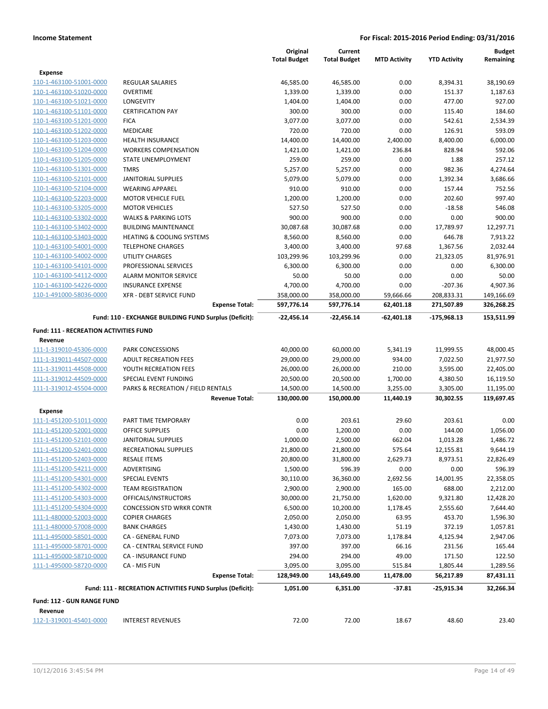|                                               |                                                           | Original            | Current             |                     |                     | <b>Budget</b> |
|-----------------------------------------------|-----------------------------------------------------------|---------------------|---------------------|---------------------|---------------------|---------------|
|                                               |                                                           | <b>Total Budget</b> | <b>Total Budget</b> | <b>MTD Activity</b> | <b>YTD Activity</b> | Remaining     |
| Expense                                       |                                                           |                     |                     |                     |                     |               |
| 110-1-463100-51001-0000                       | <b>REGULAR SALARIES</b>                                   | 46,585.00           | 46,585.00           | 0.00                | 8,394.31            | 38,190.69     |
| 110-1-463100-51020-0000                       | <b>OVERTIME</b>                                           | 1,339.00            | 1,339.00            | 0.00                | 151.37              | 1,187.63      |
| 110-1-463100-51021-0000                       | LONGEVITY                                                 | 1,404.00            | 1,404.00            | 0.00                | 477.00              | 927.00        |
| 110-1-463100-51101-0000                       | <b>CERTIFICATION PAY</b>                                  | 300.00              | 300.00              | 0.00                | 115.40              | 184.60        |
| 110-1-463100-51201-0000                       | <b>FICA</b>                                               | 3,077.00            | 3,077.00            | 0.00                | 542.61              | 2,534.39      |
| 110-1-463100-51202-0000                       | <b>MEDICARE</b>                                           | 720.00              | 720.00              | 0.00                | 126.91              | 593.09        |
| 110-1-463100-51203-0000                       | <b>HEALTH INSURANCE</b>                                   | 14,400.00           | 14,400.00           | 2,400.00            | 8,400.00            | 6,000.00      |
| 110-1-463100-51204-0000                       | <b>WORKERS COMPENSATION</b>                               | 1,421.00            | 1,421.00            | 236.84              | 828.94              | 592.06        |
| 110-1-463100-51205-0000                       | STATE UNEMPLOYMENT                                        | 259.00              | 259.00              | 0.00                | 1.88                | 257.12        |
| 110-1-463100-51301-0000                       | <b>TMRS</b>                                               | 5,257.00            | 5,257.00            | 0.00                | 982.36              | 4,274.64      |
| 110-1-463100-52101-0000                       | <b>JANITORIAL SUPPLIES</b>                                | 5,079.00            | 5,079.00            | 0.00                | 1,392.34            | 3,686.66      |
| 110-1-463100-52104-0000                       | <b>WEARING APPAREL</b>                                    | 910.00              | 910.00              | 0.00                | 157.44              | 752.56        |
| 110-1-463100-52203-0000                       | <b>MOTOR VEHICLE FUEL</b>                                 | 1,200.00            | 1,200.00            | 0.00                | 202.60              | 997.40        |
| 110-1-463100-53205-0000                       | <b>MOTOR VEHICLES</b>                                     | 527.50              | 527.50              | 0.00                | $-18.58$            | 546.08        |
| 110-1-463100-53302-0000                       | <b>WALKS &amp; PARKING LOTS</b>                           | 900.00              | 900.00              | 0.00                | 0.00                | 900.00        |
| 110-1-463100-53402-0000                       | <b>BUILDING MAINTENANCE</b>                               | 30,087.68           | 30,087.68           | 0.00                | 17,789.97           | 12,297.71     |
| 110-1-463100-53403-0000                       | <b>HEATING &amp; COOLING SYSTEMS</b>                      | 8,560.00            | 8,560.00            | 0.00                | 646.78              | 7,913.22      |
| 110-1-463100-54001-0000                       | <b>TELEPHONE CHARGES</b>                                  | 3,400.00            | 3,400.00            | 97.68               | 1,367.56            | 2,032.44      |
| 110-1-463100-54002-0000                       | UTILITY CHARGES                                           | 103,299.96          | 103,299.96          | 0.00                | 21,323.05           | 81,976.91     |
| 110-1-463100-54101-0000                       | PROFESSIONAL SERVICES                                     | 6,300.00            | 6,300.00            | 0.00                | 0.00                | 6,300.00      |
| 110-1-463100-54112-0000                       | <b>ALARM MONITOR SERVICE</b>                              | 50.00               | 50.00               | 0.00                | 0.00                | 50.00         |
| 110-1-463100-54226-0000                       | <b>INSURANCE EXPENSE</b>                                  | 4,700.00            | 4,700.00            | 0.00                | $-207.36$           | 4,907.36      |
| 110-1-491000-58036-0000                       | <b>XFR - DEBT SERVICE FUND</b>                            | 358,000.00          | 358,000.00          | 59,666.66           | 208,833.31          | 149,166.69    |
|                                               | <b>Expense Total:</b>                                     | 597,776.14          | 597,776.14          | 62,401.18           | 271,507.89          | 326,268.25    |
|                                               | Fund: 110 - EXCHANGE BUILDING FUND Surplus (Deficit):     | -22,456.14          | -22,456.14          | -62,401.18          | -175,968.13         | 153,511.99    |
| <b>Fund: 111 - RECREATION ACTIVITIES FUND</b> |                                                           |                     |                     |                     |                     |               |
| Revenue                                       |                                                           |                     |                     |                     |                     |               |
| 111-1-319010-45306-0000                       | <b>PARK CONCESSIONS</b>                                   | 40,000.00           | 60,000.00           | 5,341.19            | 11,999.55           | 48,000.45     |
| 111-1-319011-44507-0000                       | <b>ADULT RECREATION FEES</b>                              | 29,000.00           | 29,000.00           | 934.00              | 7,022.50            | 21,977.50     |
| 111-1-319011-44508-0000                       | YOUTH RECREATION FEES                                     | 26,000.00           | 26,000.00           | 210.00              | 3,595.00            | 22,405.00     |
| 111-1-319012-44509-0000                       | SPECIAL EVENT FUNDING                                     | 20,500.00           | 20,500.00           | 1,700.00            | 4,380.50            | 16,119.50     |
| 111-1-319012-45504-0000                       | PARKS & RECREATION / FIELD RENTALS                        | 14,500.00           | 14,500.00           | 3,255.00            | 3,305.00            | 11,195.00     |
|                                               | <b>Revenue Total:</b>                                     | 130,000.00          | 150,000.00          | 11,440.19           | 30,302.55           | 119,697.45    |
| Expense                                       |                                                           |                     |                     |                     |                     |               |
| 111-1-451200-51011-0000                       | PART TIME TEMPORARY                                       | 0.00                | 203.61              | 29.60               | 203.61              | 0.00          |
| 111-1-451200-52001-0000                       | <b>OFFICE SUPPLIES</b>                                    | 0.00                | 1,200.00            | 0.00                | 144.00              | 1,056.00      |
| 111-1-451200-52101-0000                       | <b>JANITORIAL SUPPLIES</b>                                | 1,000.00            | 2,500.00            | 662.04              | 1,013.28            | 1,486.72      |
| 111-1-451200-52401-0000                       | RECREATIONAL SUPPLIES                                     | 21,800.00           | 21,800.00           | 575.64              | 12,155.81           | 9,644.19      |
| 111-1-451200-52403-0000                       | <b>RESALE ITEMS</b>                                       | 20,800.00           | 31,800.00           | 2,629.73            | 8,973.51            | 22,826.49     |
| 111-1-451200-54211-0000                       | ADVERTISING                                               | 1,500.00            | 596.39              | 0.00                | 0.00                | 596.39        |
| 111-1-451200-54301-0000                       | SPECIAL EVENTS                                            | 30,110.00           | 36,360.00           | 2,692.56            | 14,001.95           | 22,358.05     |
| 111-1-451200-54302-0000                       | <b>TEAM REGISTRATION</b>                                  | 2,900.00            | 2,900.00            | 165.00              | 688.00              | 2,212.00      |
| 111-1-451200-54303-0000                       | OFFICALS/INSTRUCTORS                                      | 30,000.00           | 21,750.00           | 1,620.00            | 9,321.80            | 12,428.20     |
| 111-1-451200-54304-0000                       | <b>CONCESSION STD WRKR CONTR</b>                          | 6,500.00            | 10,200.00           | 1,178.45            | 2,555.60            | 7,644.40      |
| 111-1-480000-52003-0000                       | <b>COPIER CHARGES</b>                                     | 2,050.00            | 2,050.00            | 63.95               | 453.70              | 1,596.30      |
| 111-1-480000-57008-0000                       | <b>BANK CHARGES</b>                                       | 1,430.00            | 1,430.00            | 51.19               | 372.19              | 1,057.81      |
| 111-1-495000-58501-0000                       | CA - GENERAL FUND                                         | 7,073.00            | 7,073.00            | 1,178.84            | 4,125.94            | 2,947.06      |
| 111-1-495000-58701-0000                       | CA - CENTRAL SERVICE FUND                                 | 397.00              | 397.00              | 66.16               | 231.56              | 165.44        |
| 111-1-495000-58710-0000                       | CA - INSURANCE FUND                                       | 294.00              | 294.00              | 49.00               | 171.50              | 122.50        |
| 111-1-495000-58720-0000                       | CA - MIS FUN                                              | 3,095.00            | 3,095.00            | 515.84              | 1,805.44            | 1,289.56      |
|                                               | <b>Expense Total:</b>                                     | 128,949.00          | 143,649.00          | 11,478.00           | 56,217.89           | 87,431.11     |
|                                               | Fund: 111 - RECREATION ACTIVITIES FUND Surplus (Deficit): | 1,051.00            | 6,351.00            | $-37.81$            | -25,915.34          | 32,266.34     |
|                                               |                                                           |                     |                     |                     |                     |               |
| Fund: 112 - GUN RANGE FUND                    |                                                           |                     |                     |                     |                     |               |
| Revenue                                       |                                                           |                     |                     |                     |                     |               |
| 112-1-319001-45401-0000                       | <b>INTEREST REVENUES</b>                                  | 72.00               | 72.00               | 18.67               | 48.60               | 23.40         |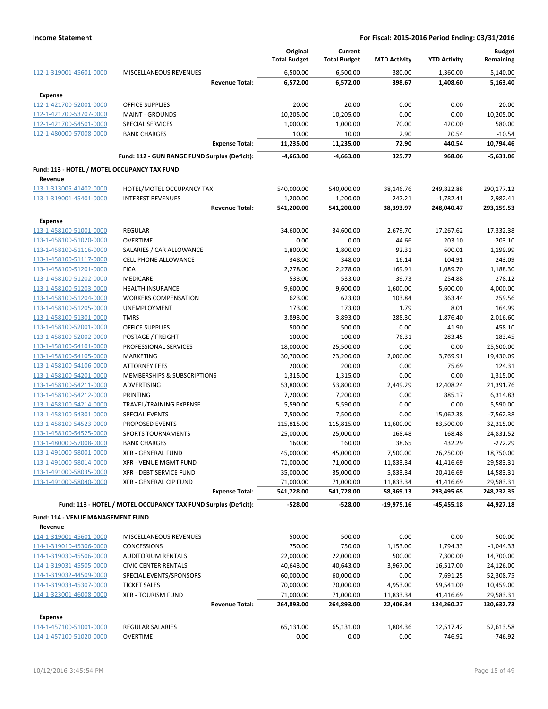|                                                    |                                                                 | Original<br><b>Total Budget</b> | Current<br><b>Total Budget</b> | <b>MTD Activity</b>   | <b>YTD Activity</b>    | <b>Budget</b><br>Remaining |
|----------------------------------------------------|-----------------------------------------------------------------|---------------------------------|--------------------------------|-----------------------|------------------------|----------------------------|
| 112-1-319001-45601-0000                            | MISCELLANEOUS REVENUES                                          | 6,500.00                        | 6,500.00                       | 380.00                | 1,360.00               | 5,140.00                   |
|                                                    | <b>Revenue Total:</b>                                           | 6,572.00                        | 6,572.00                       | 398.67                | 1,408.60               | 5,163.40                   |
| <b>Expense</b>                                     |                                                                 |                                 |                                |                       |                        |                            |
| 112-1-421700-52001-0000                            | <b>OFFICE SUPPLIES</b>                                          | 20.00                           | 20.00                          | 0.00                  | 0.00                   | 20.00                      |
| 112-1-421700-53707-0000                            | <b>MAINT - GROUNDS</b>                                          | 10,205.00                       | 10,205.00                      | 0.00                  | 0.00                   | 10,205.00                  |
| 112-1-421700-54501-0000                            | <b>SPECIAL SERVICES</b>                                         | 1,000.00                        | 1,000.00                       | 70.00                 | 420.00                 | 580.00                     |
| 112-1-480000-57008-0000                            | <b>BANK CHARGES</b>                                             | 10.00                           | 10.00                          | 2.90                  | 20.54                  | $-10.54$                   |
|                                                    | <b>Expense Total:</b>                                           | 11,235.00                       | 11,235.00                      | 72.90                 | 440.54                 | 10,794.46                  |
|                                                    | Fund: 112 - GUN RANGE FUND Surplus (Deficit):                   | -4,663.00                       | -4,663.00                      | 325.77                | 968.06                 | $-5,631.06$                |
| Fund: 113 - HOTEL / MOTEL OCCUPANCY TAX FUND       |                                                                 |                                 |                                |                       |                        |                            |
| Revenue                                            |                                                                 |                                 |                                |                       |                        |                            |
| 113-1-313005-41402-0000                            | HOTEL/MOTEL OCCUPANCY TAX                                       | 540,000.00                      | 540,000.00                     | 38,146.76             | 249,822.88             | 290,177.12                 |
| 113-1-319001-45401-0000                            | <b>INTEREST REVENUES</b>                                        | 1,200.00                        | 1,200.00                       | 247.21                | $-1,782.41$            | 2,982.41                   |
|                                                    | <b>Revenue Total:</b>                                           | 541,200.00                      | 541,200.00                     | 38,393.97             | 248,040.47             | 293,159.53                 |
| Expense                                            |                                                                 |                                 |                                |                       |                        |                            |
| 113-1-458100-51001-0000                            | <b>REGULAR</b>                                                  | 34,600.00                       | 34,600.00                      | 2,679.70              | 17,267.62              | 17,332.38                  |
| 113-1-458100-51020-0000                            | <b>OVERTIME</b>                                                 | 0.00                            | 0.00                           | 44.66                 | 203.10                 | $-203.10$                  |
| 113-1-458100-51116-0000                            | SALARIES / CAR ALLOWANCE                                        | 1,800.00                        | 1,800.00                       | 92.31                 | 600.01                 | 1,199.99                   |
| 113-1-458100-51117-0000                            | <b>CELL PHONE ALLOWANCE</b>                                     | 348.00                          | 348.00                         | 16.14                 | 104.91                 | 243.09                     |
| 113-1-458100-51201-0000                            | <b>FICA</b>                                                     | 2,278.00                        | 2,278.00                       | 169.91                | 1,089.70               | 1,188.30                   |
| 113-1-458100-51202-0000                            | <b>MEDICARE</b>                                                 | 533.00                          | 533.00                         | 39.73                 | 254.88                 | 278.12                     |
| 113-1-458100-51203-0000                            | <b>HEALTH INSURANCE</b>                                         | 9,600.00                        | 9,600.00                       | 1,600.00              | 5,600.00               | 4,000.00                   |
| 113-1-458100-51204-0000                            | <b>WORKERS COMPENSATION</b>                                     | 623.00                          | 623.00                         | 103.84                | 363.44                 | 259.56                     |
| 113-1-458100-51205-0000                            | UNEMPLOYMENT                                                    | 173.00                          | 173.00                         | 1.79                  | 8.01                   | 164.99                     |
| 113-1-458100-51301-0000                            | <b>TMRS</b>                                                     | 3,893.00                        | 3,893.00                       | 288.30                | 1,876.40               | 2,016.60                   |
| 113-1-458100-52001-0000                            | <b>OFFICE SUPPLIES</b>                                          | 500.00                          | 500.00                         | 0.00                  | 41.90                  | 458.10                     |
| 113-1-458100-52002-0000                            | POSTAGE / FREIGHT                                               | 100.00                          | 100.00                         | 76.31                 | 283.45                 | $-183.45$                  |
| 113-1-458100-54101-0000                            | PROFESSIONAL SERVICES                                           | 18,000.00                       | 25,500.00                      | 0.00                  | 0.00                   | 25,500.00                  |
| 113-1-458100-54105-0000                            | <b>MARKETING</b>                                                | 30,700.00                       | 23,200.00                      | 2,000.00              | 3,769.91               | 19,430.09                  |
| 113-1-458100-54106-0000                            | <b>ATTORNEY FEES</b>                                            | 200.00                          | 200.00                         | 0.00                  | 75.69                  | 124.31                     |
| 113-1-458100-54201-0000                            | MEMBERSHIPS & SUBSCRIPTIONS                                     | 1,315.00                        | 1,315.00                       | 0.00                  | 0.00                   | 1,315.00                   |
| 113-1-458100-54211-0000                            | ADVERTISING                                                     | 53,800.00                       | 53,800.00                      | 2,449.29              | 32,408.24              | 21,391.76                  |
| 113-1-458100-54212-0000                            | PRINTING                                                        | 7,200.00                        | 7,200.00                       | 0.00                  | 885.17                 | 6,314.83                   |
| 113-1-458100-54214-0000                            | TRAVEL/TRAINING EXPENSE                                         | 5,590.00                        | 5,590.00                       | 0.00                  | 0.00                   | 5,590.00                   |
| 113-1-458100-54301-0000                            | SPECIAL EVENTS                                                  | 7,500.00                        | 7,500.00                       | 0.00                  | 15,062.38              | $-7,562.38$                |
| 113-1-458100-54523-0000                            | <b>PROPOSED EVENTS</b>                                          | 115,815.00                      | 115,815.00                     | 11,600.00             | 83,500.00              | 32,315.00                  |
| 113-1-458100-54525-0000                            | <b>SPORTS TOURNAMENTS</b>                                       | 25,000.00                       | 25,000.00                      | 168.48                | 168.48                 | 24,831.52                  |
| 113-1-480000-57008-0000                            | <b>BANK CHARGES</b>                                             | 160.00                          | 160.00                         | 38.65                 | 432.29                 | $-272.29$                  |
| 113-1-491000-58001-0000                            | XFR - GENERAL FUND                                              | 45,000.00                       | 45,000.00                      | 7,500.00              | 26,250.00              | 18,750.00                  |
| 113-1-491000-58014-0000<br>113-1-491000-58035-0000 | XFR - VENUE MGMT FUND<br><b>XFR - DEBT SERVICE FUND</b>         | 71,000.00<br>35,000.00          | 71,000.00<br>35,000.00         | 11,833.34<br>5,833.34 | 41,416.69<br>20,416.69 | 29,583.31<br>14,583.31     |
| 113-1-491000-58040-0000                            | XFR - GENERAL CIP FUND                                          | 71,000.00                       | 71,000.00                      | 11,833.34             | 41,416.69              | 29,583.31                  |
|                                                    | <b>Expense Total:</b>                                           | 541,728.00                      | 541,728.00                     | 58,369.13             | 293,495.65             | 248,232.35                 |
|                                                    |                                                                 |                                 |                                |                       |                        |                            |
|                                                    | Fund: 113 - HOTEL / MOTEL OCCUPANCY TAX FUND Surplus (Deficit): | $-528.00$                       | $-528.00$                      | $-19,975.16$          | -45,455.18             | 44,927.18                  |
| Fund: 114 - VENUE MANAGEMENT FUND                  |                                                                 |                                 |                                |                       |                        |                            |
| Revenue                                            |                                                                 |                                 |                                |                       |                        |                            |
| 114-1-319001-45601-0000                            | MISCELLANEOUS REVENUES                                          | 500.00                          | 500.00                         | 0.00                  | 0.00                   | 500.00                     |
| 114-1-319010-45306-0000                            | <b>CONCESSIONS</b>                                              | 750.00                          | 750.00                         | 1,153.00              | 1,794.33               | $-1,044.33$                |
| 114-1-319030-45506-0000                            | <b>AUDITORIUM RENTALS</b>                                       | 22,000.00                       | 22,000.00                      | 500.00                | 7,300.00               | 14,700.00                  |
| 114-1-319031-45505-0000                            | <b>CIVIC CENTER RENTALS</b>                                     | 40,643.00                       | 40,643.00                      | 3,967.00              | 16,517.00              | 24,126.00                  |
| 114-1-319032-44509-0000                            | SPECIAL EVENTS/SPONSORS                                         | 60,000.00                       | 60,000.00                      | 0.00                  | 7,691.25               | 52,308.75                  |
| 114-1-319033-45307-0000                            | <b>TICKET SALES</b>                                             | 70,000.00                       | 70,000.00                      | 4,953.00              | 59,541.00              | 10,459.00                  |
| 114-1-323001-46008-0000                            | <b>XFR - TOURISM FUND</b>                                       | 71,000.00                       | 71,000.00                      | 11,833.34             | 41,416.69              | 29,583.31                  |
|                                                    | <b>Revenue Total:</b>                                           | 264,893.00                      | 264,893.00                     | 22,406.34             | 134,260.27             | 130,632.73                 |
| Expense                                            |                                                                 |                                 |                                |                       |                        |                            |
| 114-1-457100-51001-0000                            | REGULAR SALARIES                                                | 65,131.00                       | 65,131.00                      | 1,804.36              | 12,517.42              | 52,613.58                  |
| 114-1-457100-51020-0000                            | <b>OVERTIME</b>                                                 | 0.00                            | 0.00                           | 0.00                  | 746.92                 | $-746.92$                  |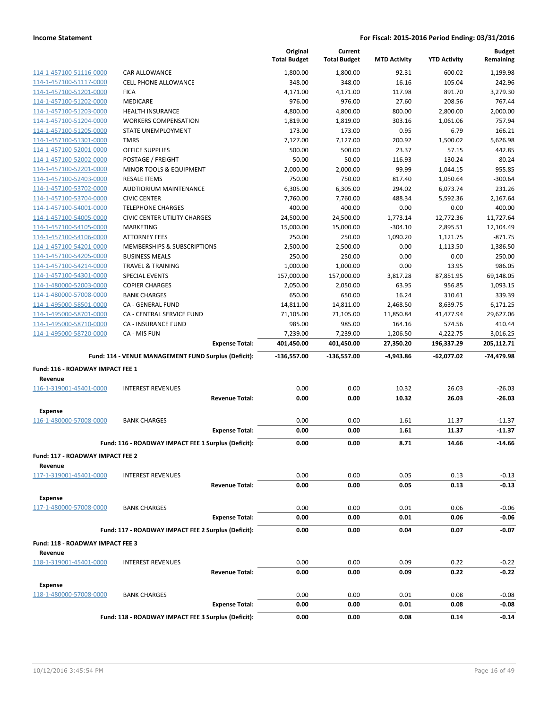|                                  |                                                                              | Original<br><b>Total Budget</b> | Current<br><b>Total Budget</b> | <b>MTD Activity</b> | <b>YTD Activity</b> | <b>Budget</b><br>Remaining |
|----------------------------------|------------------------------------------------------------------------------|---------------------------------|--------------------------------|---------------------|---------------------|----------------------------|
| 114-1-457100-51116-0000          | CAR ALLOWANCE                                                                | 1,800.00                        | 1,800.00                       | 92.31               | 600.02              | 1,199.98                   |
| 114-1-457100-51117-0000          | <b>CELL PHONE ALLOWANCE</b>                                                  | 348.00                          | 348.00                         | 16.16               | 105.04              | 242.96                     |
| 114-1-457100-51201-0000          | <b>FICA</b>                                                                  | 4,171.00                        | 4,171.00                       | 117.98              | 891.70              | 3,279.30                   |
| 114-1-457100-51202-0000          | MEDICARE                                                                     | 976.00                          | 976.00                         | 27.60               | 208.56              | 767.44                     |
| 114-1-457100-51203-0000          | <b>HEALTH INSURANCE</b>                                                      | 4,800.00                        | 4,800.00                       | 800.00              | 2,800.00            | 2,000.00                   |
| 114-1-457100-51204-0000          | <b>WORKERS COMPENSATION</b>                                                  | 1,819.00                        | 1,819.00                       | 303.16              | 1,061.06            | 757.94                     |
| 114-1-457100-51205-0000          | STATE UNEMPLOYMENT                                                           | 173.00                          | 173.00                         | 0.95                | 6.79                | 166.21                     |
| 114-1-457100-51301-0000          | <b>TMRS</b>                                                                  | 7,127.00                        | 7,127.00                       | 200.92              | 1,500.02            | 5,626.98                   |
| 114-1-457100-52001-0000          | <b>OFFICE SUPPLIES</b>                                                       | 500.00                          | 500.00                         | 23.37               | 57.15               | 442.85                     |
| 114-1-457100-52002-0000          | POSTAGE / FREIGHT                                                            | 50.00                           | 50.00                          | 116.93              | 130.24              | $-80.24$                   |
| 114-1-457100-52201-0000          | MINOR TOOLS & EQUIPMENT                                                      | 2,000.00                        | 2,000.00                       | 99.99               | 1,044.15            | 955.85                     |
| 114-1-457100-52403-0000          | <b>RESALE ITEMS</b>                                                          | 750.00                          | 750.00                         | 817.40              | 1,050.64            | $-300.64$                  |
| 114-1-457100-53702-0000          | AUDTIORIUM MAINTENANCE                                                       | 6,305.00                        | 6,305.00                       | 294.02              | 6,073.74            | 231.26                     |
| 114-1-457100-53704-0000          | <b>CIVIC CENTER</b>                                                          | 7,760.00                        | 7,760.00                       | 488.34              | 5,592.36            | 2,167.64                   |
| 114-1-457100-54001-0000          | <b>TELEPHONE CHARGES</b>                                                     | 400.00                          | 400.00                         | 0.00                | 0.00                | 400.00                     |
| 114-1-457100-54005-0000          | <b>CIVIC CENTER UTILITY CHARGES</b>                                          | 24,500.00                       | 24,500.00                      | 1,773.14            | 12,772.36           | 11,727.64                  |
| 114-1-457100-54105-0000          | <b>MARKETING</b>                                                             | 15,000.00                       | 15,000.00                      | $-304.10$           | 2,895.51            | 12,104.49                  |
| 114-1-457100-54106-0000          | <b>ATTORNEY FEES</b>                                                         | 250.00                          | 250.00                         | 1,090.20            | 1,121.75            | $-871.75$                  |
| 114-1-457100-54201-0000          | <b>MEMBERSHIPS &amp; SUBSCRIPTIONS</b>                                       | 2,500.00                        | 2,500.00                       | 0.00                | 1,113.50            | 1,386.50                   |
| 114-1-457100-54205-0000          | <b>BUSINESS MEALS</b>                                                        | 250.00                          | 250.00                         | 0.00                | 0.00                | 250.00                     |
| 114-1-457100-54214-0000          | <b>TRAVEL &amp; TRAINING</b>                                                 | 1,000.00                        | 1,000.00                       | 0.00                | 13.95               | 986.05                     |
| 114-1-457100-54301-0000          | <b>SPECIAL EVENTS</b>                                                        | 157,000.00                      | 157,000.00                     | 3,817.28            | 87,851.95           | 69,148.05                  |
| 114-1-480000-52003-0000          | <b>COPIER CHARGES</b>                                                        | 2,050.00                        | 2,050.00                       | 63.95               | 956.85              | 1,093.15                   |
| 114-1-480000-57008-0000          | <b>BANK CHARGES</b>                                                          | 650.00                          | 650.00                         | 16.24               | 310.61              | 339.39                     |
| 114-1-495000-58501-0000          | CA - GENERAL FUND                                                            | 14,811.00                       | 14,811.00                      | 2,468.50            | 8,639.75            | 6,171.25                   |
| 114-1-495000-58701-0000          | CA - CENTRAL SERVICE FUND                                                    | 71,105.00                       | 71,105.00                      | 11,850.84           | 41,477.94           | 29,627.06                  |
| 114-1-495000-58710-0000          | <b>CA - INSURANCE FUND</b>                                                   | 985.00                          | 985.00                         | 164.16              | 574.56              | 410.44                     |
| 114-1-495000-58720-0000          | CA - MIS FUN                                                                 | 7,239.00                        | 7,239.00                       | 1,206.50            | 4,222.75            | 3,016.25                   |
|                                  | <b>Expense Total:</b>                                                        | 401,450.00                      | 401,450.00                     | 27,350.20           | 196,337.29          | 205,112.71                 |
|                                  | Fund: 114 - VENUE MANAGEMENT FUND Surplus (Deficit):                         | $-136,557.00$                   | $-136,557.00$                  | -4,943.86           | $-62,077.02$        | -74,479.98                 |
| Fund: 116 - ROADWAY IMPACT FEE 1 |                                                                              |                                 |                                |                     |                     |                            |
|                                  |                                                                              |                                 |                                |                     |                     |                            |
| Revenue                          |                                                                              |                                 |                                |                     |                     |                            |
| 116-1-319001-45401-0000          | <b>INTEREST REVENUES</b>                                                     | 0.00                            | 0.00                           | 10.32               | 26.03               | $-26.03$                   |
|                                  | <b>Revenue Total:</b>                                                        | 0.00                            | 0.00                           | 10.32               | 26.03               | $-26.03$                   |
| <b>Expense</b>                   |                                                                              |                                 |                                |                     |                     |                            |
| 116-1-480000-57008-0000          | <b>BANK CHARGES</b>                                                          | 0.00                            | 0.00                           | 1.61                | 11.37               | $-11.37$                   |
|                                  | <b>Expense Total:</b>                                                        | 0.00                            | 0.00                           | 1.61                | 11.37               | $-11.37$                   |
|                                  |                                                                              |                                 |                                |                     |                     |                            |
|                                  | Fund: 116 - ROADWAY IMPACT FEE 1 Surplus (Deficit):                          | 0.00                            | 0.00                           | 8.71                | 14.66               | $-14.66$                   |
| Fund: 117 - ROADWAY IMPACT FEE 2 |                                                                              |                                 |                                |                     |                     |                            |
| Revenue                          |                                                                              |                                 |                                |                     |                     |                            |
| 117-1-319001-45401-0000          | <b>INTEREST REVENUES</b>                                                     | 0.00                            | 0.00                           | 0.05                | 0.13                | $-0.13$                    |
|                                  | <b>Revenue Total:</b>                                                        | 0.00                            | 0.00                           | 0.05                | 0.13                | $-0.13$                    |
| Expense                          |                                                                              |                                 |                                |                     |                     |                            |
| 117-1-480000-57008-0000          | <b>BANK CHARGES</b>                                                          | 0.00                            | 0.00                           | 0.01                | 0.06                | $-0.06$                    |
|                                  | <b>Expense Total:</b>                                                        | 0.00                            | 0.00                           | 0.01                | 0.06                | -0.06                      |
|                                  | Fund: 117 - ROADWAY IMPACT FEE 2 Surplus (Deficit):                          | 0.00                            | 0.00                           | 0.04                | 0.07                | -0.07                      |
| Fund: 118 - ROADWAY IMPACT FEE 3 |                                                                              |                                 |                                |                     |                     |                            |
| Revenue                          |                                                                              |                                 |                                |                     |                     |                            |
| 118-1-319001-45401-0000          | <b>INTEREST REVENUES</b>                                                     | 0.00                            | 0.00                           | 0.09                | 0.22                | $-0.22$                    |
|                                  | <b>Revenue Total:</b>                                                        | 0.00                            | 0.00                           | 0.09                | 0.22                | $-0.22$                    |
|                                  |                                                                              |                                 |                                |                     |                     |                            |
| Expense                          |                                                                              |                                 |                                |                     |                     |                            |
| 118-1-480000-57008-0000          | <b>BANK CHARGES</b>                                                          | 0.00                            | 0.00                           | 0.01                | 0.08                | $-0.08$                    |
|                                  | <b>Expense Total:</b><br>Fund: 118 - ROADWAY IMPACT FEE 3 Surplus (Deficit): | 0.00<br>0.00                    | 0.00<br>0.00                   | 0.01<br>0.08        | 0.08<br>0.14        | $-0.08$<br>$-0.14$         |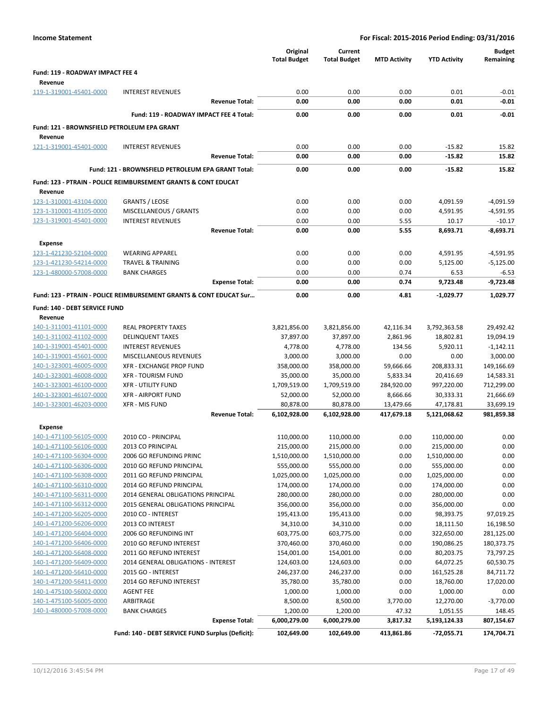| <b>Income Statement</b>                            |                                                                           |                       | For Fiscal: 2015-2016 Period Ending: 03/31/2016 |                                |                        |                            |                            |
|----------------------------------------------------|---------------------------------------------------------------------------|-----------------------|-------------------------------------------------|--------------------------------|------------------------|----------------------------|----------------------------|
|                                                    |                                                                           |                       | Original<br><b>Total Budget</b>                 | Current<br><b>Total Budget</b> | <b>MTD Activity</b>    | <b>YTD Activity</b>        | <b>Budget</b><br>Remaining |
| Fund: 119 - ROADWAY IMPACT FEE 4                   |                                                                           |                       |                                                 |                                |                        |                            |                            |
| Revenue                                            |                                                                           |                       |                                                 |                                |                        |                            |                            |
| 119-1-319001-45401-0000                            | <b>INTEREST REVENUES</b>                                                  |                       | 0.00                                            | 0.00                           | 0.00                   | 0.01                       | $-0.01$                    |
|                                                    |                                                                           | <b>Revenue Total:</b> | 0.00                                            | 0.00                           | 0.00                   | 0.01                       | $-0.01$                    |
|                                                    | Fund: 119 - ROADWAY IMPACT FEE 4 Total:                                   |                       | 0.00                                            | 0.00                           | 0.00                   | 0.01                       | $-0.01$                    |
| Fund: 121 - BROWNSFIELD PETROLEUM EPA GRANT        |                                                                           |                       |                                                 |                                |                        |                            |                            |
| Revenue                                            |                                                                           |                       |                                                 |                                |                        |                            |                            |
| 121-1-319001-45401-0000                            | <b>INTEREST REVENUES</b>                                                  |                       | 0.00                                            | 0.00                           | 0.00                   | $-15.82$                   | 15.82                      |
|                                                    |                                                                           | <b>Revenue Total:</b> | 0.00                                            | 0.00                           | 0.00                   | $-15.82$                   | 15.82                      |
|                                                    | Fund: 121 - BROWNSFIELD PETROLEUM EPA GRANT Total:                        |                       | 0.00                                            | 0.00                           | 0.00                   | $-15.82$                   | 15.82                      |
|                                                    |                                                                           |                       |                                                 |                                |                        |                            |                            |
|                                                    | <b>Fund: 123 - PTRAIN - POLICE REIMBURSEMENT GRANTS &amp; CONT EDUCAT</b> |                       |                                                 |                                |                        |                            |                            |
| Revenue                                            |                                                                           |                       |                                                 |                                |                        |                            |                            |
| 123-1-310001-43104-0000                            | <b>GRANTS / LEOSE</b>                                                     |                       | 0.00<br>0.00                                    | 0.00<br>0.00                   | 0.00<br>0.00           | 4,091.59                   | $-4,091.59$                |
| 123-1-310001-43105-0000<br>123-1-319001-45401-0000 | MISCELLANEOUS / GRANTS<br><b>INTEREST REVENUES</b>                        |                       | 0.00                                            | 0.00                           | 5.55                   | 4,591.95<br>10.17          | $-4,591.95$<br>$-10.17$    |
|                                                    |                                                                           | <b>Revenue Total:</b> | 0.00                                            | 0.00                           | 5.55                   | 8,693.71                   | $-8,693.71$                |
|                                                    |                                                                           |                       |                                                 |                                |                        |                            |                            |
| <b>Expense</b>                                     |                                                                           |                       |                                                 |                                |                        |                            |                            |
| 123-1-421230-52104-0000                            | <b>WEARING APPAREL</b>                                                    |                       | 0.00                                            | 0.00                           | 0.00                   | 4,591.95                   | $-4,591.95$                |
| 123-1-421230-54214-0000<br>123-1-480000-57008-0000 | <b>TRAVEL &amp; TRAINING</b><br><b>BANK CHARGES</b>                       |                       | 0.00<br>0.00                                    | 0.00<br>0.00                   | 0.00<br>0.74           | 5,125.00<br>6.53           | $-5,125.00$<br>$-6.53$     |
|                                                    |                                                                           | <b>Expense Total:</b> | 0.00                                            | 0.00                           | 0.74                   | 9,723.48                   | $-9,723.48$                |
|                                                    |                                                                           |                       |                                                 |                                |                        |                            |                            |
|                                                    | Fund: 123 - PTRAIN - POLICE REIMBURSEMENT GRANTS & CONT EDUCAT Sur        |                       | 0.00                                            | 0.00                           | 4.81                   | $-1,029.77$                | 1,029.77                   |
| Fund: 140 - DEBT SERVICE FUND                      |                                                                           |                       |                                                 |                                |                        |                            |                            |
| Revenue                                            |                                                                           |                       |                                                 |                                |                        |                            |                            |
| 140-1-311001-41101-0000                            | <b>REAL PROPERTY TAXES</b>                                                |                       | 3,821,856.00                                    | 3,821,856.00                   | 42,116.34              | 3,792,363.58               | 29,492.42                  |
| 140-1-311002-41102-0000                            | <b>DELINQUENT TAXES</b>                                                   |                       | 37,897.00                                       | 37,897.00                      | 2,861.96               | 18,802.81                  | 19,094.19                  |
| 140-1-319001-45401-0000                            | <b>INTEREST REVENUES</b>                                                  |                       | 4,778.00                                        | 4,778.00                       | 134.56                 | 5,920.11                   | $-1,142.11$                |
| 140-1-319001-45601-0000                            | MISCELLANEOUS REVENUES                                                    |                       | 3,000.00                                        | 3,000.00                       | 0.00                   | 0.00                       | 3,000.00                   |
| 140-1-323001-46005-0000                            | XFR - EXCHANGE PROP FUND                                                  |                       | 358,000.00                                      | 358,000.00                     | 59,666.66              | 208,833.31                 | 149,166.69                 |
| 140-1-323001-46008-0000<br>140-1-323001-46100-0000 | <b>XFR - TOURISM FUND</b>                                                 |                       | 35,000.00<br>1,709,519.00                       | 35,000.00<br>1,709,519.00      | 5,833.34<br>284,920.00 | 20,416.69<br>997,220.00    | 14,583.31                  |
| 140-1-323001-46107-0000                            | <b>XFR - UTILITY FUND</b><br><b>XFR - AIRPORT FUND</b>                    |                       | 52,000.00                                       | 52,000.00                      | 8,666.66               | 30,333.31                  | 712,299.00<br>21,666.69    |
| 140-1-323001-46203-0000                            | <b>XFR - MIS FUND</b>                                                     |                       | 80,878.00                                       | 80,878.00                      | 13,479.66              | 47,178.81                  | 33,699.19                  |
|                                                    |                                                                           | <b>Revenue Total:</b> | 6,102,928.00                                    | 6,102,928.00                   | 417,679.18             | 5,121,068.62               | 981,859.38                 |
|                                                    |                                                                           |                       |                                                 |                                |                        |                            |                            |
| Expense                                            |                                                                           |                       |                                                 |                                |                        |                            |                            |
| 140-1-471100-56105-0000                            | 2010 CO - PRINCIPAL<br>2013 CO PRINCIPAL                                  |                       | 110,000.00<br>215,000.00                        | 110,000.00                     | 0.00<br>0.00           | 110,000.00                 | 0.00<br>0.00               |
| 140-1-471100-56106-0000<br>140-1-471100-56304-0000 | 2006 GO REFUNDING PRINC                                                   |                       | 1,510,000.00                                    | 215,000.00<br>1,510,000.00     | 0.00                   | 215,000.00<br>1,510,000.00 | 0.00                       |
| 140-1-471100-56306-0000                            | 2010 GO REFUND PRINCIPAL                                                  |                       | 555,000.00                                      | 555,000.00                     | 0.00                   | 555,000.00                 | 0.00                       |
| 140-1-471100-56308-0000                            | 2011 GO REFUND PRINCIPAL                                                  |                       | 1,025,000.00                                    | 1,025,000.00                   | 0.00                   | 1,025,000.00               | 0.00                       |
| 140-1-471100-56310-0000                            | 2014 GO REFUND PRINCIPAL                                                  |                       | 174,000.00                                      | 174,000.00                     | 0.00                   | 174,000.00                 | 0.00                       |
| 140-1-471100-56311-0000                            | 2014 GENERAL OBLIGATIONS PRINCIPAL                                        |                       | 280,000.00                                      | 280,000.00                     | 0.00                   | 280,000.00                 | 0.00                       |
| 140-1-471100-56312-0000                            | 2015 GENERAL OBLIGATIONS PRINCIPAL                                        |                       | 356,000.00                                      | 356,000.00                     | 0.00                   | 356,000.00                 | 0.00                       |
| 140-1-471200-56205-0000                            | 2010 CO - INTEREST                                                        |                       | 195,413.00                                      | 195,413.00                     | 0.00                   | 98,393.75                  | 97,019.25                  |
| 140-1-471200-56206-0000                            | 2013 CO INTEREST                                                          |                       | 34,310.00                                       | 34,310.00                      | 0.00                   | 18,111.50                  | 16,198.50                  |
| 140-1-471200-56404-0000                            | 2006 GO REFUNDING INT                                                     |                       | 603,775.00                                      | 603,775.00                     | 0.00                   | 322,650.00                 | 281,125.00                 |
| 140-1-471200-56406-0000                            | 2010 GO REFUND INTEREST                                                   |                       | 370,460.00                                      | 370,460.00                     | 0.00                   | 190,086.25                 | 180,373.75                 |
| 140-1-471200-56408-0000                            | 2011 GO REFUND INTEREST                                                   |                       | 154,001.00                                      | 154,001.00                     | 0.00                   | 80,203.75                  | 73,797.25                  |
| 140-1-471200-56409-0000                            | 2014 GENERAL OBLIGATIONS - INTEREST                                       |                       | 124,603.00                                      | 124,603.00                     | 0.00                   | 64,072.25                  | 60,530.75                  |
| 140-1-471200-56410-0000                            | 2015 GO - INTEREST                                                        |                       | 246,237.00                                      | 246,237.00                     | 0.00                   | 161,525.28                 | 84,711.72                  |
| 140-1-471200-56411-0000                            | 2014 GO REFUND INTEREST                                                   |                       | 35,780.00                                       | 35,780.00                      | 0.00                   | 18,760.00                  | 17,020.00                  |
| 140-1-475100-56002-0000                            | AGENT FEE                                                                 |                       | 1,000.00                                        | 1,000.00                       | 0.00                   | 1,000.00                   | 0.00                       |
| 140-1-475100-56005-0000                            | ARBITRAGE                                                                 |                       | 8,500.00                                        | 8,500.00                       | 3,770.00               | 12,270.00                  | $-3,770.00$                |
| 140-1-480000-57008-0000                            | <b>BANK CHARGES</b>                                                       | <b>Expense Total:</b> | 1,200.00<br>6,000,279.00                        | 1,200.00<br>6,000,279.00       | 47.32<br>3,817.32      | 1,051.55<br>5,193,124.33   | 148.45<br>807,154.67       |
|                                                    |                                                                           |                       |                                                 |                                |                        |                            |                            |
|                                                    | Fund: 140 - DEBT SERVICE FUND Surplus (Deficit):                          |                       | 102,649.00                                      | 102,649.00                     | 413,861.86             | -72,055.71                 | 174,704.71                 |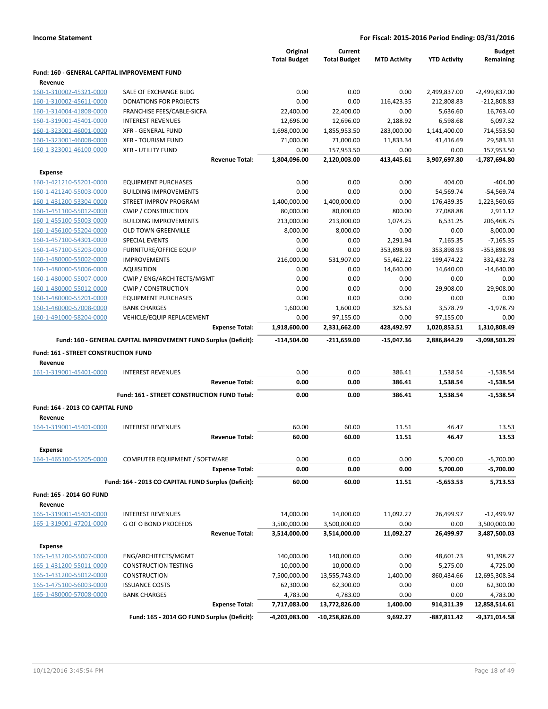|                                                    |                                                                 | Original<br><b>Total Budget</b> | Current<br><b>Total Budget</b> | <b>MTD Activity</b> | <b>YTD Activity</b>    | <b>Budget</b><br>Remaining |
|----------------------------------------------------|-----------------------------------------------------------------|---------------------------------|--------------------------------|---------------------|------------------------|----------------------------|
| Fund: 160 - GENERAL CAPITAL IMPROVEMENT FUND       |                                                                 |                                 |                                |                     |                        |                            |
| Revenue                                            |                                                                 |                                 |                                |                     |                        |                            |
| 160-1-310002-45321-0000                            | SALE OF EXCHANGE BLDG                                           | 0.00                            | 0.00                           | 0.00                | 2,499,837.00           | $-2,499,837.00$            |
| 160-1-310002-45611-0000<br>160-1-314004-41808-0000 | <b>DONATIONS FOR PROJECTS</b><br>FRANCHISE FEES/CABLE-SICFA     | 0.00<br>22,400.00               | 0.00<br>22,400.00              | 116,423.35<br>0.00  | 212,808.83<br>5,636.60 | $-212,808.83$<br>16,763.40 |
| 160-1-319001-45401-0000                            | <b>INTEREST REVENUES</b>                                        | 12,696.00                       | 12,696.00                      | 2,188.92            | 6,598.68               | 6,097.32                   |
| 160-1-323001-46001-0000                            | <b>XFR - GENERAL FUND</b>                                       | 1,698,000.00                    | 1,855,953.50                   | 283,000.00          | 1,141,400.00           | 714,553.50                 |
| 160-1-323001-46008-0000                            | <b>XFR - TOURISM FUND</b>                                       | 71,000.00                       | 71,000.00                      | 11,833.34           | 41,416.69              | 29,583.31                  |
| 160-1-323001-46100-0000                            | <b>XFR - UTILITY FUND</b>                                       | 0.00                            | 157,953.50                     | 0.00                | 0.00                   | 157,953.50                 |
|                                                    | <b>Revenue Total:</b>                                           | 1,804,096.00                    | 2,120,003.00                   | 413,445.61          | 3,907,697.80           | -1,787,694.80              |
| <b>Expense</b>                                     |                                                                 |                                 |                                |                     |                        |                            |
| 160-1-421210-55201-0000                            | <b>EQUIPMENT PURCHASES</b>                                      | 0.00                            | 0.00                           | 0.00                | 404.00                 | $-404.00$                  |
| 160-1-421240-55003-0000                            | <b>BUILDING IMPROVEMENTS</b>                                    | 0.00                            | 0.00                           | 0.00                | 54,569.74              | $-54,569.74$               |
| 160-1-431200-53304-0000                            | STREET IMPROV PROGRAM                                           | 1,400,000.00                    | 1,400,000.00                   | 0.00                | 176,439.35             | 1,223,560.65               |
| 160-1-451100-55012-0000                            | <b>CWIP / CONSTRUCTION</b>                                      | 80,000.00                       | 80,000.00                      | 800.00              | 77,088.88              | 2,911.12                   |
| 160-1-455100-55003-0000                            | <b>BUILDING IMPROVEMENTS</b>                                    | 213,000.00                      | 213,000.00                     | 1,074.25            | 6,531.25               | 206,468.75                 |
| 160-1-456100-55204-0000                            | <b>OLD TOWN GREENVILLE</b>                                      | 8,000.00                        | 8,000.00                       | 0.00                | 0.00                   | 8,000.00                   |
| 160-1-457100-54301-0000                            | <b>SPECIAL EVENTS</b>                                           | 0.00                            | 0.00                           | 2,291.94            | 7,165.35               | $-7,165.35$                |
| 160-1-457100-55203-0000                            | <b>FURNITURE/OFFICE EQUIP</b>                                   | 0.00                            | 0.00                           | 353,898.93          | 353,898.93             | -353,898.93                |
| 160-1-480000-55002-0000                            | <b>IMPROVEMENTS</b>                                             | 216,000.00                      | 531,907.00                     | 55,462.22           | 199,474.22             | 332,432.78                 |
| 160-1-480000-55006-0000                            | <b>AQUISITION</b>                                               | 0.00                            | 0.00                           | 14,640.00           | 14,640.00              | $-14,640.00$               |
| 160-1-480000-55007-0000                            | CWIP / ENG/ARCHITECTS/MGMT                                      | 0.00                            | 0.00                           | 0.00                | 0.00                   | 0.00                       |
| 160-1-480000-55012-0000                            | <b>CWIP / CONSTRUCTION</b>                                      | 0.00                            | 0.00                           | 0.00                | 29,908.00              | $-29,908.00$               |
| 160-1-480000-55201-0000                            | <b>EQUIPMENT PURCHASES</b>                                      | 0.00                            | 0.00                           | 0.00                | 0.00                   | 0.00                       |
| 160-1-480000-57008-0000                            | <b>BANK CHARGES</b>                                             | 1,600.00                        | 1,600.00                       | 325.63              | 3,578.79               | $-1,978.79$                |
| 160-1-491000-58204-0000                            | VEHICLE/EQUIP REPLACEMENT                                       | 0.00                            | 97,155.00                      | 0.00                | 97,155.00              | 0.00                       |
|                                                    | <b>Expense Total:</b>                                           | 1,918,600.00                    | 2,331,662.00                   | 428,492.97          | 1,020,853.51           | 1,310,808.49               |
|                                                    |                                                                 |                                 |                                |                     |                        |                            |
|                                                    | Fund: 160 - GENERAL CAPITAL IMPROVEMENT FUND Surplus (Deficit): | $-114,504.00$                   | $-211,659.00$                  | $-15,047.36$        | 2,886,844.29           | -3,098,503.29              |
| Fund: 161 - STREET CONSTRUCTION FUND               |                                                                 |                                 |                                |                     |                        |                            |
| Revenue                                            |                                                                 |                                 |                                |                     |                        |                            |
| 161-1-319001-45401-0000                            | <b>INTEREST REVENUES</b>                                        | 0.00                            | 0.00                           | 386.41              | 1,538.54               | $-1,538.54$                |
|                                                    | <b>Revenue Total:</b>                                           | 0.00                            | 0.00                           | 386.41              | 1,538.54               | $-1,538.54$                |
|                                                    | Fund: 161 - STREET CONSTRUCTION FUND Total:                     | 0.00                            | 0.00                           | 386.41              | 1,538.54               | $-1,538.54$                |
| Fund: 164 - 2013 CO CAPITAL FUND                   |                                                                 |                                 |                                |                     |                        |                            |
| Revenue                                            |                                                                 |                                 |                                |                     |                        |                            |
| 164-1-319001-45401-0000                            | <b>INTEREST REVENUES</b>                                        | 60.00                           | 60.00                          | 11.51               | 46.47                  | 13.53                      |
|                                                    | <b>Revenue Total:</b>                                           | 60.00                           | 60.00                          | 11.51               | 46.47                  | 13.53                      |
| <b>Expense</b>                                     |                                                                 |                                 |                                |                     |                        |                            |
| 164-1-465100-55205-0000                            | COMPUTER EQUIPMENT / SOFTWARE                                   | 0.00                            | 0.00                           | 0.00                | 5,700.00               | $-5,700.00$                |
|                                                    | <b>Expense Total:</b>                                           | 0.00                            | 0.00                           | 0.00                | 5,700.00               | $-5,700.00$                |
|                                                    | Fund: 164 - 2013 CO CAPITAL FUND Surplus (Deficit):             | 60.00                           | 60.00                          | 11.51               | $-5,653.53$            | 5,713.53                   |
| Fund: 165 - 2014 GO FUND                           |                                                                 |                                 |                                |                     |                        |                            |
| Revenue                                            |                                                                 |                                 |                                |                     |                        |                            |
| 165-1-319001-45401-0000                            | <b>INTEREST REVENUES</b>                                        | 14,000.00                       | 14,000.00                      | 11,092.27           | 26,499.97              | $-12,499.97$               |
| 165-1-319001-47201-0000                            | G OF O BOND PROCEEDS                                            | 3,500,000.00                    | 3,500,000.00                   | 0.00                | 0.00                   | 3,500,000.00               |
|                                                    | <b>Revenue Total:</b>                                           | 3,514,000.00                    | 3,514,000.00                   | 11,092.27           | 26,499.97              | 3,487,500.03               |
| <b>Expense</b>                                     |                                                                 |                                 |                                |                     |                        |                            |
| 165-1-431200-55007-0000                            | ENG/ARCHITECTS/MGMT                                             | 140,000.00                      | 140,000.00                     | 0.00                | 48,601.73              | 91,398.27                  |
| 165-1-431200-55011-0000                            | <b>CONSTRUCTION TESTING</b>                                     | 10,000.00                       | 10,000.00                      | 0.00                | 5,275.00               | 4,725.00                   |
| 165-1-431200-55012-0000                            | <b>CONSTRUCTION</b>                                             | 7,500,000.00                    | 13,555,743.00                  | 1,400.00            | 860,434.66             | 12,695,308.34              |
| 165-1-475100-56003-0000                            | <b>ISSUANCE COSTS</b>                                           | 62,300.00                       | 62,300.00                      | 0.00                | 0.00                   | 62,300.00                  |
| 165-1-480000-57008-0000                            | <b>BANK CHARGES</b>                                             | 4,783.00                        | 4,783.00                       | 0.00                | 0.00                   | 4,783.00                   |
|                                                    | <b>Expense Total:</b>                                           | 7,717,083.00                    | 13,772,826.00                  | 1,400.00            | 914,311.39             | 12,858,514.61              |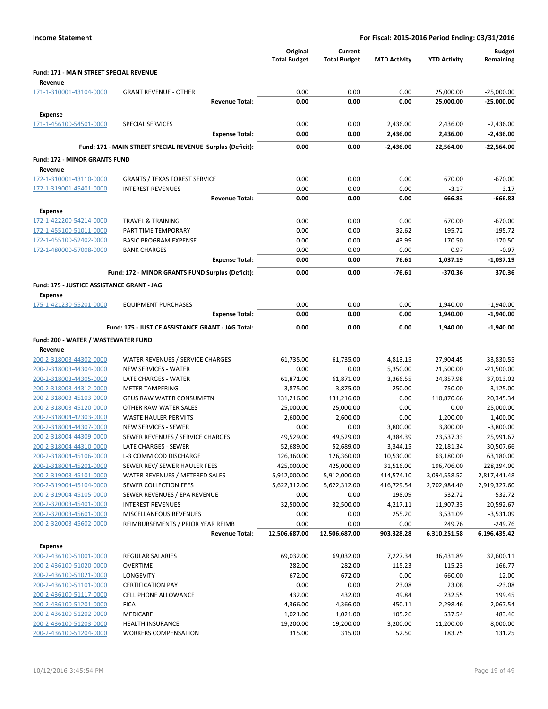| <b>Income Statement</b>                            |                                                            |                                 |                                | For Fiscal: 2015-2016 Period Ending: 03/31/2016 |                        |                            |
|----------------------------------------------------|------------------------------------------------------------|---------------------------------|--------------------------------|-------------------------------------------------|------------------------|----------------------------|
|                                                    |                                                            | Original<br><b>Total Budget</b> | Current<br><b>Total Budget</b> | <b>MTD Activity</b>                             | <b>YTD Activity</b>    | <b>Budget</b><br>Remaining |
| Fund: 171 - MAIN STREET SPECIAL REVENUE            |                                                            |                                 |                                |                                                 |                        |                            |
| Revenue                                            |                                                            |                                 |                                |                                                 |                        |                            |
| 171-1-310001-43104-0000                            | <b>GRANT REVENUE - OTHER</b>                               | 0.00                            | 0.00                           | 0.00                                            | 25,000.00              | $-25,000.00$               |
|                                                    | <b>Revenue Total:</b>                                      | 0.00                            | 0.00                           | 0.00                                            | 25,000.00              | $-25,000.00$               |
| <b>Expense</b>                                     |                                                            |                                 |                                |                                                 |                        |                            |
| 171-1-456100-54501-0000                            | SPECIAL SERVICES                                           | 0.00                            | 0.00                           | 2,436.00                                        | 2,436.00               | $-2,436.00$                |
|                                                    | <b>Expense Total:</b>                                      | 0.00                            | 0.00                           | 2,436.00                                        | 2,436.00               | $-2,436.00$                |
|                                                    | Fund: 171 - MAIN STREET SPECIAL REVENUE Surplus (Deficit): | 0.00                            | 0.00                           | -2,436.00                                       | 22.564.00              | $-22,564.00$               |
| <b>Fund: 172 - MINOR GRANTS FUND</b>               |                                                            |                                 |                                |                                                 |                        |                            |
| Revenue                                            |                                                            |                                 |                                |                                                 |                        |                            |
| 172-1-310001-43110-0000                            | <b>GRANTS / TEXAS FOREST SERVICE</b>                       | 0.00                            | 0.00                           | 0.00                                            | 670.00                 | $-670.00$                  |
| 172-1-319001-45401-0000                            | <b>INTEREST REVENUES</b>                                   | 0.00                            | 0.00                           | 0.00                                            | $-3.17$                | 3.17                       |
|                                                    | <b>Revenue Total:</b>                                      | 0.00                            | 0.00                           | 0.00                                            | 666.83                 | -666.83                    |
| <b>Expense</b>                                     |                                                            |                                 |                                |                                                 |                        |                            |
| 172-1-422200-54214-0000                            | <b>TRAVEL &amp; TRAINING</b>                               | 0.00                            | 0.00                           | 0.00                                            | 670.00                 | $-670.00$                  |
| 172-1-455100-51011-0000                            | PART TIME TEMPORARY                                        | 0.00                            | 0.00                           | 32.62                                           | 195.72                 | $-195.72$                  |
| 172-1-455100-52402-0000                            | <b>BASIC PROGRAM EXPENSE</b>                               | 0.00                            | 0.00                           | 43.99                                           | 170.50                 | $-170.50$                  |
| 172-1-480000-57008-0000                            | <b>BANK CHARGES</b><br><b>Expense Total:</b>               | 0.00<br>0.00                    | 0.00<br>0.00                   | 0.00<br>76.61                                   | 0.97<br>1,037.19       | $-0.97$<br>$-1,037.19$     |
|                                                    |                                                            |                                 |                                |                                                 |                        |                            |
|                                                    | Fund: 172 - MINOR GRANTS FUND Surplus (Deficit):           | 0.00                            | 0.00                           | $-76.61$                                        | $-370.36$              | 370.36                     |
| Fund: 175 - JUSTICE ASSISTANCE GRANT - JAG         |                                                            |                                 |                                |                                                 |                        |                            |
| <b>Expense</b>                                     |                                                            |                                 |                                |                                                 |                        |                            |
| 175-1-421230-55201-0000                            | <b>EQUIPMENT PURCHASES</b><br><b>Expense Total:</b>        | 0.00<br>0.00                    | 0.00<br>0.00                   | 0.00<br>0.00                                    | 1,940.00<br>1,940.00   | $-1,940.00$<br>$-1,940.00$ |
|                                                    |                                                            |                                 |                                |                                                 |                        |                            |
|                                                    | Fund: 175 - JUSTICE ASSISTANCE GRANT - JAG Total:          | 0.00                            | 0.00                           | 0.00                                            | 1,940.00               | $-1,940.00$                |
| Fund: 200 - WATER / WASTEWATER FUND                |                                                            |                                 |                                |                                                 |                        |                            |
| Revenue                                            |                                                            |                                 |                                |                                                 |                        |                            |
| 200-2-318003-44302-0000                            | WATER REVENUES / SERVICE CHARGES                           | 61,735.00                       | 61,735.00                      | 4,813.15                                        | 27,904.45              | 33,830.55                  |
| 200-2-318003-44304-0000                            | <b>NEW SERVICES - WATER</b><br>LATE CHARGES - WATER        | 0.00                            | 0.00                           | 5,350.00                                        | 21,500.00              | $-21,500.00$<br>37,013.02  |
| 200-2-318003-44305-0000<br>200-2-318003-44312-0000 | <b>METER TAMPERING</b>                                     | 61,871.00<br>3,875.00           | 61,871.00<br>3,875.00          | 3,366.55<br>250.00                              | 24,857.98<br>750.00    | 3,125.00                   |
| 200-2-318003-45103-0000                            | <b>GEUS RAW WATER CONSUMPTN</b>                            | 131,216.00                      | 131,216.00                     | 0.00                                            | 110,870.66             | 20,345.34                  |
| 200-2-318003-45120-0000                            | OTHER RAW WATER SALES                                      | 25,000.00                       | 25,000.00                      | 0.00                                            | 0.00                   | 25,000.00                  |
| 200-2-318004-42303-0000                            | <b>WASTE HAULER PERMITS</b>                                | 2,600.00                        | 2,600.00                       | 0.00                                            | 1,200.00               | 1,400.00                   |
| 200-2-318004-44307-0000                            | <b>NEW SERVICES - SEWER</b>                                | 0.00                            | 0.00                           | 3,800.00                                        | 3,800.00               | $-3,800.00$                |
| 200-2-318004-44309-0000                            | SEWER REVENUES / SERVICE CHARGES                           | 49,529.00                       | 49,529.00                      | 4,384.39                                        | 23,537.33              | 25,991.67                  |
| 200-2-318004-44310-0000                            | LATE CHARGES - SEWER                                       | 52,689.00                       | 52,689.00                      | 3,344.15                                        | 22,181.34              | 30,507.66                  |
| 200-2-318004-45106-0000                            | L-3 COMM COD DISCHARGE                                     | 126,360.00                      | 126,360.00                     | 10,530.00                                       | 63,180.00              | 63,180.00                  |
| 200-2-318004-45201-0000                            | SEWER REV/ SEWER HAULER FEES                               | 425,000.00                      | 425,000.00                     | 31,516.00                                       | 196,706.00             | 228,294.00                 |
| 200-2-319003-45101-0000                            | WATER REVENUES / METERED SALES                             | 5,912,000.00                    | 5,912,000.00                   | 414,574.10                                      | 3,094,558.52           | 2,817,441.48               |
| 200-2-319004-45104-0000                            | SEWER COLLECTION FEES                                      | 5,622,312.00                    | 5,622,312.00                   | 416,729.54                                      | 2,702,984.40           | 2,919,327.60               |
| 200-2-319004-45105-0000                            | SEWER REVENUES / EPA REVENUE                               | 0.00                            | 0.00                           | 198.09                                          | 532.72                 | $-532.72$                  |
| 200-2-320003-45401-0000                            | <b>INTEREST REVENUES</b>                                   | 32,500.00                       | 32,500.00                      | 4,217.11                                        | 11,907.33              | 20,592.67                  |
| 200-2-320003-45601-0000                            | MISCELLANEOUS REVENUES                                     | 0.00                            | 0.00                           | 255.20                                          | 3,531.09               | $-3,531.09$                |
| 200-2-320003-45602-0000                            | REIMBURSEMENTS / PRIOR YEAR REIMB<br><b>Revenue Total:</b> | 0.00<br>12,506,687.00           | 0.00<br>12,506,687.00          | 0.00<br>903,328.28                              | 249.76<br>6,310,251.58 | $-249.76$<br>6,196,435.42  |
|                                                    |                                                            |                                 |                                |                                                 |                        |                            |
| <b>Expense</b>                                     |                                                            |                                 |                                |                                                 |                        |                            |
| 200-2-436100-51001-0000                            | REGULAR SALARIES                                           | 69,032.00                       | 69,032.00                      | 7,227.34                                        | 36,431.89              | 32,600.11                  |
| 200-2-436100-51020-0000<br>200-2-436100-51021-0000 | <b>OVERTIME</b><br>LONGEVITY                               | 282.00<br>672.00                | 282.00<br>672.00               | 115.23<br>0.00                                  | 115.23<br>660.00       | 166.77<br>12.00            |
| 200-2-436100-51101-0000                            | <b>CERTIFICATION PAY</b>                                   | 0.00                            | 0.00                           | 23.08                                           | 23.08                  | $-23.08$                   |
| 200-2-436100-51117-0000                            | <b>CELL PHONE ALLOWANCE</b>                                | 432.00                          | 432.00                         | 49.84                                           | 232.55                 | 199.45                     |
| 200-2-436100-51201-0000                            | <b>FICA</b>                                                | 4,366.00                        | 4,366.00                       | 450.11                                          | 2,298.46               | 2,067.54                   |
| 200-2-436100-51202-0000                            | MEDICARE                                                   | 1,021.00                        | 1,021.00                       | 105.26                                          | 537.54                 | 483.46                     |
| 200-2-436100-51203-0000                            | HEALTH INSURANCE                                           | 19,200.00                       | 19,200.00                      | 3,200.00                                        | 11,200.00              | 8,000.00                   |
| 200-2-436100-51204-0000                            | <b>WORKERS COMPENSATION</b>                                | 315.00                          | 315.00                         | 52.50                                           | 183.75                 | 131.25                     |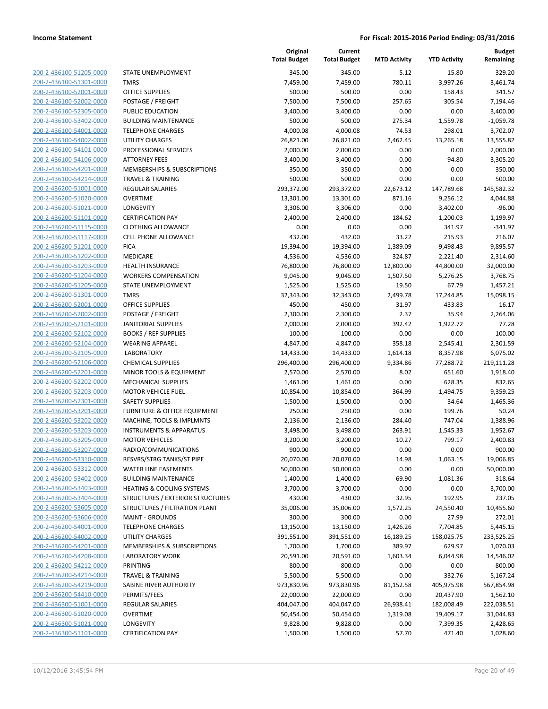200-2-436100-51205-0000 200-2-436100-51301-0000 200-2-436100-52001-0000 200-2-436100-52002-0000 200-2-436100-52305-0000 200-2-436100-53402-0000 200-2-436100-54001-0000 200-2-436100-54002-0000 200-2-436100-54101-0000 200-2-436100-54106-0000 200-2-436100-54201-0000 200-2-436100-54214-0000 200-2-436200-51001-0000 200-2-436200-51020-0000 200-2-436200-51021-0000 200-2-436200-51101-0000 200-2-436200-51115-0000 200-2-436200-51117-0000 200-2-436200-51201-0000 200-2-436200-51202-0000 200-2-436200-51203-0000 200-2-436200-51204-0000 200-2-436200-51205-0000 200-2-436200-51301-0000 200-2-436200-52001-0000 200-2-436200-52002-0000 200-2-436200-52101-0000 200-2-436200-52102-0000 200-2-436200-52104-0000 200-2-436200-52105-0000 200-2-436200-52106-0000 200-2-436200-52201-0000 200-2-436200-52202-0000 200-2-436200-52203-0000 200-2-436200-52301-0000 200-2-436200-53201-0000 200-2-436200-53202-0000 200-2-436200-53203-0000 200-2-436200-53205-0000 200-2-436200-53207-0000 200-2-436200-53310-0000 200-2-436200-53312-0000 200-2-436200-53402-0000 200-2-436200-53403-0000 200-2-436200-53404-0000 200-2-436200-53605-0000 200-2-436200-53606-0000 200-2-436200-54001-0000 200-2-436200-54002-0000 200-2-436200-54201-0000 200-2-436200-54208-0000 200-2-436200-54212-0000 200-2-436200-54214-0000 200-2-436200-54219-0000 200-2-436200-54410-0000 200-2-436300-51001-0000 200-2-436300-51020-0000 200-2-436300-51021-0000 200-2-436300-51101-0000

|                                         | Original<br><b>Total Budget</b> | Current<br><b>Total Budget</b> | <b>MTD Activity</b> | <b>YTD Activity</b> | <b>Budget</b><br>Remaining |
|-----------------------------------------|---------------------------------|--------------------------------|---------------------|---------------------|----------------------------|
| STATE UNEMPLOYMENT                      | 345.00                          | 345.00                         | 5.12                | 15.80               | 329.20                     |
| <b>TMRS</b>                             | 7,459.00                        | 7,459.00                       | 780.11              | 3,997.26            | 3,461.74                   |
| <b>OFFICE SUPPLIES</b>                  | 500.00                          | 500.00                         | 0.00                | 158.43              | 341.57                     |
| POSTAGE / FREIGHT                       | 7,500.00                        | 7,500.00                       | 257.65              | 305.54              | 7,194.46                   |
| PUBLIC EDUCATION                        | 3,400.00                        | 3,400.00                       | 0.00                | 0.00                | 3,400.00                   |
| <b>BUILDING MAINTENANCE</b>             | 500.00                          | 500.00                         | 275.34              | 1,559.78            | $-1,059.78$                |
| <b>TELEPHONE CHARGES</b>                | 4,000.08                        | 4,000.08                       | 74.53               | 298.01              | 3,702.07                   |
| <b>UTILITY CHARGES</b>                  | 26,821.00                       | 26,821.00                      | 2,462.45            | 13,265.18           | 13,555.82                  |
| PROFESSIONAL SERVICES                   | 2,000.00                        | 2,000.00                       | 0.00                | 0.00                | 2,000.00                   |
| <b>ATTORNEY FEES</b>                    | 3,400.00                        | 3,400.00                       | 0.00                | 94.80               | 3,305.20                   |
| MEMBERSHIPS & SUBSCRIPTIONS             | 350.00                          | 350.00                         | 0.00                | 0.00                | 350.00                     |
| <b>TRAVEL &amp; TRAINING</b>            | 500.00                          | 500.00                         | 0.00                | 0.00                | 500.00                     |
| REGULAR SALARIES                        | 293,372.00                      | 293,372.00                     | 22,673.12           | 147,789.68          | 145,582.32                 |
| <b>OVERTIME</b>                         | 13,301.00                       | 13,301.00                      | 871.16              | 9,256.12            | 4,044.88                   |
| LONGEVITY                               | 3,306.00                        | 3,306.00                       | 0.00                | 3,402.00            | $-96.00$                   |
| <b>CERTIFICATION PAY</b>                | 2,400.00                        | 2,400.00                       | 184.62              | 1,200.03            | 1,199.97                   |
| <b>CLOTHING ALLOWANCE</b>               | 0.00                            | 0.00                           | 0.00                | 341.97              | $-341.97$                  |
| <b>CELL PHONE ALLOWANCE</b>             | 432.00                          | 432.00                         | 33.22               | 215.93              | 216.07                     |
| <b>FICA</b>                             | 19,394.00                       | 19,394.00                      | 1,389.09            | 9,498.43            | 9,895.57                   |
| MEDICARE                                | 4,536.00                        | 4,536.00                       | 324.87              | 2,221.40            | 2,314.60                   |
| <b>HEALTH INSURANCE</b>                 | 76,800.00                       | 76,800.00                      | 12,800.00           | 44,800.00           | 32,000.00                  |
| <b>WORKERS COMPENSATION</b>             | 9,045.00                        | 9,045.00                       | 1,507.50            | 5,276.25            | 3,768.75                   |
| <b>STATE UNEMPLOYMENT</b>               | 1,525.00                        | 1,525.00                       | 19.50               | 67.79               | 1,457.21                   |
| <b>TMRS</b>                             | 32,343.00                       | 32,343.00                      | 2,499.78            | 17,244.85           | 15,098.15                  |
| OFFICE SUPPLIES                         | 450.00                          | 450.00                         | 31.97               | 433.83              | 16.17                      |
| POSTAGE / FREIGHT                       | 2,300.00                        | 2,300.00                       | 2.37                | 35.94               | 2,264.06                   |
| <b>JANITORIAL SUPPLIES</b>              | 2,000.00                        | 2,000.00                       | 392.42              | 1,922.72            | 77.28                      |
| <b>BOOKS / REF SUPPLIES</b>             | 100.00                          | 100.00                         | 0.00                | 0.00                | 100.00                     |
| <b>WEARING APPAREL</b>                  | 4,847.00                        | 4,847.00                       | 358.18              | 2,545.41            | 2,301.59                   |
| <b>LABORATORY</b>                       | 14,433.00                       | 14,433.00                      | 1,614.18            | 8,357.98            | 6,075.02                   |
| <b>CHEMICAL SUPPLIES</b>                | 296,400.00                      | 296,400.00                     | 9,334.86            | 77,288.72           | 219,111.28                 |
| MINOR TOOLS & EQUIPMENT                 | 2,570.00                        | 2,570.00                       | 8.02                | 651.60              | 1,918.40                   |
| MECHANICAL SUPPLIES                     | 1,461.00                        | 1,461.00                       | 0.00                | 628.35              | 832.65                     |
| <b>MOTOR VEHICLE FUEL</b>               | 10,854.00                       | 10,854.00                      | 364.99              | 1,494.75            | 9,359.25                   |
| <b>SAFETY SUPPLIES</b>                  | 1,500.00                        | 1,500.00                       | 0.00                | 34.64               | 1,465.36                   |
| <b>FURNITURE &amp; OFFICE EQUIPMENT</b> | 250.00                          | 250.00                         | 0.00                | 199.76              | 50.24                      |
| MACHINE, TOOLS & IMPLMNTS               | 2,136.00                        | 2,136.00                       | 284.40              | 747.04              | 1,388.96                   |
| <b>INSTRUMENTS &amp; APPARATUS</b>      | 3,498.00                        | 3,498.00                       | 263.91              | 1,545.33            | 1,952.67                   |
| <b>MOTOR VEHICLES</b>                   | 3,200.00                        | 3,200.00                       | 10.27               | 799.17              | 2,400.83                   |
| RADIO/COMMUNICATIONS                    | 900.00                          | 900.00                         | 0.00                | 0.00                | 900.00                     |
| RESVRS/STRG TANKS/ST PIPE               | 20,070.00                       | 20,070.00                      | 14.98               | 1,063.15            | 19,006.85                  |
| <b>WATER LINE EASEMENTS</b>             | 50,000.00                       | 50,000.00                      | 0.00                | 0.00                | 50,000.00                  |
| <b>BUILDING MAINTENANCE</b>             | 1,400.00                        | 1,400.00                       | 69.90               | 1,081.36            | 318.64                     |
| <b>HEATING &amp; COOLING SYSTEMS</b>    | 3,700.00                        | 3,700.00                       | 0.00                | 0.00                | 3,700.00                   |
| STRUCTURES / EXTERIOR STRUCTURES        | 430.00                          | 430.00                         | 32.95               | 192.95              | 237.05                     |
| STRUCTURES / FILTRATION PLANT           | 35,006.00                       | 35,006.00                      | 1,572.25            | 24,550.40           | 10,455.60                  |
| <b>MAINT - GROUNDS</b>                  | 300.00                          | 300.00                         | 0.00                | 27.99               | 272.01                     |
| <b>TELEPHONE CHARGES</b>                | 13,150.00                       | 13,150.00                      | 1,426.26            | 7,704.85            | 5,445.15                   |
| <b>UTILITY CHARGES</b>                  | 391,551.00                      | 391,551.00                     | 16,189.25           | 158,025.75          | 233,525.25                 |
| MEMBERSHIPS & SUBSCRIPTIONS             | 1,700.00                        | 1,700.00                       | 389.97              | 629.97              | 1,070.03                   |
| <b>LABORATORY WORK</b>                  | 20,591.00                       | 20,591.00                      | 1,603.34            | 6,044.98            | 14,546.02                  |
| PRINTING                                | 800.00                          | 800.00                         | 0.00                | 0.00                | 800.00                     |
| <b>TRAVEL &amp; TRAINING</b>            | 5,500.00                        | 5,500.00                       | 0.00                | 332.76              | 5,167.24                   |
| SABINE RIVER AUTHORITY                  | 973,830.96                      | 973,830.96                     | 81,152.58           | 405,975.98          | 567,854.98                 |
| PERMITS/FEES                            | 22,000.00                       | 22,000.00                      | 0.00                | 20,437.90           | 1,562.10                   |
| REGULAR SALARIES                        | 404,047.00                      | 404,047.00                     | 26,938.41           | 182,008.49          | 222,038.51                 |
| OVERTIME                                | 50,454.00                       | 50,454.00                      | 1,319.08            | 19,409.17           | 31,044.83                  |
| <b>LONGEVITY</b>                        | 9,828.00                        | 9,828.00                       | 0.00                | 7,399.35            | 2,428.65                   |
| <b>CERTIFICATION PAY</b>                | 1,500.00                        | 1,500.00                       | 57.70               | 471.40              | 1,028.60                   |
|                                         |                                 |                                |                     |                     |                            |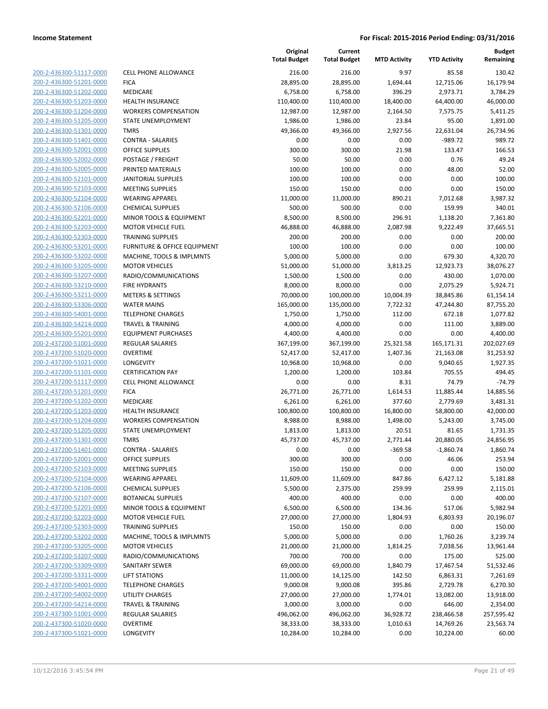| 200-2-436300-51117-0000                                   |
|-----------------------------------------------------------|
| 200-2-436300-51201-0000                                   |
| 200-2-436300-51202-0000                                   |
| 200-2-436300-51203-0000                                   |
| <u>200-2-436300-51204-0000</u>                            |
| 200-2-436300-51205-0000                                   |
| 200-2-436300-51301-0000                                   |
| 200-2-436300-51401-0000                                   |
| 200-2-436300-52001-0000                                   |
| <u>200-2-436300-52002-0000</u>                            |
| 200-2-436300-52005-0000                                   |
| 2-436300-52101-0000<br>200-                               |
| 200-2-436300-52103-0000                                   |
| 200-2-436300-52104-0000                                   |
| <u>200-2-436300-52106-0000</u>                            |
| 200-2-436300-52201-0000                                   |
| 2-436300-52203-0000<br>200-                               |
| 200-2-436300-52303-0000                                   |
| 200-2-436300-53201-0000                                   |
| <u>200-2-436300-53202-0000</u>                            |
| 200-2-436300-53205-0000                                   |
| 2-436300-53207-0000<br>200-                               |
| 200-2-436300-53210-0000                                   |
| 200-2-436300-53211-0000                                   |
| <u>200-2-436300-53306-0000</u>                            |
| 200-2-436300-54001-0000                                   |
| 2-436300-54214-0000<br>200-                               |
| 200-2-436300-55201-0000                                   |
| 200-2-437200-51001-0000                                   |
| <u>200-2-437200-51020-0000</u>                            |
| 200-2-437200-51021-0000                                   |
| 2-437200-51101<br>200-<br>-0000                           |
| 200-2-437200-51117-0000                                   |
| 200-2-437200-51201-0000                                   |
| <u>200-2-437200-51202-0000</u>                            |
| 200-2-437200-51203-0000                                   |
| 200-2-437200-51204-0000                                   |
| 200-2-437200-51205-0000                                   |
| 200-2-437200-51301-0000                                   |
| 200-2-437200-51401-0000                                   |
| 200-2-437200-52001-0000                                   |
| <u>200-2-437200-52103-0000</u>                            |
| 200-2-437200-52104-0000                                   |
| 200-2-437200-52106-0000                                   |
| <u>200-2-437200-52107-0000</u>                            |
| <u>200-2-437200-52201-0000</u>                            |
| 200-2-437200-52203-0000                                   |
| 200-2-437200-52303-0000                                   |
| <u>200-2-437200-53202-0000</u>                            |
|                                                           |
| <u>200-2-437200-53205-0000</u>                            |
| <u>200-2-437200-53207-0000</u><br>200-2-437200-53309-0000 |
| 200-2-437200-53311-0000                                   |
|                                                           |
| 200-2-437200-54001-0000                                   |
| <u>200-2-437200-54002-0000</u>                            |
| <u>200-2-437200-54214-0000</u>                            |
| 200-2-437300-51001-0000                                   |
| 200-2-437300-51020-0000                                   |
| 200-2-437300-51021-0000                                   |

| ELL PHONE ALLOWANCE                  |
|--------------------------------------|
| ICA                                  |
| <i><b>AEDICARE</b></i>               |
| IEALTH INSURANCE                     |
| VORKERS COMPENSATION                 |
| TATE UNEMPLOYMENT                    |
| <b>MRS</b>                           |
| ONTRA - SALARIES                     |
| <b>PFICE SUPPLIES</b>                |
| OSTAGE / FREIGHT                     |
| RINTED MATERIALS                     |
| <b>ANITORIAL SUPPLIES</b>            |
| <i><b>IEETING SUPPLIES</b></i>       |
| VEARING APPAREL                      |
| HEMICAL SUPPLIES:                    |
| AINOR TOOLS & EQUIPMENT              |
| <b><i>IOTOR VEHICLE FUEL</i></b>     |
| RAINING SUPPLIES                     |
| URNITURE & OFFICE EQUIPMENT          |
| <b>AACHINE, TOOLS &amp; IMPLMNTS</b> |
| <b><i>AOTOR VEHICLES</i></b>         |
| ADIO/COMMUNICATIONS                  |
| <b>IRE HYDRANTS</b>                  |
| AETERS & SETTINGS                    |
| VATER MAINS                          |
| <b>ELEPHONE CHARGES</b>              |
| <b>RAVEL &amp; TRAINING</b>          |
| <b>QUIPMENT PURCHASES</b>            |
| EGULAR SALARIES                      |
| )VERTIME                             |
| ONGEVITY                             |
| ERTIFICATION PAY                     |
| ELL PHONE ALLOWANCE                  |
| ICA                                  |
| <i><b>AEDICARE</b></i>               |
| <b>IEALTH INSURANCE</b>              |
| VORKERS COMPENSATION                 |
| TATE UNEMPLOYMENT                    |
| <b>MRS</b>                           |
| :ONTRA - SALARIES                    |
| <b>PFICE SUPPLIES</b>                |
| AEETING SUPPLIES                     |
| VEARING APPAREL                      |
| <b>HEMICAL SUPPLIES</b>              |
| <b>OTANICAL SUPPLIES</b>             |
| AINOR TOOLS & EQUIPMENT              |
| <b><i>AOTOR VEHICLE FUEL</i></b>     |
| <b>RAINING SUPPLIES</b>              |
| <b>AACHINE, TOOLS &amp; IMPLMNTS</b> |
| <b><i>MOTOR VEHICLES</i></b>         |
| ADIO/COMMUNICATIONS                  |
| <b>ANITARY SEWER</b>                 |
| <b>IFT STATIONS</b>                  |
| <b>ELEPHONE CHARGES</b>              |
| <b>ITILITY CHARGES</b>               |
| <b>RAVEL &amp; TRAINING</b>          |
| <b>EGULAR SALARIES</b>               |
| <b>VERTIME</b>                       |

|                                                    |                                            | Original<br><b>Total Budget</b> | Current<br><b>Total Budget</b> | <b>MTD Activity</b> | <b>YTD Activity</b>   | <b>Budget</b><br>Remaining |
|----------------------------------------------------|--------------------------------------------|---------------------------------|--------------------------------|---------------------|-----------------------|----------------------------|
| 200-2-436300-51117-0000                            | <b>CELL PHONE ALLOWANCE</b>                | 216.00                          | 216.00                         | 9.97                | 85.58                 | 130.42                     |
| 200-2-436300-51201-0000                            | <b>FICA</b>                                | 28,895.00                       | 28,895.00                      | 1,694.44            | 12,715.06             | 16,179.94                  |
| 200-2-436300-51202-0000                            | MEDICARE                                   | 6,758.00                        | 6,758.00                       | 396.29              | 2,973.71              | 3,784.29                   |
| 200-2-436300-51203-0000                            | <b>HEALTH INSURANCE</b>                    | 110,400.00                      | 110,400.00                     | 18,400.00           | 64,400.00             | 46,000.00                  |
| 200-2-436300-51204-0000                            | <b>WORKERS COMPENSATION</b>                | 12,987.00                       | 12,987.00                      | 2,164.50            | 7,575.75              | 5,411.25                   |
| 200-2-436300-51205-0000                            | STATE UNEMPLOYMENT                         | 1,986.00                        | 1,986.00                       | 23.84               | 95.00                 | 1,891.00                   |
| 200-2-436300-51301-0000                            | <b>TMRS</b>                                | 49,366.00                       | 49,366.00                      | 2,927.56            | 22,631.04             | 26,734.96                  |
| 200-2-436300-51401-0000                            | <b>CONTRA - SALARIES</b>                   | 0.00                            | 0.00                           | 0.00                | -989.72               | 989.72                     |
| 200-2-436300-52001-0000                            | <b>OFFICE SUPPLIES</b>                     | 300.00                          | 300.00                         | 21.98               | 133.47                | 166.53                     |
| 200-2-436300-52002-0000                            | POSTAGE / FREIGHT                          | 50.00                           | 50.00                          | 0.00                | 0.76                  | 49.24                      |
| 200-2-436300-52005-0000                            | PRINTED MATERIALS                          | 100.00                          | 100.00                         | 0.00                | 48.00                 | 52.00                      |
| 200-2-436300-52101-0000                            | <b>JANITORIAL SUPPLIES</b>                 | 100.00                          | 100.00                         | 0.00                | 0.00                  | 100.00                     |
| 200-2-436300-52103-0000                            | <b>MEETING SUPPLIES</b>                    | 150.00                          | 150.00                         | 0.00                | 0.00                  | 150.00                     |
| 200-2-436300-52104-0000                            | <b>WEARING APPAREL</b>                     | 11,000.00                       | 11,000.00                      | 890.21              | 7,012.68              | 3,987.32                   |
| 200-2-436300-52106-0000                            | <b>CHEMICAL SUPPLIES</b>                   | 500.00                          | 500.00                         | 0.00                | 159.99                | 340.01                     |
| 200-2-436300-52201-0000                            | MINOR TOOLS & EQUIPMENT                    | 8,500.00                        | 8,500.00                       | 296.91              | 1,138.20              | 7,361.80                   |
| 200-2-436300-52203-0000                            | <b>MOTOR VEHICLE FUEL</b>                  | 46,888.00                       | 46,888.00                      | 2,087.98            | 9,222.49              | 37,665.51                  |
| 200-2-436300-52303-0000                            | <b>TRAINING SUPPLIES</b>                   | 200.00                          | 200.00                         | 0.00                | 0.00                  | 200.00                     |
| 200-2-436300-53201-0000                            | <b>FURNITURE &amp; OFFICE EQUIPMENT</b>    | 100.00                          | 100.00                         | 0.00                | 0.00                  | 100.00                     |
| 200-2-436300-53202-0000                            | MACHINE, TOOLS & IMPLMNTS                  | 5,000.00                        | 5,000.00                       | 0.00                | 679.30                | 4,320.70                   |
| 200-2-436300-53205-0000                            | <b>MOTOR VEHICLES</b>                      | 51,000.00                       | 51,000.00                      | 3,813.25            | 12,923.73             | 38,076.27                  |
| 200-2-436300-53207-0000                            | RADIO/COMMUNICATIONS                       | 1,500.00                        | 1,500.00                       | 0.00                | 430.00                | 1,070.00                   |
| 200-2-436300-53210-0000                            | <b>FIRE HYDRANTS</b>                       | 8,000.00                        | 8,000.00                       | 0.00                | 2,075.29              | 5,924.71                   |
| 200-2-436300-53211-0000                            | <b>METERS &amp; SETTINGS</b>               | 70,000.00                       | 100,000.00                     | 10,004.39           | 38,845.86             | 61,154.14                  |
| 200-2-436300-53306-0000                            | <b>WATER MAINS</b>                         | 165,000.00                      | 135,000.00                     | 7,722.32            | 47,244.80             | 87,755.20                  |
| 200-2-436300-54001-0000                            | <b>TELEPHONE CHARGES</b>                   | 1,750.00                        | 1,750.00                       | 112.00              | 672.18                | 1,077.82                   |
| 200-2-436300-54214-0000                            | <b>TRAVEL &amp; TRAINING</b>               | 4,000.00                        | 4,000.00                       | 0.00                | 111.00                | 3,889.00                   |
| 200-2-436300-55201-0000                            | <b>EQUIPMENT PURCHASES</b>                 | 4,400.00                        | 4,400.00                       | 0.00                | 0.00                  | 4,400.00                   |
| 200-2-437200-51001-0000                            | <b>REGULAR SALARIES</b><br><b>OVERTIME</b> | 367,199.00                      | 367,199.00                     | 25,321.58           | 165,171.31            | 202,027.69<br>31,253.92    |
| 200-2-437200-51020-0000<br>200-2-437200-51021-0000 | LONGEVITY                                  | 52,417.00<br>10,968.00          | 52,417.00<br>10,968.00         | 1,407.36<br>0.00    | 21,163.08<br>9,040.65 |                            |
|                                                    | <b>CERTIFICATION PAY</b>                   |                                 |                                |                     |                       | 1,927.35                   |
| 200-2-437200-51101-0000<br>200-2-437200-51117-0000 | <b>CELL PHONE ALLOWANCE</b>                | 1,200.00<br>0.00                | 1,200.00<br>0.00               | 103.84<br>8.31      | 705.55<br>74.79       | 494.45<br>$-74.79$         |
| 200-2-437200-51201-0000                            | <b>FICA</b>                                | 26,771.00                       | 26,771.00                      | 1,614.53            | 11,885.44             | 14,885.56                  |
| 200-2-437200-51202-0000                            | MEDICARE                                   | 6,261.00                        | 6,261.00                       | 377.60              | 2,779.69              | 3,481.31                   |
| 200-2-437200-51203-0000                            | <b>HEALTH INSURANCE</b>                    | 100,800.00                      | 100,800.00                     | 16,800.00           | 58,800.00             | 42,000.00                  |
| 200-2-437200-51204-0000                            | <b>WORKERS COMPENSATION</b>                | 8,988.00                        | 8,988.00                       | 1,498.00            | 5,243.00              | 3,745.00                   |
| 200-2-437200-51205-0000                            | STATE UNEMPLOYMENT                         | 1,813.00                        | 1,813.00                       | 20.51               | 81.65                 | 1,731.35                   |
| 200-2-437200-51301-0000                            | <b>TMRS</b>                                | 45,737.00                       | 45,737.00                      | 2,771.44            | 20,880.05             | 24,856.95                  |
| 200-2-437200-51401-0000                            | CONTRA - SALARIES                          | 0.00                            | 0.00                           | $-369.58$           | $-1,860.74$           | 1,860.74                   |
| 200-2-437200-52001-0000                            | <b>OFFICE SUPPLIES</b>                     | 300.00                          | 300.00                         | 0.00                | 46.06                 | 253.94                     |
| 200-2-437200-52103-0000                            | <b>MEETING SUPPLIES</b>                    | 150.00                          | 150.00                         | 0.00                | 0.00                  | 150.00                     |
| 200-2-437200-52104-0000                            | <b>WEARING APPAREL</b>                     | 11,609.00                       | 11,609.00                      | 847.86              | 6,427.12              | 5,181.88                   |
| 200-2-437200-52106-0000                            | <b>CHEMICAL SUPPLIES</b>                   | 5,500.00                        | 2,375.00                       | 259.99              | 259.99                | 2,115.01                   |
| 200-2-437200-52107-0000                            | <b>BOTANICAL SUPPLIES</b>                  | 400.00                          | 400.00                         | 0.00                | 0.00                  | 400.00                     |
| 200-2-437200-52201-0000                            | MINOR TOOLS & EQUIPMENT                    | 6,500.00                        | 6,500.00                       | 134.36              | 517.06                | 5,982.94                   |
| 200-2-437200-52203-0000                            | <b>MOTOR VEHICLE FUEL</b>                  | 27,000.00                       | 27,000.00                      | 1,804.93            | 6,803.93              | 20,196.07                  |
| 200-2-437200-52303-0000                            | <b>TRAINING SUPPLIES</b>                   | 150.00                          | 150.00                         | 0.00                | 0.00                  | 150.00                     |
| 200-2-437200-53202-0000                            | MACHINE, TOOLS & IMPLMNTS                  | 5,000.00                        | 5,000.00                       | 0.00                | 1,760.26              | 3,239.74                   |
| 200-2-437200-53205-0000                            | <b>MOTOR VEHICLES</b>                      | 21,000.00                       | 21,000.00                      | 1,814.25            | 7,038.56              | 13,961.44                  |
| 200-2-437200-53207-0000                            | RADIO/COMMUNICATIONS                       | 700.00                          | 700.00                         | 0.00                | 175.00                | 525.00                     |
| 200-2-437200-53309-0000                            | SANITARY SEWER                             | 69,000.00                       | 69,000.00                      | 1,840.79            | 17,467.54             | 51,532.46                  |
| 200-2-437200-53311-0000                            | <b>LIFT STATIONS</b>                       | 11,000.00                       | 14,125.00                      | 142.50              | 6,863.31              | 7,261.69                   |
| 200-2-437200-54001-0000                            | <b>TELEPHONE CHARGES</b>                   | 9,000.08                        | 9,000.08                       | 395.86              | 2,729.78              | 6,270.30                   |
| 200-2-437200-54002-0000                            | UTILITY CHARGES                            | 27,000.00                       | 27,000.00                      | 1,774.01            | 13,082.00             | 13,918.00                  |
| 200-2-437200-54214-0000                            | <b>TRAVEL &amp; TRAINING</b>               | 3,000.00                        | 3,000.00                       | 0.00                | 646.00                | 2,354.00                   |
| 200-2-437300-51001-0000                            | REGULAR SALARIES                           | 496,062.00                      | 496,062.00                     | 36,928.72           | 238,466.58            | 257,595.42                 |
| 200-2-437300-51020-0000                            | <b>OVERTIME</b>                            | 38,333.00                       | 38,333.00                      | 1,010.63            | 14,769.26             | 23,563.74                  |
| 200-2-437300-51021-0000                            | LONGEVITY                                  | 10,284.00                       | 10,284.00                      | 0.00                | 10,224.00             | 60.00                      |
|                                                    |                                            |                                 |                                |                     |                       |                            |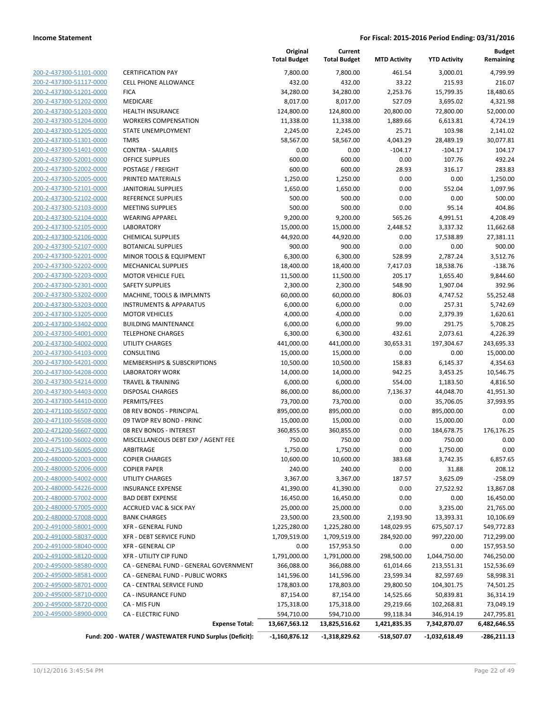| 200-2-437300-51101-0000        |
|--------------------------------|
| 200-2-437300-51117-0000        |
| 200-2-437300-51201-0000        |
| 200-2-437300-51202-0000        |
| <u>200-2-437300-51203-0000</u> |
| 200-2-437300-51204-0000        |
| 200-2-437300-51205-0000        |
| 200-2-437300-51301-0000        |
| 200-2-437300-51401-0000        |
| 200-2-437300-52001-0000        |
| 200-2-437300-52002-0000        |
| 200-2-437300-52005-0000        |
| 200-2-437300-52101-0000        |
| 200-2-437300-52102-0000        |
| <u>200-2-437300-52103-0000</u> |
| 200-2-437300-52104-0000        |
| 200-2-437300-52105-0000        |
| 200-2-437300-52106-0000        |
| 200-2-437300-52107-0000        |
| 200-2-437300-52201-0000        |
| 200-2-437300-52202-0000        |
| 200-2-437300-52203-0000        |
| 200-2-437300-52301-0000        |
| 200-2-437300-53202-0000        |
| <u>200-2-437300-53203-0000</u> |
| 200-2-437300-53205-0000        |
| 200-2-437300-53402-0000        |
| 200-2-437300-54001-0000        |
| 200-2-437300-54002-0000        |
| 200-2-437300-54103-0000        |
| 200-2-437300-54201-0000        |
| 200-2-437300-54208-0000        |
| 200-2-437300-54214-0000        |
| 200-2-437300-54403-0000        |
| <u>200-2-437300-54410-0000</u> |
| 200-2-471100-56507-0000        |
| 200-2-471100-56508-0000        |
| 200-2-471200-56607-0000        |
|                                |
| 200-2-475100-56002-0000        |
| 200-2-475100-56005-0000        |
| <u>200-2-480000-52003-0000</u> |
| 200-2-480000-52006-0000        |
| 200-2-480000-54002-0000        |
| 200-2-480000-54226-0000        |
| <u>200-2-480000-57002-0000</u> |
| 200-2-480000-57005-0000        |
| 200-2-480000-57008-0000        |
| 200-2-491000-58001-0000        |
| 200-2-491000-58037-0000        |
| <u>200-2-491000-58040-0000</u> |
| 200-2-491000-58120-0000        |
| 200-2-495000-58580-0000        |
| 200-2-495000-58581-0000        |
| 200-2-495000-58701-0000        |
| 200-2-495000-58710-0000        |
| 200-2-495000-58720-0000        |
| 200-2-495000-58900-0000        |
|                                |

|                                                    |                                                                                 | Original<br><b>Total Budget</b>  | Current<br><b>Total Budget</b>   | <b>MTD Activity</b>         | <b>YTD Activity</b>             | <b>Budget</b><br>Remaining    |
|----------------------------------------------------|---------------------------------------------------------------------------------|----------------------------------|----------------------------------|-----------------------------|---------------------------------|-------------------------------|
| 200-2-437300-51101-0000                            | <b>CERTIFICATION PAY</b>                                                        | 7,800.00                         | 7,800.00                         | 461.54                      | 3,000.01                        | 4,799.99                      |
| 200-2-437300-51117-0000                            | <b>CELL PHONE ALLOWANCE</b>                                                     | 432.00                           | 432.00                           | 33.22                       | 215.93                          | 216.07                        |
| 200-2-437300-51201-0000                            | <b>FICA</b>                                                                     | 34,280.00                        | 34,280.00                        | 2,253.76                    | 15,799.35                       | 18,480.65                     |
| 200-2-437300-51202-0000                            | MEDICARE                                                                        | 8,017.00                         | 8,017.00                         | 527.09                      | 3,695.02                        | 4,321.98                      |
| 200-2-437300-51203-0000                            | <b>HEALTH INSURANCE</b>                                                         | 124,800.00                       | 124,800.00                       | 20,800.00                   | 72,800.00                       | 52,000.00                     |
| 200-2-437300-51204-0000                            | <b>WORKERS COMPENSATION</b>                                                     | 11,338.00                        | 11,338.00                        | 1,889.66                    | 6,613.81                        | 4,724.19                      |
| 200-2-437300-51205-0000                            | STATE UNEMPLOYMENT                                                              | 2,245.00                         | 2,245.00                         | 25.71                       | 103.98                          | 2,141.02                      |
| 200-2-437300-51301-0000                            | <b>TMRS</b>                                                                     | 58,567.00                        | 58,567.00                        | 4,043.29                    | 28,489.19                       | 30,077.81                     |
| 200-2-437300-51401-0000                            | <b>CONTRA - SALARIES</b>                                                        | 0.00                             | 0.00                             | $-104.17$                   | $-104.17$                       | 104.17                        |
| 200-2-437300-52001-0000                            | <b>OFFICE SUPPLIES</b>                                                          | 600.00                           | 600.00                           | 0.00                        | 107.76                          | 492.24                        |
| 200-2-437300-52002-0000                            | POSTAGE / FREIGHT                                                               | 600.00                           | 600.00                           | 28.93                       | 316.17                          | 283.83                        |
| 200-2-437300-52005-0000                            | PRINTED MATERIALS                                                               | 1,250.00                         | 1,250.00                         | 0.00                        | 0.00                            | 1,250.00                      |
| 200-2-437300-52101-0000                            | <b>JANITORIAL SUPPLIES</b>                                                      | 1,650.00                         | 1,650.00                         | 0.00                        | 552.04                          | 1,097.96                      |
| 200-2-437300-52102-0000                            | REFERENCE SUPPLIES                                                              | 500.00                           | 500.00                           | 0.00                        | 0.00                            | 500.00                        |
| 200-2-437300-52103-0000                            | <b>MEETING SUPPLIES</b>                                                         | 500.00                           | 500.00                           | 0.00                        | 95.14                           | 404.86                        |
| 200-2-437300-52104-0000                            | <b>WEARING APPAREL</b>                                                          | 9,200.00                         | 9,200.00                         | 565.26                      | 4,991.51                        | 4,208.49                      |
| 200-2-437300-52105-0000                            | <b>LABORATORY</b>                                                               | 15,000.00                        | 15,000.00                        | 2,448.52                    | 3,337.32                        | 11,662.68                     |
| 200-2-437300-52106-0000                            | <b>CHEMICAL SUPPLIES</b>                                                        | 44,920.00                        | 44,920.00                        | 0.00                        | 17,538.89                       | 27,381.11                     |
| 200-2-437300-52107-0000                            | <b>BOTANICAL SUPPLIES</b>                                                       | 900.00                           | 900.00                           | 0.00                        | 0.00                            | 900.00                        |
| 200-2-437300-52201-0000                            | MINOR TOOLS & EQUIPMENT                                                         | 6,300.00                         | 6,300.00                         | 528.99                      | 2,787.24                        | 3,512.76                      |
| 200-2-437300-52202-0000                            | <b>MECHANICAL SUPPLIES</b>                                                      | 18,400.00                        | 18,400.00                        | 7,417.03                    | 18,538.76                       | $-138.76$                     |
| 200-2-437300-52203-0000                            | <b>MOTOR VEHICLE FUEL</b>                                                       | 11,500.00                        | 11,500.00                        | 205.17                      | 1,655.40                        | 9,844.60                      |
| 200-2-437300-52301-0000                            | <b>SAFETY SUPPLIES</b>                                                          | 2,300.00                         | 2,300.00                         | 548.90                      | 1,907.04                        | 392.96                        |
| 200-2-437300-53202-0000                            | MACHINE, TOOLS & IMPLMNTS                                                       | 60,000.00                        | 60,000.00                        | 806.03                      | 4,747.52                        | 55,252.48                     |
| 200-2-437300-53203-0000                            | <b>INSTRUMENTS &amp; APPARATUS</b><br><b>MOTOR VEHICLES</b>                     | 6,000.00                         | 6,000.00                         | 0.00<br>0.00                | 257.31                          | 5,742.69                      |
| 200-2-437300-53205-0000<br>200-2-437300-53402-0000 | <b>BUILDING MAINTENANCE</b>                                                     | 4,000.00<br>6,000.00             | 4,000.00<br>6,000.00             | 99.00                       | 2,379.39<br>291.75              | 1,620.61<br>5,708.25          |
| 200-2-437300-54001-0000                            | <b>TELEPHONE CHARGES</b>                                                        | 6,300.00                         | 6,300.00                         | 432.61                      | 2,073.61                        | 4,226.39                      |
| 200-2-437300-54002-0000                            | UTILITY CHARGES                                                                 | 441,000.00                       | 441,000.00                       | 30,653.31                   | 197,304.67                      | 243,695.33                    |
| 200-2-437300-54103-0000                            | CONSULTING                                                                      | 15,000.00                        | 15,000.00                        | 0.00                        | 0.00                            | 15,000.00                     |
| 200-2-437300-54201-0000                            | MEMBERSHIPS & SUBSCRIPTIONS                                                     | 10,500.00                        | 10,500.00                        | 158.83                      | 6,145.37                        | 4,354.63                      |
| 200-2-437300-54208-0000                            | <b>LABORATORY WORK</b>                                                          | 14,000.00                        | 14,000.00                        | 942.25                      | 3,453.25                        | 10,546.75                     |
| 200-2-437300-54214-0000                            | <b>TRAVEL &amp; TRAINING</b>                                                    | 6,000.00                         | 6,000.00                         | 554.00                      | 1,183.50                        | 4,816.50                      |
| 200-2-437300-54403-0000                            | <b>DISPOSAL CHARGES</b>                                                         | 86,000.00                        | 86,000.00                        | 7,136.37                    | 44,048.70                       | 41,951.30                     |
| 200-2-437300-54410-0000                            | PERMITS/FEES                                                                    | 73,700.00                        | 73,700.00                        | 0.00                        | 35,706.05                       | 37,993.95                     |
| 200-2-471100-56507-0000                            | 08 REV BONDS - PRINCIPAL                                                        | 895,000.00                       | 895,000.00                       | 0.00                        | 895,000.00                      | 0.00                          |
| 200-2-471100-56508-0000                            | 09 TWDP REV BOND - PRINC                                                        | 15,000.00                        | 15,000.00                        | 0.00                        | 15,000.00                       | 0.00                          |
| 200-2-471200-56607-0000                            | 08 REV BONDS - INTEREST                                                         | 360,855.00                       | 360,855.00                       | 0.00                        | 184,678.75                      | 176,176.25                    |
| 200-2-475100-56002-0000                            | MISCELLANEOUS DEBT EXP / AGENT FEE                                              | 750.00                           | 750.00                           | 0.00                        | 750.00                          | 0.00                          |
| 200-2-475100-56005-0000                            | ARBITRAGE                                                                       | 1,750.00                         | 1,750.00                         | 0.00                        | 1,750.00                        | 0.00                          |
| 200-2-480000-52003-0000                            | <b>COPIER CHARGES</b>                                                           | 10,600.00                        | 10,600.00                        | 383.68                      | 3,742.35                        | 6,857.65                      |
| 200-2-480000-52006-0000                            | <b>COPIER PAPER</b>                                                             | 240.00                           | 240.00                           | 0.00                        | 31.88                           | 208.12                        |
| 200-2-480000-54002-0000                            | <b>UTILITY CHARGES</b>                                                          | 3,367.00                         | 3,367.00                         | 187.57                      | 3,625.09                        | $-258.09$                     |
| 200-2-480000-54226-0000                            | <b>INSURANCE EXPENSE</b>                                                        | 41,390.00                        | 41,390.00                        | 0.00                        | 27,522.92                       | 13,867.08                     |
| 200-2-480000-57002-0000                            | <b>BAD DEBT EXPENSE</b>                                                         | 16,450.00                        | 16,450.00                        | 0.00                        | 0.00                            | 16,450.00                     |
| 200-2-480000-57005-0000                            | <b>ACCRUED VAC &amp; SICK PAY</b>                                               | 25,000.00                        | 25,000.00                        | 0.00                        | 3,235.00                        | 21,765.00                     |
| 200-2-480000-57008-0000                            | <b>BANK CHARGES</b>                                                             | 23,500.00                        | 23,500.00                        | 2,193.90                    | 13,393.31                       | 10,106.69                     |
| 200-2-491000-58001-0000                            | XFR - GENERAL FUND                                                              | 1,225,280.00                     | 1,225,280.00                     | 148,029.95                  | 675,507.17                      | 549,772.83                    |
| 200-2-491000-58037-0000                            | <b>XFR - DEBT SERVICE FUND</b>                                                  | 1,709,519.00                     | 1,709,519.00                     | 284,920.00                  | 997,220.00                      | 712,299.00                    |
| 200-2-491000-58040-0000                            | <b>XFR - GENERAL CIP</b>                                                        | 0.00                             | 157,953.50                       | 0.00                        | 0.00                            | 157,953.50                    |
| 200-2-491000-58120-0000                            | <b>XFR - UTILITY CIP FUND</b>                                                   | 1,791,000.00                     | 1,791,000.00                     | 298,500.00                  | 1,044,750.00                    | 746,250.00                    |
| 200-2-495000-58580-0000                            | CA - GENERAL FUND - GENERAL GOVERNMENT                                          | 366,088.00                       | 366,088.00                       | 61,014.66                   | 213,551.31                      | 152,536.69                    |
| 200-2-495000-58581-0000                            | CA - GENERAL FUND - PUBLIC WORKS                                                | 141,596.00                       | 141,596.00                       | 23,599.34                   | 82,597.69                       | 58,998.31                     |
| 200-2-495000-58701-0000                            | CA - CENTRAL SERVICE FUND                                                       | 178,803.00                       | 178,803.00                       | 29,800.50                   | 104,301.75                      | 74,501.25                     |
| 200-2-495000-58710-0000                            | CA - INSURANCE FUND                                                             | 87,154.00                        | 87,154.00                        | 14,525.66                   | 50,839.81                       | 36,314.19                     |
| 200-2-495000-58720-0000                            | CA - MIS FUN                                                                    | 175,318.00                       | 175,318.00                       | 29,219.66                   | 102,268.81                      | 73,049.19                     |
| 200-2-495000-58900-0000                            | <b>CA - ELECTRIC FUND</b>                                                       | 594,710.00                       | 594,710.00                       | 99,118.34                   | 346,914.19                      | 247,795.81                    |
|                                                    | <b>Expense Total:</b><br>Fund: 200 - WATER / WASTEWATER FUND Surplus (Deficit): | 13,667,563.12<br>$-1,160,876.12$ | 13,825,516.62<br>$-1,318,829.62$ | 1,421,835.35<br>-518,507.07 | 7,342,870.07<br>$-1,032,618.49$ | 6,482,646.55<br>$-286,211.13$ |
|                                                    |                                                                                 |                                  |                                  |                             |                                 |                               |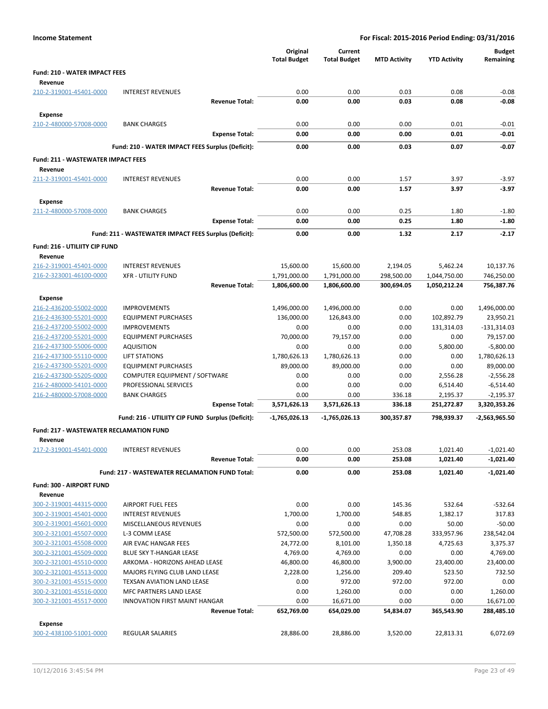| <b>Income Statement</b>                            |                                                             | For Fiscal: 2015-2016 Period Ending: 03/31/2016 |                                |                     |                     |                            |
|----------------------------------------------------|-------------------------------------------------------------|-------------------------------------------------|--------------------------------|---------------------|---------------------|----------------------------|
|                                                    |                                                             | Original<br><b>Total Budget</b>                 | Current<br><b>Total Budget</b> | <b>MTD Activity</b> | <b>YTD Activity</b> | <b>Budget</b><br>Remaining |
| <b>Fund: 210 - WATER IMPACT FEES</b>               |                                                             |                                                 |                                |                     |                     |                            |
| Revenue                                            |                                                             |                                                 |                                |                     |                     |                            |
| 210-2-319001-45401-0000                            | <b>INTEREST REVENUES</b>                                    | 0.00                                            | 0.00                           | 0.03                | 0.08                | $-0.08$                    |
|                                                    | <b>Revenue Total:</b>                                       | 0.00                                            | 0.00                           | 0.03                | 0.08                | $-0.08$                    |
| <b>Expense</b>                                     |                                                             |                                                 |                                |                     |                     |                            |
| 210-2-480000-57008-0000                            | <b>BANK CHARGES</b>                                         | 0.00                                            | 0.00                           | 0.00                | 0.01                | $-0.01$                    |
|                                                    | <b>Expense Total:</b>                                       | 0.00                                            | 0.00                           | 0.00                | 0.01                | $-0.01$                    |
|                                                    | Fund: 210 - WATER IMPACT FEES Surplus (Deficit):            | 0.00                                            | 0.00                           | 0.03                | 0.07                | $-0.07$                    |
| <b>Fund: 211 - WASTEWATER IMPACT FEES</b>          |                                                             |                                                 |                                |                     |                     |                            |
| Revenue                                            |                                                             |                                                 |                                |                     |                     |                            |
| 211-2-319001-45401-0000                            | <b>INTEREST REVENUES</b>                                    | 0.00                                            | 0.00                           | 1.57                | 3.97                | $-3.97$                    |
|                                                    | <b>Revenue Total:</b>                                       | 0.00                                            | 0.00                           | 1.57                | 3.97                | $-3.97$                    |
| <b>Expense</b>                                     |                                                             |                                                 |                                |                     |                     |                            |
| 211-2-480000-57008-0000                            | <b>BANK CHARGES</b>                                         | 0.00                                            | 0.00                           | 0.25                | 1.80                | $-1.80$                    |
|                                                    | <b>Expense Total:</b>                                       | 0.00                                            | 0.00                           | 0.25                | 1.80                | $-1.80$                    |
|                                                    | Fund: 211 - WASTEWATER IMPACT FEES Surplus (Deficit):       | 0.00                                            | 0.00                           | 1.32                | 2.17                | $-2.17$                    |
| Fund: 216 - UTILIITY CIP FUND                      |                                                             |                                                 |                                |                     |                     |                            |
| Revenue                                            |                                                             |                                                 |                                |                     |                     |                            |
| 216-2-319001-45401-0000                            | <b>INTEREST REVENUES</b>                                    | 15,600.00                                       | 15,600.00                      | 2,194.05            | 5,462.24            | 10,137.76                  |
| 216-2-323001-46100-0000                            | <b>XFR - UTILITY FUND</b>                                   | 1,791,000.00                                    | 1,791,000.00                   | 298,500.00          | 1,044,750.00        | 746,250.00                 |
|                                                    | <b>Revenue Total:</b>                                       | 1,806,600.00                                    | 1,806,600.00                   | 300,694.05          | 1,050,212.24        | 756,387.76                 |
| <b>Expense</b>                                     |                                                             |                                                 |                                |                     |                     |                            |
| 216-2-436200-55002-0000                            | <b>IMPROVEMENTS</b>                                         | 1,496,000.00                                    | 1,496,000.00                   | 0.00                | 0.00                | 1,496,000.00               |
| 216-2-436300-55201-0000                            | <b>EQUIPMENT PURCHASES</b>                                  | 136,000.00                                      | 126,843.00                     | 0.00                | 102,892.79          | 23,950.21                  |
| 216-2-437200-55002-0000                            | <b>IMPROVEMENTS</b>                                         | 0.00                                            | 0.00                           | 0.00                | 131,314.03          | $-131,314.03$              |
| 216-2-437200-55201-0000                            | <b>EQUIPMENT PURCHASES</b>                                  | 70,000.00                                       | 79,157.00                      | 0.00                | 0.00                | 79,157.00                  |
| 216-2-437300-55006-0000                            | <b>AQUISITION</b>                                           | 0.00                                            | 0.00                           | 0.00                | 5,800.00            | $-5,800.00$                |
| 216-2-437300-55110-0000                            | <b>LIFT STATIONS</b>                                        | 1,780,626.13                                    | 1,780,626.13                   | 0.00                | 0.00                | 1,780,626.13               |
| 216-2-437300-55201-0000<br>216-2-437300-55205-0000 | <b>EQUIPMENT PURCHASES</b><br>COMPUTER EQUIPMENT / SOFTWARE | 89,000.00<br>0.00                               | 89,000.00<br>0.00              | 0.00<br>0.00        | 0.00<br>2,556.28    | 89,000.00                  |
| 216-2-480000-54101-0000                            | PROFESSIONAL SERVICES                                       | 0.00                                            | 0.00                           | 0.00                | 6,514.40            | $-2,556.28$<br>$-6,514.40$ |
| 216-2-480000-57008-0000                            | <b>BANK CHARGES</b>                                         | 0.00                                            | 0.00                           | 336.18              | 2,195.37            | $-2,195.37$                |
|                                                    | <b>Expense Total:</b>                                       | 3,571,626.13                                    | 3,571,626.13                   | 336.18              | 251,272.87          | 3,320,353.26               |
|                                                    | Fund: 216 - UTILIITY CIP FUND Surplus (Deficit):            | -1,765,026.13                                   | $-1,765,026.13$                | 300,357.87          | 798,939.37          | -2,563,965.50              |
|                                                    |                                                             |                                                 |                                |                     |                     |                            |
| <b>Fund: 217 - WASTEWATER RECLAMATION FUND</b>     |                                                             |                                                 |                                |                     |                     |                            |
| Revenue<br>217-2-319001-45401-0000                 | <b>INTEREST REVENUES</b>                                    | 0.00                                            | 0.00                           | 253.08              | 1,021.40            | $-1,021.40$                |
|                                                    | <b>Revenue Total:</b>                                       | 0.00                                            | 0.00                           | 253.08              | 1,021.40            | $-1,021.40$                |
|                                                    | <b>Fund: 217 - WASTEWATER RECLAMATION FUND Total:</b>       |                                                 |                                |                     |                     | $-1.021.40$                |
|                                                    |                                                             | 0.00                                            | 0.00                           | 253.08              | 1,021.40            |                            |
| Fund: 300 - AIRPORT FUND                           |                                                             |                                                 |                                |                     |                     |                            |
| Revenue                                            |                                                             |                                                 |                                |                     |                     |                            |
| 300-2-319001-44315-0000<br>300-2-319001-45401-0000 | <b>AIRPORT FUEL FEES</b><br><b>INTEREST REVENUES</b>        | 0.00<br>1,700.00                                | 0.00<br>1,700.00               | 145.36<br>548.85    | 532.64<br>1,382.17  | $-532.64$<br>317.83        |
| 300-2-319001-45601-0000                            | MISCELLANEOUS REVENUES                                      | 0.00                                            | 0.00                           | 0.00                | 50.00               | $-50.00$                   |
| 300-2-321001-45507-0000                            | L-3 COMM LEASE                                              | 572,500.00                                      | 572,500.00                     | 47,708.28           | 333,957.96          | 238,542.04                 |
| 300-2-321001-45508-0000                            | AIR EVAC HANGAR FEES                                        | 24,772.00                                       | 8,101.00                       | 1,350.18            | 4,725.63            | 3,375.37                   |
| 300-2-321001-45509-0000                            | <b>BLUE SKY T-HANGAR LEASE</b>                              | 4,769.00                                        | 4,769.00                       | 0.00                | 0.00                | 4,769.00                   |
| 300-2-321001-45510-0000                            | ARKOMA - HORIZONS AHEAD LEASE                               | 46,800.00                                       | 46,800.00                      | 3,900.00            | 23,400.00           | 23,400.00                  |
| 300-2-321001-45513-0000                            | MAJORS FLYING CLUB LAND LEASE                               | 2,228.00                                        | 1,256.00                       | 209.40              | 523.50              | 732.50                     |
| 300-2-321001-45515-0000                            | TEXSAN AVIATION LAND LEASE                                  | 0.00                                            | 972.00                         | 972.00              | 972.00              | 0.00                       |
| 300-2-321001-45516-0000                            | MFC PARTNERS LAND LEASE                                     | 0.00                                            | 1,260.00                       | 0.00                | 0.00                | 1,260.00                   |
| 300-2-321001-45517-0000                            | <b>INNOVATION FIRST MAINT HANGAR</b>                        | 0.00                                            | 16,671.00                      | 0.00                | 0.00                | 16,671.00                  |
|                                                    | <b>Revenue Total:</b>                                       | 652,769.00                                      | 654,029.00                     | 54,834.07           | 365,543.90          | 288,485.10                 |
| <b>Expense</b>                                     |                                                             |                                                 |                                |                     |                     |                            |
| 300-2-438100-51001-0000                            | <b>REGULAR SALARIES</b>                                     | 28,886.00                                       | 28,886.00                      | 3,520.00            | 22,813.31           | 6,072.69                   |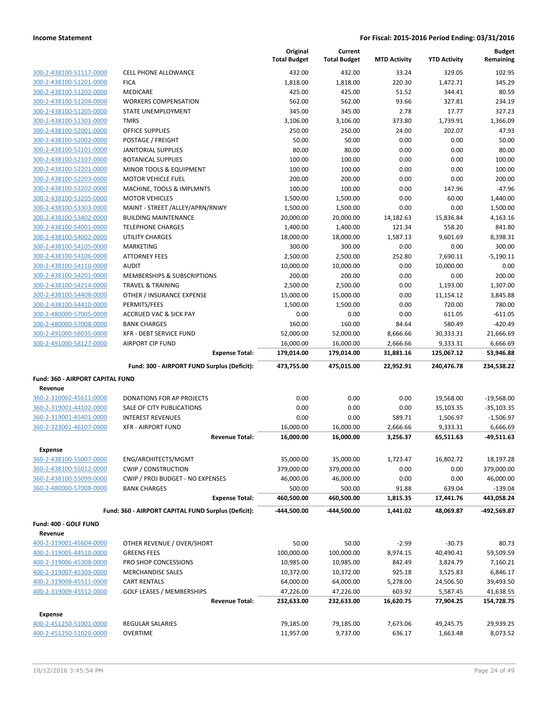|                                             |                                                     | Original<br><b>Total Budget</b> | Current<br><b>Total Budget</b> | <b>MTD Activity</b> | <b>YTD Activity</b> | <b>Budget</b><br>Remaining |
|---------------------------------------------|-----------------------------------------------------|---------------------------------|--------------------------------|---------------------|---------------------|----------------------------|
| 300-2-438100-51117-0000                     | CELL PHONE ALLOWANCE                                | 432.00                          | 432.00                         | 33.24               | 329.05              | 102.95                     |
| 300-2-438100-51201-0000                     | <b>FICA</b>                                         | 1,818.00                        | 1,818.00                       | 220.30              | 1,472.71            | 345.29                     |
| 300-2-438100-51202-0000                     | MEDICARE                                            | 425.00                          | 425.00                         | 51.52               | 344.41              | 80.59                      |
| 300-2-438100-51204-0000                     | <b>WORKERS COMPENSATION</b>                         | 562.00                          | 562.00                         | 93.66               | 327.81              | 234.19                     |
| 300-2-438100-51205-0000                     | <b>STATE UNEMPLOYMENT</b>                           | 345.00                          | 345.00                         | 2.78                | 17.77               | 327.23                     |
| 300-2-438100-51301-0000                     | <b>TMRS</b>                                         | 3,106.00                        | 3,106.00                       | 373.80              | 1,739.91            | 1,366.09                   |
| 300-2-438100-52001-0000                     | <b>OFFICE SUPPLIES</b>                              | 250.00                          | 250.00                         | 24.00               | 202.07              | 47.93                      |
| 300-2-438100-52002-0000                     | POSTAGE / FREIGHT                                   | 50.00                           | 50.00                          | 0.00                | 0.00                | 50.00                      |
| 300-2-438100-52101-0000                     | JANITORIAL SUPPLIES                                 | 80.00                           | 80.00                          | 0.00                | 0.00                | 80.00                      |
| 300-2-438100-52107-0000                     | <b>BOTANICAL SUPPLIES</b>                           | 100.00                          | 100.00                         | 0.00                | 0.00                | 100.00                     |
| 300-2-438100-52201-0000                     | MINOR TOOLS & EQUIPMENT                             | 100.00                          | 100.00                         | 0.00                | 0.00                | 100.00                     |
| 300-2-438100-52203-0000                     | <b>MOTOR VEHICLE FUEL</b>                           | 200.00                          | 200.00                         | 0.00                | 0.00                | 200.00                     |
| 300-2-438100-53202-0000                     | MACHINE, TOOLS & IMPLMNTS                           | 100.00                          | 100.00                         | 0.00                | 147.96              | $-47.96$                   |
| 300-2-438100-53205-0000                     | <b>MOTOR VEHICLES</b>                               | 1,500.00                        | 1,500.00                       | 0.00                | 60.00               | 1,440.00                   |
| 300-2-438100-53303-0000                     | MAINT - STREET /ALLEY/APRN/RNWY                     | 1,500.00                        | 1,500.00                       | 0.00                | 0.00                | 1,500.00                   |
| 300-2-438100-53402-0000                     | <b>BUILDING MAINTENANCE</b>                         | 20,000.00                       | 20,000.00                      | 14,182.63           | 15,836.84           | 4,163.16                   |
| 300-2-438100-54001-0000                     | <b>TELEPHONE CHARGES</b>                            | 1,400.00                        | 1,400.00                       | 121.34              | 558.20              | 841.80                     |
| 300-2-438100-54002-0000                     | <b>UTILITY CHARGES</b>                              | 18,000.00                       | 18,000.00                      | 1,587.13            | 9,601.69            | 8,398.31                   |
| 300-2-438100-54105-0000                     | <b>MARKETING</b>                                    | 300.00                          | 300.00                         | 0.00                | 0.00                | 300.00                     |
| 300-2-438100-54106-0000                     | <b>ATTORNEY FEES</b>                                | 2,500.00                        | 2,500.00                       | 252.80              | 7,690.11            | $-5,190.11$                |
| 300-2-438100-54110-0000                     | <b>AUDIT</b>                                        | 10,000.00                       | 10,000.00                      | 0.00                | 10,000.00           | 0.00                       |
| 300-2-438100-54201-0000                     | MEMBERSHIPS & SUBSCRIPTIONS                         | 200.00                          | 200.00                         | 0.00                | 0.00                | 200.00                     |
| 300-2-438100-54214-0000                     | <b>TRAVEL &amp; TRAINING</b>                        | 2,500.00                        | 2,500.00                       | 0.00                | 1,193.00            | 1,307.00                   |
| 300-2-438100-54408-0000                     | OTHER / INSURANCE EXPENSE                           | 15,000.00                       | 15,000.00                      | 0.00                | 11,154.12           | 3,845.88                   |
| 300-2-438100-54410-0000                     | PERMITS/FEES                                        | 1,500.00                        | 1,500.00                       | 0.00                | 720.00              | 780.00                     |
| 300-2-480000-57005-0000                     | <b>ACCRUED VAC &amp; SICK PAY</b>                   | 0.00                            | 0.00                           | 0.00                | 611.05              | $-611.05$                  |
| 300-2-480000-57008-0000                     | <b>BANK CHARGES</b>                                 | 160.00                          | 160.00                         | 84.64               | 580.49              | $-420.49$                  |
| 300-2-491000-58035-0000                     | <b>XFR - DEBT SERVICE FUND</b>                      | 52,000.00                       | 52,000.00                      | 8,666.66            | 30,333.31           | 21,666.69                  |
| 300-2-491000-58127-0000                     | <b>AIRPORT CIP FUND</b>                             | 16,000.00                       | 16,000.00                      | 2,666.66            | 9,333.31            | 6,666.69                   |
|                                             | <b>Expense Total:</b>                               | 179,014.00                      | 179,014.00                     | 31,881.16           | 125,067.12          | 53,946.88                  |
|                                             | Fund: 300 - AIRPORT FUND Surplus (Deficit):         | 473,755.00                      | 475,015.00                     | 22,952.91           | 240,476.78          | 234,538.22                 |
| Fund: 360 - AIRPORT CAPITAL FUND<br>Revenue |                                                     |                                 |                                |                     |                     |                            |
| 360-2-310002-45611-0000                     | DONATIONS FOR AP PROJECTS                           | 0.00                            | 0.00                           | 0.00                | 19,568.00           | $-19.568.00$               |
| 360-2-319001-44102-0000                     | SALE OF CITY PUBLICATIONS                           | 0.00                            | 0.00                           | 0.00                | 35,103.35           | $-35,103.35$               |
| 360-2-319001-45401-0000                     | <b>INTEREST REVENUES</b>                            | 0.00                            | 0.00                           | 589.71              | 1,506.97            | $-1,506.97$                |
| 360-2-323001-46107-0000                     | <b>XFR - AIRPORT FUND</b>                           | 16,000.00                       | 16,000.00                      | 2,666.66            | 9,333.31            | 6,666.69                   |
|                                             | <b>Revenue Total:</b>                               | 16,000.00                       | 16,000.00                      | 3,256.37            | 65,511.63           | $-49,511.63$               |
|                                             |                                                     |                                 |                                |                     |                     |                            |
| Expense                                     |                                                     |                                 |                                |                     |                     |                            |
| 360-2-438100-55007-0000                     | ENG/ARCHITECTS/MGMT                                 | 35,000.00                       | 35,000.00                      | 1,723.47            | 16,802.72           | 18,197.28                  |
| 360-2-438100-55012-0000                     | <b>CWIP / CONSTRUCTION</b>                          | 379,000.00                      | 379,000.00                     | 0.00                | 0.00                | 379,000.00                 |
| 360-2-438100-55099-0000                     | CWIP / PROJ BUDGET - NO EXPENSES                    | 46,000.00                       | 46,000.00                      | 0.00                | 0.00                | 46,000.00                  |
| 360-2-480000-57008-0000                     | <b>BANK CHARGES</b>                                 | 500.00                          | 500.00                         | 91.88               | 639.04              | -139.04                    |
|                                             | <b>Expense Total:</b>                               | 460,500.00                      | 460,500.00                     | 1,815.35            | 17,441.76           | 443,058.24                 |
|                                             | Fund: 360 - AIRPORT CAPITAL FUND Surplus (Deficit): | -444,500.00                     | -444,500.00                    | 1,441.02            | 48,069.87           | -492,569.87                |
| Fund: 400 - GOLF FUND                       |                                                     |                                 |                                |                     |                     |                            |
| Revenue                                     |                                                     |                                 |                                |                     |                     |                            |
| 400-2-319001-45604-0000                     | OTHER REVENUE / OVER/SHORT                          | 50.00                           | 50.00                          | $-2.99$             | $-30.73$            | 80.73                      |
| 400-2-319005-44510-0000                     | <b>GREENS FEES</b>                                  | 100,000.00                      | 100,000.00                     | 8,974.15            | 40,490.41           | 59,509.59                  |
| 400-2-319006-45308-0000                     | PRO SHOP CONCESSIONS                                | 10,985.00                       | 10,985.00                      | 842.49              | 3,824.79            | 7,160.21                   |
| 400-2-319007-45309-0000                     | <b>MERCHANDISE SALES</b>                            | 10,372.00                       | 10,372.00                      | 925.18              | 3,525.83            | 6,846.17                   |
| 400-2-319008-45511-0000                     | <b>CART RENTALS</b>                                 | 64,000.00                       | 64,000.00                      | 5,278.00            | 24,506.50           | 39,493.50                  |
| 400-2-319009-45512-0000                     | <b>GOLF LEASES / MEMBERSHIPS</b>                    | 47,226.00                       | 47,226.00                      | 603.92              | 5,587.45            | 41,638.55                  |
|                                             | <b>Revenue Total:</b>                               | 232,633.00                      | 232,633.00                     | 16,620.75           | 77,904.25           | 154,728.75                 |
| Expense                                     |                                                     |                                 |                                |                     |                     |                            |
| 400-2-451250-51001-0000                     | REGULAR SALARIES                                    | 79,185.00                       | 79,185.00                      | 7,673.06            | 49,245.75           | 29,939.25                  |
| 400-2-451250-51020-0000                     | OVERTIME                                            | 11,957.00                       | 9,737.00                       | 636.17              | 1,663.48            | 8,073.52                   |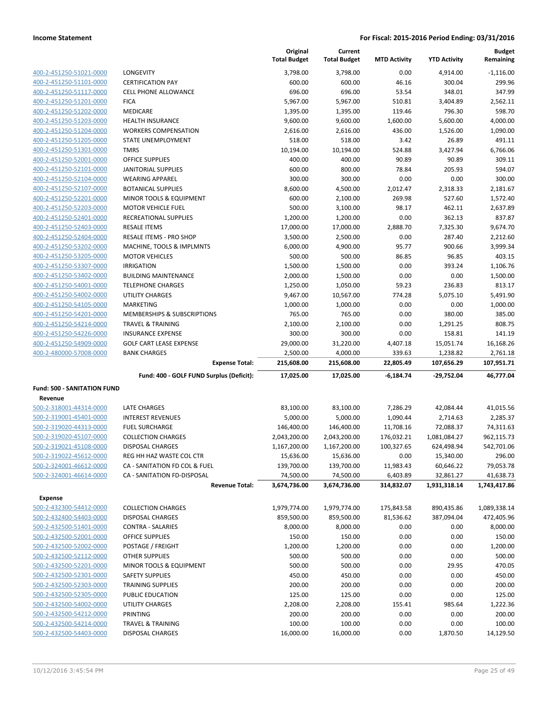|                                                    |                                                       | Original<br><b>Total Budget</b> | Current<br><b>Total Budget</b> | <b>MTD Activity</b> | <b>YTD Activity</b>   | <b>Budget</b><br>Remaining |
|----------------------------------------------------|-------------------------------------------------------|---------------------------------|--------------------------------|---------------------|-----------------------|----------------------------|
| 400-2-451250-51021-0000                            | LONGEVITY                                             | 3,798.00                        | 3,798.00                       | 0.00                | 4,914.00              | $-1,116.00$                |
| 400-2-451250-51101-0000                            | <b>CERTIFICATION PAY</b>                              | 600.00                          | 600.00                         | 46.16               | 300.04                | 299.96                     |
| 400-2-451250-51117-0000                            | <b>CELL PHONE ALLOWANCE</b>                           | 696.00                          | 696.00                         | 53.54               | 348.01                | 347.99                     |
| 400-2-451250-51201-0000                            | <b>FICA</b>                                           | 5,967.00                        | 5,967.00                       | 510.81              | 3,404.89              | 2,562.11                   |
| 400-2-451250-51202-0000                            | <b>MEDICARE</b>                                       | 1,395.00                        | 1,395.00                       | 119.46              | 796.30                | 598.70                     |
| 400-2-451250-51203-0000                            | <b>HEALTH INSURANCE</b>                               | 9,600.00                        | 9,600.00                       | 1,600.00            | 5,600.00              | 4,000.00                   |
| 400-2-451250-51204-0000                            | <b>WORKERS COMPENSATION</b>                           | 2,616.00                        | 2,616.00                       | 436.00              | 1,526.00              | 1,090.00                   |
| 400-2-451250-51205-0000                            | STATE UNEMPLOYMENT                                    | 518.00                          | 518.00                         | 3.42                | 26.89                 | 491.11                     |
| 400-2-451250-51301-0000                            | <b>TMRS</b>                                           | 10,194.00                       | 10,194.00                      | 524.88              | 3,427.94              | 6,766.06                   |
| 400-2-451250-52001-0000                            | <b>OFFICE SUPPLIES</b>                                | 400.00                          | 400.00                         | 90.89               | 90.89                 | 309.11                     |
| 400-2-451250-52101-0000                            | <b>JANITORIAL SUPPLIES</b>                            | 600.00                          | 800.00                         | 78.84               | 205.93                | 594.07                     |
| 400-2-451250-52104-0000                            | <b>WEARING APPAREL</b>                                | 300.00                          | 300.00                         | 0.00                | 0.00                  | 300.00                     |
| 400-2-451250-52107-0000                            | <b>BOTANICAL SUPPLIES</b>                             | 8,600.00                        | 4,500.00                       | 2,012.47            | 2,318.33              | 2,181.67                   |
| 400-2-451250-52201-0000                            | MINOR TOOLS & EQUIPMENT                               | 600.00                          | 2,100.00                       | 269.98              | 527.60                | 1,572.40                   |
| 400-2-451250-52203-0000                            | <b>MOTOR VEHICLE FUEL</b>                             | 500.00                          | 3,100.00                       | 98.17               | 462.11                | 2,637.89                   |
| 400-2-451250-52401-0000                            | RECREATIONAL SUPPLIES                                 | 1,200.00                        | 1,200.00                       | 0.00                | 362.13                | 837.87                     |
| 400-2-451250-52403-0000                            | <b>RESALE ITEMS</b>                                   | 17,000.00                       | 17,000.00                      | 2,888.70            | 7,325.30              | 9,674.70                   |
| 400-2-451250-52404-0000                            | RESALE ITEMS - PRO SHOP                               | 3,500.00                        | 2,500.00                       | 0.00                | 287.40                | 2,212.60                   |
| 400-2-451250-53202-0000                            | MACHINE, TOOLS & IMPLMNTS                             | 6,000.00                        | 4,900.00                       | 95.77               | 900.66                | 3,999.34                   |
| 400-2-451250-53205-0000                            | <b>MOTOR VEHICLES</b>                                 | 500.00                          | 500.00                         | 86.85               | 96.85                 | 403.15                     |
| 400-2-451250-53307-0000                            | <b>IRRIGATION</b>                                     | 1,500.00                        | 1,500.00                       | 0.00                | 393.24                | 1,106.76                   |
| 400-2-451250-53402-0000                            | <b>BUILDING MAINTENANCE</b>                           | 2,000.00                        | 1,500.00                       | 0.00                | 0.00                  | 1,500.00                   |
| 400-2-451250-54001-0000                            | <b>TELEPHONE CHARGES</b>                              | 1,250.00                        | 1,050.00                       | 59.23               | 236.83                | 813.17                     |
| 400-2-451250-54002-0000                            | <b>UTILITY CHARGES</b>                                | 9,467.00                        | 10,567.00                      | 774.28              | 5,075.10              | 5,491.90                   |
| 400-2-451250-54105-0000                            | <b>MARKETING</b>                                      | 1,000.00                        | 1,000.00                       | 0.00                | 0.00                  | 1,000.00                   |
| 400-2-451250-54201-0000                            | MEMBERSHIPS & SUBSCRIPTIONS                           | 765.00                          | 765.00                         | 0.00                | 380.00                | 385.00                     |
| 400-2-451250-54214-0000                            | <b>TRAVEL &amp; TRAINING</b>                          | 2,100.00                        | 2,100.00                       | 0.00                | 1,291.25              | 808.75                     |
| 400-2-451250-54226-0000<br>400-2-451250-54909-0000 | <b>INSURANCE EXPENSE</b>                              | 300.00                          | 300.00                         | 0.00                | 158.81                | 141.19                     |
| 400-2-480000-57008-0000                            | <b>GOLF CART LEASE EXPENSE</b><br><b>BANK CHARGES</b> | 29,000.00<br>2,500.00           | 31,220.00<br>4,000.00          | 4,407.18<br>339.63  | 15,051.74<br>1,238.82 | 16,168.26<br>2,761.18      |
|                                                    | <b>Expense Total:</b>                                 | 215,608.00                      | 215,608.00                     | 22,805.49           | 107,656.29            | 107,951.71                 |
|                                                    | Fund: 400 - GOLF FUND Surplus (Deficit):              | 17,025.00                       | 17,025.00                      | $-6,184.74$         | -29,752.04            | 46,777.04                  |
| <b>Fund: 500 - SANITATION FUND</b>                 |                                                       |                                 |                                |                     |                       |                            |
| Revenue                                            |                                                       |                                 |                                |                     |                       |                            |
| 500-2-318001-44314-0000                            | LATE CHARGES                                          | 83,100.00                       | 83,100.00                      | 7,286.29            | 42,084.44             | 41,015.56                  |
| 500-2-319001-45401-0000                            | <b>INTEREST REVENUES</b>                              | 5,000.00                        | 5,000.00                       | 1,090.44            | 2,714.63              | 2,285.37                   |
| 500-2-319020-44313-0000                            | <b>FUEL SURCHARGE</b>                                 | 146,400.00                      | 146,400.00                     | 11,708.16           | 72,088.37             | 74,311.63                  |
| 500-2-319020-45107-0000                            | <b>COLLECTION CHARGES</b>                             | 2,043,200.00                    | 2,043,200.00                   | 176,032.21          | 1,081,084.27          | 962,115.73                 |
| 500-2-319021-45108-0000                            | DISPOSAL CHARGES                                      | 1,167,200.00                    | 1,167,200.00                   | 100,327.65          | 624,498.94            | 542,701.06                 |
| 500-2-319022-45612-0000                            | REG HH HAZ WASTE COL CTR                              | 15,636.00                       | 15,636.00                      | 0.00                | 15,340.00             | 296.00                     |
| 500-2-324001-46612-0000                            | CA - SANITATION FD COL & FUEL                         | 139,700.00                      | 139,700.00                     | 11,983.43           | 60,646.22             | 79,053.78                  |
| 500-2-324001-46614-0000                            | CA - SANITATION FD-DISPOSAL                           | 74,500.00                       | 74,500.00                      | 6,403.89            | 32,861.27             | 41,638.73                  |
|                                                    | <b>Revenue Total:</b>                                 | 3,674,736.00                    | 3,674,736.00                   | 314,832.07          | 1,931,318.14          | 1,743,417.86               |
| <b>Expense</b>                                     |                                                       |                                 |                                |                     |                       |                            |
| 500-2-432300-54412-0000                            | <b>COLLECTION CHARGES</b>                             | 1,979,774.00                    | 1,979,774.00                   | 175,843.58          | 890,435.86            | 1,089,338.14               |
| 500-2-432400-54403-0000                            | <b>DISPOSAL CHARGES</b>                               | 859,500.00                      | 859,500.00                     | 81,536.62           | 387,094.04            | 472,405.96                 |
| 500-2-432500-51401-0000                            | CONTRA - SALARIES                                     | 8,000.00                        | 8,000.00                       | 0.00                | 0.00                  | 8,000.00                   |
| 500-2-432500-52001-0000                            | OFFICE SUPPLIES                                       | 150.00                          | 150.00                         | 0.00                | 0.00                  | 150.00                     |
| 500-2-432500-52002-0000                            | POSTAGE / FREIGHT                                     | 1,200.00                        | 1,200.00                       | 0.00                | 0.00                  | 1,200.00                   |
| 500-2-432500-52112-0000                            | <b>OTHER SUPPLIES</b>                                 | 500.00                          | 500.00                         | 0.00                | 0.00                  | 500.00                     |
| 500-2-432500-52201-0000                            | MINOR TOOLS & EQUIPMENT                               | 500.00                          | 500.00                         | 0.00                | 29.95                 | 470.05                     |
| 500-2-432500-52301-0000                            | <b>SAFETY SUPPLIES</b>                                | 450.00                          | 450.00                         | 0.00                | 0.00                  | 450.00                     |
| 500-2-432500-52303-0000                            | TRAINING SUPPLIES                                     | 200.00                          | 200.00                         | 0.00                | 0.00                  | 200.00                     |
| 500-2-432500-52305-0000                            | PUBLIC EDUCATION                                      | 125.00                          | 125.00                         | 0.00                | 0.00                  | 125.00                     |
| 500-2-432500-54002-0000                            | UTILITY CHARGES                                       | 2,208.00                        | 2,208.00                       | 155.41              | 985.64                | 1,222.36                   |
| 500-2-432500-54212-0000                            | PRINTING                                              | 200.00                          | 200.00                         | 0.00                | 0.00                  | 200.00                     |
| 500-2-432500-54214-0000                            | <b>TRAVEL &amp; TRAINING</b>                          | 100.00                          | 100.00                         | 0.00                | 0.00                  | 100.00                     |
| 500-2-432500-54403-0000                            | DISPOSAL CHARGES                                      | 16,000.00                       | 16,000.00                      | 0.00                | 1,870.50              | 14,129.50                  |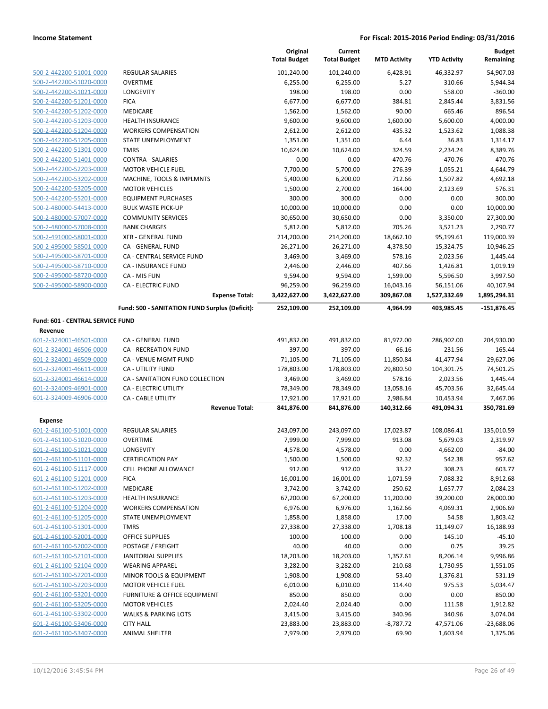|                                  |                                                | Original<br><b>Total Budget</b> | Current<br><b>Total Budget</b> | <b>MTD Activity</b> | <b>YTD Activity</b> | <b>Budget</b><br>Remaining |
|----------------------------------|------------------------------------------------|---------------------------------|--------------------------------|---------------------|---------------------|----------------------------|
| 500-2-442200-51001-0000          | <b>REGULAR SALARIES</b>                        | 101,240.00                      | 101,240.00                     | 6,428.91            | 46,332.97           | 54,907.03                  |
| 500-2-442200-51020-0000          | <b>OVERTIME</b>                                | 6,255.00                        | 6,255.00                       | 5.27                | 310.66              | 5,944.34                   |
| 500-2-442200-51021-0000          | LONGEVITY                                      | 198.00                          | 198.00                         | 0.00                | 558.00              | $-360.00$                  |
| 500-2-442200-51201-0000          | <b>FICA</b>                                    | 6,677.00                        | 6,677.00                       | 384.81              | 2,845.44            | 3,831.56                   |
| 500-2-442200-51202-0000          | MEDICARE                                       | 1,562.00                        | 1,562.00                       | 90.00               | 665.46              | 896.54                     |
| 500-2-442200-51203-0000          | HEALTH INSURANCE                               | 9,600.00                        | 9,600.00                       | 1,600.00            | 5,600.00            | 4,000.00                   |
| 500-2-442200-51204-0000          | <b>WORKERS COMPENSATION</b>                    | 2,612.00                        | 2,612.00                       | 435.32              | 1,523.62            | 1,088.38                   |
| 500-2-442200-51205-0000          | STATE UNEMPLOYMENT                             | 1,351.00                        | 1,351.00                       | 6.44                | 36.83               | 1,314.17                   |
| 500-2-442200-51301-0000          | <b>TMRS</b>                                    | 10,624.00                       | 10,624.00                      | 324.59              | 2,234.24            | 8,389.76                   |
| 500-2-442200-51401-0000          | <b>CONTRA - SALARIES</b>                       | 0.00                            | 0.00                           | -470.76             | $-470.76$           | 470.76                     |
| 500-2-442200-52203-0000          | <b>MOTOR VEHICLE FUEL</b>                      | 7,700.00                        | 5,700.00                       | 276.39              | 1,055.21            | 4,644.79                   |
| 500-2-442200-53202-0000          | MACHINE, TOOLS & IMPLMNTS                      | 5,400.00                        | 6,200.00                       | 712.66              | 1,507.82            | 4,692.18                   |
| 500-2-442200-53205-0000          | <b>MOTOR VEHICLES</b>                          | 1,500.00                        | 2,700.00                       | 164.00              | 2,123.69            | 576.31                     |
| 500-2-442200-55201-0000          | <b>EQUIPMENT PURCHASES</b>                     | 300.00                          | 300.00                         | 0.00                | 0.00                | 300.00                     |
| 500-2-480000-54413-0000          | <b>BULK WASTE PICK-UP</b>                      | 10,000.00                       | 10,000.00                      | 0.00                | 0.00                | 10,000.00                  |
| 500-2-480000-57007-0000          | <b>COMMUNITY SERVICES</b>                      | 30,650.00                       | 30,650.00                      | 0.00                | 3,350.00            | 27,300.00                  |
| 500-2-480000-57008-0000          | <b>BANK CHARGES</b>                            | 5,812.00                        | 5,812.00                       | 705.26              | 3,521.23            | 2,290.77                   |
| 500-2-491000-58001-0000          | <b>XFR - GENERAL FUND</b>                      | 214,200.00                      | 214,200.00                     | 18,662.10           | 95,199.61           | 119,000.39                 |
| 500-2-495000-58501-0000          | CA - GENERAL FUND                              | 26,271.00                       | 26,271.00                      | 4,378.50            | 15,324.75           | 10,946.25                  |
| 500-2-495000-58701-0000          | CA - CENTRAL SERVICE FUND                      | 3,469.00                        | 3,469.00                       | 578.16              | 2,023.56            | 1,445.44                   |
| 500-2-495000-58710-0000          | <b>CA - INSURANCE FUND</b>                     | 2,446.00                        | 2,446.00                       | 407.66              | 1,426.81            | 1,019.19                   |
| 500-2-495000-58720-0000          | CA - MIS FUN                                   | 9,594.00                        | 9,594.00                       | 1,599.00            | 5,596.50            | 3,997.50                   |
| 500-2-495000-58900-0000          | <b>CA - ELECTRIC FUND</b>                      | 96,259.00                       | 96,259.00                      | 16,043.16           | 56,151.06           | 40,107.94                  |
|                                  | <b>Expense Total:</b>                          | 3,422,627.00                    | 3,422,627.00                   | 309,867.08          | 1,527,332.69        | 1,895,294.31               |
|                                  | Fund: 500 - SANITATION FUND Surplus (Deficit): | 252,109.00                      | 252,109.00                     | 4,964.99            | 403,985.45          | $-151,876.45$              |
| Fund: 601 - CENTRAL SERVICE FUND |                                                |                                 |                                |                     |                     |                            |
| Revenue                          |                                                |                                 |                                |                     |                     |                            |
| 601-2-324001-46501-0000          | CA - GENERAL FUND                              | 491,832.00                      | 491,832.00                     | 81,972.00           | 286,902.00          | 204,930.00                 |
| 601-2-324001-46506-0000          | <b>CA - RECREATION FUND</b>                    | 397.00                          | 397.00                         | 66.16               | 231.56              | 165.44                     |
| 601-2-324001-46509-0000          | CA - VENUE MGMT FUND                           | 71,105.00                       | 71,105.00                      | 11,850.84           | 41,477.94           | 29,627.06                  |
| 601-2-324001-46611-0000          | CA - UTILITY FUND                              | 178,803.00                      | 178,803.00                     | 29,800.50           | 104,301.75          | 74,501.25                  |
| 601-2-324001-46614-0000          | CA - SANITATION FUND COLLECTION                | 3,469.00                        | 3,469.00                       | 578.16              | 2,023.56            | 1,445.44                   |
| 601-2-324009-46901-0000          | <b>CA - ELECTRIC UTILITY</b>                   | 78,349.00                       | 78,349.00                      | 13,058.16           | 45,703.56           | 32,645.44                  |
| 601-2-324009-46906-0000          | <b>CA - CABLE UTILITY</b>                      | 17,921.00                       | 17,921.00                      | 2,986.84            | 10,453.94           | 7,467.06                   |
|                                  | <b>Revenue Total:</b>                          | 841,876.00                      | 841,876.00                     | 140,312.66          | 491,094.31          | 350,781.69                 |
| <b>Expense</b>                   |                                                |                                 |                                |                     |                     |                            |
| 601-2-461100-51001-0000          | <b>REGULAR SALARIES</b>                        | 243,097.00                      | 243,097.00                     | 17,023.87           | 108,086.41          | 135,010.59                 |
| 601-2-461100-51020-0000          | <b>OVERTIME</b>                                | 7,999.00                        | 7,999.00                       | 913.08              | 5,679.03            | 2,319.97                   |
| 601-2-461100-51021-0000          | LONGEVITY                                      | 4,578.00                        | 4,578.00                       | 0.00                | 4,662.00            | $-84.00$                   |
| 601-2-461100-51101-0000          | <b>CERTIFICATION PAY</b>                       | 1,500.00                        | 1,500.00                       | 92.32               | 542.38              | 957.62                     |
| 601-2-461100-51117-0000          | <b>CELL PHONE ALLOWANCE</b>                    | 912.00                          | 912.00                         | 33.22               | 308.23              | 603.77                     |
| 601-2-461100-51201-0000          | <b>FICA</b>                                    | 16,001.00                       | 16,001.00                      | 1,071.59            | 7,088.32            | 8,912.68                   |
| 601-2-461100-51202-0000          | MEDICARE                                       | 3,742.00                        | 3,742.00                       | 250.62              | 1,657.77            | 2,084.23                   |
| 601-2-461100-51203-0000          | <b>HEALTH INSURANCE</b>                        | 67,200.00                       | 67,200.00                      | 11,200.00           | 39,200.00           | 28,000.00                  |
| 601-2-461100-51204-0000          | <b>WORKERS COMPENSATION</b>                    | 6,976.00                        | 6,976.00                       | 1,162.66            | 4,069.31            | 2,906.69                   |
| 601-2-461100-51205-0000          | STATE UNEMPLOYMENT                             | 1,858.00                        | 1,858.00                       | 17.00               | 54.58               | 1,803.42                   |
| 601-2-461100-51301-0000          | <b>TMRS</b>                                    | 27,338.00                       | 27,338.00                      | 1,708.18            | 11,149.07           | 16,188.93                  |
| 601-2-461100-52001-0000          | <b>OFFICE SUPPLIES</b>                         | 100.00                          | 100.00                         | 0.00                | 145.10              | $-45.10$                   |
| 601-2-461100-52002-0000          | POSTAGE / FREIGHT                              | 40.00                           | 40.00                          | 0.00                | 0.75                | 39.25                      |
| 601-2-461100-52101-0000          | JANITORIAL SUPPLIES                            | 18,203.00                       | 18,203.00                      | 1,357.61            | 8,206.14            | 9,996.86                   |
| 601-2-461100-52104-0000          | <b>WEARING APPAREL</b>                         | 3,282.00                        | 3,282.00                       | 210.68              | 1,730.95            | 1,551.05                   |
| 601-2-461100-52201-0000          | MINOR TOOLS & EQUIPMENT                        | 1,908.00                        | 1,908.00                       | 53.40               | 1,376.81            | 531.19                     |
| 601-2-461100-52203-0000          | <b>MOTOR VEHICLE FUEL</b>                      | 6,010.00                        | 6,010.00                       | 114.40              | 975.53              | 5,034.47                   |
| 601-2-461100-53201-0000          | FURNITURE & OFFICE EQUIPMENT                   | 850.00                          | 850.00                         | 0.00                | 0.00                | 850.00                     |
| 601-2-461100-53205-0000          | <b>MOTOR VEHICLES</b>                          | 2,024.40                        | 2,024.40                       | 0.00                | 111.58              | 1,912.82                   |
| 601-2-461100-53302-0000          | <b>WALKS &amp; PARKING LOTS</b>                | 3,415.00                        | 3,415.00                       | 340.96              | 340.96              | 3,074.04                   |
| 601-2-461100-53406-0000          | <b>CITY HALL</b>                               | 23,883.00                       | 23,883.00                      | $-8,787.72$         | 47,571.06           | $-23,688.06$               |
| 601-2-461100-53407-0000          | ANIMAL SHELTER                                 | 2,979.00                        | 2,979.00                       | 69.90               | 1,603.94            | 1,375.06                   |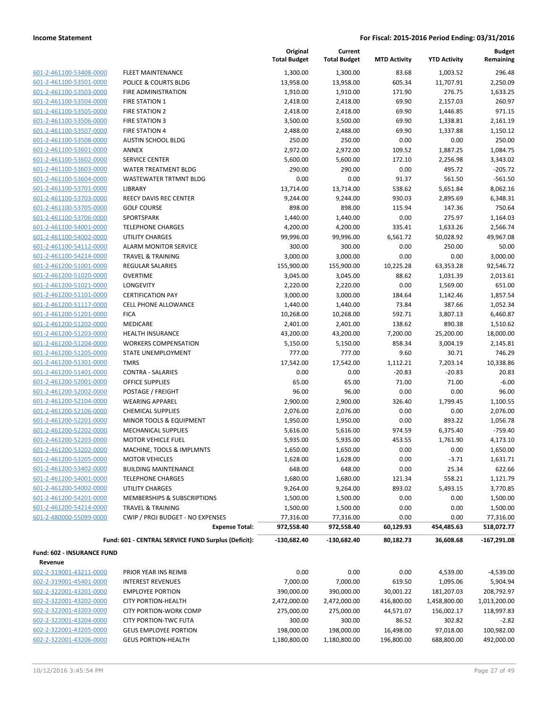| 601-2-461100-53408-0000             |
|-------------------------------------|
| 601-2-461100-53501-0000             |
| 601-2-461100-53503-0000             |
| <u>601-2-461100-53504-0000</u>      |
| 601-2-461100-53505-0000             |
| 2-461100-53506-0000<br>$601 -$      |
| 601-2-461100-53507-0000             |
| 601-2-461100-53508-0000             |
| <u>601-2-461100-53601-0000</u>      |
| 601-2-461100-53602-0000             |
| 2-461100-53603-0000<br>601          |
| 601-2-461100-53604-0000             |
| 601-2-461100-53701-0000             |
| <u>601-2-461100-53703-0000</u>      |
| 601-2-461100-53705-0000             |
| 2-461100-53706-0000<br>$601 -$      |
| 601-2-461100-54001-0000             |
| 601-2-461100-54002-0000             |
| 601-2-461100-54112-0000             |
| 601-2-461100-54214-0000             |
| 2-461200-51001-0000<br>601          |
| 601-2-461200-51020-0000             |
| 601-2-461200-51021-0000             |
| <u>601-2-461200-51101-0000</u>      |
| 601-2-461200-51117-0000             |
| 2-461200-51201-0000<br>$601 -$      |
| 601-2-461200-51202-0000             |
| 601-2-461200-51203-0000             |
| 601-2-461200-51204-0000             |
| 601-2-461200-51205-0000             |
| 2-461200-51301-<br>$601 -$<br>-0000 |
| 601-2-461200-51401-0000             |
| 601-2-461200-52001-0000             |
| <u>601-2-461200-52002-0000</u>      |
| 601-2-461200-52104-0000             |
| 2-461200-52106-0000<br>$601 -$      |
| 601-2-461200-52201-0000             |
| 601-2-461200-52202-0000             |
| <u>601-2-461200-52203-0000</u>      |
| 601-2-461200-53202-0000             |
| -2-461200-53205-0000<br>$601 -$     |
| 601-2-461200-53402-0000             |
| 601-2-461200-54001-0000             |
| 601-2-461200-54002-0000             |
| 601-2-461200-54201-0000             |
| 601-2-461200-54214-0000             |
| 601-2-480000-55099-0000             |
|                                     |
|                                     |

|                            |                                                     | Original<br><b>Total Budget</b> | Current<br><b>Total Budget</b> | <b>MTD Activity</b> | <b>YTD Activity</b> | <b>Budget</b><br>Remaining |
|----------------------------|-----------------------------------------------------|---------------------------------|--------------------------------|---------------------|---------------------|----------------------------|
| 601-2-461100-53408-0000    | FLEET MAINTENANCE                                   | 1,300.00                        | 1,300.00                       | 83.68               | 1,003.52            | 296.48                     |
| 601-2-461100-53501-0000    | <b>POLICE &amp; COURTS BLDG</b>                     | 13,958.00                       | 13,958.00                      | 605.34              | 11,707.91           | 2,250.09                   |
| 601-2-461100-53503-0000    | FIRE ADMINISTRATION                                 | 1,910.00                        | 1,910.00                       | 171.90              | 276.75              | 1,633.25                   |
| 601-2-461100-53504-0000    | <b>FIRE STATION 1</b>                               | 2,418.00                        | 2,418.00                       | 69.90               | 2,157.03            | 260.97                     |
| 601-2-461100-53505-0000    | <b>FIRE STATION 2</b>                               | 2,418.00                        | 2,418.00                       | 69.90               | 1,446.85            | 971.15                     |
| 601-2-461100-53506-0000    | <b>FIRE STATION 3</b>                               | 3,500.00                        | 3,500.00                       | 69.90               | 1,338.81            | 2,161.19                   |
| 601-2-461100-53507-0000    | <b>FIRE STATION 4</b>                               | 2,488.00                        | 2,488.00                       | 69.90               | 1,337.88            | 1,150.12                   |
| 601-2-461100-53508-0000    | <b>AUSTIN SCHOOL BLDG</b>                           | 250.00                          | 250.00                         | 0.00                | 0.00                | 250.00                     |
| 601-2-461100-53601-0000    | <b>ANNEX</b>                                        | 2,972.00                        | 2,972.00                       | 109.52              | 1,887.25            | 1,084.75                   |
| 601-2-461100-53602-0000    | <b>SERVICE CENTER</b>                               | 5,600.00                        | 5,600.00                       | 172.10              | 2,256.98            | 3,343.02                   |
| 601-2-461100-53603-0000    | WATER TREATMENT BLDG                                | 290.00                          | 290.00                         | 0.00                | 495.72              | $-205.72$                  |
| 601-2-461100-53604-0000    | WASTEWATER TRTMNT BLDG                              | 0.00                            | 0.00                           | 91.37               | 561.50              | $-561.50$                  |
| 601-2-461100-53701-0000    | LIBRARY                                             | 13,714.00                       | 13,714.00                      | 538.62              | 5,651.84            | 8,062.16                   |
| 601-2-461100-53703-0000    | <b>REECY DAVIS REC CENTER</b>                       | 9,244.00                        | 9,244.00                       | 930.03              | 2,895.69            | 6,348.31                   |
| 601-2-461100-53705-0000    | <b>GOLF COURSE</b>                                  | 898.00                          | 898.00                         | 115.94              | 147.36              | 750.64                     |
| 601-2-461100-53706-0000    | SPORTSPARK                                          | 1,440.00                        | 1,440.00                       | 0.00                | 275.97              | 1,164.03                   |
| 601-2-461100-54001-0000    | <b>TELEPHONE CHARGES</b>                            | 4,200.00                        | 4,200.00                       | 335.41              | 1,633.26            | 2,566.74                   |
| 601-2-461100-54002-0000    | <b>UTILITY CHARGES</b>                              | 99,996.00                       | 99,996.00                      | 6,561.72            | 50,028.92           | 49,967.08                  |
| 601-2-461100-54112-0000    | <b>ALARM MONITOR SERVICE</b>                        | 300.00                          | 300.00                         | 0.00                | 250.00              | 50.00                      |
| 601-2-461100-54214-0000    | <b>TRAVEL &amp; TRAINING</b>                        | 3,000.00                        | 3,000.00                       | 0.00                | 0.00                | 3,000.00                   |
| 601-2-461200-51001-0000    | <b>REGULAR SALARIES</b>                             | 155,900.00                      | 155,900.00                     | 10,225.28           | 63,353.28           | 92,546.72                  |
| 601-2-461200-51020-0000    | <b>OVERTIME</b>                                     | 3,045.00                        | 3,045.00                       | 88.62               | 1,031.39            | 2,013.61                   |
| 601-2-461200-51021-0000    | LONGEVITY                                           | 2,220.00                        | 2,220.00                       | 0.00                | 1,569.00            | 651.00                     |
| 601-2-461200-51101-0000    | <b>CERTIFICATION PAY</b>                            | 3,000.00                        | 3,000.00                       | 184.64              | 1,142.46            | 1,857.54                   |
| 601-2-461200-51117-0000    | <b>CELL PHONE ALLOWANCE</b>                         | 1,440.00                        | 1,440.00                       | 73.84               | 387.66              | 1,052.34                   |
| 601-2-461200-51201-0000    | <b>FICA</b>                                         | 10,268.00                       | 10,268.00                      | 592.71              | 3,807.13            | 6,460.87                   |
| 601-2-461200-51202-0000    | MEDICARE                                            | 2,401.00                        | 2,401.00                       | 138.62              | 890.38              | 1,510.62                   |
| 601-2-461200-51203-0000    | <b>HEALTH INSURANCE</b>                             | 43,200.00                       | 43,200.00                      | 7,200.00            | 25,200.00           | 18,000.00                  |
| 601-2-461200-51204-0000    | <b>WORKERS COMPENSATION</b>                         | 5,150.00                        | 5,150.00                       | 858.34              | 3,004.19            | 2,145.81                   |
| 601-2-461200-51205-0000    | STATE UNEMPLOYMENT                                  | 777.00                          | 777.00                         | 9.60                | 30.71               | 746.29                     |
| 601-2-461200-51301-0000    | <b>TMRS</b>                                         | 17,542.00                       | 17,542.00                      | 1,112.21            | 7,203.14            | 10,338.86                  |
| 601-2-461200-51401-0000    | <b>CONTRA - SALARIES</b>                            | 0.00                            | 0.00                           | $-20.83$            | $-20.83$            | 20.83                      |
| 601-2-461200-52001-0000    | <b>OFFICE SUPPLIES</b>                              | 65.00                           | 65.00                          | 71.00               | 71.00               | $-6.00$                    |
| 601-2-461200-52002-0000    | POSTAGE / FREIGHT                                   | 96.00                           | 96.00                          | 0.00                | 0.00                | 96.00                      |
| 601-2-461200-52104-0000    | <b>WEARING APPAREL</b>                              | 2,900.00                        | 2,900.00                       | 326.40              | 1,799.45            | 1,100.55                   |
| 601-2-461200-52106-0000    | <b>CHEMICAL SUPPLIES</b>                            | 2,076.00                        | 2,076.00                       | 0.00                | 0.00                | 2,076.00                   |
| 601-2-461200-52201-0000    | MINOR TOOLS & EQUIPMENT                             | 1,950.00                        | 1,950.00                       | 0.00                | 893.22              | 1,056.78                   |
| 601-2-461200-52202-0000    | <b>MECHANICAL SUPPLIES</b>                          | 5,616.00                        | 5,616.00                       | 974.59              | 6,375.40            | $-759.40$                  |
| 601-2-461200-52203-0000    | <b>MOTOR VEHICLE FUEL</b>                           | 5,935.00                        | 5,935.00                       | 453.55              | 1,761.90            | 4,173.10                   |
| 601-2-461200-53202-0000    | MACHINE, TOOLS & IMPLMNTS                           | 1,650.00                        | 1,650.00                       | 0.00                | 0.00                | 1,650.00                   |
| 601-2-461200-53205-0000    | <b>MOTOR VEHICLES</b>                               | 1,628.00                        | 1,628.00                       | 0.00                | $-3.71$             | 1,631.71                   |
| 601-2-461200-53402-0000    | <b>BUILDING MAINTENANCE</b>                         | 648.00                          | 648.00                         | 0.00                | 25.34               | 622.66                     |
| 601-2-461200-54001-0000    | <b>TELEPHONE CHARGES</b>                            | 1,680.00                        | 1,680.00                       | 121.34              | 558.21              | 1,121.79                   |
| 601-2-461200-54002-0000    | UTILITY CHARGES                                     | 9,264.00                        | 9,264.00                       | 893.02              | 5,493.15            | 3,770.85                   |
| 601-2-461200-54201-0000    | MEMBERSHIPS & SUBSCRIPTIONS                         | 1,500.00                        | 1,500.00                       | 0.00                | 0.00                | 1,500.00                   |
| 601-2-461200-54214-0000    | <b>TRAVEL &amp; TRAINING</b>                        | 1,500.00                        | 1,500.00                       | 0.00                | 0.00                | 1,500.00                   |
| 601-2-480000-55099-0000    | CWIP / PROJ BUDGET - NO EXPENSES                    | 77,316.00                       | 77,316.00                      | 0.00                | 0.00                | 77,316.00                  |
|                            | <b>Expense Total:</b>                               | 972,558.40                      | 972,558.40                     | 60,129.93           | 454,485.63          | 518,072.77                 |
|                            | Fund: 601 - CENTRAL SERVICE FUND Surplus (Deficit): | $-130,682.40$                   | $-130,682.40$                  | 80,182.73           | 36,608.68           | $-167,291.08$              |
| Fund: 602 - INSURANCE FUND |                                                     |                                 |                                |                     |                     |                            |
| Revenue                    |                                                     |                                 |                                |                     |                     |                            |
| 602-2-319001-43211-0000    | PRIOR YEAR INS REIMB                                | 0.00                            | 0.00                           | 0.00                | 4,539.00            | $-4,539.00$                |
| 602-2-319001-45401-0000    | <b>INTEREST REVENUES</b>                            | 7,000.00                        | 7,000.00                       | 619.50              | 1,095.06            | 5,904.94                   |
| 602-2-322001-43201-0000    | <b>EMPLOYEE PORTION</b>                             | 390,000.00                      | 390,000.00                     | 30,001.22           | 181,207.03          | 208,792.97                 |
| 602-2-322001-43202-0000    | <b>CITY PORTION-HEALTH</b>                          | 2,472,000.00                    | 2,472,000.00                   | 416,800.00          | 1,458,800.00        | 1,013,200.00               |
| 602-2-322001-43203-0000    | <b>CITY PORTION-WORK COMP</b>                       | 275,000.00                      | 275,000.00                     | 44,571.07           | 156,002.17          | 118,997.83                 |
| 602-2-322001-43204-0000    | <b>CITY PORTION-TWC FUTA</b>                        | 300.00                          | 300.00                         | 86.52               | 302.82              | $-2.82$                    |
| 602-2-322001-43205-0000    | <b>GEUS EMPLOYEE PORTION</b>                        | 198,000.00                      | 198,000.00                     | 16,498.00           | 97,018.00           | 100,982.00                 |
| 602-2-322001-43206-0000    | <b>GEUS PORTION-HEALTH</b>                          | 1,180,800.00                    | 1,180,800.00                   | 196,800.00          | 688,800.00          | 492,000.00                 |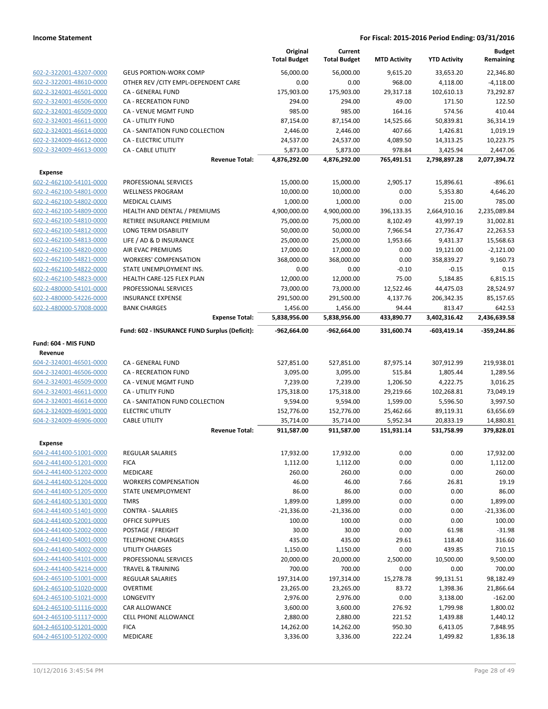|                                                    |                                                    | Original<br><b>Total Budget</b> | Current<br><b>Total Budget</b> | <b>MTD Activity</b>   | <b>YTD Activity</b>     | <b>Budget</b><br>Remaining |
|----------------------------------------------------|----------------------------------------------------|---------------------------------|--------------------------------|-----------------------|-------------------------|----------------------------|
| 602-2-322001-43207-0000                            | <b>GEUS PORTION-WORK COMP</b>                      | 56,000.00                       | 56.000.00                      | 9,615.20              | 33,653.20               | 22,346.80                  |
| 602-2-322001-48610-0000                            | OTHER REV / CITY EMPL-DEPENDENT CARE               | 0.00                            | 0.00                           | 968.00                | 4,118.00                | $-4,118.00$                |
| 602-2-324001-46501-0000                            | CA - GENERAL FUND                                  | 175,903.00                      | 175,903.00                     | 29,317.18             | 102,610.13              | 73,292.87                  |
| 602-2-324001-46506-0000                            | <b>CA - RECREATION FUND</b>                        | 294.00                          | 294.00                         | 49.00                 | 171.50                  | 122.50                     |
| 602-2-324001-46509-0000                            | CA - VENUE MGMT FUND                               | 985.00                          | 985.00                         | 164.16                | 574.56                  | 410.44                     |
| 602-2-324001-46611-0000                            | <b>CA - UTILITY FUND</b>                           | 87,154.00                       | 87,154.00                      | 14,525.66             | 50,839.81               | 36,314.19                  |
| 602-2-324001-46614-0000                            | CA - SANITATION FUND COLLECTION                    | 2,446.00                        | 2,446.00                       | 407.66                | 1,426.81                | 1,019.19                   |
| 602-2-324009-46612-0000                            | CA - ELECTRIC UTILITY                              | 24,537.00                       | 24,537.00                      | 4,089.50              | 14,313.25               | 10,223.75                  |
| 602-2-324009-46613-0000                            | <b>CA - CABLE UTILITY</b>                          | 5,873.00                        | 5,873.00                       | 978.84                | 3,425.94                | 2,447.06                   |
|                                                    | <b>Revenue Total:</b>                              | 4,876,292.00                    | 4,876,292.00                   | 765,491.51            | 2,798,897.28            | 2,077,394.72               |
| <b>Expense</b>                                     |                                                    |                                 |                                |                       |                         |                            |
| 602-2-462100-54101-0000                            | PROFESSIONAL SERVICES                              | 15,000.00                       | 15,000.00                      | 2,905.17              | 15,896.61               | $-896.61$                  |
| 602-2-462100-54801-0000                            | <b>WELLNESS PROGRAM</b>                            | 10,000.00                       | 10,000.00                      | 0.00                  | 5,353.80                | 4,646.20                   |
| 602-2-462100-54802-0000                            | <b>MEDICAL CLAIMS</b>                              | 1,000.00                        | 1,000.00                       | 0.00                  | 215.00                  | 785.00                     |
| 602-2-462100-54809-0000                            | HEALTH AND DENTAL / PREMIUMS                       | 4,900,000.00                    | 4,900,000.00                   | 396,133.35            | 2,664,910.16            | 2,235,089.84               |
| 602-2-462100-54810-0000                            | RETIREE INSURANCE PREMIUM                          | 75,000.00                       | 75,000.00                      | 8,102.49              | 43,997.19               | 31,002.81                  |
| 602-2-462100-54812-0000                            | <b>LONG TERM DISABILITY</b>                        | 50,000.00                       | 50,000.00                      | 7,966.54              | 27,736.47               | 22,263.53                  |
| 602-2-462100-54813-0000                            | LIFE / AD & D INSURANCE                            | 25,000.00                       | 25,000.00                      | 1,953.66              | 9,431.37                | 15,568.63                  |
| 602-2-462100-54820-0000                            | AIR EVAC PREMIUMS                                  | 17,000.00                       | 17,000.00                      | 0.00                  | 19,121.00               | $-2,121.00$                |
| 602-2-462100-54821-0000                            | <b>WORKERS' COMPENSATION</b>                       | 368,000.00                      | 368,000.00                     | 0.00                  | 358,839.27              | 9,160.73                   |
| 602-2-462100-54822-0000                            | STATE UNEMPLOYMENT INS.                            | 0.00                            | 0.00                           | $-0.10$               | $-0.15$                 | 0.15                       |
| 602-2-462100-54823-0000                            | HEALTH CARE-125 FLEX PLAN                          | 12,000.00                       | 12,000.00                      | 75.00                 | 5,184.85                | 6,815.15<br>28,524.97      |
| 602-2-480000-54101-0000<br>602-2-480000-54226-0000 | PROFESSIONAL SERVICES<br><b>INSURANCE EXPENSE</b>  | 73,000.00<br>291,500.00         | 73,000.00<br>291,500.00        | 12,522.46<br>4,137.76 | 44,475.03<br>206,342.35 | 85,157.65                  |
| 602-2-480000-57008-0000                            | <b>BANK CHARGES</b>                                | 1,456.00                        | 1,456.00                       | 94.44                 | 813.47                  | 642.53                     |
|                                                    | <b>Expense Total:</b>                              | 5,838,956.00                    | 5,838,956.00                   | 433,890.77            | 3,402,316.42            | 2,436,639.58               |
|                                                    | Fund: 602 - INSURANCE FUND Surplus (Deficit):      | -962,664.00                     | -962,664.00                    | 331,600.74            | -603,419.14             | $-359,244.86$              |
| Fund: 604 - MIS FUND                               |                                                    |                                 |                                |                       |                         |                            |
| Revenue                                            |                                                    |                                 |                                |                       |                         |                            |
| 604-2-324001-46501-0000                            | CA - GENERAL FUND                                  | 527,851.00                      | 527,851.00                     | 87,975.14             | 307,912.99              | 219,938.01                 |
| 604-2-324001-46506-0000                            | <b>CA - RECREATION FUND</b>                        | 3,095.00                        | 3,095.00                       | 515.84                | 1,805.44                | 1,289.56                   |
| 604-2-324001-46509-0000                            | CA - VENUE MGMT FUND                               | 7,239.00                        | 7,239.00                       | 1,206.50              | 4,222.75                | 3,016.25                   |
| 604-2-324001-46611-0000                            | CA - UTILITY FUND                                  | 175,318.00                      | 175,318.00                     | 29,219.66             | 102,268.81              | 73,049.19                  |
| 604-2-324001-46614-0000                            | CA - SANITATION FUND COLLECTION                    | 9,594.00                        | 9,594.00                       | 1,599.00              | 5,596.50                | 3,997.50                   |
| 604-2-324009-46901-0000                            | <b>ELECTRIC UTILITY</b>                            | 152,776.00                      | 152,776.00                     | 25,462.66             | 89,119.31               | 63,656.69                  |
| 604-2-324009-46906-0000                            | <b>CABLE UTILITY</b>                               | 35,714.00                       | 35,714.00                      | 5,952.34              | 20,833.19               | 14,880.81                  |
|                                                    | <b>Revenue Total:</b>                              | 911,587.00                      | 911,587.00                     | 151,931.14            | 531,758.99              | 379,828.01                 |
| <b>Expense</b>                                     |                                                    |                                 |                                |                       |                         |                            |
| 604-2-441400-51001-0000                            | <b>REGULAR SALARIES</b>                            | 17,932.00                       | 17,932.00                      | 0.00                  | 0.00                    | 17,932.00                  |
| 604-2-441400-51201-0000                            | <b>FICA</b>                                        | 1,112.00                        | 1,112.00                       | 0.00                  | 0.00                    | 1,112.00                   |
| 604-2-441400-51202-0000                            | <b>MEDICARE</b>                                    | 260.00                          | 260.00                         | 0.00                  | 0.00                    | 260.00                     |
| 604-2-441400-51204-0000                            | <b>WORKERS COMPENSATION</b>                        | 46.00                           | 46.00                          | 7.66                  | 26.81                   | 19.19                      |
| 604-2-441400-51205-0000                            | STATE UNEMPLOYMENT                                 | 86.00                           | 86.00                          | 0.00                  | 0.00                    | 86.00                      |
| 604-2-441400-51301-0000                            | <b>TMRS</b>                                        | 1,899.00                        | 1,899.00                       | 0.00                  | 0.00                    | 1,899.00                   |
| 604-2-441400-51401-0000                            | <b>CONTRA - SALARIES</b>                           | $-21,336.00$                    | $-21,336.00$                   | 0.00                  | 0.00                    | $-21,336.00$               |
| 604-2-441400-52001-0000                            | <b>OFFICE SUPPLIES</b>                             | 100.00                          | 100.00                         | 0.00                  | 0.00                    | 100.00                     |
| 604-2-441400-52002-0000<br>604-2-441400-54001-0000 | POSTAGE / FREIGHT                                  | 30.00<br>435.00                 | 30.00<br>435.00                | 0.00<br>29.61         | 61.98<br>118.40         | $-31.98$<br>316.60         |
| 604-2-441400-54002-0000                            | <b>TELEPHONE CHARGES</b><br><b>UTILITY CHARGES</b> | 1,150.00                        | 1,150.00                       | 0.00                  | 439.85                  | 710.15                     |
| 604-2-441400-54101-0000                            | PROFESSIONAL SERVICES                              | 20,000.00                       | 20,000.00                      | 2,500.00              | 10,500.00               | 9,500.00                   |
| 604-2-441400-54214-0000                            | <b>TRAVEL &amp; TRAINING</b>                       | 700.00                          | 700.00                         | 0.00                  | 0.00                    | 700.00                     |
| 604-2-465100-51001-0000                            | <b>REGULAR SALARIES</b>                            | 197,314.00                      | 197,314.00                     | 15,278.78             | 99,131.51               | 98,182.49                  |
| 604-2-465100-51020-0000                            | <b>OVERTIME</b>                                    | 23,265.00                       | 23,265.00                      | 83.72                 | 1,398.36                | 21,866.64                  |
| 604-2-465100-51021-0000                            | LONGEVITY                                          | 2,976.00                        | 2,976.00                       | 0.00                  | 3,138.00                | $-162.00$                  |
| 604-2-465100-51116-0000                            | CAR ALLOWANCE                                      | 3,600.00                        | 3,600.00                       | 276.92                | 1,799.98                | 1,800.02                   |
| 604-2-465100-51117-0000                            | CELL PHONE ALLOWANCE                               | 2,880.00                        | 2,880.00                       | 221.52                | 1,439.88                | 1,440.12                   |
| 604-2-465100-51201-0000                            | <b>FICA</b>                                        | 14,262.00                       | 14,262.00                      | 950.30                | 6,413.05                | 7,848.95                   |
| 604-2-465100-51202-0000                            | MEDICARE                                           | 3,336.00                        | 3,336.00                       | 222.24                | 1,499.82                | 1,836.18                   |
|                                                    |                                                    |                                 |                                |                       |                         |                            |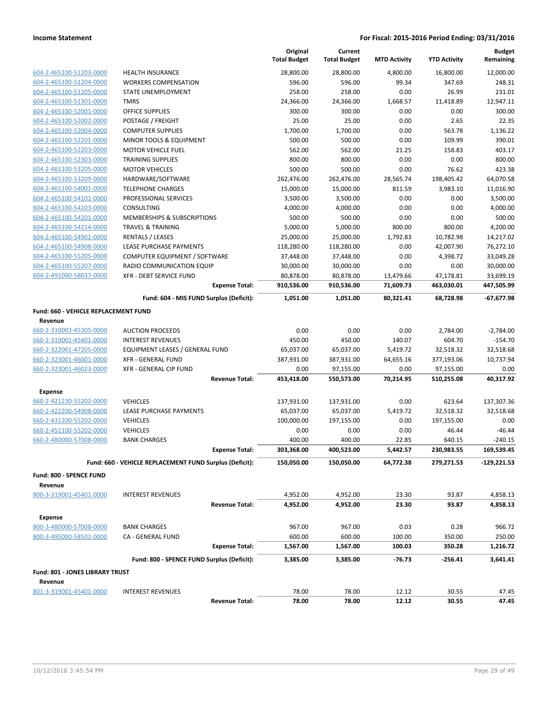|                                      |                                                         | Original<br><b>Total Budget</b> | Current<br><b>Total Budget</b> | <b>MTD Activity</b> | <b>YTD Activity</b> | <b>Budget</b><br>Remaining |
|--------------------------------------|---------------------------------------------------------|---------------------------------|--------------------------------|---------------------|---------------------|----------------------------|
| 604-2-465100-51203-0000              | <b>HEALTH INSURANCE</b>                                 | 28,800.00                       | 28,800.00                      | 4,800.00            | 16,800.00           | 12,000.00                  |
| 604-2-465100-51204-0000              | <b>WORKERS COMPENSATION</b>                             | 596.00                          | 596.00                         | 99.34               | 347.69              | 248.31                     |
| 604-2-465100-51205-0000              | STATE UNEMPLOYMENT                                      | 258.00                          | 258.00                         | 0.00                | 26.99               | 231.01                     |
| 604-2-465100-51301-0000              | <b>TMRS</b>                                             | 24,366.00                       | 24,366.00                      | 1,668.57            | 11,418.89           | 12,947.11                  |
| 604-2-465100-52001-0000              | <b>OFFICE SUPPLIES</b>                                  | 300.00                          | 300.00                         | 0.00                | 0.00                | 300.00                     |
| 604-2-465100-52002-0000              | POSTAGE / FREIGHT                                       | 25.00                           | 25.00                          | 0.00                | 2.65                | 22.35                      |
| 604-2-465100-52004-0000              | <b>COMPUTER SUPPLIES</b>                                | 1,700.00                        | 1,700.00                       | 0.00                | 563.78              | 1,136.22                   |
| 604-2-465100-52201-0000              | MINOR TOOLS & EQUIPMENT                                 | 500.00                          | 500.00                         | 0.00                | 109.99              | 390.01                     |
| 604-2-465100-52203-0000              | <b>MOTOR VEHICLE FUEL</b>                               | 562.00                          | 562.00                         | 21.25               | 158.83              | 403.17                     |
| 604-2-465100-52303-0000              | <b>TRAINING SUPPLIES</b>                                | 800.00                          | 800.00                         | 0.00                | 0.00                | 800.00                     |
| 604-2-465100-53205-0000              | <b>MOTOR VEHICLES</b>                                   | 500.00                          | 500.00                         | 0.00                | 76.62               | 423.38                     |
| 604-2-465100-53209-0000              | HARDWARE/SOFTWARE                                       | 262,476.00                      | 262,476.00                     | 28,565.74           | 198,405.42          | 64,070.58                  |
| 604-2-465100-54001-0000              | <b>TELEPHONE CHARGES</b>                                | 15,000.00                       | 15,000.00                      | 811.59              | 3,983.10            | 11,016.90                  |
| 604-2-465100-54101-0000              | PROFESSIONAL SERVICES                                   | 3,500.00                        | 3,500.00                       | 0.00                | 0.00                | 3,500.00                   |
| 604-2-465100-54103-0000              | <b>CONSULTING</b>                                       | 4,000.00                        | 4,000.00                       | 0.00                | 0.00                | 4,000.00                   |
| 604-2-465100-54201-0000              | MEMBERSHIPS & SUBSCRIPTIONS                             | 500.00                          | 500.00                         | 0.00                | 0.00                | 500.00                     |
| 604-2-465100-54214-0000              | <b>TRAVEL &amp; TRAINING</b>                            | 5,000.00                        | 5,000.00                       | 800.00              | 800.00              | 4,200.00                   |
| 604-2-465100-54901-0000              | <b>RENTALS / LEASES</b>                                 | 25,000.00                       | 25,000.00                      | 1,792.83            | 10,782.98           | 14,217.02                  |
| 604-2-465100-54908-0000              | LEASE PURCHASE PAYMENTS                                 | 118,280.00                      | 118,280.00                     | 0.00                | 42,007.90           | 76,272.10                  |
| 604-2-465100-55205-0000              | COMPUTER EQUIPMENT / SOFTWARE                           | 37,448.00                       | 37,448.00                      | 0.00                | 4,398.72            | 33,049.28                  |
| 604-2-465100-55207-0000              | RADIO COMMUNICATION EQUIP                               | 30,000.00                       | 30,000.00                      | 0.00                | 0.00                | 30,000.00                  |
| 604-2-491000-58037-0000              | XFR - DEBT SERVICE FUND                                 | 80,878.00                       | 80,878.00                      | 13,479.66           | 47,178.81           | 33,699.19                  |
|                                      | <b>Expense Total:</b>                                   | 910,536.00<br>1.051.00          | 910,536.00                     | 71,609.73           | 463,030.01          | 447,505.99                 |
|                                      | Fund: 604 - MIS FUND Surplus (Deficit):                 |                                 | 1,051.00                       | 80,321.41           | 68,728.98           | $-67,677.98$               |
| Fund: 660 - VEHICLE REPLACEMENT FUND |                                                         |                                 |                                |                     |                     |                            |
| Revenue                              |                                                         |                                 |                                |                     |                     |                            |
| 660-2-310003-45305-0000              | <b>AUCTION PROCEEDS</b>                                 | 0.00                            | 0.00                           | 0.00                | 2,784.00            | $-2,784.00$                |
| 660-2-319001-45401-0000              | <b>INTEREST REVENUES</b>                                | 450.00                          | 450.00                         | 140.07              | 604.70              | $-154.70$                  |
| 660-2-322001-47205-0000              | EQUIPMENT LEASES / GENERAL FUND                         | 65,037.00                       | 65,037.00                      | 5,419.72            | 32,518.32           | 32,518.68                  |
| 660-2-323001-46001-0000              | XFR - GENERAL FUND                                      | 387,931.00                      | 387,931.00                     | 64,655.16           | 377,193.06          | 10,737.94                  |
| 660-2-323001-46023-0000              | XFR - GENERAL CIP FUND                                  | 0.00                            | 97,155.00                      | 0.00                | 97,155.00           | 0.00                       |
|                                      | <b>Revenue Total:</b>                                   | 453,418.00                      | 550,573.00                     | 70,214.95           | 510,255.08          | 40,317.92                  |
| <b>Expense</b>                       |                                                         |                                 |                                |                     |                     |                            |
| 660-2-421230-55202-0000              | <b>VEHICLES</b>                                         | 137,931.00                      | 137,931.00                     | 0.00                | 623.64              | 137,307.36                 |
| 660-2-422200-54908-0000              | LEASE PURCHASE PAYMENTS                                 | 65,037.00                       | 65,037.00                      | 5,419.72            | 32,518.32           | 32,518.68                  |
| 660-2-431200-55202-0000              | <b>VEHICLES</b>                                         | 100,000.00                      | 197,155.00                     | 0.00                | 197,155.00          | 0.00                       |
| 660-2-451100-55202-0000              | <b>VEHICLES</b>                                         | 0.00                            | 0.00                           | 0.00                | 46.44               | $-46.44$                   |
| 660-2-480000-57008-0000              | <b>BANK CHARGES</b>                                     | 400.00                          | 400.00                         | 22.85               | 640.15              | $-240.15$                  |
|                                      | Expense Total:                                          | 303,368.00                      | 400,523.00                     | 5,442.57            | 230,983.55          | 169,539.45                 |
|                                      | Fund: 660 - VEHICLE REPLACEMENT FUND Surplus (Deficit): | 150,050.00                      | 150,050.00                     | 64,772.38           | 279,271.53          | -129,221.53                |
| Fund: 800 - SPENCE FUND              |                                                         |                                 |                                |                     |                     |                            |
| Revenue                              |                                                         |                                 |                                |                     |                     |                            |
| 800-3-319001-45401-0000              | <b>INTEREST REVENUES</b>                                | 4,952.00                        | 4,952.00                       | 23.30               | 93.87               | 4,858.13                   |
|                                      | <b>Revenue Total:</b>                                   | 4,952.00                        | 4,952.00                       | 23.30               | 93.87               | 4,858.13                   |
| <b>Expense</b>                       |                                                         |                                 |                                |                     |                     |                            |
| 800-3-480000-57008-0000              | <b>BANK CHARGES</b>                                     | 967.00                          | 967.00                         | 0.03                | 0.28                | 966.72                     |
| 800-3-495000-58501-0000              | CA - GENERAL FUND                                       | 600.00                          | 600.00                         | 100.00              | 350.00              | 250.00                     |
|                                      | <b>Expense Total:</b>                                   | 1,567.00                        | 1,567.00                       | 100.03              | 350.28              | 1,216.72                   |
|                                      | Fund: 800 - SPENCE FUND Surplus (Deficit):              | 3,385.00                        | 3,385.00                       | $-76.73$            | -256.41             | 3,641.41                   |
| Fund: 801 - JONES LIBRARY TRUST      |                                                         |                                 |                                |                     |                     |                            |
| Revenue                              |                                                         |                                 |                                |                     |                     |                            |
| 801-3-319001-45401-0000              | <b>INTEREST REVENUES</b>                                | 78.00                           | 78.00                          | 12.12               | 30.55               | 47.45                      |
|                                      | <b>Revenue Total:</b>                                   | 78.00                           | 78.00                          | 12.12               | 30.55               | 47.45                      |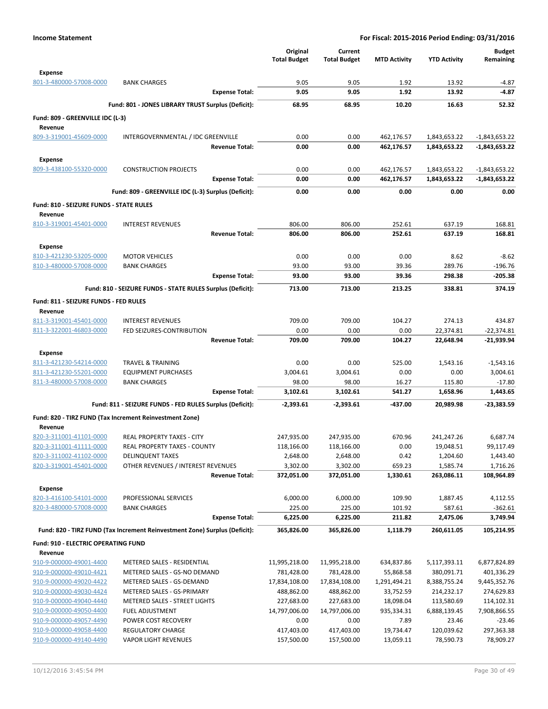|                                                    |                                                                            | Original<br><b>Total Budget</b> | Current<br><b>Total Budget</b> | <b>MTD Activity</b> | <b>YTD Activity</b>  | <b>Budget</b><br>Remaining |
|----------------------------------------------------|----------------------------------------------------------------------------|---------------------------------|--------------------------------|---------------------|----------------------|----------------------------|
| <b>Expense</b>                                     |                                                                            |                                 |                                |                     |                      |                            |
| 801-3-480000-57008-0000                            | <b>BANK CHARGES</b>                                                        | 9.05                            | 9.05                           | 1.92                | 13.92                | $-4.87$                    |
|                                                    | <b>Expense Total:</b>                                                      | 9.05                            | 9.05                           | 1.92                | 13.92                | -4.87                      |
|                                                    | Fund: 801 - JONES LIBRARY TRUST Surplus (Deficit):                         | 68.95                           | 68.95                          | 10.20               | 16.63                | 52.32                      |
| Fund: 809 - GREENVILLE IDC (L-3)                   |                                                                            |                                 |                                |                     |                      |                            |
| Revenue                                            |                                                                            |                                 |                                |                     |                      |                            |
| 809-3-319001-45609-0000                            | INTERGOVERNMENTAL / IDC GREENVILLE                                         | 0.00                            | 0.00                           | 462,176.57          | 1,843,653.22         | $-1,843,653.22$            |
|                                                    | <b>Revenue Total:</b>                                                      | 0.00                            | 0.00                           | 462,176.57          | 1,843,653.22         | $-1,843,653.22$            |
| <b>Expense</b>                                     |                                                                            |                                 |                                |                     |                      |                            |
| 809-3-438100-55320-0000                            | <b>CONSTRUCTION PROJECTS</b>                                               | 0.00                            | 0.00                           | 462,176.57          | 1,843,653.22         | $-1,843,653.22$            |
|                                                    | <b>Expense Total:</b>                                                      | 0.00                            | 0.00                           | 462,176.57          | 1,843,653.22         | $-1,843,653.22$            |
|                                                    | Fund: 809 - GREENVILLE IDC (L-3) Surplus (Deficit):                        | 0.00                            | 0.00                           | 0.00                | 0.00                 | 0.00                       |
| Fund: 810 - SEIZURE FUNDS - STATE RULES            |                                                                            |                                 |                                |                     |                      |                            |
| Revenue                                            |                                                                            |                                 |                                |                     |                      |                            |
| 810-3-319001-45401-0000                            | <b>INTEREST REVENUES</b>                                                   | 806.00                          | 806.00                         | 252.61              | 637.19               | 168.81                     |
|                                                    | <b>Revenue Total:</b>                                                      | 806.00                          | 806.00                         | 252.61              | 637.19               | 168.81                     |
| Expense                                            |                                                                            |                                 |                                |                     |                      |                            |
| 810-3-421230-53205-0000                            | <b>MOTOR VEHICLES</b>                                                      | 0.00                            | 0.00                           | 0.00                | 8.62                 | $-8.62$                    |
| 810-3-480000-57008-0000                            | <b>BANK CHARGES</b>                                                        | 93.00                           | 93.00                          | 39.36               | 289.76               | $-196.76$                  |
|                                                    | <b>Expense Total:</b>                                                      | 93.00                           | 93.00                          | 39.36               | 298.38               | $-205.38$                  |
|                                                    | Fund: 810 - SEIZURE FUNDS - STATE RULES Surplus (Deficit):                 | 713.00                          | 713.00                         | 213.25              | 338.81               | 374.19                     |
| Fund: 811 - SEIZURE FUNDS - FED RULES              |                                                                            |                                 |                                |                     |                      |                            |
| Revenue                                            |                                                                            |                                 |                                |                     |                      |                            |
| 811-3-319001-45401-0000                            | <b>INTEREST REVENUES</b>                                                   | 709.00                          | 709.00                         | 104.27              | 274.13               | 434.87                     |
| 811-3-322001-46803-0000                            | FED SEIZURES-CONTRIBUTION                                                  | 0.00                            | 0.00                           | 0.00                | 22,374.81            | $-22,374.81$               |
|                                                    | <b>Revenue Total:</b>                                                      | 709.00                          | 709.00                         | 104.27              | 22,648.94            | -21,939.94                 |
| Expense                                            |                                                                            |                                 |                                |                     |                      |                            |
| 811-3-421230-54214-0000                            | <b>TRAVEL &amp; TRAINING</b>                                               | 0.00                            | 0.00                           | 525.00              | 1,543.16             | $-1,543.16$                |
| 811-3-421230-55201-0000                            | <b>EQUIPMENT PURCHASES</b>                                                 | 3,004.61                        | 3,004.61                       | 0.00                | 0.00                 | 3,004.61                   |
| 811-3-480000-57008-0000                            | <b>BANK CHARGES</b>                                                        | 98.00                           | 98.00                          | 16.27               | 115.80               | -17.80                     |
|                                                    | <b>Expense Total:</b>                                                      | 3,102.61                        | 3,102.61                       | 541.27              | 1,658.96             | 1,443.65                   |
|                                                    | Fund: 811 - SEIZURE FUNDS - FED RULES Surplus (Deficit):                   | $-2,393.61$                     | -2,393.61                      | -437.00             | 20.989.98            | -23,383.59                 |
|                                                    | Fund: 820 - TIRZ FUND (Tax Increment Reinvestment Zone)                    |                                 |                                |                     |                      |                            |
| Revenue                                            |                                                                            |                                 |                                |                     |                      |                            |
| 820-3-311001-41101-0000                            | REAL PROPERTY TAXES - CITY                                                 | 247,935.00                      | 247,935.00                     | 670.96              | 241,247.26           | 6,687.74                   |
| 820-3-311001-41111-0000                            | <b>REAL PROPERTY TAXES - COUNTY</b>                                        | 118,166.00                      | 118,166.00                     | 0.00                | 19,048.51            | 99,117.49                  |
| 820-3-311002-41102-0000<br>820-3-319001-45401-0000 | <b>DELINQUENT TAXES</b><br>OTHER REVENUES / INTEREST REVENUES              | 2,648.00<br>3,302.00            | 2,648.00<br>3,302.00           | 0.42<br>659.23      | 1,204.60<br>1,585.74 | 1,443.40<br>1,716.26       |
|                                                    | <b>Revenue Total:</b>                                                      | 372,051.00                      | 372,051.00                     | 1,330.61            | 263,086.11           | 108,964.89                 |
|                                                    |                                                                            |                                 |                                |                     |                      |                            |
| <b>Expense</b><br>820-3-416100-54101-0000          | PROFESSIONAL SERVICES                                                      | 6,000.00                        | 6,000.00                       | 109.90              | 1,887.45             | 4,112.55                   |
| 820-3-480000-57008-0000                            | <b>BANK CHARGES</b>                                                        | 225.00                          | 225.00                         | 101.92              | 587.61               | $-362.61$                  |
|                                                    | <b>Expense Total:</b>                                                      | 6,225.00                        | 6,225.00                       | 211.82              | 2,475.06             | 3,749.94                   |
|                                                    | Fund: 820 - TIRZ FUND (Tax Increment Reinvestment Zone) Surplus (Deficit): | 365,826.00                      | 365,826.00                     | 1,118.79            | 260,611.05           | 105,214.95                 |
|                                                    |                                                                            |                                 |                                |                     |                      |                            |
| <b>Fund: 910 - ELECTRIC OPERATING FUND</b>         |                                                                            |                                 |                                |                     |                      |                            |
| Revenue<br>910-9-000000-49001-4400                 | METERED SALES - RESIDENTIAL                                                | 11,995,218.00                   | 11,995,218.00                  | 634,837.86          | 5,117,393.11         | 6,877,824.89               |
| 910-9-000000-49010-4421                            | METERED SALES - GS-NO DEMAND                                               | 781,428.00                      | 781,428.00                     | 55,868.58           | 380,091.71           | 401,336.29                 |
| 910-9-000000-49020-4422                            | METERED SALES - GS-DEMAND                                                  | 17,834,108.00                   | 17,834,108.00                  | 1,291,494.21        | 8,388,755.24         | 9,445,352.76               |
| 910-9-000000-49030-4424                            | METERED SALES - GS-PRIMARY                                                 | 488,862.00                      | 488,862.00                     | 33,752.59           | 214,232.17           | 274,629.83                 |
| 910-9-000000-49040-4440                            | METERED SALES - STREET LIGHTS                                              | 227,683.00                      | 227,683.00                     | 18,098.04           | 113,580.69           | 114,102.31                 |
| 910-9-000000-49050-4400                            | <b>FUEL ADJUSTMENT</b>                                                     | 14,797,006.00                   | 14,797,006.00                  | 935,334.31          | 6,888,139.45         | 7,908,866.55               |
| 910-9-000000-49057-4490                            | POWER COST RECOVERY                                                        | 0.00                            | 0.00                           | 7.89                | 23.46                | $-23.46$                   |
| 910-9-000000-49058-4400                            | REGULATORY CHARGE                                                          | 417,403.00                      | 417,403.00                     | 19,734.47           | 120,039.62           | 297,363.38                 |
| 910-9-000000-49140-4490                            | <b>VAPOR LIGHT REVENUES</b>                                                | 157,500.00                      | 157,500.00                     | 13,059.11           | 78,590.73            | 78,909.27                  |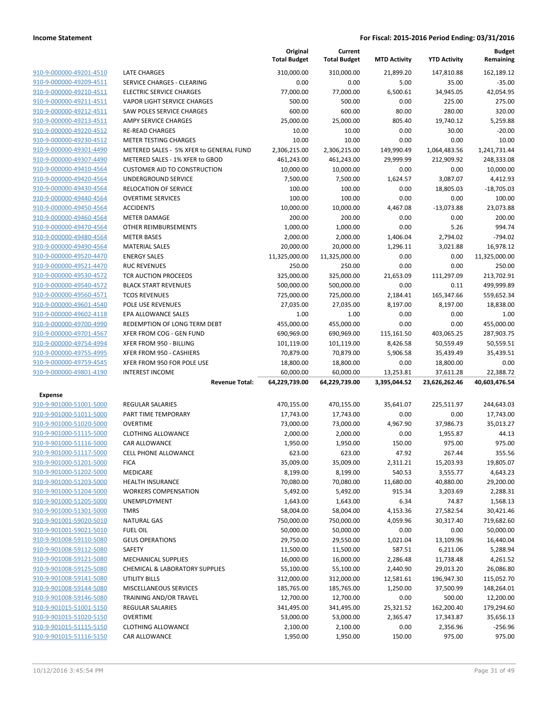|                                                    |                                         | Original<br><b>Total Budget</b> | Current<br><b>Total Budget</b> | <b>MTD Activity</b> | <b>YTD Activity</b>  | <b>Budget</b><br>Remaining |
|----------------------------------------------------|-----------------------------------------|---------------------------------|--------------------------------|---------------------|----------------------|----------------------------|
| 910-9-000000-49201-4510                            | <b>LATE CHARGES</b>                     | 310.000.00                      | 310,000.00                     | 21,899.20           | 147,810.88           | 162,189.12                 |
| 910-9-000000-49209-4511                            | SERVICE CHARGES - CLEARING              | 0.00                            | 0.00                           | 5.00                | 35.00                | $-35.00$                   |
| 910-9-000000-49210-4511                            | <b>ELECTRIC SERVICE CHARGES</b>         | 77,000.00                       | 77,000.00                      | 6,500.61            | 34,945.05            | 42,054.95                  |
| 910-9-000000-49211-4511                            | <b>VAPOR LIGHT SERVICE CHARGES</b>      | 500.00                          | 500.00                         | 0.00                | 225.00               | 275.00                     |
| 910-9-000000-49212-4511                            | SAW POLES SERVICE CHARGES               | 600.00                          | 600.00                         | 80.00               | 280.00               | 320.00                     |
| 910-9-000000-49213-4511                            | <b>AMPY SERVICE CHARGES</b>             | 25,000.00                       | 25,000.00                      | 805.40              | 19,740.12            | 5,259.88                   |
| 910-9-000000-49220-4512                            | <b>RE-READ CHARGES</b>                  | 10.00                           | 10.00                          | 0.00                | 30.00                | $-20.00$                   |
| 910-9-000000-49230-4512                            | <b>METER TESTING CHARGES</b>            | 10.00                           | 10.00                          | 0.00                | 0.00                 | 10.00                      |
| 910-9-000000-49301-4490                            | METERED SALES - 5% XFER to GENERAL FUND | 2,306,215.00                    | 2,306,215.00                   | 149,990.49          | 1,064,483.56         | 1,241,731.44               |
| 910-9-000000-49307-4490                            | METERED SALES - 1% XFER to GBOD         | 461,243.00                      | 461,243.00                     | 29,999.99           | 212,909.92           | 248,333.08                 |
| 910-9-000000-49410-4564                            | <b>CUSTOMER AID TO CONSTRUCTION</b>     | 10,000.00                       | 10,000.00                      | 0.00                | 0.00                 | 10,000.00                  |
| 910-9-000000-49420-4564                            | UNDERGROUND SERVICE                     | 7,500.00                        | 7,500.00                       | 1,624.57            | 3,087.07             | 4,412.93                   |
| 910-9-000000-49430-4564                            | RELOCATION OF SERVICE                   | 100.00                          | 100.00                         | 0.00                | 18,805.03            | $-18,705.03$               |
| 910-9-000000-49440-4564                            | <b>OVERTIME SERVICES</b>                | 100.00                          | 100.00                         | 0.00                | 0.00                 | 100.00                     |
| 910-9-000000-49450-4564<br>910-9-000000-49460-4564 | <b>ACCIDENTS</b><br><b>METER DAMAGE</b> | 10,000.00<br>200.00             | 10,000.00<br>200.00            | 4,467.08<br>0.00    | $-13,073.88$<br>0.00 | 23,073.88<br>200.00        |
| 910-9-000000-49470-4564                            | OTHER REIMBURSEMENTS                    | 1,000.00                        | 1,000.00                       | 0.00                | 5.26                 | 994.74                     |
| 910-9-000000-49480-4564                            | <b>METER BASES</b>                      | 2,000.00                        | 2,000.00                       | 1,406.04            | 2,794.02             | $-794.02$                  |
| 910-9-000000-49490-4564                            | <b>MATERIAL SALES</b>                   | 20,000.00                       | 20,000.00                      | 1,296.11            | 3,021.88             | 16,978.12                  |
| 910-9-000000-49520-4470                            | <b>ENERGY SALES</b>                     | 11,325,000.00                   | 11,325,000.00                  | 0.00                | 0.00                 | 11,325,000.00              |
| 910-9-000000-49521-4470                            | <b>RUC REVENUES</b>                     | 250.00                          | 250.00                         | 0.00                | 0.00                 | 250.00                     |
| 910-9-000000-49530-4572                            | TCR AUCTION PROCEEDS                    | 325,000.00                      | 325,000.00                     | 21,653.09           | 111,297.09           | 213,702.91                 |
| 910-9-000000-49540-4572                            | <b>BLACK START REVENUES</b>             | 500,000.00                      | 500,000.00                     | 0.00                | 0.11                 | 499,999.89                 |
| 910-9-000000-49560-4571                            | <b>TCOS REVENUES</b>                    | 725,000.00                      | 725,000.00                     | 2,184.41            | 165,347.66           | 559,652.34                 |
| 910-9-000000-49601-4540                            | POLE USE REVENUES                       | 27,035.00                       | 27,035.00                      | 8,197.00            | 8,197.00             | 18,838.00                  |
| 910-9-000000-49602-4118                            | EPA ALLOWANCE SALES                     | 1.00                            | 1.00                           | 0.00                | 0.00                 | 1.00                       |
| 910-9-000000-49700-4990                            | REDEMPTION OF LONG TERM DEBT            | 455,000.00                      | 455,000.00                     | 0.00                | 0.00                 | 455,000.00                 |
| 910-9-000000-49701-4567                            | XFER FROM COG - GEN FUND                | 690,969.00                      | 690,969.00                     | 115,161.50          | 403,065.25           | 287,903.75                 |
| 910-9-000000-49754-4994                            | XFER FROM 950 - BILLING                 | 101,119.00                      | 101,119.00                     | 8,426.58            | 50,559.49            | 50,559.51                  |
| 910-9-000000-49755-4995                            | XFER FROM 950 - CASHIERS                | 70,879.00                       | 70,879.00                      | 5,906.58            | 35,439.49            | 35,439.51                  |
| 910-9-000000-49759-4545                            | XFER FROM 950 FOR POLE USE              | 18,800.00                       | 18,800.00                      | 0.00                | 18,800.00            | 0.00                       |
| 910-9-000000-49801-4190                            | <b>INTEREST INCOME</b>                  | 60,000.00                       | 60,000.00                      | 13,253.81           | 37,611.28            | 22,388.72                  |
|                                                    | <b>Revenue Total:</b>                   | 64,229,739.00                   | 64,229,739.00                  | 3,395,044.52        | 23,626,262.46        | 40,603,476.54              |
| <b>Expense</b>                                     |                                         |                                 |                                |                     |                      |                            |
| 910-9-901000-51001-5000                            | REGULAR SALARIES                        | 470,155.00                      | 470,155.00                     | 35,641.07           | 225,511.97           | 244,643.03                 |
| 910-9-901000-51011-5000                            | PART TIME TEMPORARY                     | 17,743.00                       | 17,743.00                      | 0.00                | 0.00                 | 17,743.00                  |
| 910-9-901000-51020-5000                            | <b>OVERTIME</b>                         | 73,000.00                       | 73,000.00                      | 4,967.90            | 37,986.73            | 35,013.27                  |
| 910-9-901000-51115-5000                            | <b>CLOTHING ALLOWANCE</b>               | 2,000.00                        | 2,000.00                       | 0.00                | 1,955.87             | 44.13                      |
| 910-9-901000-51116-5000                            | CAR ALLOWANCE                           | 1,950.00                        | 1,950.00                       | 150.00              | 975.00               | 975.00                     |
| 910-9-901000-51117-5000                            | <b>CELL PHONE ALLOWANCE</b>             | 623.00                          | 623.00                         | 47.92               | 267.44               | 355.56                     |
| 910-9-901000-51201-5000                            | <b>FICA</b>                             | 35,009.00                       | 35,009.00                      | 2,311.21            | 15,203.93            | 19,805.07                  |
| 910-9-901000-51202-5000                            | MEDICARE                                | 8,199.00                        | 8,199.00                       | 540.53              | 3,555.77             | 4,643.23                   |
| 910-9-901000-51203-5000                            | <b>HEALTH INSURANCE</b>                 | 70,080.00                       | 70,080.00                      | 11,680.00           | 40,880.00            | 29,200.00                  |
| 910-9-901000-51204-5000                            | <b>WORKERS COMPENSATION</b>             | 5,492.00                        | 5,492.00                       | 915.34              | 3,203.69             | 2,288.31                   |
| 910-9-901000-51205-5000                            | UNEMPLOYMENT                            | 1,643.00                        | 1,643.00                       | 6.34                | 74.87                | 1,568.13                   |
| 910-9-901000-51301-5000                            | <b>TMRS</b>                             | 58,004.00                       | 58,004.00                      | 4,153.36            | 27,582.54            | 30,421.46                  |
| 910-9-901001-59020-5010                            | <b>NATURAL GAS</b>                      | 750,000.00                      | 750,000.00                     | 4,059.96            | 30,317.40            | 719,682.60                 |
| 910-9-901001-59021-5010                            | <b>FUEL OIL</b>                         | 50,000.00                       | 50,000.00                      | 0.00                | 0.00                 | 50,000.00                  |
| 910-9-901008-59110-5080                            | <b>GEUS OPERATIONS</b>                  | 29,750.00                       | 29,550.00                      | 1,021.04            | 13,109.96            | 16,440.04                  |
| 910-9-901008-59112-5080                            | SAFETY                                  | 11,500.00                       | 11,500.00                      | 587.51              | 6,211.06             | 5,288.94                   |
| 910-9-901008-59121-5080                            | MECHANICAL SUPPLIES                     | 16,000.00                       | 16,000.00                      | 2,286.48            | 11,738.48            | 4,261.52                   |
| 910-9-901008-59125-5080                            | CHEMICAL & LABORATORY SUPPLIES          | 55,100.00                       | 55,100.00                      | 2,440.90            | 29,013.20            | 26,086.80                  |
| 910-9-901008-59141-5080                            | UTILITY BILLS                           | 312,000.00                      | 312,000.00                     | 12,581.61           | 196,947.30           | 115,052.70                 |
| 910-9-901008-59144-5080                            | MISCELLANEOUS SERVICES                  | 185,765.00                      | 185,765.00                     | 1,250.00            | 37,500.99            | 148,264.01                 |
| 910-9-901008-59146-5080                            | TRAINING AND/OR TRAVEL                  | 12,700.00                       | 12,700.00                      | 0.00                | 500.00               | 12,200.00                  |
| 910-9-901015-51001-5150                            | REGULAR SALARIES                        | 341,495.00                      | 341,495.00                     | 25,321.52           | 162,200.40           | 179,294.60                 |
| 910-9-901015-51020-5150                            | <b>OVERTIME</b>                         | 53,000.00                       | 53,000.00                      | 2,365.47            | 17,343.87            | 35,656.13                  |
| 910-9-901015-51115-5150                            | <b>CLOTHING ALLOWANCE</b>               | 2,100.00                        | 2,100.00                       | 0.00                | 2,356.96             | $-256.96$                  |
|                                                    |                                         |                                 |                                |                     |                      |                            |
| 910-9-901015-51116-5150                            | CAR ALLOWANCE                           | 1,950.00                        | 1,950.00                       | 150.00              | 975.00               | 975.00                     |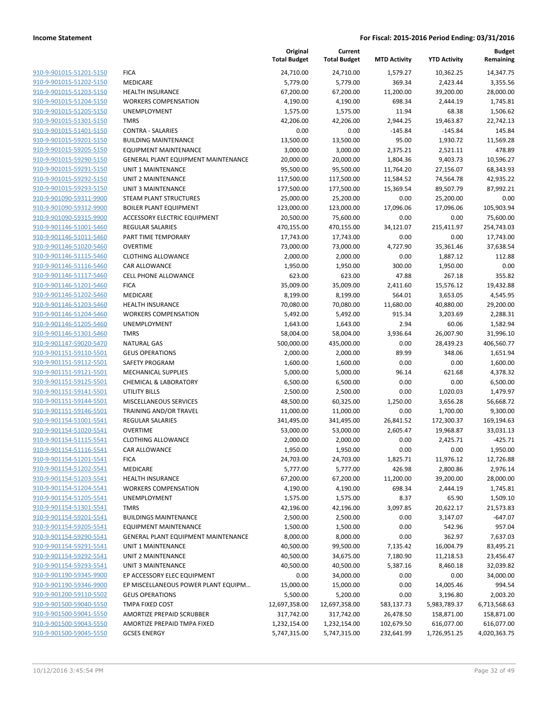|                                                    |                                                               | Original<br><b>Total Budget</b> | Current<br><b>Total Budget</b> | <b>MTD Activity</b>  | <b>YTD Activity</b>        | <b>Budget</b><br>Remaining |
|----------------------------------------------------|---------------------------------------------------------------|---------------------------------|--------------------------------|----------------------|----------------------------|----------------------------|
| 910-9-901015-51201-5150                            | <b>FICA</b>                                                   | 24,710.00                       | 24,710.00                      | 1,579.27             | 10,362.25                  | 14,347.75                  |
| 910-9-901015-51202-5150                            | <b>MEDICARE</b>                                               | 5,779.00                        | 5,779.00                       | 369.34               | 2,423.44                   | 3,355.56                   |
| 910-9-901015-51203-5150                            | <b>HEALTH INSURANCE</b>                                       | 67,200.00                       | 67,200.00                      | 11,200.00            | 39,200.00                  | 28,000.00                  |
| 910-9-901015-51204-5150                            | <b>WORKERS COMPENSATION</b>                                   | 4,190.00                        | 4,190.00                       | 698.34               | 2,444.19                   | 1,745.81                   |
| 910-9-901015-51205-5150                            | UNEMPLOYMENT                                                  | 1,575.00                        | 1,575.00                       | 11.94                | 68.38                      | 1,506.62                   |
| 910-9-901015-51301-5150                            | <b>TMRS</b>                                                   | 42,206.00                       | 42,206.00                      | 2,944.25             | 19,463.87                  | 22,742.13                  |
| 910-9-901015-51401-5150                            | <b>CONTRA - SALARIES</b>                                      | 0.00                            | 0.00                           | $-145.84$            | $-145.84$                  | 145.84                     |
| 910-9-901015-59201-5150                            | <b>BUILDING MAINTENANCE</b>                                   | 13,500.00                       | 13,500.00                      | 95.00                | 1,930.72                   | 11,569.28                  |
| 910-9-901015-59205-5150                            | <b>EQUIPMENT MAINTENANCE</b>                                  | 3,000.00                        | 3,000.00                       | 2,375.21             | 2,521.11                   | 478.89                     |
| 910-9-901015-59290-5150                            | GENERAL PLANT EQUIPMENT MAINTENANCE                           | 20,000.00                       | 20,000.00                      | 1,804.36             | 9,403.73                   | 10,596.27                  |
| 910-9-901015-59291-5150                            | <b>UNIT 1 MAINTENANCE</b>                                     | 95,500.00                       | 95,500.00                      | 11,764.20            | 27,156.07                  | 68,343.93                  |
| 910-9-901015-59292-5150                            | <b>UNIT 2 MAINTENANCE</b>                                     | 117,500.00                      | 117,500.00                     | 11,584.52            | 74,564.78                  | 42,935.22                  |
| 910-9-901015-59293-5150                            | <b>UNIT 3 MAINTENANCE</b>                                     | 177,500.00                      | 177,500.00                     | 15,369.54            | 89,507.79                  | 87,992.21                  |
| 910-9-901090-59311-9900                            | <b>STEAM PLANT STRUCTURES</b>                                 | 25,000.00                       | 25,200.00                      | 0.00                 | 25,200.00                  | 0.00                       |
| 910-9-901090-59312-9900                            | <b>BOILER PLANT EQUIPMENT</b>                                 | 123,000.00                      | 123,000.00                     | 17,096.06            | 17,096.06                  | 105,903.94                 |
| 910-9-901090-59315-9900                            | ACCESSORY ELECTRIC EQUIPMENT                                  | 20,500.00                       | 75,600.00                      | 0.00                 | 0.00                       | 75,600.00                  |
| 910-9-901146-51001-5460                            | REGULAR SALARIES                                              | 470,155.00                      | 470,155.00                     | 34,121.07            | 215,411.97                 | 254,743.03                 |
| 910-9-901146-51011-5460                            | PART TIME TEMPORARY                                           | 17,743.00                       | 17,743.00                      | 0.00                 | 0.00                       | 17,743.00                  |
| 910-9-901146-51020-5460                            | <b>OVERTIME</b>                                               | 73,000.00                       | 73,000.00                      | 4,727.90             | 35,361.46                  | 37,638.54                  |
| 910-9-901146-51115-5460                            | <b>CLOTHING ALLOWANCE</b>                                     | 2,000.00                        | 2,000.00                       | 0.00                 | 1,887.12                   | 112.88                     |
| 910-9-901146-51116-5460                            | CAR ALLOWANCE                                                 | 1,950.00                        | 1,950.00                       | 300.00               | 1,950.00                   | 0.00                       |
| 910-9-901146-51117-5460                            | CELL PHONE ALLOWANCE                                          | 623.00                          | 623.00                         | 47.88                | 267.18                     | 355.82                     |
| 910-9-901146-51201-5460                            | <b>FICA</b>                                                   | 35,009.00                       | 35,009.00                      | 2,411.60             | 15,576.12                  | 19,432.88                  |
| 910-9-901146-51202-5460                            | MEDICARE                                                      | 8,199.00                        | 8,199.00                       | 564.01               | 3,653.05                   | 4,545.95                   |
| 910-9-901146-51203-5460                            | <b>HEALTH INSURANCE</b>                                       | 70,080.00                       | 70,080.00                      | 11,680.00            | 40,880.00                  | 29,200.00                  |
| 910-9-901146-51204-5460                            | <b>WORKERS COMPENSATION</b>                                   | 5,492.00                        | 5,492.00                       | 915.34               | 3,203.69                   | 2,288.31                   |
| 910-9-901146-51205-5460                            | UNEMPLOYMENT                                                  | 1,643.00                        | 1,643.00                       | 2.94                 | 60.06                      | 1,582.94                   |
| 910-9-901146-51301-5460                            | <b>TMRS</b>                                                   | 58,004.00                       | 58,004.00                      | 3,936.64             | 26,007.90                  | 31,996.10                  |
| 910-9-901147-59020-5470                            | <b>NATURAL GAS</b>                                            | 500,000.00                      | 435,000.00                     | 0.00                 | 28,439.23                  | 406,560.77                 |
| 910-9-901151-59110-5501                            | <b>GEUS OPERATIONS</b>                                        | 2,000.00                        | 2,000.00                       | 89.99                | 348.06                     | 1,651.94                   |
| 910-9-901151-59112-5501                            | SAFETY PROGRAM                                                | 1,600.00                        | 1,600.00                       | 0.00                 | 0.00                       | 1,600.00                   |
| 910-9-901151-59121-5501                            | <b>MECHANICAL SUPPLIES</b>                                    | 5,000.00                        | 5,000.00                       | 96.14                | 621.68                     | 4,378.32                   |
| 910-9-901151-59125-5501                            | <b>CHEMICAL &amp; LABORATORY</b>                              | 6,500.00                        | 6,500.00                       | 0.00                 | 0.00                       | 6,500.00                   |
| 910-9-901151-59141-5501                            | <b>UTILITY BILLS</b>                                          | 2,500.00                        | 2,500.00                       | 0.00                 | 1,020.03                   | 1,479.97                   |
| 910-9-901151-59144-5501                            | MISCELLANEOUS SERVICES                                        | 48,500.00                       | 60,325.00                      | 1,250.00             | 3,656.28                   | 56,668.72                  |
| 910-9-901151-59146-5501                            | TRAINING AND/OR TRAVEL                                        | 11,000.00                       | 11,000.00                      | 0.00                 | 1,700.00                   | 9,300.00                   |
| 910-9-901154-51001-5541                            | <b>REGULAR SALARIES</b>                                       | 341,495.00                      | 341,495.00                     | 26,841.52            | 172,300.37                 | 169,194.63                 |
| 910-9-901154-51020-5541                            | <b>OVERTIME</b>                                               | 53,000.00                       | 53,000.00                      | 2,605.47             | 19,968.87                  | 33,031.13                  |
| 910-9-901154-51115-5541                            | <b>CLOTHING ALLOWANCE</b>                                     | 2,000.00                        | 2,000.00                       | 0.00                 | 2,425.71                   | $-425.71$                  |
| 910-9-901154-51116-5541                            | CAR ALLOWANCE                                                 | 1,950.00                        | 1,950.00                       | 0.00                 | 0.00                       | 1,950.00                   |
| 910-9-901154-51201-5541                            | <b>FICA</b>                                                   | 24,703.00                       | 24,703.00                      | 1,825.71             | 11,976.12                  | 12,726.88                  |
| 910-9-901154-51202-5541                            | MEDICARE                                                      | 5,777.00                        | 5,777.00                       | 426.98               | 2,800.86                   | 2,976.14                   |
| 910-9-901154-51203-5541                            | <b>HEALTH INSURANCE</b>                                       | 67,200.00                       | 67,200.00                      | 11,200.00            | 39,200.00                  | 28,000.00                  |
| 910-9-901154-51204-5541<br>910-9-901154-51205-5541 | <b>WORKERS COMPENSATION</b><br>UNEMPLOYMENT                   | 4,190.00                        | 4,190.00                       | 698.34<br>8.37       | 2,444.19<br>65.90          | 1,745.81<br>1,509.10       |
| 910-9-901154-51301-5541                            | <b>TMRS</b>                                                   | 1,575.00                        | 1,575.00                       |                      | 20,622.17                  |                            |
| 910-9-901154-59201-5541                            | <b>BUILDINGS MAINTENANCE</b>                                  | 42,196.00<br>2,500.00           | 42,196.00<br>2,500.00          | 3,097.85<br>0.00     | 3,147.07                   | 21,573.83<br>$-647.07$     |
| 910-9-901154-59205-5541                            | <b>EQUIPMENT MAINTENANCE</b>                                  |                                 |                                |                      |                            | 957.04                     |
| 910-9-901154-59290-5541                            | <b>GENERAL PLANT EQUIPMENT MAINTENANCE</b>                    | 1,500.00<br>8,000.00            | 1,500.00<br>8,000.00           | 0.00                 | 542.96                     | 7,637.03                   |
| 910-9-901154-59291-5541                            | UNIT 1 MAINTENANCE                                            | 40,500.00                       | 99,500.00                      | 0.00<br>7,135.42     | 362.97<br>16,004.79        | 83,495.21                  |
|                                                    | <b>UNIT 2 MAINTENANCE</b>                                     | 40,500.00                       |                                |                      |                            |                            |
| 910-9-901154-59292-5541<br>910-9-901154-59293-5541 | <b>UNIT 3 MAINTENANCE</b>                                     | 40,500.00                       | 34,675.00<br>40,500.00         | 7,180.90<br>5,387.16 | 11,218.53<br>8,460.18      | 23,456.47<br>32,039.82     |
| 910-9-901190-59345-9900                            |                                                               |                                 |                                |                      |                            |                            |
| 910-9-901190-59346-9900                            | EP ACCESSORY ELEC EQUIPMENT                                   | 0.00                            | 34,000.00                      | 0.00                 | 0.00                       | 34,000.00                  |
| 910-9-901200-59110-5502                            | EP MISCELLANEOUS POWER PLANT EQUIPM<br><b>GEUS OPERATIONS</b> | 15,000.00<br>5,500.00           | 15,000.00<br>5,200.00          | 0.00<br>0.00         | 14,005.46<br>3,196.80      | 994.54<br>2,003.20         |
| 910-9-901500-59040-5550                            | TMPA FIXED COST                                               | 12,697,358.00                   | 12,697,358.00                  | 583,137.73           |                            | 6,713,568.63               |
| 910-9-901500-59041-5550                            | <b>AMORTIZE PREPAID SCRUBBER</b>                              | 317,742.00                      | 317,742.00                     | 26,478.50            | 5,983,789.37<br>158,871.00 |                            |
| 910-9-901500-59043-5550                            | AMORTIZE PREPAID TMPA FIXED                                   | 1,232,154.00                    | 1,232,154.00                   | 102,679.50           | 616,077.00                 | 158,871.00<br>616,077.00   |
| 910-9-901500-59045-5550                            | <b>GCSES ENERGY</b>                                           | 5,747,315.00                    |                                | 232,641.99           | 1,726,951.25               | 4,020,363.75               |
|                                                    |                                                               |                                 | 5,747,315.00                   |                      |                            |                            |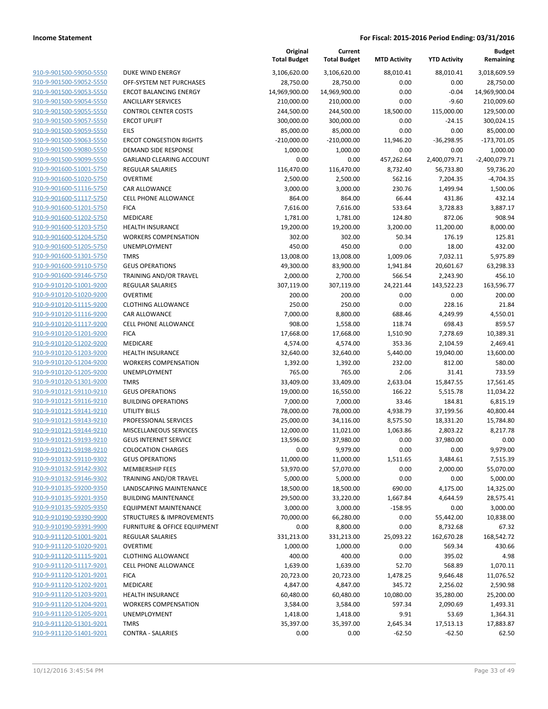|                                                    |                                         | Original<br><b>Total Budget</b> | Current<br><b>Total Budget</b> | <b>MTD Activity</b> | <b>YTD Activity</b>   | <b>Budget</b><br>Remaining |
|----------------------------------------------------|-----------------------------------------|---------------------------------|--------------------------------|---------------------|-----------------------|----------------------------|
| 910-9-901500-59050-5550                            | DUKE WIND ENERGY                        | 3,106,620.00                    | 3,106,620.00                   | 88,010.41           | 88,010.41             | 3,018,609.59               |
| 910-9-901500-59052-5550                            | OFF-SYSTEM NET PURCHASES                | 28,750.00                       | 28,750.00                      | 0.00                | 0.00                  | 28,750.00                  |
| 910-9-901500-59053-5550                            | <b>ERCOT BALANCING ENERGY</b>           | 14,969,900.00                   | 14,969,900.00                  | 0.00                | $-0.04$               | 14,969,900.04              |
| 910-9-901500-59054-5550                            | <b>ANCILLARY SERVICES</b>               | 210,000.00                      | 210,000.00                     | 0.00                | $-9.60$               | 210,009.60                 |
| 910-9-901500-59055-5550                            | <b>CONTROL CENTER COSTS</b>             | 244,500.00                      | 244,500.00                     | 18,500.00           | 115,000.00            | 129,500.00                 |
| 910-9-901500-59057-5550                            | <b>ERCOT UPLIFT</b>                     | 300,000.00                      | 300,000.00                     | 0.00                | $-24.15$              | 300,024.15                 |
| 910-9-901500-59059-5550                            | <b>EILS</b>                             | 85,000.00                       | 85,000.00                      | 0.00                | 0.00                  | 85,000.00                  |
| 910-9-901500-59063-5550                            | <b>ERCOT CONGESTION RIGHTS</b>          | $-210,000.00$                   | $-210,000.00$                  | 11,946.20           | $-36,298.95$          | $-173,701.05$              |
| 910-9-901500-59080-5550                            | <b>DEMAND SIDE RESPONSE</b>             | 1,000.00                        | 1,000.00                       | 0.00                | 0.00                  | 1,000.00                   |
| 910-9-901500-59099-5550                            | <b>GARLAND CLEARING ACCOUNT</b>         | 0.00                            | 0.00                           | 457,262.64          | 2,400,079.71          | $-2,400,079.71$            |
| 910-9-901600-51001-5750                            | REGULAR SALARIES                        | 116,470.00                      | 116,470.00                     | 8,732.40            | 56,733.80             | 59,736.20                  |
| 910-9-901600-51020-5750                            | <b>OVERTIME</b>                         | 2,500.00                        | 2,500.00                       | 562.16              | 7,204.35              | $-4,704.35$                |
| 910-9-901600-51116-5750                            | CAR ALLOWANCE                           | 3,000.00                        | 3,000.00                       | 230.76              | 1,499.94              | 1,500.06                   |
| 910-9-901600-51117-5750                            | <b>CELL PHONE ALLOWANCE</b>             | 864.00                          | 864.00                         | 66.44               | 431.86                | 432.14                     |
| 910-9-901600-51201-5750                            | <b>FICA</b>                             | 7,616.00                        | 7,616.00                       | 533.64              | 3,728.83              | 3,887.17                   |
| 910-9-901600-51202-5750                            | MEDICARE                                | 1,781.00                        | 1,781.00                       | 124.80              | 872.06                | 908.94                     |
| 910-9-901600-51203-5750                            | <b>HEALTH INSURANCE</b>                 | 19,200.00                       | 19,200.00                      | 3,200.00            | 11,200.00             | 8,000.00                   |
| 910-9-901600-51204-5750                            | <b>WORKERS COMPENSATION</b>             | 302.00                          | 302.00                         | 50.34               | 176.19                | 125.81                     |
| 910-9-901600-51205-5750                            | <b>UNEMPLOYMENT</b>                     | 450.00                          | 450.00                         | 0.00                | 18.00                 | 432.00                     |
| 910-9-901600-51301-5750                            | <b>TMRS</b>                             | 13,008.00                       | 13,008.00                      | 1,009.06            | 7,032.11              | 5,975.89                   |
| 910-9-901600-59110-5750                            | <b>GEUS OPERATIONS</b>                  | 49,300.00                       | 83,900.00                      | 1,941.84            | 20,601.67             | 63,298.33                  |
| 910-9-901600-59146-5750                            | TRAINING AND/OR TRAVEL                  | 2,000.00                        | 2,700.00                       | 566.54              | 2,243.90              | 456.10                     |
| 910-9-910120-51001-9200                            | <b>REGULAR SALARIES</b>                 | 307,119.00                      | 307,119.00                     | 24,221.44           | 143,522.23            | 163.596.77                 |
| 910-9-910120-51020-9200                            | <b>OVERTIME</b>                         | 200.00                          | 200.00                         | 0.00                | 0.00                  | 200.00                     |
| 910-9-910120-51115-9200                            | <b>CLOTHING ALLOWANCE</b>               | 250.00                          | 250.00                         | 0.00                | 228.16                | 21.84                      |
| 910-9-910120-51116-9200                            | CAR ALLOWANCE                           | 7,000.00                        | 8,800.00                       | 688.46              | 4,249.99              | 4,550.01                   |
| 910-9-910120-51117-9200                            | <b>CELL PHONE ALLOWANCE</b>             | 908.00                          | 1,558.00                       | 118.74              | 698.43                | 859.57                     |
| 910-9-910120-51201-9200<br>910-9-910120-51202-9200 | <b>FICA</b>                             | 17,668.00                       | 17,668.00                      | 1,510.90            | 7,278.69              | 10,389.31                  |
| 910-9-910120-51203-9200                            | MEDICARE<br><b>HEALTH INSURANCE</b>     | 4,574.00<br>32,640.00           | 4,574.00<br>32,640.00          | 353.36<br>5,440.00  | 2,104.59<br>19,040.00 | 2,469.41<br>13,600.00      |
| 910-9-910120-51204-9200                            | <b>WORKERS COMPENSATION</b>             | 1,392.00                        | 1,392.00                       | 232.00              | 812.00                | 580.00                     |
| 910-9-910120-51205-9200                            | UNEMPLOYMENT                            | 765.00                          | 765.00                         | 2.06                | 31.41                 | 733.59                     |
| 910-9-910120-51301-9200                            | <b>TMRS</b>                             | 33,409.00                       | 33,409.00                      | 2,633.04            | 15,847.55             | 17,561.45                  |
| 910-9-910121-59110-9210                            | <b>GEUS OPERATIONS</b>                  | 19,000.00                       | 16,550.00                      | 166.22              | 5,515.78              | 11,034.22                  |
| 910-9-910121-59116-9210                            | <b>BUILDING OPERATIONS</b>              | 7,000.00                        | 7,000.00                       | 33.46               | 184.81                | 6,815.19                   |
| 910-9-910121-59141-9210                            | UTILITY BILLS                           | 78,000.00                       | 78,000.00                      | 4,938.79            | 37,199.56             | 40,800.44                  |
| 910-9-910121-59143-9210                            | PROFESSIONAL SERVICES                   | 25,000.00                       | 34,116.00                      | 8,575.50            | 18,331.20             | 15,784.80                  |
| 910-9-910121-59144-9210                            | MISCELLANEOUS SERVICES                  | 12,000.00                       | 11,021.00                      | 1,063.86            | 2,803.22              | 8,217.78                   |
| 910-9-910121-59193-9210                            | <b>GEUS INTERNET SERVICE</b>            | 13,596.00                       | 37,980.00                      | 0.00                | 37,980.00             | 0.00                       |
| 910-9-910121-59198-9210                            | <b>COLOCATION CHARGES</b>               | 0.00                            | 9,979.00                       | 0.00                | 0.00                  | 9,979.00                   |
| 910-9-910132-59110-9302                            | <b>GEUS OPERATIONS</b>                  | 11,000.00                       | 11,000.00                      | 1,511.65            | 3,484.61              | 7,515.39                   |
| 910-9-910132-59142-9302                            | <b>MEMBERSHIP FEES</b>                  | 53,970.00                       | 57,070.00                      | 0.00                | 2,000.00              | 55,070.00                  |
| 910-9-910132-59146-9302                            | TRAINING AND/OR TRAVEL                  | 5,000.00                        | 5,000.00                       | 0.00                | 0.00                  | 5,000.00                   |
| 910-9-910135-59200-9350                            | <b>LANDSCAPING MAINTENANCE</b>          | 18,500.00                       | 18,500.00                      | 690.00              | 4,175.00              | 14,325.00                  |
| 910-9-910135-59201-9350                            | <b>BUILDING MAINTENANCE</b>             | 29,500.00                       | 33,220.00                      | 1,667.84            | 4,644.59              | 28,575.41                  |
| 910-9-910135-59205-9350                            | <b>EQUIPMENT MAINTENANCE</b>            | 3,000.00                        | 3,000.00                       | $-158.95$           | 0.00                  | 3,000.00                   |
| 910-9-910190-59390-9900                            | <b>STRUCTURES &amp; IMPROVEMENTS</b>    | 70,000.00                       | 66,280.00                      | 0.00                | 55,442.00             | 10,838.00                  |
| 910-9-910190-59391-9900                            | <b>FURNITURE &amp; OFFICE EQUIPMENT</b> | 0.00                            | 8,800.00                       | 0.00                | 8,732.68              | 67.32                      |
| 910-9-911120-51001-9201                            | <b>REGULAR SALARIES</b>                 | 331,213.00                      | 331,213.00                     | 25,093.22           | 162,670.28            | 168,542.72                 |
| 910-9-911120-51020-9201                            | <b>OVERTIME</b>                         | 1,000.00                        | 1,000.00                       | 0.00                | 569.34                | 430.66                     |
| 910-9-911120-51115-9201                            | <b>CLOTHING ALLOWANCE</b>               | 400.00                          | 400.00                         | 0.00                | 395.02                | 4.98                       |
| 910-9-911120-51117-9201                            | <b>CELL PHONE ALLOWANCE</b>             | 1,639.00                        | 1,639.00                       | 52.70               | 568.89                | 1,070.11                   |
| 910-9-911120-51201-9201                            | <b>FICA</b>                             | 20,723.00                       | 20,723.00                      | 1,478.25            | 9,646.48              | 11,076.52                  |
| 910-9-911120-51202-9201                            | MEDICARE                                | 4,847.00                        | 4,847.00                       | 345.72              | 2,256.02              | 2,590.98                   |
| 910-9-911120-51203-9201                            | <b>HEALTH INSURANCE</b>                 | 60,480.00                       | 60,480.00                      | 10,080.00           | 35,280.00             | 25,200.00                  |
| 910-9-911120-51204-9201                            | <b>WORKERS COMPENSATION</b>             | 3,584.00                        | 3,584.00                       | 597.34              | 2,090.69              | 1,493.31                   |
| 910-9-911120-51205-9201                            | UNEMPLOYMENT                            | 1,418.00                        | 1,418.00                       | 9.91                | 53.69                 | 1,364.31                   |
| 910-9-911120-51301-9201                            | <b>TMRS</b>                             | 35,397.00                       | 35,397.00                      | 2,645.34            | 17,513.13             | 17,883.87                  |
| 910-9-911120-51401-9201                            | <b>CONTRA - SALARIES</b>                | 0.00                            | 0.00                           | $-62.50$            | $-62.50$              | 62.50                      |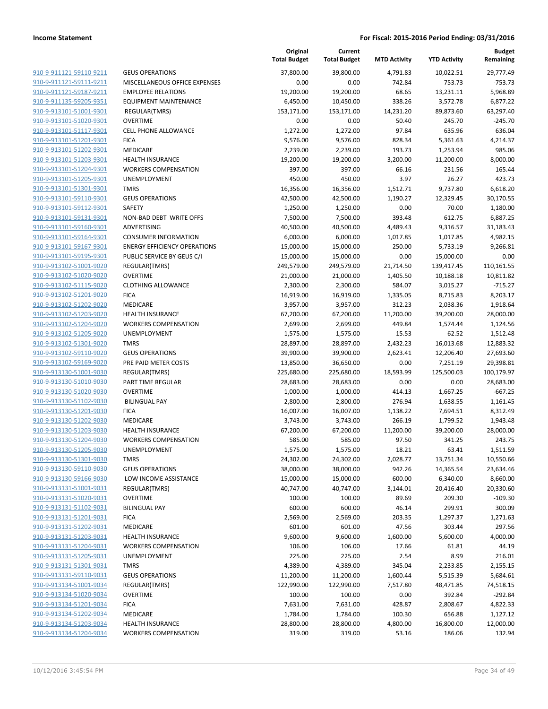|                                                    |                                              | Original<br><b>Total Budget</b> | Current<br><b>Total Budget</b> | <b>MTD Activity</b> | <b>YTD Activity</b>  | <b>Budget</b><br>Remaining |
|----------------------------------------------------|----------------------------------------------|---------------------------------|--------------------------------|---------------------|----------------------|----------------------------|
| 910-9-911121-59110-9211                            | <b>GEUS OPERATIONS</b>                       | 37,800.00                       | 39,800.00                      | 4,791.83            | 10,022.51            | 29,777.49                  |
| 910-9-911121-59111-9211                            | MISCELLANEOUS OFFICE EXPENSES                | 0.00                            | 0.00                           | 742.84              | 753.73               | $-753.73$                  |
| 910-9-911121-59187-9211                            | <b>EMPLOYEE RELATIONS</b>                    | 19,200.00                       | 19,200.00                      | 68.65               | 13,231.11            | 5,968.89                   |
| 910-9-911135-59205-9351                            | <b>EQUIPMENT MAINTENANCE</b>                 | 6,450.00                        | 10,450.00                      | 338.26              | 3,572.78             | 6,877.22                   |
| 910-9-913101-51001-9301                            | REGULAR(TMRS)                                | 153,171.00                      | 153,171.00                     | 14,231.20           | 89,873.60            | 63,297.40                  |
| 910-9-913101-51020-9301                            | <b>OVERTIME</b>                              | 0.00                            | 0.00                           | 50.40               | 245.70               | $-245.70$                  |
| 910-9-913101-51117-9301                            | CELL PHONE ALLOWANCE                         | 1,272.00                        | 1,272.00                       | 97.84               | 635.96               | 636.04                     |
| 910-9-913101-51201-9301                            | <b>FICA</b>                                  | 9,576.00                        | 9,576.00                       | 828.34              | 5,361.63             | 4,214.37                   |
| 910-9-913101-51202-9301                            | MEDICARE                                     | 2,239.00                        | 2,239.00                       | 193.73              | 1,253.94             | 985.06                     |
| 910-9-913101-51203-9301                            | <b>HEALTH INSURANCE</b>                      | 19,200.00                       | 19,200.00                      | 3,200.00            | 11,200.00            | 8,000.00                   |
| 910-9-913101-51204-9301                            | <b>WORKERS COMPENSATION</b>                  | 397.00                          | 397.00                         | 66.16               | 231.56               | 165.44                     |
| 910-9-913101-51205-9301                            | UNEMPLOYMENT                                 | 450.00                          | 450.00                         | 3.97                | 26.27                | 423.73                     |
| 910-9-913101-51301-9301                            | <b>TMRS</b>                                  | 16,356.00                       | 16,356.00                      | 1,512.71            | 9,737.80             | 6,618.20                   |
| 910-9-913101-59110-9301                            | <b>GEUS OPERATIONS</b>                       | 42,500.00                       | 42,500.00                      | 1,190.27            | 12,329.45            | 30,170.55                  |
| 910-9-913101-59112-9301                            | SAFETY                                       | 1,250.00                        | 1,250.00                       | 0.00                | 70.00                | 1,180.00                   |
| 910-9-913101-59131-9301                            | NON-BAD DEBT WRITE OFFS                      | 7,500.00                        | 7,500.00                       | 393.48              | 612.75               | 6,887.25                   |
| 910-9-913101-59160-9301                            | ADVERTISING                                  | 40,500.00                       | 40,500.00                      | 4,489.43            | 9,316.57             | 31,183.43                  |
| 910-9-913101-59164-9301                            | <b>CONSUMER INFORMATION</b>                  | 6,000.00                        | 6,000.00                       | 1,017.85            | 1,017.85             | 4,982.15                   |
| 910-9-913101-59167-9301                            | <b>ENERGY EFFICIENCY OPERATIONS</b>          | 15,000.00                       | 15,000.00                      | 250.00              | 5,733.19             | 9,266.81                   |
| 910-9-913101-59195-9301                            | PUBLIC SERVICE BY GEUS C/I                   | 15,000.00                       | 15,000.00                      | 0.00                | 15,000.00            | 0.00                       |
| 910-9-913102-51001-9020                            | REGULAR(TMRS)                                | 249,579.00                      | 249,579.00                     | 21,714.50           | 139,417.45           | 110,161.55                 |
| 910-9-913102-51020-9020                            | <b>OVERTIME</b><br><b>CLOTHING ALLOWANCE</b> | 21,000.00                       | 21,000.00<br>2,300.00          | 1,405.50            | 10,188.18            | 10,811.82                  |
| 910-9-913102-51115-9020<br>910-9-913102-51201-9020 |                                              | 2,300.00                        | 16,919.00                      | 584.07<br>1,335.05  | 3,015.27             | $-715.27$<br>8,203.17      |
| 910-9-913102-51202-9020                            | <b>FICA</b><br>MEDICARE                      | 16,919.00<br>3,957.00           | 3,957.00                       | 312.23              | 8,715.83<br>2,038.36 | 1,918.64                   |
| 910-9-913102-51203-9020                            | <b>HEALTH INSURANCE</b>                      | 67,200.00                       | 67,200.00                      | 11,200.00           | 39,200.00            | 28,000.00                  |
| 910-9-913102-51204-9020                            | <b>WORKERS COMPENSATION</b>                  | 2,699.00                        | 2,699.00                       | 449.84              | 1,574.44             | 1,124.56                   |
| 910-9-913102-51205-9020                            | UNEMPLOYMENT                                 | 1,575.00                        | 1,575.00                       | 15.53               | 62.52                | 1,512.48                   |
| 910-9-913102-51301-9020                            | <b>TMRS</b>                                  | 28,897.00                       | 28,897.00                      | 2,432.23            | 16,013.68            | 12,883.32                  |
| 910-9-913102-59110-9020                            | <b>GEUS OPERATIONS</b>                       | 39,900.00                       | 39,900.00                      | 2,623.41            | 12,206.40            | 27,693.60                  |
| 910-9-913102-59169-9020                            | PRE PAID METER COSTS                         | 13,850.00                       | 36,650.00                      | 0.00                | 7,251.19             | 29,398.81                  |
| 910-9-913130-51001-9030                            | REGULAR(TMRS)                                | 225,680.00                      | 225,680.00                     | 18,593.99           | 125,500.03           | 100,179.97                 |
| 910-9-913130-51010-9030                            | PART TIME REGULAR                            | 28,683.00                       | 28,683.00                      | 0.00                | 0.00                 | 28,683.00                  |
| 910-9-913130-51020-9030                            | <b>OVERTIME</b>                              | 1,000.00                        | 1,000.00                       | 414.13              | 1,667.25             | $-667.25$                  |
| 910-9-913130-51102-9030                            | <b>BILINGUAL PAY</b>                         | 2,800.00                        | 2,800.00                       | 276.94              | 1,638.55             | 1,161.45                   |
| 910-9-913130-51201-9030                            | <b>FICA</b>                                  | 16,007.00                       | 16,007.00                      | 1,138.22            | 7,694.51             | 8,312.49                   |
| 910-9-913130-51202-9030                            | MEDICARE                                     | 3,743.00                        | 3,743.00                       | 266.19              | 1,799.52             | 1,943.48                   |
| 910-9-913130-51203-9030                            | <b>HEALTH INSURANCE</b>                      | 67,200.00                       | 67,200.00                      | 11,200.00           | 39,200.00            | 28,000.00                  |
| 910-9-913130-51204-9030                            | <b>WORKERS COMPENSATION</b>                  | 585.00                          | 585.00                         | 97.50               | 341.25               | 243.75                     |
| 910-9-913130-51205-9030                            | UNEMPLOYMENT                                 | 1,575.00                        | 1,575.00                       | 18.21               | 63.41                | 1,511.59                   |
| 910-9-913130-51301-9030                            | <b>TMRS</b>                                  | 24,302.00                       | 24,302.00                      | 2,028.77            | 13,751.34            | 10,550.66                  |
| 910-9-913130-59110-9030                            | <b>GEUS OPERATIONS</b>                       | 38,000.00                       | 38,000.00                      | 942.26              | 14,365.54            | 23,634.46                  |
| 910-9-913130-59166-9030                            | LOW INCOME ASSISTANCE                        | 15,000.00                       | 15,000.00                      | 600.00              | 6,340.00             | 8,660.00                   |
| 910-9-913131-51001-9031                            | REGULAR(TMRS)                                | 40,747.00                       | 40,747.00                      | 3,144.01            | 20,416.40            | 20,330.60                  |
| 910-9-913131-51020-9031                            | <b>OVERTIME</b>                              | 100.00                          | 100.00                         | 89.69               | 209.30               | $-109.30$                  |
| 910-9-913131-51102-9031                            | <b>BILINGUAL PAY</b>                         | 600.00                          | 600.00                         | 46.14               | 299.91               | 300.09                     |
| 910-9-913131-51201-9031                            | <b>FICA</b>                                  | 2,569.00                        | 2,569.00                       | 203.35              | 1,297.37             | 1,271.63                   |
| 910-9-913131-51202-9031                            | MEDICARE                                     | 601.00                          | 601.00                         | 47.56               | 303.44               | 297.56                     |
| 910-9-913131-51203-9031                            | <b>HEALTH INSURANCE</b>                      | 9,600.00                        | 9,600.00                       | 1,600.00            | 5,600.00             | 4,000.00                   |
| 910-9-913131-51204-9031                            | <b>WORKERS COMPENSATION</b>                  | 106.00                          | 106.00                         | 17.66               | 61.81                | 44.19                      |
| 910-9-913131-51205-9031                            | UNEMPLOYMENT                                 | 225.00                          | 225.00                         | 2.54                | 8.99                 | 216.01                     |
| 910-9-913131-51301-9031                            | <b>TMRS</b>                                  | 4,389.00                        | 4,389.00                       | 345.04              | 2,233.85             | 2,155.15                   |
| 910-9-913131-59110-9031                            | <b>GEUS OPERATIONS</b>                       | 11,200.00                       | 11,200.00                      | 1,600.44            | 5,515.39             | 5,684.61                   |
| 910-9-913134-51001-9034                            | REGULAR(TMRS)                                | 122,990.00                      | 122,990.00                     | 7,517.80            | 48,471.85            | 74,518.15                  |
| 910-9-913134-51020-9034                            | <b>OVERTIME</b>                              | 100.00                          | 100.00                         | 0.00                | 392.84               | $-292.84$                  |
| 910-9-913134-51201-9034                            | <b>FICA</b>                                  | 7,631.00                        | 7,631.00                       | 428.87              | 2,808.67             | 4,822.33                   |
| 910-9-913134-51202-9034                            | MEDICARE                                     | 1,784.00                        | 1,784.00                       | 100.30              | 656.88               | 1,127.12                   |
| 910-9-913134-51203-9034                            | <b>HEALTH INSURANCE</b>                      | 28,800.00                       | 28,800.00                      | 4,800.00            | 16,800.00            | 12,000.00                  |
| 910-9-913134-51204-9034                            | <b>WORKERS COMPENSATION</b>                  | 319.00                          | 319.00                         | 53.16               | 186.06               | 132.94                     |
|                                                    |                                              |                                 |                                |                     |                      |                            |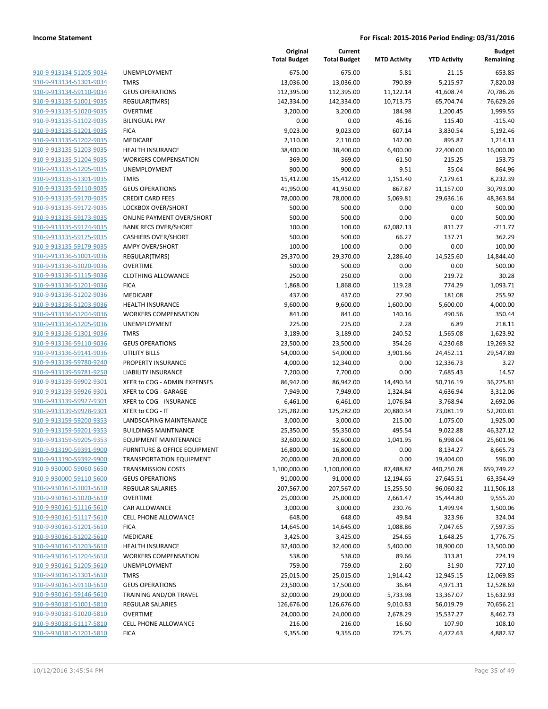| 910-9-913134-51205-9034 |
|-------------------------|
| 910-9-913134-51301-9034 |
| 910-9-913134-59110-9034 |
| 910-9-913135-51001-9035 |
| 910-9-913135-51020-9035 |
| 910-9-913135-51102-9035 |
| 910-9-913135-51201-9035 |
| 910-9-913135-51202-9035 |
| 910-9-913135-51203-9035 |
| 910-9-913135-51204-9035 |
| 910-9-913135-51205-9035 |
| 910-9-913135-51301-9035 |
| 910-9-913135-59110-9035 |
| 910-9-913135-59170-9035 |
|                         |
| 910-9-913135-59172-9035 |
| 910-9-913135-59173-9035 |
| 910-9-913135-59174-9035 |
| 910-9-913135-59175-9035 |
| 910-9-913135-59179-9035 |
| 910-9-913136-51001-9036 |
| 910-9-913136-51020-9036 |
| 910-9-913136-51115-9036 |
| 910-9-913136-51201-9036 |
| 910-9-913136-51202-9036 |
| 910-9-913136-51203-9036 |
| 910-9-913136-51204-9036 |
| 910-9-913136-51205-9036 |
| 910-9-913136-51301-9036 |
| 910-9-913136-59110-9036 |
| 910-9-913136-59141-9036 |
| 910-9-913139-59780-9240 |
| 910-9-913139-59781-9250 |
| 910-9-913139-59902-9301 |
| 910-9-913139-59926-9301 |
|                         |
| 910-9-913139-59927-9301 |
| 910-9-913139-59928-9301 |
| 910-9-913159-59200-9353 |
| 910-9-913159-59201-9353 |
| 910-9-913159-59205-9353 |
| 910-9-913190-59391-9900 |
| 910-9-913190-59392-9900 |
| 910-9-930000-59060-5650 |
| 910-9-930000-59110-5600 |
| 910-9-930161-51001-5610 |
| 910-9-930161-51020-5610 |
| 910-9-930161-51116-5610 |
| 910-9-930161-51117-5610 |
| 910-9-930161-51201-5610 |
| 910-9-930161-51202-5610 |
| 910-9-930161-51203-5610 |
| 910-9-930161-51204-5610 |
| 910-9-930161-51205-5610 |
| 910-9-930161-51301-5610 |
|                         |
| 910-9-930161-59110-5610 |
| 910-9-930161-59146-5610 |
| 910-9-930181-51001-5810 |
| 910-9-930181-51020-5810 |
| 910-9-930181-51117-5810 |
| 910-9-930181-51201-5810 |
|                         |

|                         |                                  | Original<br><b>Total Budget</b> | Current<br><b>Total Budget</b> | <b>MTD Activity</b> | <b>YTD Activity</b> | <b>Budget</b><br>Remaining |
|-------------------------|----------------------------------|---------------------------------|--------------------------------|---------------------|---------------------|----------------------------|
| 910-9-913134-51205-9034 | UNEMPLOYMENT                     | 675.00                          | 675.00                         | 5.81                | 21.15               | 653.85                     |
| 910-9-913134-51301-9034 | <b>TMRS</b>                      | 13,036.00                       | 13,036.00                      | 790.89              | 5,215.97            | 7,820.03                   |
| 910-9-913134-59110-9034 | <b>GEUS OPERATIONS</b>           | 112,395.00                      | 112,395.00                     | 11,122.14           | 41,608.74           | 70,786.26                  |
| 910-9-913135-51001-9035 | REGULAR(TMRS)                    | 142,334.00                      | 142,334.00                     | 10,713.75           | 65,704.74           | 76,629.26                  |
| 910-9-913135-51020-9035 | <b>OVERTIME</b>                  | 3,200.00                        | 3,200.00                       | 184.98              | 1,200.45            | 1,999.55                   |
| 910-9-913135-51102-9035 | <b>BILINGUAL PAY</b>             | 0.00                            | 0.00                           | 46.16               | 115.40              | $-115.40$                  |
| 910-9-913135-51201-9035 | <b>FICA</b>                      | 9,023.00                        | 9,023.00                       | 607.14              | 3,830.54            | 5,192.46                   |
| 910-9-913135-51202-9035 | MEDICARE                         | 2,110.00                        | 2,110.00                       | 142.00              | 895.87              | 1,214.13                   |
| 910-9-913135-51203-9035 | <b>HEALTH INSURANCE</b>          | 38,400.00                       | 38,400.00                      | 6,400.00            | 22,400.00           | 16,000.00                  |
| 910-9-913135-51204-9035 | <b>WORKERS COMPENSATION</b>      | 369.00                          | 369.00                         | 61.50               | 215.25              | 153.75                     |
| 910-9-913135-51205-9035 | UNEMPLOYMENT                     | 900.00                          | 900.00                         | 9.51                | 35.04               | 864.96                     |
| 910-9-913135-51301-9035 | <b>TMRS</b>                      | 15,412.00                       | 15,412.00                      | 1,151.40            | 7,179.61            | 8,232.39                   |
| 910-9-913135-59110-9035 | <b>GEUS OPERATIONS</b>           | 41,950.00                       | 41,950.00                      | 867.87              | 11,157.00           | 30,793.00                  |
| 910-9-913135-59170-9035 | <b>CREDIT CARD FEES</b>          | 78,000.00                       | 78,000.00                      | 5,069.81            | 29,636.16           | 48,363.84                  |
| 910-9-913135-59172-9035 | LOCKBOX OVER/SHORT               | 500.00                          | 500.00                         | 0.00                | 0.00                | 500.00                     |
| 910-9-913135-59173-9035 | <b>ONLINE PAYMENT OVER/SHORT</b> | 500.00                          | 500.00                         | 0.00                | 0.00                | 500.00                     |
| 910-9-913135-59174-9035 | <b>BANK RECS OVER/SHORT</b>      | 100.00                          | 100.00                         | 62,082.13           | 811.77              | $-711.77$                  |
| 910-9-913135-59175-9035 | <b>CASHIERS OVER/SHORT</b>       | 500.00                          | 500.00                         | 66.27               | 137.71              | 362.29                     |
| 910-9-913135-59179-9035 | <b>AMPY OVER/SHORT</b>           | 100.00                          | 100.00                         | 0.00                | 0.00                | 100.00                     |
| 910-9-913136-51001-9036 | REGULAR(TMRS)                    | 29,370.00                       | 29,370.00                      | 2,286.40            | 14,525.60           | 14,844.40                  |
| 910-9-913136-51020-9036 | <b>OVERTIME</b>                  | 500.00                          | 500.00                         | 0.00                | 0.00                | 500.00                     |
| 910-9-913136-51115-9036 | <b>CLOTHING ALLOWANCE</b>        | 250.00                          | 250.00                         | 0.00                | 219.72              | 30.28                      |
| 910-9-913136-51201-9036 | <b>FICA</b>                      | 1,868.00                        | 1,868.00                       | 119.28              | 774.29              | 1,093.71                   |
| 910-9-913136-51202-9036 | MEDICARE                         | 437.00                          | 437.00                         | 27.90               | 181.08              | 255.92                     |
| 910-9-913136-51203-9036 | HEALTH INSURANCE                 | 9,600.00                        | 9,600.00                       | 1,600.00            | 5,600.00            | 4,000.00                   |
| 910-9-913136-51204-9036 | <b>WORKERS COMPENSATION</b>      | 841.00                          | 841.00                         | 140.16              | 490.56              | 350.44                     |
| 910-9-913136-51205-9036 | UNEMPLOYMENT                     | 225.00                          | 225.00                         | 2.28                | 6.89                | 218.11                     |
| 910-9-913136-51301-9036 | <b>TMRS</b>                      | 3,189.00                        | 3,189.00                       | 240.52              | 1,565.08            | 1,623.92                   |
| 910-9-913136-59110-9036 | <b>GEUS OPERATIONS</b>           | 23,500.00                       | 23,500.00                      | 354.26              | 4,230.68            | 19,269.32                  |
| 910-9-913136-59141-9036 | <b>UTILITY BILLS</b>             | 54,000.00                       | 54,000.00                      | 3,901.66            | 24,452.11           | 29,547.89                  |
| 910-9-913139-59780-9240 | PROPERTY INSURANCE               | 4,000.00                        | 12,340.00                      | 0.00                | 12,336.73           | 3.27                       |
| 910-9-913139-59781-9250 | <b>LIABILITY INSURANCE</b>       | 7,200.00                        | 7,700.00                       | 0.00                | 7,685.43            | 14.57                      |
| 910-9-913139-59902-9301 | XFER to COG - ADMIN EXPENSES     | 86,942.00                       | 86,942.00                      | 14,490.34           | 50,716.19           | 36,225.81                  |
| 910-9-913139-59926-9301 | XFER to COG - GARAGE             | 7,949.00                        | 7,949.00                       | 1,324.84            | 4,636.94            | 3,312.06                   |
| 910-9-913139-59927-9301 | XFER to COG - INSURANCE          | 6,461.00                        | 6,461.00                       | 1,076.84            | 3,768.94            | 2,692.06                   |
| 910-9-913139-59928-9301 | XFER to COG - IT                 | 125,282.00                      | 125,282.00                     | 20,880.34           | 73,081.19           | 52,200.81                  |
| 910-9-913159-59200-9353 | LANDSCAPING MAINTENANCE          | 3,000.00                        | 3,000.00                       | 215.00              | 1,075.00            | 1,925.00                   |
| 910-9-913159-59201-9353 | <b>BUILDINGS MAINTNANCE</b>      | 25,350.00                       | 55,350.00                      | 495.54              | 9,022.88            | 46,327.12                  |
| 910-9-913159-59205-9353 | <b>EQUIPMENT MAINTENANCE</b>     | 32,600.00                       | 32,600.00                      | 1,041.95            | 6,998.04            | 25,601.96                  |
| 910-9-913190-59391-9900 | FURNITURE & OFFICE EQUIPMENT     | 16,800.00                       | 16,800.00                      | 0.00                | 8,134.27            | 8,665.73                   |
| 910-9-913190-59392-9900 | <b>TRANSPORTATION EQUIPMENT</b>  | 20,000.00                       | 20,000.00                      | 0.00                | 19,404.00           | 596.00                     |
| 910-9-930000-59060-5650 | <b>TRANSMISSION COSTS</b>        | 1,100,000.00                    | 1,100,000.00                   | 87,488.87           | 440,250.78          | 659,749.22                 |
| 910-9-930000-59110-5600 | <b>GEUS OPERATIONS</b>           | 91,000.00                       | 91,000.00                      | 12,194.65           | 27,645.51           | 63,354.49                  |
| 910-9-930161-51001-5610 | <b>REGULAR SALARIES</b>          | 207,567.00                      | 207,567.00                     | 15,255.50           | 96,060.82           | 111,506.18                 |
| 910-9-930161-51020-5610 | <b>OVERTIME</b>                  | 25,000.00                       | 25,000.00                      | 2,661.47            | 15,444.80           | 9,555.20                   |
| 910-9-930161-51116-5610 | CAR ALLOWANCE                    | 3,000.00                        | 3,000.00                       | 230.76              | 1,499.94            | 1,500.06                   |
| 910-9-930161-51117-5610 | <b>CELL PHONE ALLOWANCE</b>      | 648.00                          | 648.00                         | 49.84               | 323.96              | 324.04                     |
| 910-9-930161-51201-5610 | <b>FICA</b>                      | 14,645.00                       | 14,645.00                      | 1,088.86            | 7,047.65            | 7,597.35                   |
| 910-9-930161-51202-5610 | MEDICARE                         | 3,425.00                        | 3,425.00                       | 254.65              | 1,648.25            | 1,776.75                   |
| 910-9-930161-51203-5610 | <b>HEALTH INSURANCE</b>          | 32,400.00                       | 32,400.00                      | 5,400.00            | 18,900.00           | 13,500.00                  |
| 910-9-930161-51204-5610 | <b>WORKERS COMPENSATION</b>      | 538.00                          | 538.00                         | 89.66               | 313.81              | 224.19                     |
| 910-9-930161-51205-5610 | UNEMPLOYMENT                     | 759.00                          | 759.00                         | 2.60                | 31.90               | 727.10                     |
| 910-9-930161-51301-5610 | <b>TMRS</b>                      | 25,015.00                       | 25,015.00                      | 1,914.42            | 12,945.15           | 12,069.85                  |
| 910-9-930161-59110-5610 | <b>GEUS OPERATIONS</b>           | 23,500.00                       | 17,500.00                      | 36.84               | 4,971.31            | 12,528.69                  |
| 910-9-930161-59146-5610 | TRAINING AND/OR TRAVEL           | 32,000.00                       | 29,000.00                      | 5,733.98            | 13,367.07           | 15,632.93                  |
| 910-9-930181-51001-5810 | <b>REGULAR SALARIES</b>          | 126,676.00                      | 126,676.00                     | 9,010.83            | 56,019.79           | 70,656.21                  |
| 910-9-930181-51020-5810 | <b>OVERTIME</b>                  | 24,000.00                       | 24,000.00                      | 2,678.29            | 15,537.27           | 8,462.73                   |
| 910-9-930181-51117-5810 | <b>CELL PHONE ALLOWANCE</b>      | 216.00                          | 216.00                         | 16.60               | 107.90              | 108.10                     |
| 910-9-930181-51201-5810 | <b>FICA</b>                      | 9,355.00                        | 9,355.00                       | 725.75              | 4,472.63            | 4,882.37                   |
|                         |                                  |                                 |                                |                     |                     |                            |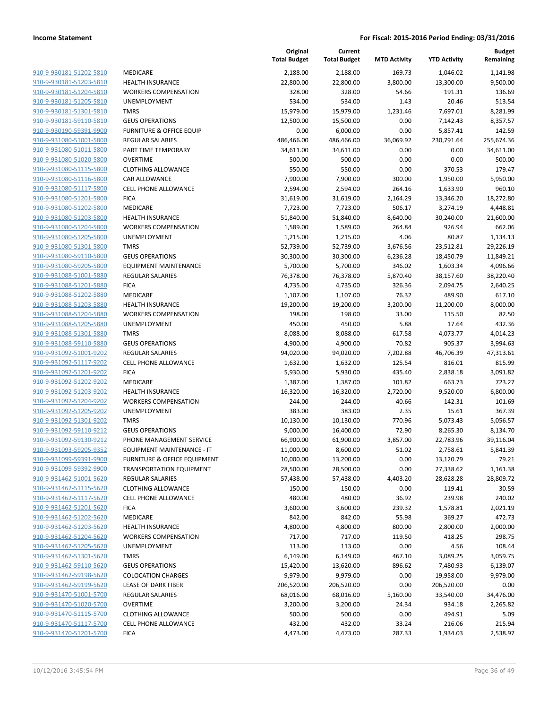|                                                    |                                                                       | Original<br><b>Total Budget</b> | Current<br><b>Total Budget</b> | <b>MTD Activity</b> | <b>YTD Activity</b>    | Budget<br>Remaining   |
|----------------------------------------------------|-----------------------------------------------------------------------|---------------------------------|--------------------------------|---------------------|------------------------|-----------------------|
| 910-9-930181-51202-5810                            | MEDICARE                                                              | 2,188.00                        | 2,188.00                       | 169.73              | 1,046.02               | 1,141.98              |
| 910-9-930181-51203-5810                            | <b>HEALTH INSURANCE</b>                                               | 22,800.00                       | 22,800.00                      | 3,800.00            | 13,300.00              | 9,500.00              |
| 910-9-930181-51204-5810                            | <b>WORKERS COMPENSATION</b>                                           | 328.00                          | 328.00                         | 54.66               | 191.31                 | 136.69                |
| 910-9-930181-51205-5810                            | UNEMPLOYMENT                                                          | 534.00                          | 534.00                         | 1.43                | 20.46                  | 513.54                |
| 910-9-930181-51301-5810                            | <b>TMRS</b>                                                           | 15,979.00                       | 15,979.00                      | 1,231.46            | 7,697.01               | 8,281.99              |
| 910-9-930181-59110-5810                            | <b>GEUS OPERATIONS</b>                                                | 12,500.00                       | 15,500.00                      | 0.00                | 7,142.43               | 8,357.57              |
| 910-9-930190-59391-9900                            | <b>FURNITURE &amp; OFFICE EQUIP</b>                                   | 0.00                            | 6,000.00                       | 0.00                | 5,857.41               | 142.59                |
| 910-9-931080-51001-5800                            | <b>REGULAR SALARIES</b>                                               | 486,466.00                      | 486,466.00                     | 36,069.92           | 230,791.64             | 255,674.36            |
| 910-9-931080-51011-5800                            | PART TIME TEMPORARY                                                   | 34,611.00                       | 34,611.00                      | 0.00                | 0.00                   | 34,611.00             |
| 910-9-931080-51020-5800                            | <b>OVERTIME</b>                                                       | 500.00                          | 500.00                         | 0.00                | 0.00                   | 500.00                |
| 910-9-931080-51115-5800                            | <b>CLOTHING ALLOWANCE</b>                                             | 550.00                          | 550.00                         | 0.00                | 370.53                 | 179.47                |
| 910-9-931080-51116-5800                            | CAR ALLOWANCE                                                         | 7,900.00                        | 7,900.00                       | 300.00              | 1,950.00               | 5,950.00              |
| 910-9-931080-51117-5800                            | <b>CELL PHONE ALLOWANCE</b>                                           | 2,594.00                        | 2,594.00                       | 264.16              | 1,633.90               | 960.10                |
| 910-9-931080-51201-5800                            | <b>FICA</b>                                                           | 31,619.00                       | 31,619.00                      | 2,164.29            | 13,346.20              | 18,272.80             |
| 910-9-931080-51202-5800                            | MEDICARE                                                              | 7,723.00                        | 7,723.00                       | 506.17              | 3,274.19               | 4,448.81              |
| 910-9-931080-51203-5800                            | <b>HEALTH INSURANCE</b>                                               | 51,840.00                       | 51,840.00                      | 8,640.00            | 30,240.00              | 21,600.00             |
| 910-9-931080-51204-5800                            | <b>WORKERS COMPENSATION</b>                                           | 1,589.00                        | 1,589.00                       | 264.84              | 926.94                 | 662.06                |
| 910-9-931080-51205-5800                            | UNEMPLOYMENT                                                          | 1,215.00                        | 1,215.00                       | 4.06                | 80.87                  | 1,134.13              |
| 910-9-931080-51301-5800                            | <b>TMRS</b>                                                           | 52,739.00                       | 52,739.00                      | 3,676.56            | 23,512.81              | 29,226.19             |
| 910-9-931080-59110-5800                            | <b>GEUS OPERATIONS</b>                                                | 30,300.00                       | 30,300.00                      | 6,236.28            | 18,450.79              | 11,849.21             |
| 910-9-931080-59205-5800                            | <b>EQUIPMENT MAINTENANCE</b>                                          | 5,700.00                        | 5,700.00                       | 346.02              | 1,603.34               | 4,096.66              |
| 910-9-931088-51001-5880                            | <b>REGULAR SALARIES</b>                                               | 76,378.00                       | 76,378.00                      | 5,870.40            | 38,157.60              | 38,220.40             |
| 910-9-931088-51201-5880                            | <b>FICA</b>                                                           | 4,735.00                        | 4,735.00                       | 326.36              | 2,094.75               | 2,640.25              |
| 910-9-931088-51202-5880                            | MEDICARE                                                              | 1,107.00                        | 1,107.00                       | 76.32               | 489.90                 | 617.10                |
| 910-9-931088-51203-5880                            | <b>HEALTH INSURANCE</b>                                               | 19,200.00                       | 19,200.00                      | 3,200.00            | 11,200.00              | 8,000.00              |
| 910-9-931088-51204-5880                            | <b>WORKERS COMPENSATION</b>                                           | 198.00                          | 198.00                         | 33.00               | 115.50                 | 82.50                 |
| 910-9-931088-51205-5880                            | UNEMPLOYMENT                                                          | 450.00                          | 450.00                         | 5.88                | 17.64                  | 432.36                |
| 910-9-931088-51301-5880                            | <b>TMRS</b>                                                           | 8,088.00                        | 8,088.00                       | 617.58              | 4,073.77               | 4,014.23              |
| 910-9-931088-59110-5880                            | <b>GEUS OPERATIONS</b>                                                | 4,900.00                        | 4,900.00                       | 70.82               | 905.37                 | 3,994.63              |
| 910-9-931092-51001-9202                            | <b>REGULAR SALARIES</b>                                               | 94,020.00                       | 94,020.00                      | 7,202.88            | 46,706.39              | 47,313.61             |
| 910-9-931092-51117-9202                            | <b>CELL PHONE ALLOWANCE</b>                                           | 1,632.00                        | 1,632.00                       | 125.54              | 816.01                 | 815.99                |
| 910-9-931092-51201-9202                            | <b>FICA</b>                                                           | 5,930.00                        | 5,930.00                       | 435.40              | 2,838.18               | 3,091.82              |
| 910-9-931092-51202-9202                            | MEDICARE                                                              | 1,387.00                        | 1,387.00                       | 101.82              | 663.73                 | 723.27                |
| 910-9-931092-51203-9202                            | <b>HEALTH INSURANCE</b>                                               | 16,320.00                       | 16,320.00                      | 2,720.00            | 9,520.00               | 6,800.00              |
| 910-9-931092-51204-9202                            | <b>WORKERS COMPENSATION</b>                                           | 244.00                          | 244.00                         | 40.66               | 142.31                 | 101.69                |
| 910-9-931092-51205-9202                            | UNEMPLOYMENT                                                          | 383.00                          | 383.00                         | 2.35                | 15.61                  | 367.39                |
| 910-9-931092-51301-9202                            | <b>TMRS</b>                                                           | 10,130.00                       | 10,130.00                      | 770.96              | 5,073.43               | 5,056.57              |
| 910-9-931092-59110-9212                            | <b>GEUS OPERATIONS</b>                                                | 9,000.00                        | 16,400.00                      | 72.90               | 8,265.30               | 8,134.70              |
| 910-9-931092-59130-9212                            | PHONE MANAGEMENT SERVICE                                              | 66,900.00                       | 61,900.00                      | 3,857.00            | 22,783.96              | 39,116.04             |
| 910-9-931093-59205-9352                            | EQUIPMENT MAINTENANCE - IT<br><b>FURNITURE &amp; OFFICE EQUIPMENT</b> | 11,000.00                       | 8,600.00                       | 51.02               | 2,758.61               | 5,841.39              |
| 910-9-931099-59391-9900<br>910-9-931099-59392-9900 |                                                                       | 10,000.00<br>28,500.00          | 13,200.00                      | 0.00                | 13,120.79              | 79.21                 |
|                                                    | <b>TRANSPORTATION EQUIPMENT</b><br><b>REGULAR SALARIES</b>            |                                 | 28,500.00                      | 0.00                | 27,338.62<br>28,628.28 | 1,161.38<br>28,809.72 |
| 910-9-931462-51001-5620<br>910-9-931462-51115-5620 | <b>CLOTHING ALLOWANCE</b>                                             | 57,438.00<br>150.00             | 57,438.00<br>150.00            | 4,403.20<br>0.00    | 119.41                 | 30.59                 |
| 910-9-931462-51117-5620                            | <b>CELL PHONE ALLOWANCE</b>                                           | 480.00                          | 480.00                         | 36.92               | 239.98                 | 240.02                |
| 910-9-931462-51201-5620                            | <b>FICA</b>                                                           | 3,600.00                        | 3,600.00                       | 239.32              | 1,578.81               | 2,021.19              |
| 910-9-931462-51202-5620                            | <b>MEDICARE</b>                                                       | 842.00                          | 842.00                         | 55.98               | 369.27                 | 472.73                |
| 910-9-931462-51203-5620                            | <b>HEALTH INSURANCE</b>                                               | 4,800.00                        | 4,800.00                       | 800.00              | 2,800.00               | 2,000.00              |
| 910-9-931462-51204-5620                            | <b>WORKERS COMPENSATION</b>                                           | 717.00                          | 717.00                         | 119.50              | 418.25                 | 298.75                |
| 910-9-931462-51205-5620                            | UNEMPLOYMENT                                                          | 113.00                          | 113.00                         | 0.00                | 4.56                   | 108.44                |
| 910-9-931462-51301-5620                            | <b>TMRS</b>                                                           | 6,149.00                        | 6,149.00                       | 467.10              | 3,089.25               | 3,059.75              |
| 910-9-931462-59110-5620                            | <b>GEUS OPERATIONS</b>                                                | 15,420.00                       | 13,620.00                      | 896.62              | 7,480.93               | 6,139.07              |
| 910-9-931462-59198-5620                            | <b>COLOCATION CHARGES</b>                                             | 9,979.00                        | 9,979.00                       | 0.00                | 19,958.00              | $-9,979.00$           |
| 910-9-931462-59199-5620                            | LEASE OF DARK FIBER                                                   | 206,520.00                      | 206,520.00                     | 0.00                | 206,520.00             | 0.00                  |
| 910-9-931470-51001-5700                            | <b>REGULAR SALARIES</b>                                               | 68,016.00                       | 68,016.00                      | 5,160.00            | 33,540.00              | 34,476.00             |
| 910-9-931470-51020-5700                            | <b>OVERTIME</b>                                                       | 3,200.00                        | 3,200.00                       | 24.34               | 934.18                 | 2,265.82              |
| 910-9-931470-51115-5700                            | <b>CLOTHING ALLOWANCE</b>                                             | 500.00                          | 500.00                         | 0.00                | 494.91                 | 5.09                  |
| 910-9-931470-51117-5700                            | <b>CELL PHONE ALLOWANCE</b>                                           | 432.00                          | 432.00                         | 33.24               | 216.06                 | 215.94                |
| 910-9-931470-51201-5700                            | <b>FICA</b>                                                           | 4,473.00                        | 4,473.00                       | 287.33              | 1,934.03               | 2,538.97              |
|                                                    |                                                                       |                                 |                                |                     |                        |                       |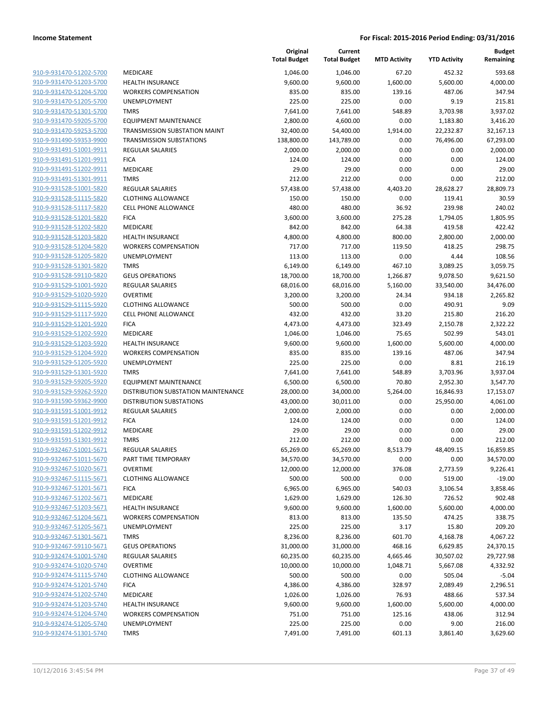|                                                    |                                                        | Original<br><b>Total Budget</b> | Current<br><b>Total Budget</b> | <b>MTD Activity</b> | <b>YTD Activity</b> | <b>Budget</b><br>Remaining |
|----------------------------------------------------|--------------------------------------------------------|---------------------------------|--------------------------------|---------------------|---------------------|----------------------------|
| 910-9-931470-51202-5700                            | MEDICARE                                               | 1,046.00                        | 1,046.00                       | 67.20               | 452.32              | 593.68                     |
| 910-9-931470-51203-5700                            | <b>HEALTH INSURANCE</b>                                | 9,600.00                        | 9,600.00                       | 1,600.00            | 5,600.00            | 4,000.00                   |
| 910-9-931470-51204-5700                            | <b>WORKERS COMPENSATION</b>                            | 835.00                          | 835.00                         | 139.16              | 487.06              | 347.94                     |
| 910-9-931470-51205-5700                            | UNEMPLOYMENT                                           | 225.00                          | 225.00                         | 0.00                | 9.19                | 215.81                     |
| 910-9-931470-51301-5700                            | <b>TMRS</b>                                            | 7,641.00                        | 7,641.00                       | 548.89              | 3,703.98            | 3,937.02                   |
| 910-9-931470-59205-5700                            | <b>EQUIPMENT MAINTENANCE</b>                           | 2,800.00                        | 4,600.00                       | 0.00                | 1,183.80            | 3,416.20                   |
| 910-9-931470-59253-5700                            | TRANSMISSION SUBSTATION MAINT                          | 32,400.00                       | 54,400.00                      | 1,914.00            | 22,232.87           | 32,167.13                  |
| 910-9-931490-59353-9900                            | <b>TRANSMISSION SUBSTATIONS</b>                        | 138,800.00                      | 143,789.00                     | 0.00                | 76,496.00           | 67,293.00                  |
| 910-9-931491-51001-9911                            | <b>REGULAR SALARIES</b>                                | 2,000.00                        | 2,000.00                       | 0.00                | 0.00                | 2,000.00                   |
| 910-9-931491-51201-9911                            | <b>FICA</b>                                            | 124.00                          | 124.00                         | 0.00                | 0.00                | 124.00                     |
| 910-9-931491-51202-9911                            | MEDICARE                                               | 29.00                           | 29.00                          | 0.00                | 0.00                | 29.00                      |
| 910-9-931491-51301-9911                            | <b>TMRS</b>                                            | 212.00                          | 212.00                         | 0.00                | 0.00                | 212.00                     |
| 910-9-931528-51001-5820                            | <b>REGULAR SALARIES</b>                                | 57,438.00                       | 57,438.00                      | 4,403.20            | 28,628.27           | 28,809.73                  |
| 910-9-931528-51115-5820                            | <b>CLOTHING ALLOWANCE</b>                              | 150.00                          | 150.00                         | 0.00                | 119.41              | 30.59                      |
| 910-9-931528-51117-5820                            | <b>CELL PHONE ALLOWANCE</b>                            | 480.00                          | 480.00                         | 36.92               | 239.98              | 240.02                     |
| 910-9-931528-51201-5820                            | <b>FICA</b>                                            | 3,600.00                        | 3,600.00                       | 275.28              | 1,794.05            | 1,805.95                   |
| 910-9-931528-51202-5820                            | <b>MEDICARE</b>                                        | 842.00                          | 842.00                         | 64.38               | 419.58              | 422.42                     |
| 910-9-931528-51203-5820                            | <b>HEALTH INSURANCE</b>                                | 4,800.00                        | 4,800.00                       | 800.00              | 2,800.00            | 2,000.00                   |
| 910-9-931528-51204-5820                            | <b>WORKERS COMPENSATION</b>                            | 717.00                          | 717.00                         | 119.50              | 418.25              | 298.75                     |
| 910-9-931528-51205-5820                            | UNEMPLOYMENT                                           | 113.00                          | 113.00                         | 0.00                | 4.44                | 108.56                     |
| 910-9-931528-51301-5820                            | <b>TMRS</b>                                            | 6,149.00                        | 6,149.00                       | 467.10              | 3,089.25            | 3,059.75                   |
| 910-9-931528-59110-5820                            | <b>GEUS OPERATIONS</b>                                 | 18,700.00                       | 18,700.00                      | 1,266.87            | 9,078.50            | 9,621.50                   |
| 910-9-931529-51001-5920                            | <b>REGULAR SALARIES</b>                                | 68,016.00                       | 68,016.00                      | 5,160.00            | 33,540.00           | 34,476.00                  |
| 910-9-931529-51020-5920                            | <b>OVERTIME</b>                                        | 3,200.00                        | 3,200.00                       | 24.34               | 934.18              | 2,265.82                   |
| 910-9-931529-51115-5920                            | <b>CLOTHING ALLOWANCE</b>                              | 500.00                          | 500.00                         | 0.00                | 490.91              | 9.09                       |
|                                                    | <b>CELL PHONE ALLOWANCE</b>                            |                                 |                                |                     |                     |                            |
| 910-9-931529-51117-5920<br>910-9-931529-51201-5920 |                                                        | 432.00                          | 432.00                         | 33.20               | 215.80              | 216.20                     |
|                                                    | <b>FICA</b>                                            | 4,473.00                        | 4,473.00                       | 323.49              | 2,150.78            | 2,322.22                   |
| 910-9-931529-51202-5920<br>910-9-931529-51203-5920 | MEDICARE                                               | 1,046.00                        | 1,046.00                       | 75.65               | 502.99              | 543.01                     |
| 910-9-931529-51204-5920                            | <b>HEALTH INSURANCE</b><br><b>WORKERS COMPENSATION</b> | 9,600.00                        | 9,600.00                       | 1,600.00<br>139.16  | 5,600.00<br>487.06  | 4,000.00<br>347.94         |
| 910-9-931529-51205-5920                            |                                                        | 835.00                          | 835.00                         |                     |                     |                            |
|                                                    | UNEMPLOYMENT                                           | 225.00                          | 225.00                         | 0.00                | 8.81                | 216.19                     |
| 910-9-931529-51301-5920                            | <b>TMRS</b>                                            | 7,641.00                        | 7,641.00                       | 548.89              | 3,703.96            | 3,937.04                   |
| 910-9-931529-59205-5920                            | <b>EQUIPMENT MAINTENANCE</b>                           | 6,500.00                        | 6,500.00                       | 70.80               | 2,952.30            | 3,547.70                   |
| 910-9-931529-59262-5920                            | DISTRIBUTION SUBSTATION MAINTENANCE                    | 28,000.00                       | 34,000.00                      | 5,264.00            | 16,846.93           | 17,153.07                  |
| 910-9-931590-59362-9900                            | <b>DISTRIBUTION SUBSTATIONS</b>                        | 43,000.00                       | 30,011.00                      | 0.00                | 25,950.00           | 4,061.00                   |
| 910-9-931591-51001-9912                            | REGULAR SALARIES                                       | 2,000.00                        | 2,000.00                       | 0.00                | 0.00                | 2,000.00                   |
| 910-9-931591-51201-9912                            | <b>FICA</b>                                            | 124.00                          | 124.00                         | 0.00                | 0.00                | 124.00                     |
| 910-9-931591-51202-9912                            | <b>MEDICARE</b>                                        | 29.00                           | 29.00                          | 0.00                | 0.00                | 29.00                      |
| 910-9-931591-51301-9912                            | <b>TMRS</b>                                            | 212.00                          | 212.00                         | 0.00                | 0.00                | 212.00                     |
| 910-9-932467-51001-5671                            | <b>REGULAR SALARIES</b>                                | 65,269.00                       | 65,269.00                      | 8,513.79            | 48,409.15           | 16,859.85                  |
| 910-9-932467-51011-5670                            | PART TIME TEMPORARY                                    | 34,570.00                       | 34,570.00                      | 0.00                | 0.00                | 34,570.00                  |
| 910-9-932467-51020-5671                            | <b>OVERTIME</b>                                        | 12,000.00                       | 12,000.00                      | 376.08              | 2,773.59            | 9,226.41                   |
| 910-9-932467-51115-5671                            | <b>CLOTHING ALLOWANCE</b>                              | 500.00                          | 500.00                         | 0.00                | 519.00              | $-19.00$                   |
| 910-9-932467-51201-5671                            | <b>FICA</b>                                            | 6,965.00                        | 6,965.00                       | 540.03              | 3,106.54            | 3,858.46                   |
| 910-9-932467-51202-5671                            | MEDICARE                                               | 1,629.00                        | 1,629.00                       | 126.30              | 726.52              | 902.48                     |
| 910-9-932467-51203-5671                            | <b>HEALTH INSURANCE</b>                                | 9,600.00                        | 9,600.00                       | 1,600.00            | 5,600.00            | 4,000.00                   |
| 910-9-932467-51204-5671                            | <b>WORKERS COMPENSATION</b>                            | 813.00                          | 813.00                         | 135.50              | 474.25              | 338.75                     |
| 910-9-932467-51205-5671                            | UNEMPLOYMENT                                           | 225.00                          | 225.00                         | 3.17                | 15.80               | 209.20                     |
| 910-9-932467-51301-5671                            | <b>TMRS</b>                                            | 8,236.00                        | 8,236.00                       | 601.70              | 4,168.78            | 4,067.22                   |
| 910-9-932467-59110-5671                            | <b>GEUS OPERATIONS</b>                                 | 31,000.00                       | 31,000.00                      | 468.16              | 6,629.85            | 24,370.15                  |
| 910-9-932474-51001-5740                            | <b>REGULAR SALARIES</b>                                | 60,235.00                       | 60,235.00                      | 4,665.46            | 30,507.02           | 29,727.98                  |
| 910-9-932474-51020-5740                            | <b>OVERTIME</b>                                        | 10,000.00                       | 10,000.00                      | 1,048.71            | 5,667.08            | 4,332.92                   |
| 910-9-932474-51115-5740                            | <b>CLOTHING ALLOWANCE</b>                              | 500.00                          | 500.00                         | 0.00                | 505.04              | $-5.04$                    |
| 910-9-932474-51201-5740                            | <b>FICA</b>                                            | 4,386.00                        | 4,386.00                       | 328.97              | 2,089.49            | 2,296.51                   |
| 910-9-932474-51202-5740                            | MEDICARE                                               | 1,026.00                        | 1,026.00                       | 76.93               | 488.66              | 537.34                     |
| 910-9-932474-51203-5740                            | <b>HEALTH INSURANCE</b>                                | 9,600.00                        | 9,600.00                       | 1,600.00            | 5,600.00            | 4,000.00                   |
| 910-9-932474-51204-5740                            | <b>WORKERS COMPENSATION</b>                            | 751.00                          | 751.00                         | 125.16              | 438.06              | 312.94                     |
| 910-9-932474-51205-5740                            | UNEMPLOYMENT                                           | 225.00                          | 225.00                         | 0.00                | 9.00                | 216.00                     |
| 910-9-932474-51301-5740                            | <b>TMRS</b>                                            | 7,491.00                        | 7,491.00                       | 601.13              | 3,861.40            | 3,629.60                   |
|                                                    |                                                        |                                 |                                |                     |                     |                            |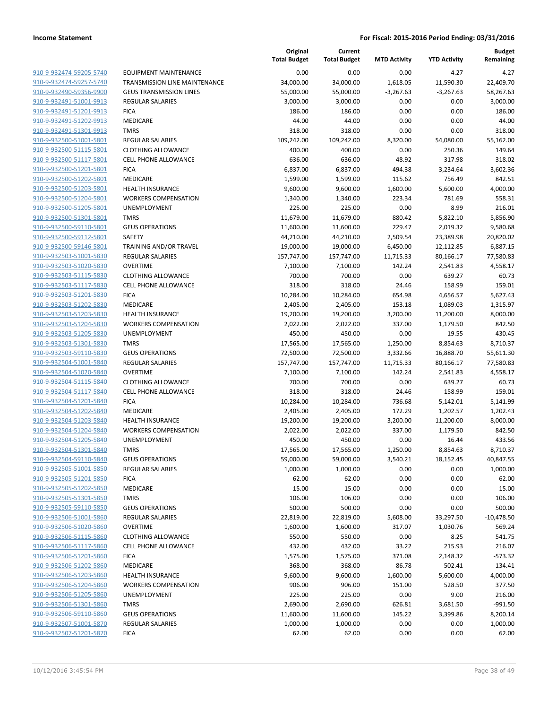|                                                    |                                                        | Original<br><b>Total Budget</b> | Current<br><b>Total Budget</b> | <b>MTD Activity</b> | <b>YTD Activity</b>   | <b>Budget</b><br>Remaining |
|----------------------------------------------------|--------------------------------------------------------|---------------------------------|--------------------------------|---------------------|-----------------------|----------------------------|
| 910-9-932474-59205-5740                            | EQUIPMENT MAINTENANCE                                  | 0.00                            | 0.00                           | 0.00                | 4.27                  | $-4.27$                    |
| 910-9-932474-59257-5740                            | TRANSMISSION LINE MAINTENANCE                          | 34,000.00                       | 34,000.00                      | 1,618.05            | 11,590.30             | 22,409.70                  |
| 910-9-932490-59356-9900                            | <b>GEUS TRANSMISSION LINES</b>                         | 55,000.00                       | 55,000.00                      | $-3,267.63$         | $-3,267.63$           | 58,267.63                  |
| 910-9-932491-51001-9913                            | <b>REGULAR SALARIES</b>                                | 3,000.00                        | 3,000.00                       | 0.00                | 0.00                  | 3,000.00                   |
| 910-9-932491-51201-9913                            | <b>FICA</b>                                            | 186.00                          | 186.00                         | 0.00                | 0.00                  | 186.00                     |
| 910-9-932491-51202-9913                            | MEDICARE                                               | 44.00                           | 44.00                          | 0.00                | 0.00                  | 44.00                      |
| 910-9-932491-51301-9913                            | <b>TMRS</b>                                            | 318.00                          | 318.00                         | 0.00                | 0.00                  | 318.00                     |
| 910-9-932500-51001-5801                            | <b>REGULAR SALARIES</b>                                | 109,242.00                      | 109,242.00                     | 8,320.00            | 54,080.00             | 55,162.00                  |
| 910-9-932500-51115-5801                            | <b>CLOTHING ALLOWANCE</b>                              | 400.00                          | 400.00                         | 0.00                | 250.36                | 149.64                     |
| 910-9-932500-51117-5801                            | <b>CELL PHONE ALLOWANCE</b>                            | 636.00                          | 636.00                         | 48.92               | 317.98                | 318.02                     |
| 910-9-932500-51201-5801                            | <b>FICA</b>                                            | 6,837.00                        | 6,837.00                       | 494.38              | 3,234.64              | 3,602.36                   |
| 910-9-932500-51202-5801                            | MEDICARE                                               | 1,599.00                        | 1,599.00                       | 115.62              | 756.49                | 842.51                     |
| 910-9-932500-51203-5801                            | <b>HEALTH INSURANCE</b>                                | 9,600.00                        | 9,600.00                       | 1,600.00            | 5,600.00              | 4,000.00                   |
| 910-9-932500-51204-5801                            | <b>WORKERS COMPENSATION</b>                            | 1,340.00                        | 1,340.00                       | 223.34              | 781.69                | 558.31                     |
| 910-9-932500-51205-5801                            | <b>UNEMPLOYMENT</b>                                    | 225.00                          | 225.00                         | 0.00                | 8.99                  | 216.01                     |
| 910-9-932500-51301-5801                            | <b>TMRS</b>                                            | 11,679.00                       | 11,679.00                      | 880.42              | 5,822.10              | 5,856.90                   |
| 910-9-932500-59110-5801                            | <b>GEUS OPERATIONS</b>                                 | 11,600.00                       | 11,600.00                      | 229.47              | 2,019.32              | 9,580.68                   |
| 910-9-932500-59112-5801                            | SAFETY                                                 | 44,210.00                       | 44,210.00                      | 2,509.54            | 23,389.98             | 20,820.02                  |
| 910-9-932500-59146-5801                            | TRAINING AND/OR TRAVEL                                 | 19,000.00                       | 19,000.00                      | 6,450.00            | 12,112.85             | 6,887.15                   |
| 910-9-932503-51001-5830                            | <b>REGULAR SALARIES</b>                                | 157,747.00                      | 157,747.00                     | 11,715.33           | 80,166.17             | 77,580.83                  |
| 910-9-932503-51020-5830                            | <b>OVERTIME</b>                                        | 7,100.00                        | 7,100.00                       | 142.24              | 2,541.83              | 4,558.17                   |
| 910-9-932503-51115-5830                            | <b>CLOTHING ALLOWANCE</b>                              | 700.00                          | 700.00                         | 0.00                | 639.27                | 60.73                      |
| 910-9-932503-51117-5830                            | <b>CELL PHONE ALLOWANCE</b>                            | 318.00                          | 318.00                         | 24.46               | 158.99                | 159.01                     |
| 910-9-932503-51201-5830                            | <b>FICA</b>                                            | 10,284.00                       | 10,284.00                      | 654.98              | 4,656.57              | 5,627.43                   |
| 910-9-932503-51202-5830                            | <b>MEDICARE</b>                                        | 2,405.00                        | 2,405.00                       | 153.18              | 1,089.03              | 1,315.97                   |
| 910-9-932503-51203-5830                            | <b>HEALTH INSURANCE</b>                                | 19,200.00                       | 19,200.00                      | 3,200.00            | 11,200.00             | 8,000.00                   |
| 910-9-932503-51204-5830                            | <b>WORKERS COMPENSATION</b>                            | 2,022.00                        | 2,022.00                       | 337.00              | 1,179.50              | 842.50                     |
| 910-9-932503-51205-5830                            | UNEMPLOYMENT                                           | 450.00                          | 450.00                         | 0.00                | 19.55                 | 430.45                     |
| 910-9-932503-51301-5830                            | <b>TMRS</b>                                            | 17,565.00                       | 17,565.00                      | 1,250.00            | 8,854.63              | 8,710.37                   |
| 910-9-932503-59110-5830                            | <b>GEUS OPERATIONS</b>                                 | 72,500.00                       | 72,500.00                      | 3,332.66            | 16,888.70             | 55,611.30                  |
| 910-9-932504-51001-5840                            | REGULAR SALARIES                                       | 157,747.00                      | 157,747.00                     | 11,715.33           | 80,166.17             | 77,580.83                  |
| 910-9-932504-51020-5840                            | <b>OVERTIME</b>                                        | 7,100.00                        | 7,100.00                       | 142.24              | 2,541.83              | 4,558.17                   |
| 910-9-932504-51115-5840                            | <b>CLOTHING ALLOWANCE</b>                              | 700.00                          | 700.00                         | 0.00                | 639.27                | 60.73                      |
| 910-9-932504-51117-5840                            | <b>CELL PHONE ALLOWANCE</b>                            | 318.00                          | 318.00                         | 24.46               | 158.99                | 159.01                     |
| 910-9-932504-51201-5840                            | <b>FICA</b>                                            | 10,284.00                       | 10,284.00                      | 736.68              | 5,142.01              | 5,141.99<br>1,202.43       |
| 910-9-932504-51202-5840                            | MEDICARE                                               | 2,405.00                        | 2,405.00                       | 172.29              | 1,202.57              |                            |
| 910-9-932504-51203-5840<br>910-9-932504-51204-5840 | <b>HEALTH INSURANCE</b><br><b>WORKERS COMPENSATION</b> | 19,200.00<br>2,022.00           | 19,200.00                      | 3,200.00<br>337.00  | 11,200.00<br>1,179.50 | 8,000.00<br>842.50         |
| 910-9-932504-51205-5840                            | UNEMPLOYMENT                                           | 450.00                          | 2,022.00<br>450.00             | 0.00                | 16.44                 | 433.56                     |
| 910-9-932504-51301-5840                            | <b>TMRS</b>                                            | 17,565.00                       | 17,565.00                      | 1,250.00            | 8,854.63              | 8,710.37                   |
| 910-9-932504-59110-5840                            | <b>GEUS OPERATIONS</b>                                 | 59,000.00                       | 59,000.00                      | 3,540.21            | 18,152.45             | 40,847.55                  |
| 910-9-932505-51001-5850                            | <b>REGULAR SALARIES</b>                                | 1,000.00                        | 1,000.00                       | 0.00                | 0.00                  | 1,000.00                   |
| 910-9-932505-51201-5850                            | <b>FICA</b>                                            | 62.00                           | 62.00                          | 0.00                | 0.00                  | 62.00                      |
| 910-9-932505-51202-5850                            | MEDICARE                                               | 15.00                           | 15.00                          | 0.00                | 0.00                  | 15.00                      |
| 910-9-932505-51301-5850                            | <b>TMRS</b>                                            | 106.00                          | 106.00                         | 0.00                | 0.00                  | 106.00                     |
| 910-9-932505-59110-5850                            | <b>GEUS OPERATIONS</b>                                 | 500.00                          | 500.00                         | 0.00                | 0.00                  | 500.00                     |
| 910-9-932506-51001-5860                            | REGULAR SALARIES                                       | 22,819.00                       | 22,819.00                      | 5,608.00            | 33,297.50             | $-10,478.50$               |
| 910-9-932506-51020-5860                            | <b>OVERTIME</b>                                        | 1,600.00                        | 1,600.00                       | 317.07              | 1,030.76              | 569.24                     |
| 910-9-932506-51115-5860                            | <b>CLOTHING ALLOWANCE</b>                              | 550.00                          | 550.00                         | 0.00                | 8.25                  | 541.75                     |
| 910-9-932506-51117-5860                            | <b>CELL PHONE ALLOWANCE</b>                            | 432.00                          | 432.00                         | 33.22               | 215.93                | 216.07                     |
| 910-9-932506-51201-5860                            | <b>FICA</b>                                            | 1,575.00                        | 1,575.00                       | 371.08              | 2,148.32              | $-573.32$                  |
| 910-9-932506-51202-5860                            | MEDICARE                                               | 368.00                          | 368.00                         | 86.78               | 502.41                | $-134.41$                  |
| 910-9-932506-51203-5860                            | <b>HEALTH INSURANCE</b>                                | 9,600.00                        | 9,600.00                       | 1,600.00            | 5,600.00              | 4,000.00                   |
| 910-9-932506-51204-5860                            | <b>WORKERS COMPENSATION</b>                            | 906.00                          | 906.00                         | 151.00              | 528.50                | 377.50                     |
| 910-9-932506-51205-5860                            | <b>UNEMPLOYMENT</b>                                    | 225.00                          | 225.00                         | 0.00                | 9.00                  | 216.00                     |
| 910-9-932506-51301-5860                            | <b>TMRS</b>                                            | 2,690.00                        | 2,690.00                       | 626.81              | 3,681.50              | $-991.50$                  |
| 910-9-932506-59110-5860                            | <b>GEUS OPERATIONS</b>                                 | 11,600.00                       | 11,600.00                      | 145.22              | 3,399.86              | 8,200.14                   |
| 910-9-932507-51001-5870                            | REGULAR SALARIES                                       | 1,000.00                        | 1,000.00                       | 0.00                | 0.00                  | 1,000.00                   |
| 910-9-932507-51201-5870                            | <b>FICA</b>                                            | 62.00                           | 62.00                          | 0.00                | 0.00                  | 62.00                      |
|                                                    |                                                        |                                 |                                |                     |                       |                            |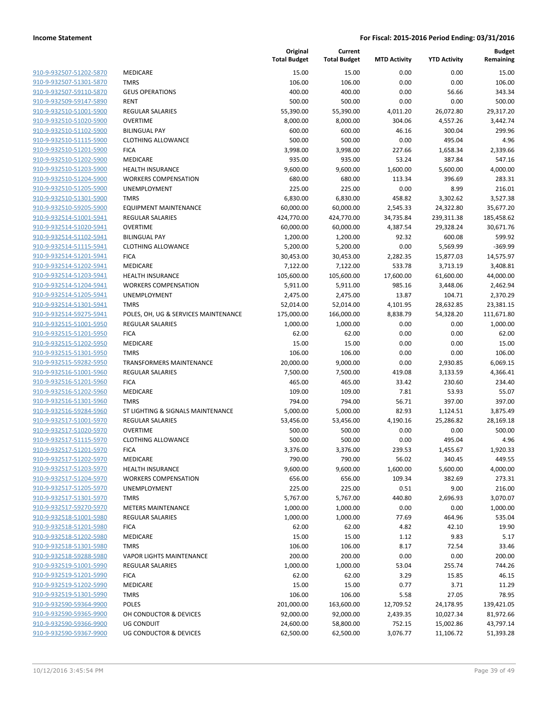| 910-9-932507-51202-5870        |
|--------------------------------|
| 910-9-932507-51301-5870        |
| 910-9-932507-59110-5870        |
| 910-9-932509-59147-5890        |
| 910-9-932510-51001-5900        |
| <u>910-9-932510-51020-5900</u> |
| 910-9-932510-51102-5900        |
| 910-9-932510-51115-5900        |
| 910-9-932510-51201-5900        |
| 910-9-932510-51202-5900        |
| 910-9-932510-51203-5900        |
| 910-9-932510-51204-5900        |
| 910-9-932510-51205-5900        |
| 910-9-932510-51301-5900        |
| 910-9-932510-59205-5900        |
| 910-9-932514-51001-5941        |
|                                |
| 910-9-932514-51020-5941        |
| 910-9-932514-51102-5941        |
| 910-9-932514-51115-5941        |
| 910-9-932514-51201-5941        |
| 910-9-932514-51202-5941        |
| 910-9-932514-51203-5941        |
| 910-9-932514-51204-5941        |
| 910-9-932514-51205-5941        |
| 910-9-932514-51301-5941        |
| 910-9-932514-59275-5941        |
| 910-9-932515-51001-5950        |
| 910-9-932515-51201-5950        |
| 910-9-932515-51202-5950        |
| 910-9-932515-51301-5950        |
| 910-9-932515-59282-5950        |
| 910-9-932516-51001-5960        |
| 910-9-932516-51201-5960        |
| 910-9-932516-51202-5960        |
| 910-9-932516-51301-5960        |
| 910-9-932516-59284-5960        |
| 910-9-932517-51001-5970        |
| 910-9-932517-51020-5970        |
| 910-9-932517-51115-5970        |
| 910-9-932517-51201-5970        |
| 910-9-932517-51202-5970        |
| 910-9-932517-51203-5970        |
| 910-9-932517-51204-5970        |
| 910-9-932517-51205-5970        |
| <u>910-9-932517-51301-5970</u> |
|                                |
| <u>910-9-932517-59270-5970</u> |
| 910-9-932518-51001-5980        |
| 910-9-932518-51201-5980        |
| 910-9-932518-51202-5980        |
| 910-9-932518-51301-5980        |
| <u>910-9-932518-59288-5980</u> |
| <u>910-9-932519-51001-5990</u> |
| <u>910-9-932519-51201-5990</u> |
| 910-9-932519-51202-5990        |
| <u>910-9-932519-51301-5990</u> |
| <u>910-9-932590-59364-9900</u> |
| <u>910-9-932590-59365-9900</u> |
| <u>910-9-932590-59366-9900</u> |
| 910-9-932590-59367-9900        |
|                                |

|                                                    |                                      | Original<br><b>Total Budget</b> | Current<br><b>Total Budget</b> | <b>MTD Activity</b> | <b>YTD Activity</b> | Budget<br>Remaining |
|----------------------------------------------------|--------------------------------------|---------------------------------|--------------------------------|---------------------|---------------------|---------------------|
| 910-9-932507-51202-5870                            | MEDICARE                             | 15.00                           | 15.00                          | 0.00                | 0.00                | 15.00               |
| 910-9-932507-51301-5870                            | <b>TMRS</b>                          | 106.00                          | 106.00                         | 0.00                | 0.00                | 106.00              |
| 910-9-932507-59110-5870                            | <b>GEUS OPERATIONS</b>               | 400.00                          | 400.00                         | 0.00                | 56.66               | 343.34              |
| 910-9-932509-59147-5890                            | <b>RENT</b>                          | 500.00                          | 500.00                         | 0.00                | 0.00                | 500.00              |
| 910-9-932510-51001-5900                            | <b>REGULAR SALARIES</b>              | 55,390.00                       | 55,390.00                      | 4,011.20            | 26,072.80           | 29,317.20           |
| 910-9-932510-51020-5900                            | <b>OVERTIME</b>                      | 8,000.00                        | 8,000.00                       | 304.06              | 4,557.26            | 3,442.74            |
| 910-9-932510-51102-5900                            | <b>BILINGUAL PAY</b>                 | 600.00                          | 600.00                         | 46.16               | 300.04              | 299.96              |
| 910-9-932510-51115-5900                            | <b>CLOTHING ALLOWANCE</b>            | 500.00                          | 500.00                         | 0.00                | 495.04              | 4.96                |
| 910-9-932510-51201-5900                            | <b>FICA</b>                          | 3,998.00                        | 3,998.00                       | 227.66              | 1,658.34            | 2,339.66            |
| 910-9-932510-51202-5900                            | MEDICARE                             | 935.00                          | 935.00                         | 53.24               | 387.84              | 547.16              |
| 910-9-932510-51203-5900                            | <b>HEALTH INSURANCE</b>              | 9,600.00                        | 9,600.00                       | 1,600.00            | 5,600.00            | 4,000.00            |
| 910-9-932510-51204-5900                            | <b>WORKERS COMPENSATION</b>          | 680.00                          | 680.00                         | 113.34              | 396.69              | 283.31              |
| 910-9-932510-51205-5900                            | UNEMPLOYMENT                         | 225.00                          | 225.00                         | 0.00                | 8.99                | 216.01              |
| 910-9-932510-51301-5900                            | <b>TMRS</b>                          | 6,830.00                        | 6,830.00                       | 458.82              | 3,302.62            | 3,527.38            |
| 910-9-932510-59205-5900                            | <b>EQUIPMENT MAINTENANCE</b>         | 60,000.00                       | 60,000.00                      | 2,545.33            | 24,322.80           | 35,677.20           |
| 910-9-932514-51001-5941                            | REGULAR SALARIES                     | 424,770.00                      | 424,770.00                     | 34,735.84           | 239,311.38          | 185,458.62          |
| 910-9-932514-51020-5941                            | <b>OVERTIME</b>                      | 60,000.00                       | 60,000.00                      | 4,387.54            | 29,328.24           | 30,671.76           |
| 910-9-932514-51102-5941                            | <b>BILINGUAL PAY</b>                 | 1,200.00                        | 1,200.00                       | 92.32               | 600.08              | 599.92              |
| 910-9-932514-51115-5941                            | <b>CLOTHING ALLOWANCE</b>            | 5,200.00                        | 5,200.00                       | 0.00                | 5,569.99            | $-369.99$           |
| 910-9-932514-51201-5941                            | <b>FICA</b>                          | 30,453.00                       | 30,453.00                      | 2,282.35            | 15,877.03           | 14,575.97           |
| 910-9-932514-51202-5941                            | MEDICARE                             | 7,122.00                        | 7,122.00                       | 533.78              | 3,713.19            | 3,408.81            |
| 910-9-932514-51203-5941                            | <b>HEALTH INSURANCE</b>              | 105,600.00                      | 105,600.00                     | 17,600.00           | 61,600.00           | 44,000.00           |
| 910-9-932514-51204-5941                            | <b>WORKERS COMPENSATION</b>          | 5,911.00                        | 5,911.00                       | 985.16              | 3,448.06            | 2,462.94            |
| 910-9-932514-51205-5941                            | <b>UNEMPLOYMENT</b>                  | 2,475.00                        | 2,475.00                       | 13.87               | 104.71              | 2,370.29            |
| 910-9-932514-51301-5941                            | <b>TMRS</b>                          | 52,014.00                       | 52,014.00                      | 4,101.95            | 28,632.85           | 23,381.15           |
| 910-9-932514-59275-5941                            | POLES, OH, UG & SERVICES MAINTENANCE | 175,000.00                      | 166,000.00                     | 8,838.79            | 54,328.20           | 111,671.80          |
| 910-9-932515-51001-5950                            | <b>REGULAR SALARIES</b>              | 1,000.00                        | 1,000.00                       | 0.00                | 0.00                | 1,000.00            |
| 910-9-932515-51201-5950                            | <b>FICA</b>                          | 62.00                           | 62.00                          | 0.00                | 0.00                | 62.00               |
| 910-9-932515-51202-5950                            | MEDICARE<br><b>TMRS</b>              | 15.00                           | 15.00                          | 0.00<br>0.00        | 0.00                | 15.00               |
| 910-9-932515-51301-5950<br>910-9-932515-59282-5950 | <b>TRANSFORMERS MAINTENANCE</b>      | 106.00<br>20,000.00             | 106.00<br>9,000.00             | 0.00                | 0.00<br>2,930.85    | 106.00<br>6,069.15  |
| 910-9-932516-51001-5960                            | <b>REGULAR SALARIES</b>              | 7,500.00                        | 7,500.00                       | 419.08              | 3,133.59            | 4,366.41            |
| 910-9-932516-51201-5960                            | <b>FICA</b>                          | 465.00                          | 465.00                         | 33.42               | 230.60              | 234.40              |
| 910-9-932516-51202-5960                            | MEDICARE                             | 109.00                          | 109.00                         | 7.81                | 53.93               | 55.07               |
| 910-9-932516-51301-5960                            | <b>TMRS</b>                          | 794.00                          | 794.00                         | 56.71               | 397.00              | 397.00              |
| 910-9-932516-59284-5960                            | ST LIGHTING & SIGNALS MAINTENANCE    | 5,000.00                        | 5,000.00                       | 82.93               | 1,124.51            | 3,875.49            |
| 910-9-932517-51001-5970                            | <b>REGULAR SALARIES</b>              | 53,456.00                       | 53,456.00                      | 4,190.16            | 25,286.82           | 28,169.18           |
| 910-9-932517-51020-5970                            | <b>OVERTIME</b>                      | 500.00                          | 500.00                         | 0.00                | 0.00                | 500.00              |
| 910-9-932517-51115-5970                            | <b>CLOTHING ALLOWANCE</b>            | 500.00                          | 500.00                         | 0.00                | 495.04              | 4.96                |
| 910-9-932517-51201-5970                            | <b>FICA</b>                          | 3,376.00                        | 3,376.00                       | 239.53              | 1,455.67            | 1,920.33            |
| 910-9-932517-51202-5970                            | <b>MEDICARE</b>                      | 790.00                          | 790.00                         | 56.02               | 340.45              | 449.55              |
| 910-9-932517-51203-5970                            | <b>HEALTH INSURANCE</b>              | 9,600.00                        | 9,600.00                       | 1,600.00            | 5,600.00            | 4,000.00            |
| 910-9-932517-51204-5970                            | <b>WORKERS COMPENSATION</b>          | 656.00                          | 656.00                         | 109.34              | 382.69              | 273.31              |
| 910-9-932517-51205-5970                            | UNEMPLOYMENT                         | 225.00                          | 225.00                         | 0.51                | 9.00                | 216.00              |
| 910-9-932517-51301-5970                            | <b>TMRS</b>                          | 5,767.00                        | 5,767.00                       | 440.80              | 2,696.93            | 3,070.07            |
| 910-9-932517-59270-5970                            | <b>METERS MAINTENANCE</b>            | 1,000.00                        | 1,000.00                       | 0.00                | 0.00                | 1,000.00            |
| 910-9-932518-51001-5980                            | <b>REGULAR SALARIES</b>              | 1,000.00                        | 1,000.00                       | 77.69               | 464.96              | 535.04              |
| 910-9-932518-51201-5980                            | <b>FICA</b>                          | 62.00                           | 62.00                          | 4.82                | 42.10               | 19.90               |
| 910-9-932518-51202-5980                            | <b>MEDICARE</b>                      | 15.00                           | 15.00                          | 1.12                | 9.83                | 5.17                |
| 910-9-932518-51301-5980                            | <b>TMRS</b>                          | 106.00                          | 106.00                         | 8.17                | 72.54               | 33.46               |
| 910-9-932518-59288-5980                            | <b>VAPOR LIGHTS MAINTENANCE</b>      | 200.00                          | 200.00                         | 0.00                | 0.00                | 200.00              |
| 910-9-932519-51001-5990                            | <b>REGULAR SALARIES</b>              | 1,000.00                        | 1,000.00                       | 53.04               | 255.74              | 744.26              |
| 910-9-932519-51201-5990                            | <b>FICA</b>                          | 62.00                           | 62.00                          | 3.29                | 15.85               | 46.15               |
| 910-9-932519-51202-5990                            | MEDICARE                             | 15.00                           | 15.00                          | 0.77                | 3.71                | 11.29               |
| 910-9-932519-51301-5990                            | <b>TMRS</b>                          | 106.00                          | 106.00                         | 5.58                | 27.05               | 78.95               |
| 910-9-932590-59364-9900                            | POLES                                | 201,000.00                      | 163,600.00                     | 12,709.52           | 24,178.95           | 139,421.05          |
| 910-9-932590-59365-9900                            | OH CONDUCTOR & DEVICES               | 92,000.00                       | 92,000.00                      | 2,439.35            | 10,027.34           | 81,972.66           |
| 910-9-932590-59366-9900<br>910-9-932590-59367-9900 | UG CONDUIT<br>UG CONDUCTOR & DEVICES | 24,600.00                       | 58,800.00                      | 752.15              | 15,002.86           | 43,797.14           |
|                                                    |                                      | 62,500.00                       | 62,500.00                      | 3,076.77            | 11,106.72           | 51,393.28           |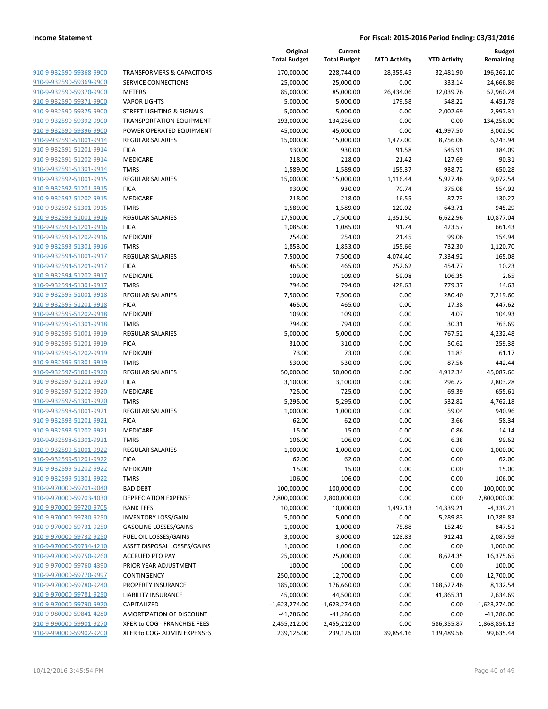|                                                    |                                      | Original<br><b>Total Budget</b> | Current<br><b>Total Budget</b> | <b>MTD Activity</b> | <b>YTD Activity</b> | <b>Budget</b><br>Remaining |
|----------------------------------------------------|--------------------------------------|---------------------------------|--------------------------------|---------------------|---------------------|----------------------------|
| 910-9-932590-59368-9900                            | <b>TRANSFORMERS &amp; CAPACITORS</b> | 170,000.00                      | 228,744.00                     | 28,355.45           | 32,481.90           | 196,262.10                 |
| 910-9-932590-59369-9900                            | SERVICE CONNECTIONS                  | 25,000.00                       | 25,000.00                      | 0.00                | 333.14              | 24,666.86                  |
| 910-9-932590-59370-9900                            | <b>METERS</b>                        | 85,000.00                       | 85,000.00                      | 26,434.06           | 32,039.76           | 52,960.24                  |
| 910-9-932590-59371-9900                            | <b>VAPOR LIGHTS</b>                  | 5,000.00                        | 5,000.00                       | 179.58              | 548.22              | 4,451.78                   |
| 910-9-932590-59375-9900                            | STREET LIGHTING & SIGNALS            | 5,000.00                        | 5,000.00                       | 0.00                | 2,002.69            | 2,997.31                   |
| 910-9-932590-59392-9900                            | <b>TRANSPORTATION EQUIPMENT</b>      | 193,000.00                      | 134,256.00                     | 0.00                | 0.00                | 134,256.00                 |
| 910-9-932590-59396-9900                            | POWER OPERATED EQUIPMENT             | 45,000.00                       | 45,000.00                      | 0.00                | 41,997.50           | 3,002.50                   |
| 910-9-932591-51001-9914                            | <b>REGULAR SALARIES</b>              | 15,000.00                       | 15,000.00                      | 1,477.00            | 8,756.06            | 6,243.94                   |
| 910-9-932591-51201-9914                            | <b>FICA</b>                          | 930.00                          | 930.00                         | 91.58               | 545.91              | 384.09                     |
| 910-9-932591-51202-9914                            | MEDICARE                             | 218.00                          | 218.00                         | 21.42               | 127.69              | 90.31                      |
| 910-9-932591-51301-9914                            | <b>TMRS</b>                          | 1,589.00                        | 1,589.00                       | 155.37              | 938.72              | 650.28                     |
| 910-9-932592-51001-9915                            | <b>REGULAR SALARIES</b>              | 15,000.00                       | 15,000.00                      | 1,116.44            | 5,927.46            | 9,072.54                   |
| 910-9-932592-51201-9915                            | <b>FICA</b>                          | 930.00                          | 930.00                         | 70.74               | 375.08              | 554.92                     |
| 910-9-932592-51202-9915                            | MEDICARE                             | 218.00                          | 218.00                         | 16.55               | 87.73               | 130.27                     |
| 910-9-932592-51301-9915                            | <b>TMRS</b>                          | 1,589.00                        | 1,589.00                       | 120.02              | 643.71              | 945.29                     |
| 910-9-932593-51001-9916                            | REGULAR SALARIES                     | 17,500.00                       | 17,500.00                      | 1,351.50            | 6,622.96            | 10,877.04                  |
| 910-9-932593-51201-9916                            | <b>FICA</b>                          | 1,085.00                        | 1,085.00                       | 91.74               | 423.57              | 661.43                     |
| 910-9-932593-51202-9916<br>910-9-932593-51301-9916 | <b>MEDICARE</b>                      | 254.00                          | 254.00                         | 21.45               | 99.06               | 154.94                     |
|                                                    | <b>TMRS</b>                          | 1,853.00                        | 1,853.00                       | 155.66              | 732.30              | 1,120.70                   |
| 910-9-932594-51001-9917                            | <b>REGULAR SALARIES</b>              | 7,500.00                        | 7,500.00                       | 4,074.40            | 7,334.92            | 165.08                     |
| 910-9-932594-51201-9917                            | <b>FICA</b><br>MEDICARE              | 465.00                          | 465.00                         | 252.62              | 454.77              | 10.23                      |
| 910-9-932594-51202-9917<br>910-9-932594-51301-9917 | <b>TMRS</b>                          | 109.00                          | 109.00                         | 59.08<br>428.63     | 106.35<br>779.37    | 2.65<br>14.63              |
| 910-9-932595-51001-9918                            | <b>REGULAR SALARIES</b>              | 794.00<br>7,500.00              | 794.00<br>7,500.00             | 0.00                | 280.40              | 7,219.60                   |
| 910-9-932595-51201-9918                            | <b>FICA</b>                          | 465.00                          | 465.00                         | 0.00                | 17.38               | 447.62                     |
| 910-9-932595-51202-9918                            | MEDICARE                             | 109.00                          | 109.00                         | 0.00                | 4.07                | 104.93                     |
| 910-9-932595-51301-9918                            | <b>TMRS</b>                          | 794.00                          | 794.00                         | 0.00                | 30.31               | 763.69                     |
| 910-9-932596-51001-9919                            | <b>REGULAR SALARIES</b>              | 5,000.00                        | 5,000.00                       | 0.00                | 767.52              | 4,232.48                   |
| 910-9-932596-51201-9919                            | <b>FICA</b>                          | 310.00                          | 310.00                         | 0.00                | 50.62               | 259.38                     |
| 910-9-932596-51202-9919                            | <b>MEDICARE</b>                      | 73.00                           | 73.00                          | 0.00                | 11.83               | 61.17                      |
| 910-9-932596-51301-9919                            | <b>TMRS</b>                          | 530.00                          | 530.00                         | 0.00                | 87.56               | 442.44                     |
| 910-9-932597-51001-9920                            | <b>REGULAR SALARIES</b>              | 50,000.00                       | 50,000.00                      | 0.00                | 4,912.34            | 45,087.66                  |
| 910-9-932597-51201-9920                            | <b>FICA</b>                          | 3,100.00                        | 3,100.00                       | 0.00                | 296.72              | 2,803.28                   |
| 910-9-932597-51202-9920                            | MEDICARE                             | 725.00                          | 725.00                         | 0.00                | 69.39               | 655.61                     |
| 910-9-932597-51301-9920                            | <b>TMRS</b>                          | 5,295.00                        | 5,295.00                       | 0.00                | 532.82              | 4,762.18                   |
| 910-9-932598-51001-9921                            | <b>REGULAR SALARIES</b>              | 1,000.00                        | 1,000.00                       | 0.00                | 59.04               | 940.96                     |
| 910-9-932598-51201-9921                            | <b>FICA</b>                          | 62.00                           | 62.00                          | 0.00                | 3.66                | 58.34                      |
| 910-9-932598-51202-9921                            | <b>MEDICARE</b>                      | 15.00                           | 15.00                          | 0.00                | 0.86                | 14.14                      |
| 910-9-932598-51301-9921                            | <b>TMRS</b>                          | 106.00                          | 106.00                         | 0.00                | 6.38                | 99.62                      |
| 910-9-932599-51001-9922                            | <b>REGULAR SALARIES</b>              | 1,000.00                        | 1,000.00                       | 0.00                | 0.00                | 1,000.00                   |
| 910-9-932599-51201-9922                            | <b>FICA</b>                          | 62.00                           | 62.00                          | 0.00                | 0.00                | 62.00                      |
| 910-9-932599-51202-9922                            | MEDICARE                             | 15.00                           | 15.00                          | 0.00                | 0.00                | 15.00                      |
| 910-9-932599-51301-9922                            | <b>TMRS</b>                          | 106.00                          | 106.00                         | 0.00                | 0.00                | 106.00                     |
| 910-9-970000-59701-9040                            | <b>BAD DEBT</b>                      | 100,000.00                      | 100,000.00                     | 0.00                | 0.00                | 100,000.00                 |
| 910-9-970000-59703-4030                            | DEPRECIATION EXPENSE                 | 2,800,000.00                    | 2,800,000.00                   | 0.00                | 0.00                | 2,800,000.00               |
| 910-9-970000-59720-9705                            | <b>BANK FEES</b>                     | 10,000.00                       | 10,000.00                      | 1,497.13            | 14,339.21           | $-4,339.21$                |
| 910-9-970000-59730-9250                            | <b>INVENTORY LOSS/GAIN</b>           | 5,000.00                        | 5,000.00                       | 0.00                | $-5,289.83$         | 10,289.83                  |
| 910-9-970000-59731-9250                            | <b>GASOLINE LOSSES/GAINS</b>         | 1,000.00                        | 1,000.00                       | 75.88               | 152.49              | 847.51                     |
| 910-9-970000-59732-9250                            | FUEL OIL LOSSES/GAINS                | 3,000.00                        | 3,000.00                       | 128.83              | 912.41              | 2,087.59                   |
| 910-9-970000-59734-4210                            | ASSET DISPOSAL LOSSES/GAINS          | 1,000.00                        | 1,000.00                       | 0.00                | 0.00                | 1,000.00                   |
| 910-9-970000-59750-9260                            | <b>ACCRUED PTO PAY</b>               | 25,000.00                       | 25,000.00                      | 0.00                | 8,624.35            | 16,375.65                  |
| 910-9-970000-59760-4390                            | PRIOR YEAR ADJUSTMENT                | 100.00                          | 100.00                         | 0.00                | 0.00                | 100.00                     |
| 910-9-970000-59770-9997                            | CONTINGENCY                          | 250,000.00                      | 12,700.00                      | 0.00                | 0.00                | 12,700.00                  |
| 910-9-970000-59780-9240                            | PROPERTY INSURANCE                   | 185,000.00                      | 176,660.00                     | 0.00                | 168,527.46          | 8,132.54                   |
| 910-9-970000-59781-9250                            | LIABILITY INSURANCE                  | 45,000.00                       | 44,500.00                      | 0.00                | 41,865.31           | 2,634.69                   |
| 910-9-970000-59790-9970                            | CAPITALIZED                          | $-1,623,274.00$                 | $-1,623,274.00$                | 0.00                | 0.00                | $-1,623,274.00$            |
| 910-9-980000-59841-4280                            | AMORTIZATION OF DISCOUNT             | $-41,286.00$                    | $-41,286.00$                   | 0.00                | 0.00                | $-41,286.00$               |
| 910-9-990000-59901-9270                            | XFER to COG - FRANCHISE FEES         | 2,455,212.00                    | 2,455,212.00                   | 0.00                | 586,355.87          | 1,868,856.13               |
| 910-9-990000-59902-9200                            | XFER to COG- ADMIN EXPENSES          | 239,125.00                      | 239,125.00                     | 39,854.16           | 139,489.56          | 99,635.44                  |
|                                                    |                                      |                                 |                                |                     |                     |                            |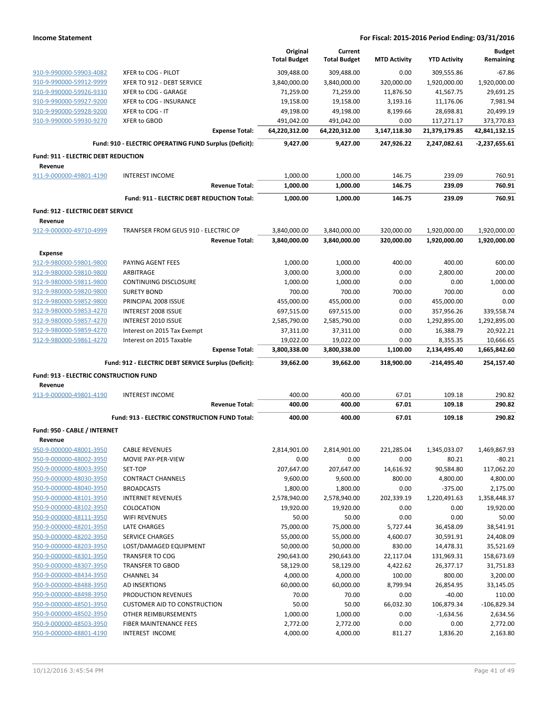|                                                    |                                                        | Original             | Current              |                     |                       | <b>Budget</b>          |
|----------------------------------------------------|--------------------------------------------------------|----------------------|----------------------|---------------------|-----------------------|------------------------|
|                                                    |                                                        | <b>Total Budget</b>  | <b>Total Budget</b>  | <b>MTD Activity</b> | <b>YTD Activity</b>   | Remaining              |
| 910-9-990000-59903-4082                            | XFER to COG - PILOT                                    | 309,488.00           | 309,488.00           | 0.00                | 309,555.86            | $-67.86$               |
| 910-9-990000-59912-9999                            | XFER TO 912 - DEBT SERVICE                             | 3,840,000.00         | 3,840,000.00         | 320,000.00          | 1,920,000.00          | 1,920,000.00           |
| 910-9-990000-59926-9330                            | XFER to COG - GARAGE                                   | 71,259.00            | 71,259.00            | 11,876.50           | 41,567.75             | 29,691.25              |
| 910-9-990000-59927-9200                            | XFER to COG - INSURANCE                                | 19,158.00            | 19,158.00            | 3,193.16            | 11,176.06             | 7.981.94               |
| 910-9-990000-59928-9200                            | XFER to COG - IT                                       | 49,198.00            | 49,198.00            | 8,199.66            | 28,698.81             | 20,499.19              |
| 910-9-990000-59930-9270                            | XFER to GBOD                                           | 491,042.00           | 491,042.00           | 0.00                | 117,271.17            | 373,770.83             |
|                                                    | <b>Expense Total:</b>                                  | 64,220,312.00        | 64,220,312.00        | 3,147,118.30        | 21,379,179.85         | 42,841,132.15          |
|                                                    | Fund: 910 - ELECTRIC OPERATING FUND Surplus (Deficit): | 9,427.00             | 9,427.00             | 247,926.22          | 2,247,082.61          | $-2,237,655.61$        |
| Fund: 911 - ELECTRIC DEBT REDUCTION                |                                                        |                      |                      |                     |                       |                        |
| Revenue                                            |                                                        |                      |                      |                     |                       |                        |
| 911-9-000000-49801-4190                            | <b>INTEREST INCOME</b>                                 | 1,000.00             | 1,000.00             | 146.75              | 239.09                | 760.91                 |
|                                                    | <b>Revenue Total:</b>                                  | 1,000.00             | 1,000.00             | 146.75              | 239.09                | 760.91                 |
|                                                    | Fund: 911 - ELECTRIC DEBT REDUCTION Total:             | 1,000.00             | 1,000.00             | 146.75              | 239.09                | 760.91                 |
| <b>Fund: 912 - ELECTRIC DEBT SERVICE</b>           |                                                        |                      |                      |                     |                       |                        |
| Revenue                                            |                                                        |                      |                      |                     |                       |                        |
| 912-9-000000-49710-4999                            | TRANFSER FROM GEUS 910 - ELECTRIC OP                   | 3,840,000.00         | 3,840,000.00         | 320,000.00          | 1,920,000.00          | 1,920,000.00           |
|                                                    | <b>Revenue Total:</b>                                  | 3,840,000.00         | 3,840,000.00         | 320,000.00          | 1,920,000.00          | 1,920,000.00           |
| <b>Expense</b>                                     |                                                        |                      |                      |                     |                       |                        |
| 912-9-980000-59801-9800                            | PAYING AGENT FEES                                      | 1,000.00             | 1,000.00             | 400.00              | 400.00                | 600.00                 |
| 912-9-980000-59810-9800                            | ARBITRAGE                                              | 3,000.00             | 3,000.00             | 0.00                | 2,800.00              | 200.00                 |
| 912-9-980000-59811-9800                            | <b>CONTINUING DISCLOSURE</b>                           | 1,000.00             | 1,000.00             | 0.00                | 0.00                  | 1,000.00               |
| 912-9-980000-59820-9800                            | <b>SURETY BOND</b>                                     | 700.00               | 700.00               | 700.00              | 700.00                | 0.00                   |
| 912-9-980000-59852-9800                            | PRINCIPAL 2008 ISSUE                                   | 455,000.00           | 455,000.00           | 0.00                | 455,000.00            | 0.00                   |
| 912-9-980000-59853-4270                            | <b>INTEREST 2008 ISSUE</b>                             | 697,515.00           | 697,515.00           | 0.00                | 357,956.26            | 339,558.74             |
| 912-9-980000-59857-4270                            | INTEREST 2010 ISSUE                                    | 2,585,790.00         | 2,585,790.00         | 0.00                | 1,292,895.00          | 1,292,895.00           |
| 912-9-980000-59859-4270                            | Interest on 2015 Tax Exempt                            | 37,311.00            | 37,311.00            | 0.00                | 16,388.79             | 20,922.21              |
| 912-9-980000-59861-4270                            | Interest on 2015 Taxable                               | 19,022.00            | 19,022.00            | 0.00                | 8,355.35              | 10,666.65              |
|                                                    |                                                        |                      |                      |                     |                       |                        |
|                                                    | <b>Expense Total:</b>                                  | 3,800,338.00         | 3,800,338.00         | 1,100.00            | 2,134,495.40          | 1,665,842.60           |
|                                                    | Fund: 912 - ELECTRIC DEBT SERVICE Surplus (Deficit):   | 39,662.00            | 39,662.00            | 318,900.00          | $-214,495.40$         | 254,157.40             |
| Fund: 913 - ELECTRIC CONSTRUCTION FUND             |                                                        |                      |                      |                     |                       |                        |
| Revenue                                            |                                                        |                      |                      |                     |                       |                        |
| 913-9-000000-49801-4190                            | <b>INTEREST INCOME</b>                                 | 400.00               | 400.00               | 67.01               | 109.18                | 290.82                 |
|                                                    | <b>Revenue Total:</b>                                  | 400.00               | 400.00               | 67.01               | 109.18                | 290.82                 |
|                                                    | Fund: 913 - ELECTRIC CONSTRUCTION FUND Total:          | 400.00               | 400.00               | 67.01               | 109.18                | 290.82                 |
| Fund: 950 - CABLE / INTERNET                       |                                                        |                      |                      |                     |                       |                        |
| Revenue                                            |                                                        |                      |                      |                     |                       |                        |
| 950-9-000000-48001-3950                            | <b>CABLE REVENUES</b>                                  | 2,814,901.00         | 2,814,901.00         | 221,285.04          | 1,345,033.07          | 1,469,867.93           |
| 950-9-000000-48002-3950                            | MOVIE PAY-PER-VIEW<br>SET-TOP                          | 0.00<br>207,647.00   | 0.00<br>207,647.00   | 0.00                | 80.21                 | $-80.21$               |
| 950-9-000000-48003-3950<br>950-9-000000-48030-3950 | <b>CONTRACT CHANNELS</b>                               | 9,600.00             | 9,600.00             | 14,616.92<br>800.00 | 90,584.80<br>4,800.00 | 117,062.20<br>4,800.00 |
| 950-9-000000-48040-3950                            | <b>BROADCASTS</b>                                      | 1,800.00             | 1,800.00             | 0.00                | $-375.00$             | 2,175.00               |
| 950-9-000000-48101-3950                            | <b>INTERNET REVENUES</b>                               | 2,578,940.00         | 2,578,940.00         | 202,339.19          | 1,220,491.63          | 1,358,448.37           |
| 950-9-000000-48102-3950                            | COLOCATION                                             | 19,920.00            | 19,920.00            | 0.00                | 0.00                  | 19,920.00              |
| 950-9-000000-48111-3950                            | WIFI REVENUES                                          | 50.00                | 50.00                | 0.00                | 0.00                  | 50.00                  |
| 950-9-000000-48201-3950                            | <b>LATE CHARGES</b>                                    | 75,000.00            | 75,000.00            | 5,727.44            | 36,458.09             | 38,541.91              |
| 950-9-000000-48202-3950                            | <b>SERVICE CHARGES</b>                                 | 55,000.00            | 55,000.00            | 4,600.07            | 30,591.91             | 24,408.09              |
| 950-9-000000-48203-3950                            | LOST/DAMAGED EQUIPMENT                                 | 50,000.00            | 50,000.00            | 830.00              | 14,478.31             | 35,521.69              |
| 950-9-000000-48301-3950                            | <b>TRANSFER TO COG</b>                                 | 290,643.00           | 290,643.00           | 22,117.04           | 131,969.31            | 158,673.69             |
| 950-9-000000-48307-3950                            | <b>TRANSFER TO GBOD</b>                                | 58,129.00            | 58,129.00            | 4,422.62            | 26,377.17             | 31,751.83              |
| 950-9-000000-48434-3950                            | <b>CHANNEL 34</b>                                      | 4,000.00             | 4,000.00             | 100.00              | 800.00                | 3,200.00               |
| 950-9-000000-48488-3950                            | <b>AD INSERTIONS</b>                                   | 60,000.00            | 60,000.00            | 8,799.94            | 26,854.95             | 33,145.05              |
| 950-9-000000-48498-3950                            | PRODUCTION REVENUES                                    | 70.00                | 70.00                | 0.00                | $-40.00$              | 110.00                 |
| 950-9-000000-48501-3950                            | <b>CUSTOMER AID TO CONSTRUCTION</b>                    | 50.00                | 50.00                | 66,032.30           | 106,879.34            | $-106,829.34$          |
| 950-9-000000-48502-3950                            | OTHER REIMBURSEMENTS                                   | 1,000.00             | 1,000.00             | 0.00                | $-1,634.56$           | 2,634.56               |
| 950-9-000000-48503-3950<br>950-9-000000-48801-4190 | FIBER MAINTENANCE FEES<br><b>INTEREST INCOME</b>       | 2,772.00<br>4,000.00 | 2,772.00<br>4,000.00 | 0.00<br>811.27      | 0.00<br>1,836.20      | 2,772.00<br>2,163.80   |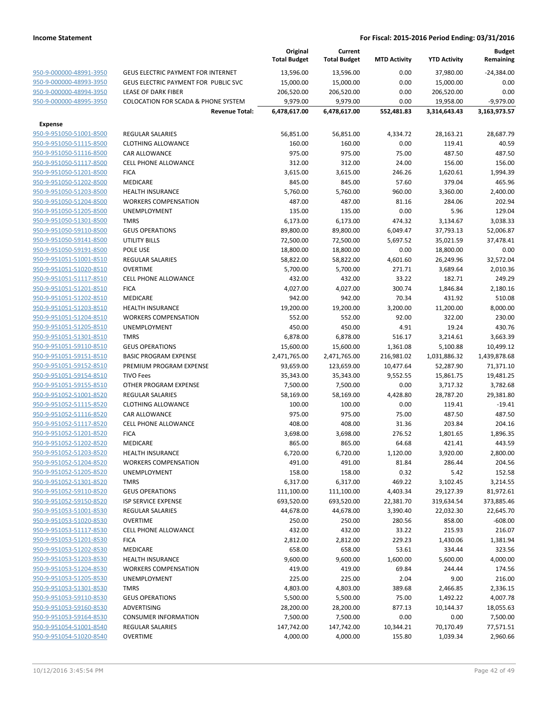|                         |                                                | Original<br><b>Total Budget</b> | Current<br><b>Total Budget</b> | <b>MTD Activity</b> | <b>YTD Activity</b> | <b>Budget</b><br>Remaining |
|-------------------------|------------------------------------------------|---------------------------------|--------------------------------|---------------------|---------------------|----------------------------|
| 950-9-000000-48991-3950 | GEUS ELECTRIC PAYMENT FOR INTERNET             | 13,596.00                       | 13,596.00                      | 0.00                | 37,980.00           | $-24,384.00$               |
| 950-9-000000-48993-3950 | <b>GEUS ELECTRIC PAYMENT FOR PUBLIC SVC</b>    | 15,000.00                       | 15,000.00                      | 0.00                | 15,000.00           | 0.00                       |
| 950-9-000000-48994-3950 | <b>LEASE OF DARK FIBER</b>                     | 206,520.00                      | 206,520.00                     | 0.00                | 206,520.00          | 0.00                       |
| 950-9-000000-48995-3950 | <b>COLOCATION FOR SCADA &amp; PHONE SYSTEM</b> | 9,979.00                        | 9,979.00                       | 0.00                | 19,958.00           | $-9,979.00$                |
|                         | <b>Revenue Total:</b>                          | 6,478,617.00                    | 6,478,617.00                   | 552,481.83          | 3,314,643.43        | 3,163,973.57               |
| <b>Expense</b>          |                                                |                                 |                                |                     |                     |                            |
| 950-9-951050-51001-8500 | <b>REGULAR SALARIES</b>                        | 56,851.00                       | 56,851.00                      | 4,334.72            | 28,163.21           | 28,687.79                  |
| 950-9-951050-51115-8500 | <b>CLOTHING ALLOWANCE</b>                      | 160.00                          | 160.00                         | 0.00                | 119.41              | 40.59                      |
| 950-9-951050-51116-8500 | <b>CAR ALLOWANCE</b>                           | 975.00                          | 975.00                         | 75.00               | 487.50              | 487.50                     |
| 950-9-951050-51117-8500 | <b>CELL PHONE ALLOWANCE</b>                    | 312.00                          | 312.00                         | 24.00               | 156.00              | 156.00                     |
| 950-9-951050-51201-8500 | <b>FICA</b>                                    | 3,615.00                        | 3,615.00                       | 246.26              | 1,620.61            | 1,994.39                   |
| 950-9-951050-51202-8500 | MEDICARE                                       | 845.00                          | 845.00                         | 57.60               | 379.04              | 465.96                     |
| 950-9-951050-51203-8500 | <b>HEALTH INSURANCE</b>                        | 5,760.00                        | 5,760.00                       | 960.00              | 3,360.00            | 2,400.00                   |
| 950-9-951050-51204-8500 | <b>WORKERS COMPENSATION</b>                    | 487.00                          | 487.00                         | 81.16               | 284.06              | 202.94                     |
| 950-9-951050-51205-8500 | UNEMPLOYMENT                                   | 135.00                          | 135.00                         | 0.00                | 5.96                | 129.04                     |
| 950-9-951050-51301-8500 | <b>TMRS</b>                                    | 6,173.00                        | 6,173.00                       | 474.32              | 3,134.67            | 3,038.33                   |
| 950-9-951050-59110-8500 | <b>GEUS OPERATIONS</b>                         | 89,800.00                       | 89,800.00                      | 6,049.47            | 37,793.13           | 52,006.87                  |
| 950-9-951050-59141-8500 | UTILITY BILLS                                  | 72,500.00                       | 72,500.00                      | 5,697.52            | 35,021.59           | 37,478.41                  |
| 950-9-951050-59191-8500 | POLE USE                                       | 18,800.00                       | 18,800.00                      | 0.00                | 18,800.00           | 0.00                       |
| 950-9-951051-51001-8510 | <b>REGULAR SALARIES</b>                        | 58,822.00                       | 58,822.00                      | 4,601.60            | 26,249.96           | 32,572.04                  |
| 950-9-951051-51020-8510 | <b>OVERTIME</b>                                | 5,700.00                        | 5,700.00                       | 271.71              | 3,689.64            | 2,010.36                   |
| 950-9-951051-51117-8510 | <b>CELL PHONE ALLOWANCE</b>                    | 432.00                          | 432.00                         | 33.22               | 182.71              | 249.29                     |
| 950-9-951051-51201-8510 | <b>FICA</b>                                    | 4,027.00                        | 4,027.00                       | 300.74              | 1,846.84            | 2,180.16                   |
| 950-9-951051-51202-8510 | <b>MEDICARE</b>                                | 942.00                          | 942.00                         | 70.34               | 431.92              | 510.08                     |
| 950-9-951051-51203-8510 | <b>HEALTH INSURANCE</b>                        | 19,200.00                       | 19,200.00                      | 3,200.00            | 11,200.00           | 8,000.00                   |
| 950-9-951051-51204-8510 | <b>WORKERS COMPENSATION</b>                    | 552.00                          | 552.00                         | 92.00               | 322.00              | 230.00                     |
| 950-9-951051-51205-8510 | UNEMPLOYMENT                                   | 450.00                          | 450.00                         | 4.91                | 19.24               | 430.76                     |
| 950-9-951051-51301-8510 | <b>TMRS</b>                                    | 6,878.00                        | 6,878.00                       | 516.17              | 3,214.61            | 3,663.39                   |
| 950-9-951051-59110-8510 | <b>GEUS OPERATIONS</b>                         | 15,600.00                       | 15,600.00                      | 1,361.08            | 5,100.88            | 10,499.12                  |
| 950-9-951051-59151-8510 | <b>BASIC PROGRAM EXPENSE</b>                   | 2,471,765.00                    | 2,471,765.00                   | 216,981.02          | 1,031,886.32        | 1,439,878.68               |
| 950-9-951051-59152-8510 | PREMIUM PROGRAM EXPENSE                        | 93,659.00                       | 123,659.00                     | 10,477.64           | 52,287.90           | 71,371.10                  |
| 950-9-951051-59154-8510 | <b>TIVO Fees</b>                               | 35,343.00                       | 35,343.00                      | 9,552.55            | 15,861.75           | 19,481.25                  |
| 950-9-951051-59155-8510 | OTHER PROGRAM EXPENSE                          | 7,500.00                        | 7,500.00                       | 0.00                | 3,717.32            | 3,782.68                   |
| 950-9-951052-51001-8520 | <b>REGULAR SALARIES</b>                        | 58,169.00                       | 58,169.00                      | 4,428.80            | 28,787.20           | 29,381.80                  |
| 950-9-951052-51115-8520 | <b>CLOTHING ALLOWANCE</b>                      | 100.00                          | 100.00                         | 0.00                | 119.41              | $-19.41$                   |
| 950-9-951052-51116-8520 | CAR ALLOWANCE                                  | 975.00                          | 975.00                         | 75.00               | 487.50              | 487.50                     |
| 950-9-951052-51117-8520 | <b>CELL PHONE ALLOWANCE</b>                    | 408.00                          | 408.00                         | 31.36               | 203.84              | 204.16                     |
| 950-9-951052-51201-8520 | <b>FICA</b>                                    | 3,698.00                        | 3,698.00                       | 276.52              | 1,801.65            | 1,896.35                   |
| 950-9-951052-51202-8520 | MEDICARE                                       | 865.00                          | 865.00                         | 64.68               | 421.41              | 443.59                     |
| 950-9-951052-51203-8520 | <b>HEALTH INSURANCE</b>                        | 6,720.00                        | 6,720.00                       | 1,120.00            | 3,920.00            | 2,800.00                   |
| 950-9-951052-51204-8520 | <b>WORKERS COMPENSATION</b>                    | 491.00                          | 491.00                         | 81.84               | 286.44              | 204.56                     |
| 950-9-951052-51205-8520 | UNEMPLOYMENT                                   | 158.00                          | 158.00                         | 0.32                | 5.42                | 152.58                     |
| 950-9-951052-51301-8520 | <b>TMRS</b>                                    | 6,317.00                        | 6,317.00                       | 469.22              | 3,102.45            | 3,214.55                   |
| 950-9-951052-59110-8520 | <b>GEUS OPERATIONS</b>                         |                                 |                                | 4,403.34            | 29,127.39           |                            |
| 950-9-951052-59150-8520 | <b>ISP SERVICE EXPENSE</b>                     | 111,100.00                      | 111,100.00                     |                     |                     | 81,972.61                  |
| 950-9-951053-51001-8530 | <b>REGULAR SALARIES</b>                        | 693,520.00                      | 693,520.00<br>44,678.00        | 22,381.70           | 319,634.54          | 373,885.46                 |
| 950-9-951053-51020-8530 |                                                | 44,678.00                       |                                | 3,390.40            | 22,032.30           | 22,645.70                  |
|                         | <b>OVERTIME</b>                                | 250.00                          | 250.00                         | 280.56              | 858.00              | $-608.00$                  |
| 950-9-951053-51117-8530 | <b>CELL PHONE ALLOWANCE</b>                    | 432.00                          | 432.00                         | 33.22               | 215.93              | 216.07                     |
| 950-9-951053-51201-8530 | <b>FICA</b>                                    | 2,812.00                        | 2,812.00                       | 229.23              | 1,430.06            | 1,381.94                   |
| 950-9-951053-51202-8530 | MEDICARE                                       | 658.00                          | 658.00                         | 53.61               | 334.44              | 323.56                     |
| 950-9-951053-51203-8530 | <b>HEALTH INSURANCE</b>                        | 9,600.00                        | 9,600.00                       | 1,600.00            | 5,600.00            | 4,000.00                   |
| 950-9-951053-51204-8530 | <b>WORKERS COMPENSATION</b>                    | 419.00                          | 419.00                         | 69.84               | 244.44              | 174.56                     |
| 950-9-951053-51205-8530 | <b>UNEMPLOYMENT</b>                            | 225.00                          | 225.00                         | 2.04                | 9.00                | 216.00                     |
| 950-9-951053-51301-8530 | <b>TMRS</b>                                    | 4,803.00                        | 4,803.00                       | 389.68              | 2,466.85            | 2,336.15                   |
| 950-9-951053-59110-8530 | <b>GEUS OPERATIONS</b>                         | 5,500.00                        | 5,500.00                       | 75.00               | 1,492.22            | 4,007.78                   |
| 950-9-951053-59160-8530 | ADVERTISING                                    | 28,200.00                       | 28,200.00                      | 877.13              | 10,144.37           | 18,055.63                  |
| 950-9-951053-59164-8530 | <b>CONSUMER INFORMATION</b>                    | 7,500.00                        | 7,500.00                       | 0.00                | 0.00                | 7,500.00                   |
| 950-9-951054-51001-8540 | REGULAR SALARIES                               | 147,742.00                      | 147,742.00                     | 10,344.21           | 70,170.49           | 77,571.51                  |
| 950-9-951054-51020-8540 | <b>OVERTIME</b>                                | 4,000.00                        | 4,000.00                       | 155.80              | 1,039.34            | 2,960.66                   |
|                         |                                                |                                 |                                |                     |                     |                            |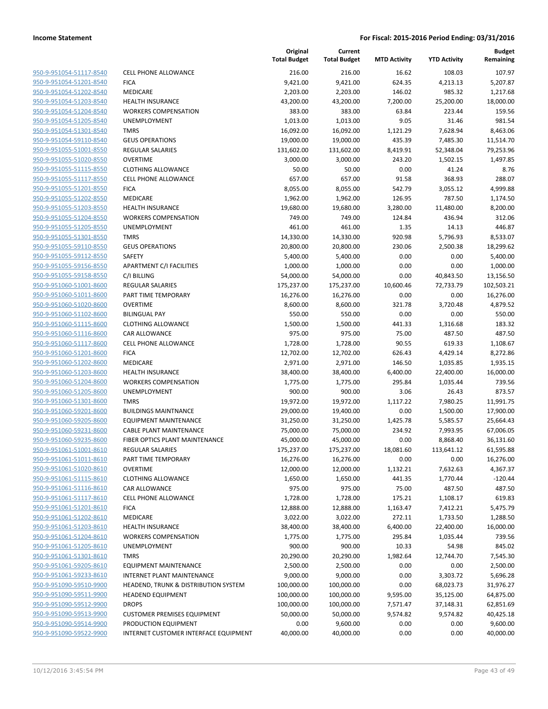| 950-9-951054-51117-8540                                   |
|-----------------------------------------------------------|
| 950-9-951054-51201-8540                                   |
| 950-9-951054-51202-8540                                   |
| 950-9-951054-51203-8540                                   |
| <u>950-9-951054-51204-8540</u>                            |
| 950-9-951054-51205-8540                                   |
| 950-9-951054-51301-8540                                   |
| 950-9-951054-59110-8540                                   |
| 950-9-951055-51001-8550                                   |
| <u>950-9-951055-51020-8550</u>                            |
| 950-9-951055-51115-8550                                   |
| 950-9-951055-51117-8550                                   |
| 950-9-951055-51201-8550                                   |
| 950-9-951055-51202-8550                                   |
| <u>950-9-951055-51203-8550</u>                            |
| 950-9-951055-51204-8550                                   |
| 950-9-951055-51205-8550                                   |
|                                                           |
| 950-9-951055-51301-8550                                   |
| 950-9-951055-59110-8550                                   |
| <u>950-9-951055-59112-8550</u>                            |
| 950-9-951055-59156-8550                                   |
| 950-9-951055-59158-8550                                   |
| 950-9-951060-51001-8600                                   |
| 950-9-951060-51011-8600                                   |
| <u>950-9-951060-51020-8600</u>                            |
| 950-9-951060-51102-8600                                   |
| 950-9-951060-51115-8600                                   |
| 950-9-951060-51116-8600                                   |
| 950-9-951060-51117-8600                                   |
| 950-9-951060-51201-8600                                   |
| 950-9-951060-51202-8600                                   |
| 950-9-951060-51203-8600                                   |
| 950-9-951060-51204-8600                                   |
| 950-9-951060-51205-8600                                   |
| <u>950-9-951060-51301-8600</u>                            |
| 950-9-951060-59201-8600                                   |
| 950-9-951060-59205-8600                                   |
| 950-9-951060-59231-8600                                   |
| 950-9-951060-59235-8600                                   |
| 950-9-951061-51001-8610                                   |
| 950-9-951061-51011-8610                                   |
|                                                           |
| <u>950-9-951061-51020-8610</u><br>950-9-951061-51115-8610 |
|                                                           |
| 950-9-951061-51116-8610                                   |
| <u>950-9-951061-51117-8610</u>                            |
| <u>950-9-951061-51201-8610</u>                            |
| <u>950-9-951061-51202-8610</u>                            |
| 950-9-951061-51203-8610                                   |
| 950-9-951061-51204-8610                                   |
| <u>950-9-951061-51205-8610</u>                            |
| <u>950-9-951061-51301-8610</u>                            |
| 950-9-951061-59205-8610                                   |
| 950-9-951061-59233-8610                                   |
| <u>950-9-951090-59510-9900</u>                            |
| <u>950-9-951090-59511-9900</u>                            |
| <u>950-9-951090-59512-9900</u>                            |
| 950-9-951090-59513-9900                                   |
| <u>950-9-951090-59514-9900</u>                            |
| <u>950-9-951090-59522-9900</u>                            |
|                                                           |

|                         |                                       | Original<br><b>Total Budget</b> | Current<br><b>Total Budget</b> | <b>MTD Activity</b> | <b>YTD Activity</b> | Budget<br>Remaining |
|-------------------------|---------------------------------------|---------------------------------|--------------------------------|---------------------|---------------------|---------------------|
| 950-9-951054-51117-8540 | <b>CELL PHONE ALLOWANCE</b>           | 216.00                          | 216.00                         | 16.62               | 108.03              | 107.97              |
| 950-9-951054-51201-8540 | <b>FICA</b>                           | 9,421.00                        | 9,421.00                       | 624.35              | 4,213.13            | 5,207.87            |
| 950-9-951054-51202-8540 | MEDICARE                              | 2,203.00                        | 2,203.00                       | 146.02              | 985.32              | 1,217.68            |
| 950-9-951054-51203-8540 | <b>HEALTH INSURANCE</b>               | 43,200.00                       | 43,200.00                      | 7,200.00            | 25,200.00           | 18,000.00           |
| 950-9-951054-51204-8540 | <b>WORKERS COMPENSATION</b>           | 383.00                          | 383.00                         | 63.84               | 223.44              | 159.56              |
| 950-9-951054-51205-8540 | UNEMPLOYMENT                          | 1,013.00                        | 1,013.00                       | 9.05                | 31.46               | 981.54              |
| 950-9-951054-51301-8540 | <b>TMRS</b>                           | 16,092.00                       | 16,092.00                      | 1,121.29            | 7,628.94            | 8,463.06            |
| 950-9-951054-59110-8540 | <b>GEUS OPERATIONS</b>                | 19,000.00                       | 19,000.00                      | 435.39              | 7,485.30            | 11,514.70           |
| 950-9-951055-51001-8550 | REGULAR SALARIES                      | 131,602.00                      | 131,602.00                     | 8,419.91            | 52,348.04           | 79,253.96           |
| 950-9-951055-51020-8550 | <b>OVERTIME</b>                       | 3,000.00                        | 3,000.00                       | 243.20              | 1,502.15            | 1,497.85            |
| 950-9-951055-51115-8550 | <b>CLOTHING ALLOWANCE</b>             | 50.00                           | 50.00                          | 0.00                | 41.24               | 8.76                |
| 950-9-951055-51117-8550 | <b>CELL PHONE ALLOWANCE</b>           | 657.00                          | 657.00                         | 91.58               | 368.93              | 288.07              |
| 950-9-951055-51201-8550 | <b>FICA</b>                           | 8,055.00                        | 8,055.00                       | 542.79              | 3,055.12            | 4,999.88            |
| 950-9-951055-51202-8550 | MEDICARE                              | 1,962.00                        | 1,962.00                       | 126.95              | 787.50              | 1,174.50            |
| 950-9-951055-51203-8550 | <b>HEALTH INSURANCE</b>               | 19,680.00                       | 19,680.00                      | 3,280.00            | 11,480.00           | 8,200.00            |
| 950-9-951055-51204-8550 | <b>WORKERS COMPENSATION</b>           | 749.00                          | 749.00                         | 124.84              | 436.94              | 312.06              |
| 950-9-951055-51205-8550 | UNEMPLOYMENT                          | 461.00                          | 461.00                         | 1.35                | 14.13               | 446.87              |
| 950-9-951055-51301-8550 | <b>TMRS</b>                           | 14,330.00                       | 14,330.00                      | 920.98              | 5,796.93            | 8,533.07            |
| 950-9-951055-59110-8550 | <b>GEUS OPERATIONS</b>                | 20,800.00                       | 20,800.00                      | 230.06              | 2,500.38            | 18,299.62           |
| 950-9-951055-59112-8550 | SAFETY                                | 5,400.00                        | 5,400.00                       | 0.00                | 0.00                | 5,400.00            |
| 950-9-951055-59156-8550 | APARTMENT C/I FACILITIES              | 1,000.00                        | 1,000.00                       | 0.00                | 0.00                | 1,000.00            |
| 950-9-951055-59158-8550 | C/I BILLING                           | 54,000.00                       | 54,000.00                      | 0.00                | 40,843.50           | 13,156.50           |
| 950-9-951060-51001-8600 | REGULAR SALARIES                      | 175,237.00                      | 175,237.00                     | 10,600.46           | 72,733.79           | 102,503.21          |
| 950-9-951060-51011-8600 | PART TIME TEMPORARY                   | 16,276.00                       | 16,276.00                      | 0.00                | 0.00                | 16,276.00           |
| 950-9-951060-51020-8600 | <b>OVERTIME</b>                       | 8,600.00                        | 8,600.00                       | 321.78              | 3,720.48            | 4,879.52            |
| 950-9-951060-51102-8600 | <b>BILINGUAL PAY</b>                  | 550.00                          | 550.00                         | 0.00                | 0.00                | 550.00              |
| 950-9-951060-51115-8600 | <b>CLOTHING ALLOWANCE</b>             | 1,500.00                        | 1,500.00                       | 441.33              | 1,316.68            | 183.32              |
| 950-9-951060-51116-8600 | CAR ALLOWANCE                         | 975.00                          | 975.00                         | 75.00               | 487.50              | 487.50              |
| 950-9-951060-51117-8600 | <b>CELL PHONE ALLOWANCE</b>           | 1,728.00                        | 1,728.00                       | 90.55               | 619.33              | 1,108.67            |
| 950-9-951060-51201-8600 | <b>FICA</b>                           | 12,702.00                       | 12,702.00                      | 626.43              | 4,429.14            | 8,272.86            |
| 950-9-951060-51202-8600 | MEDICARE                              | 2,971.00                        | 2,971.00                       | 146.50              | 1,035.85            | 1,935.15            |
| 950-9-951060-51203-8600 | <b>HEALTH INSURANCE</b>               | 38,400.00                       | 38,400.00                      | 6,400.00            | 22,400.00           | 16,000.00           |
| 950-9-951060-51204-8600 | <b>WORKERS COMPENSATION</b>           | 1,775.00                        | 1,775.00                       | 295.84              | 1,035.44            | 739.56              |
| 950-9-951060-51205-8600 | UNEMPLOYMENT                          | 900.00                          | 900.00                         | 3.06                | 26.43               | 873.57              |
| 950-9-951060-51301-8600 | <b>TMRS</b>                           | 19,972.00                       | 19,972.00                      | 1,117.22            | 7,980.25            | 11,991.75           |
| 950-9-951060-59201-8600 | <b>BUILDINGS MAINTNANCE</b>           | 29,000.00                       | 19,400.00                      | 0.00                | 1,500.00            | 17,900.00           |
| 950-9-951060-59205-8600 | <b>EQUIPMENT MAINTENANCE</b>          | 31,250.00                       | 31,250.00                      | 1,425.78            | 5,585.57            | 25,664.43           |
| 950-9-951060-59231-8600 | <b>CABLE PLANT MAINTENANCE</b>        | 75,000.00                       | 75,000.00                      | 234.92              | 7,993.95            | 67,006.05           |
| 950-9-951060-59235-8600 | FIBER OPTICS PLANT MAINTENANCE        | 45,000.00                       | 45,000.00                      | 0.00                | 8,868.40            | 36,131.60           |
| 950-9-951061-51001-8610 | REGULAR SALARIES                      | 175,237.00                      | 175,237.00                     | 18,081.60           | 113,641.12          | 61,595.88           |
| 950-9-951061-51011-8610 | PART TIME TEMPORARY                   | 16,276.00                       | 16,276.00                      | 0.00                | 0.00                | 16,276.00           |
| 950-9-951061-51020-8610 | <b>OVERTIME</b>                       | 12,000.00                       | 12,000.00                      | 1,132.21            | 7,632.63            | 4,367.37            |
| 950-9-951061-51115-8610 | <b>CLOTHING ALLOWANCE</b>             | 1,650.00                        | 1,650.00                       | 441.35              | 1,770.44            | $-120.44$           |
| 950-9-951061-51116-8610 | CAR ALLOWANCE                         | 975.00                          | 975.00                         | 75.00               | 487.50              | 487.50              |
| 950-9-951061-51117-8610 | CELL PHONE ALLOWANCE                  | 1,728.00                        | 1,728.00                       | 175.21              | 1,108.17            | 619.83              |
| 950-9-951061-51201-8610 | <b>FICA</b>                           | 12,888.00                       | 12,888.00                      | 1,163.47            | 7,412.21            | 5,475.79            |
| 950-9-951061-51202-8610 | <b>MEDICARE</b>                       | 3,022.00                        | 3,022.00                       | 272.11              | 1,733.50            | 1,288.50            |
| 950-9-951061-51203-8610 | HEALTH INSURANCE                      | 38,400.00                       | 38,400.00                      | 6,400.00            | 22,400.00           | 16,000.00           |
| 950-9-951061-51204-8610 | <b>WORKERS COMPENSATION</b>           | 1,775.00                        | 1,775.00                       | 295.84              | 1,035.44            | 739.56              |
| 950-9-951061-51205-8610 | UNEMPLOYMENT                          | 900.00                          | 900.00                         | 10.33               | 54.98               | 845.02              |
| 950-9-951061-51301-8610 | <b>TMRS</b>                           | 20,290.00                       | 20,290.00                      | 1,982.64            | 12,744.70           | 7,545.30            |
| 950-9-951061-59205-8610 | <b>EQUIPMENT MAINTENANCE</b>          | 2,500.00                        | 2,500.00                       | 0.00                | 0.00                | 2,500.00            |
| 950-9-951061-59233-8610 | INTERNET PLANT MAINTENANCE            | 9,000.00                        | 9,000.00                       | 0.00                | 3,303.72            | 5,696.28            |
| 950-9-951090-59510-9900 | HEADEND, TRUNK & DISTRIBUTION SYSTEM  | 100,000.00                      | 100,000.00                     | 0.00                | 68,023.73           | 31,976.27           |
| 950-9-951090-59511-9900 | <b>HEADEND EQUIPMENT</b>              | 100,000.00                      | 100,000.00                     | 9,595.00            | 35,125.00           | 64,875.00           |
| 950-9-951090-59512-9900 | <b>DROPS</b>                          | 100,000.00                      | 100,000.00                     | 7,571.47            | 37,148.31           | 62,851.69           |
| 950-9-951090-59513-9900 | <b>CUSTOMER PREMISES EQUIPMENT</b>    | 50,000.00                       | 50,000.00                      | 9,574.82            | 9,574.82            | 40,425.18           |
| 950-9-951090-59514-9900 | PRODUCTION EQUIPMENT                  | 0.00                            | 9,600.00                       | 0.00                | 0.00                | 9,600.00            |
| 950-9-951090-59522-9900 | INTERNET CUSTOMER INTERFACE EQUIPMENT | 40,000.00                       | 40,000.00                      | 0.00                | 0.00                | 40,000.00           |
|                         |                                       |                                 |                                |                     |                     |                     |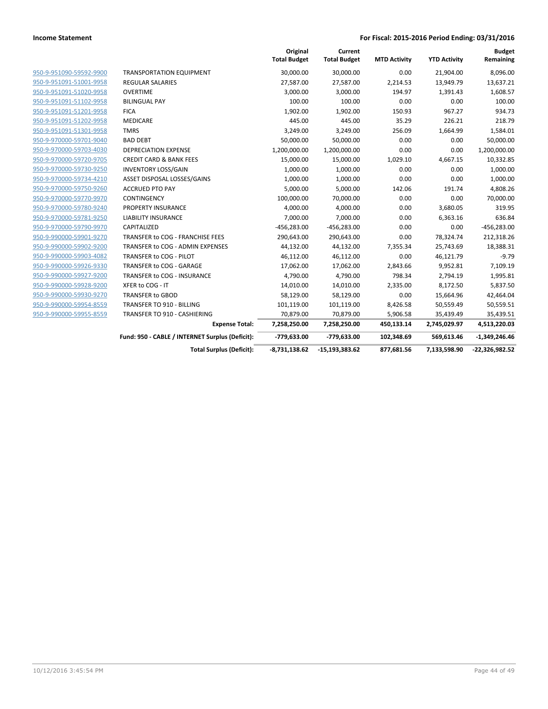|                         |                                                 | Original<br><b>Total Budget</b> | Current<br><b>Total Budget</b> | <b>MTD Activity</b> | <b>YTD Activity</b> | <b>Budget</b><br>Remaining |
|-------------------------|-------------------------------------------------|---------------------------------|--------------------------------|---------------------|---------------------|----------------------------|
| 950-9-951090-59592-9900 | <b>TRANSPORTATION EQUIPMENT</b>                 | 30,000.00                       | 30,000.00                      | 0.00                | 21,904.00           | 8,096.00                   |
| 950-9-951091-51001-9958 | <b>REGULAR SALARIES</b>                         | 27,587.00                       | 27,587.00                      | 2,214.53            | 13,949.79           | 13,637.21                  |
| 950-9-951091-51020-9958 | <b>OVERTIME</b>                                 | 3,000.00                        | 3,000.00                       | 194.97              | 1,391.43            | 1,608.57                   |
| 950-9-951091-51102-9958 | <b>BILINGUAL PAY</b>                            | 100.00                          | 100.00                         | 0.00                | 0.00                | 100.00                     |
| 950-9-951091-51201-9958 | <b>FICA</b>                                     | 1,902.00                        | 1,902.00                       | 150.93              | 967.27              | 934.73                     |
| 950-9-951091-51202-9958 | <b>MEDICARE</b>                                 | 445.00                          | 445.00                         | 35.29               | 226.21              | 218.79                     |
| 950-9-951091-51301-9958 | <b>TMRS</b>                                     | 3,249.00                        | 3,249.00                       | 256.09              | 1,664.99            | 1,584.01                   |
| 950-9-970000-59701-9040 | <b>BAD DEBT</b>                                 | 50,000.00                       | 50,000.00                      | 0.00                | 0.00                | 50,000.00                  |
| 950-9-970000-59703-4030 | <b>DEPRECIATION EXPENSE</b>                     | 1,200,000.00                    | 1,200,000.00                   | 0.00                | 0.00                | 1,200,000.00               |
| 950-9-970000-59720-9705 | <b>CREDIT CARD &amp; BANK FEES</b>              | 15,000.00                       | 15,000.00                      | 1,029.10            | 4,667.15            | 10,332.85                  |
| 950-9-970000-59730-9250 | <b>INVENTORY LOSS/GAIN</b>                      | 1,000.00                        | 1,000.00                       | 0.00                | 0.00                | 1,000.00                   |
| 950-9-970000-59734-4210 | ASSET DISPOSAL LOSSES/GAINS                     | 1,000.00                        | 1,000.00                       | 0.00                | 0.00                | 1,000.00                   |
| 950-9-970000-59750-9260 | <b>ACCRUED PTO PAY</b>                          | 5,000.00                        | 5,000.00                       | 142.06              | 191.74              | 4,808.26                   |
| 950-9-970000-59770-9970 | CONTINGENCY                                     | 100,000.00                      | 70,000.00                      | 0.00                | 0.00                | 70,000.00                  |
| 950-9-970000-59780-9240 | PROPERTY INSURANCE                              | 4,000.00                        | 4,000.00                       | 0.00                | 3,680.05            | 319.95                     |
| 950-9-970000-59781-9250 | <b>LIABILITY INSURANCE</b>                      | 7,000.00                        | 7,000.00                       | 0.00                | 6,363.16            | 636.84                     |
| 950-9-970000-59790-9970 | CAPITALIZED                                     | $-456,283.00$                   | $-456,283.00$                  | 0.00                | 0.00                | $-456,283.00$              |
| 950-9-990000-59901-9270 | TRANSFER to COG - FRANCHISE FEES                | 290,643.00                      | 290,643.00                     | 0.00                | 78,324.74           | 212,318.26                 |
| 950-9-990000-59902-9200 | TRANSFER to COG - ADMIN EXPENSES                | 44,132.00                       | 44,132.00                      | 7,355.34            | 25,743.69           | 18,388.31                  |
| 950-9-990000-59903-4082 | TRANSFER to COG - PILOT                         | 46,112.00                       | 46,112.00                      | 0.00                | 46,121.79           | $-9.79$                    |
| 950-9-990000-59926-9330 | TRANSFER to COG - GARAGE                        | 17,062.00                       | 17,062.00                      | 2,843.66            | 9,952.81            | 7,109.19                   |
| 950-9-990000-59927-9200 | TRANSFER to COG - INSURANCE                     | 4,790.00                        | 4,790.00                       | 798.34              | 2,794.19            | 1,995.81                   |
| 950-9-990000-59928-9200 | XFER to COG - IT                                | 14,010.00                       | 14,010.00                      | 2,335.00            | 8,172.50            | 5,837.50                   |
| 950-9-990000-59930-9270 | <b>TRANSFER to GBOD</b>                         | 58,129.00                       | 58,129.00                      | 0.00                | 15,664.96           | 42,464.04                  |
| 950-9-990000-59954-8559 | TRANSFER TO 910 - BILLING                       | 101,119.00                      | 101,119.00                     | 8,426.58            | 50,559.49           | 50,559.51                  |
| 950-9-990000-59955-8559 | TRANSFER TO 910 - CASHIERING                    | 70.879.00                       | 70,879.00                      | 5,906.58            | 35,439.49           | 35,439.51                  |
|                         | <b>Expense Total:</b>                           | 7,258,250.00                    | 7,258,250.00                   | 450,133.14          | 2,745,029.97        | 4,513,220.03               |
|                         | Fund: 950 - CABLE / INTERNET Surplus (Deficit): | -779,633.00                     | -779,633.00                    | 102,348.69          | 569,613.46          | $-1,349,246.46$            |
|                         | <b>Total Surplus (Deficit):</b>                 | $-8,731,138.62$                 | $-15, 193, 383.62$             | 877,681.56          | 7,133,598.90        | $-22,326,982.52$           |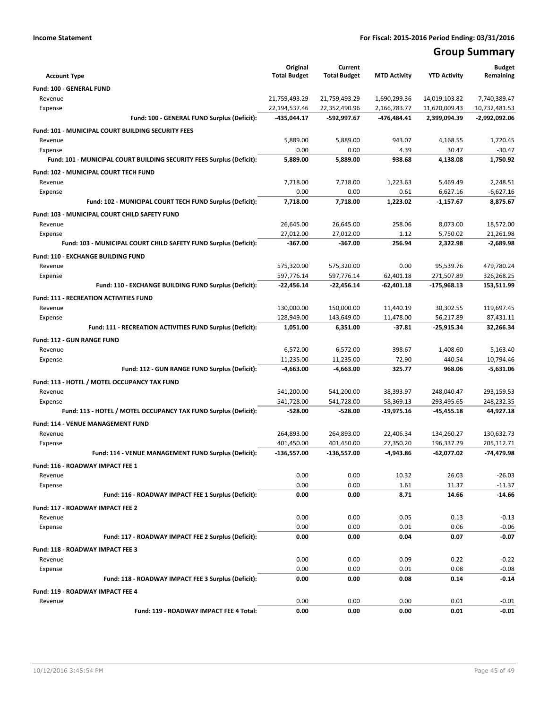## **Group Summary**

| <b>Account Type</b>                                                   | Original<br><b>Total Budget</b> | Current<br><b>Total Budget</b> | <b>MTD Activity</b> | <b>YTD Activity</b> | <b>Budget</b><br>Remaining |
|-----------------------------------------------------------------------|---------------------------------|--------------------------------|---------------------|---------------------|----------------------------|
| Fund: 100 - GENERAL FUND                                              |                                 |                                |                     |                     |                            |
| Revenue                                                               | 21,759,493.29                   | 21,759,493.29                  | 1,690,299.36        | 14,019,103.82       | 7,740,389.47               |
| Expense                                                               | 22,194,537.46                   | 22,352,490.96                  | 2,166,783.77        | 11,620,009.43       | 10,732,481.53              |
| Fund: 100 - GENERAL FUND Surplus (Deficit):                           | -435,044.17                     | -592,997.67                    | $-476,484.41$       | 2,399,094.39        | -2,992,092.06              |
| Fund: 101 - MUNICIPAL COURT BUILDING SECURITY FEES                    |                                 |                                |                     |                     |                            |
| Revenue                                                               | 5,889.00                        | 5,889.00                       | 943.07              | 4,168.55            | 1,720.45                   |
| Expense                                                               | 0.00                            | 0.00                           | 4.39                | 30.47               | $-30.47$                   |
| Fund: 101 - MUNICIPAL COURT BUILDING SECURITY FEES Surplus (Deficit): | 5,889.00                        | 5,889.00                       | 938.68              | 4,138.08            | 1,750.92                   |
| Fund: 102 - MUNICIPAL COURT TECH FUND                                 |                                 |                                |                     |                     |                            |
| Revenue                                                               | 7,718.00                        | 7,718.00                       | 1,223.63            | 5,469.49            | 2,248.51                   |
| Expense                                                               | 0.00                            | 0.00                           | 0.61                | 6,627.16            | $-6,627.16$                |
| Fund: 102 - MUNICIPAL COURT TECH FUND Surplus (Deficit):              | 7,718.00                        | 7,718.00                       | 1,223.02            | $-1,157.67$         | 8,875.67                   |
| Fund: 103 - MUNICIPAL COURT CHILD SAFETY FUND                         |                                 |                                |                     |                     |                            |
| Revenue                                                               | 26,645.00                       | 26,645.00                      | 258.06              | 8,073.00            | 18,572.00                  |
| Expense                                                               | 27,012.00                       | 27,012.00                      | 1.12                | 5,750.02            | 21,261.98                  |
| Fund: 103 - MUNICIPAL COURT CHILD SAFETY FUND Surplus (Deficit):      | $-367.00$                       | $-367.00$                      | 256.94              | 2,322.98            | $-2,689.98$                |
| Fund: 110 - EXCHANGE BUILDING FUND                                    |                                 |                                |                     |                     |                            |
| Revenue                                                               | 575,320.00                      | 575,320.00                     | 0.00                | 95,539.76           | 479,780.24                 |
| Expense                                                               | 597,776.14                      | 597,776.14                     | 62,401.18           | 271,507.89          | 326,268.25                 |
| Fund: 110 - EXCHANGE BUILDING FUND Surplus (Deficit):                 | -22,456.14                      | $-22,456.14$                   | $-62,401.18$        | -175,968.13         | 153,511.99                 |
| <b>Fund: 111 - RECREATION ACTIVITIES FUND</b>                         |                                 |                                |                     |                     |                            |
| Revenue                                                               | 130,000.00                      | 150,000.00                     | 11,440.19           | 30,302.55           | 119,697.45                 |
| Expense                                                               | 128,949.00                      | 143,649.00                     | 11,478.00           | 56,217.89           | 87,431.11                  |
| Fund: 111 - RECREATION ACTIVITIES FUND Surplus (Deficit):             | 1,051.00                        | 6,351.00                       | $-37.81$            | -25,915.34          | 32,266.34                  |
| <b>Fund: 112 - GUN RANGE FUND</b>                                     |                                 |                                |                     |                     |                            |
| Revenue                                                               | 6,572.00                        | 6,572.00                       | 398.67              | 1,408.60            | 5,163.40                   |
| Expense                                                               | 11,235.00                       | 11,235.00                      | 72.90               | 440.54              | 10,794.46                  |
| Fund: 112 - GUN RANGE FUND Surplus (Deficit):                         | -4,663.00                       | -4,663.00                      | 325.77              | 968.06              | $-5,631.06$                |
| Fund: 113 - HOTEL / MOTEL OCCUPANCY TAX FUND                          |                                 |                                |                     |                     |                            |
| Revenue                                                               | 541,200.00                      | 541,200.00                     | 38,393.97           | 248,040.47          | 293,159.53                 |
| Expense                                                               | 541,728.00                      | 541,728.00                     | 58,369.13           | 293,495.65          | 248,232.35                 |
| Fund: 113 - HOTEL / MOTEL OCCUPANCY TAX FUND Surplus (Deficit):       | -528.00                         | -528.00                        | $-19,975.16$        | $-45,455.18$        | 44,927.18                  |
| Fund: 114 - VENUE MANAGEMENT FUND                                     |                                 |                                |                     |                     |                            |
| Revenue                                                               | 264,893.00                      | 264,893.00                     | 22,406.34           | 134,260.27          | 130,632.73                 |
| Expense                                                               | 401,450.00                      | 401,450.00                     | 27.350.20           | 196,337.29          | 205.112.71                 |
| Fund: 114 - VENUE MANAGEMENT FUND Surplus (Deficit):                  | -136,557.00                     | -136,557.00                    | $-4,943.86$         | $-62,077.02$        | -74,479.98                 |
| Fund: 116 - ROADWAY IMPACT FEE 1                                      |                                 |                                |                     |                     |                            |
| Revenue                                                               | 0.00                            | 0.00                           | 10.32               | 26.03               | $-26.03$                   |
| Expense                                                               | 0.00                            | 0.00                           | 1.61                | 11.37               | $-11.37$                   |
| Fund: 116 - ROADWAY IMPACT FEE 1 Surplus (Deficit):                   | 0.00                            | 0.00                           | 8.71                | 14.66               | $-14.66$                   |
| Fund: 117 - ROADWAY IMPACT FEE 2                                      |                                 |                                |                     |                     |                            |
| Revenue                                                               | 0.00                            | 0.00                           | 0.05                | 0.13                | $-0.13$                    |
| Expense                                                               | 0.00                            | 0.00                           | 0.01                | 0.06                | $-0.06$                    |
| Fund: 117 - ROADWAY IMPACT FEE 2 Surplus (Deficit):                   | 0.00                            | 0.00                           | 0.04                | 0.07                | $-0.07$                    |
| Fund: 118 - ROADWAY IMPACT FEE 3                                      |                                 |                                |                     |                     |                            |
| Revenue                                                               | 0.00                            | 0.00                           | 0.09                | 0.22                | $-0.22$                    |
| Expense                                                               | 0.00                            | 0.00                           | 0.01                | 0.08                | $-0.08$                    |
| Fund: 118 - ROADWAY IMPACT FEE 3 Surplus (Deficit):                   | 0.00                            | 0.00                           | 0.08                | 0.14                | $-0.14$                    |
| Fund: 119 - ROADWAY IMPACT FEE 4                                      |                                 |                                |                     |                     |                            |
| Revenue                                                               | 0.00                            | 0.00                           | 0.00                | 0.01                | $-0.01$                    |
| Fund: 119 - ROADWAY IMPACT FEE 4 Total:                               | 0.00                            | 0.00                           | 0.00                | 0.01                | $-0.01$                    |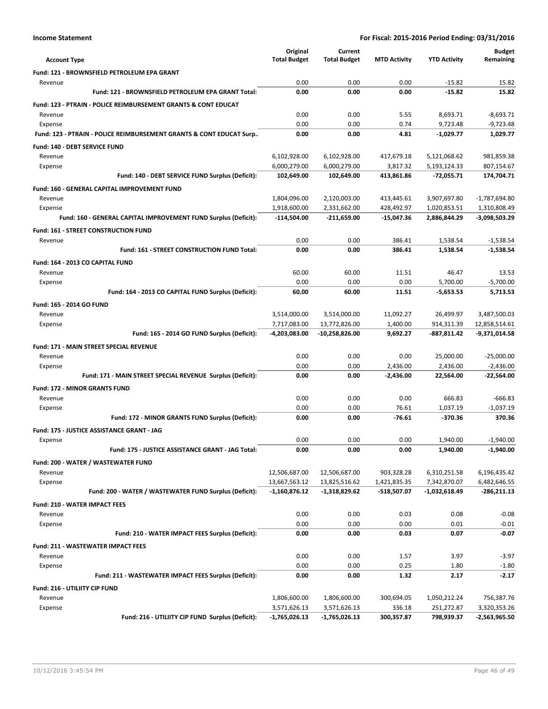|                                                                           | Original            | Current             |                     |                     | <b>Budget</b>   |
|---------------------------------------------------------------------------|---------------------|---------------------|---------------------|---------------------|-----------------|
| <b>Account Type</b>                                                       | <b>Total Budget</b> | <b>Total Budget</b> | <b>MTD Activity</b> | <b>YTD Activity</b> | Remaining       |
| Fund: 121 - BROWNSFIELD PETROLEUM EPA GRANT                               |                     |                     |                     |                     |                 |
| Revenue                                                                   | 0.00                | 0.00                | 0.00                | $-15.82$            | 15.82           |
| Fund: 121 - BROWNSFIELD PETROLEUM EPA GRANT Total:                        | 0.00                | 0.00                | 0.00                | $-15.82$            | 15.82           |
| <b>Fund: 123 - PTRAIN - POLICE REIMBURSEMENT GRANTS &amp; CONT EDUCAT</b> |                     |                     |                     |                     |                 |
| Revenue                                                                   | 0.00                | 0.00                | 5.55                | 8,693.71            | $-8,693.71$     |
| Expense                                                                   | 0.00                | 0.00                | 0.74                | 9,723.48            | $-9,723.48$     |
| Fund: 123 - PTRAIN - POLICE REIMBURSEMENT GRANTS & CONT EDUCAT Surp       | 0.00                | 0.00                | 4.81                | $-1,029.77$         | 1,029.77        |
| Fund: 140 - DEBT SERVICE FUND                                             |                     |                     |                     |                     |                 |
| Revenue                                                                   | 6,102,928.00        | 6,102,928.00        | 417,679.18          | 5,121,068.62        | 981,859.38      |
| Expense                                                                   | 6,000,279.00        | 6,000,279.00        | 3,817.32            | 5,193,124.33        | 807,154.67      |
| Fund: 140 - DEBT SERVICE FUND Surplus (Deficit):                          | 102,649.00          | 102,649.00          | 413,861.86          | -72,055.71          | 174,704.71      |
| <b>Fund: 160 - GENERAL CAPITAL IMPROVEMENT FUND</b>                       |                     |                     |                     |                     |                 |
| Revenue                                                                   | 1,804,096.00        | 2,120,003.00        | 413,445.61          | 3,907,697.80        | $-1,787,694.80$ |
| Expense                                                                   | 1,918,600.00        | 2,331,662.00        | 428,492.97          | 1,020,853.51        | 1,310,808.49    |
| Fund: 160 - GENERAL CAPITAL IMPROVEMENT FUND Surplus (Deficit):           | -114,504.00         | $-211,659.00$       | $-15,047.36$        | 2,886,844.29        | -3,098,503.29   |
| <b>Fund: 161 - STREET CONSTRUCTION FUND</b>                               |                     |                     |                     |                     |                 |
| Revenue                                                                   | 0.00                | 0.00                | 386.41              | 1,538.54            | $-1,538.54$     |
| Fund: 161 - STREET CONSTRUCTION FUND Total:                               | 0.00                | 0.00                | 386.41              | 1,538.54            | $-1,538.54$     |
| Fund: 164 - 2013 CO CAPITAL FUND                                          |                     |                     |                     |                     |                 |
| Revenue                                                                   | 60.00               | 60.00               | 11.51               | 46.47               | 13.53           |
| Expense                                                                   | 0.00                | 0.00                | 0.00                | 5,700.00            | $-5,700.00$     |
| Fund: 164 - 2013 CO CAPITAL FUND Surplus (Deficit):                       | 60.00               | 60.00               | 11.51               | $-5,653.53$         | 5,713.53        |
| Fund: 165 - 2014 GO FUND                                                  |                     |                     |                     |                     |                 |
| Revenue                                                                   | 3,514,000.00        | 3,514,000.00        | 11,092.27           | 26,499.97           | 3,487,500.03    |
| Expense                                                                   | 7,717,083.00        | 13,772,826.00       | 1,400.00            | 914,311.39          | 12,858,514.61   |
| Fund: 165 - 2014 GO FUND Surplus (Deficit):                               | -4,203,083.00       | -10,258,826.00      | 9,692.27            | -887,811.42         | -9,371,014.58   |
| Fund: 171 - MAIN STREET SPECIAL REVENUE                                   |                     |                     |                     |                     |                 |
| Revenue                                                                   | 0.00                | 0.00                | 0.00                | 25,000.00           | $-25,000.00$    |
| Expense                                                                   | 0.00                | 0.00                | 2,436.00            | 2,436.00            | $-2,436.00$     |
| Fund: 171 - MAIN STREET SPECIAL REVENUE Surplus (Deficit):                | 0.00                | 0.00                | $-2,436.00$         | 22,564.00           | $-22,564.00$    |
| <b>Fund: 172 - MINOR GRANTS FUND</b>                                      |                     |                     |                     |                     |                 |
| Revenue                                                                   | 0.00                | 0.00                | 0.00                | 666.83              | $-666.83$       |
| Expense                                                                   | 0.00                | 0.00                | 76.61               | 1.037.19            | $-1,037.19$     |
| Fund: 172 - MINOR GRANTS FUND Surplus (Deficit):                          | 0.00                | 0.00                | $-76.61$            | -370.36             | 370.36          |
| Fund: 175 - JUSTICE ASSISTANCE GRANT - JAG                                |                     |                     |                     |                     |                 |
| Expense                                                                   | 0.00                | 0.00                | 0.00                | 1.940.00            | $-1,940.00$     |
| Fund: 175 - JUSTICE ASSISTANCE GRANT - JAG Total:                         | 0.00                | 0.00                | 0.00                | 1,940.00            | -1,940.00       |
| Fund: 200 - WATER / WASTEWATER FUND                                       |                     |                     |                     |                     |                 |
| Revenue                                                                   | 12,506,687.00       | 12,506,687.00       | 903,328.28          | 6,310,251.58        | 6,196,435.42    |
| Expense                                                                   | 13,667,563.12       | 13,825,516.62       | 1,421,835.35        | 7,342,870.07        | 6,482,646.55    |
| Fund: 200 - WATER / WASTEWATER FUND Surplus (Deficit):                    | $-1,160,876.12$     | $-1,318,829.62$     | -518,507.07         | -1,032,618.49       | $-286,211.13$   |
| <b>Fund: 210 - WATER IMPACT FEES</b>                                      |                     |                     |                     |                     |                 |
| Revenue                                                                   | 0.00                | 0.00                | 0.03                | 0.08                | $-0.08$         |
| Expense                                                                   | 0.00                | 0.00                | 0.00                | 0.01                | $-0.01$         |
| Fund: 210 - WATER IMPACT FEES Surplus (Deficit):                          | 0.00                | 0.00                | 0.03                | 0.07                | $-0.07$         |
| <b>Fund: 211 - WASTEWATER IMPACT FEES</b>                                 |                     |                     |                     |                     |                 |
| Revenue                                                                   | 0.00                | 0.00                | 1.57                | 3.97                | $-3.97$         |
| Expense                                                                   | 0.00                | 0.00                | 0.25                | 1.80                | $-1.80$         |
| Fund: 211 - WASTEWATER IMPACT FEES Surplus (Deficit):                     | 0.00                | 0.00                | 1.32                | 2.17                | $-2.17$         |
| Fund: 216 - UTILIITY CIP FUND                                             |                     |                     |                     |                     |                 |
| Revenue                                                                   | 1,806,600.00        | 1,806,600.00        | 300,694.05          | 1,050,212.24        | 756,387.76      |
| Expense                                                                   | 3,571,626.13        | 3,571,626.13        | 336.18              | 251,272.87          | 3,320,353.26    |
| Fund: 216 - UTILIITY CIP FUND Surplus (Deficit):                          | $-1,765,026.13$     | -1,765,026.13       | 300,357.87          | 798,939.37          | -2,563,965.50   |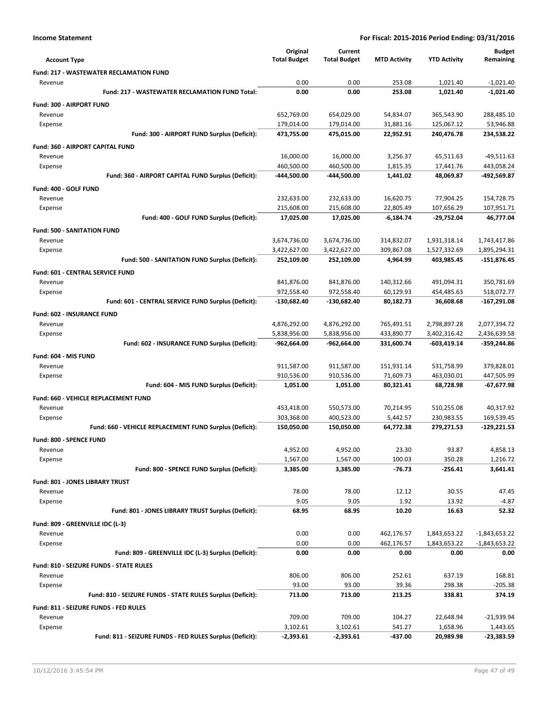|                                                            | Original            | Current             |                     |                     | <b>Budget</b>   |
|------------------------------------------------------------|---------------------|---------------------|---------------------|---------------------|-----------------|
| <b>Account Type</b>                                        | <b>Total Budget</b> | <b>Total Budget</b> | <b>MTD Activity</b> | <b>YTD Activity</b> | Remaining       |
| <b>Fund: 217 - WASTEWATER RECLAMATION FUND</b>             |                     |                     |                     |                     |                 |
| Revenue                                                    | 0.00                | 0.00                | 253.08              | 1,021.40            | $-1,021.40$     |
| Fund: 217 - WASTEWATER RECLAMATION FUND Total:             | 0.00                | 0.00                | 253.08              | 1,021.40            | $-1,021.40$     |
| Fund: 300 - AIRPORT FUND                                   |                     |                     |                     |                     |                 |
| Revenue                                                    | 652,769.00          | 654,029.00          | 54,834.07           | 365,543.90          | 288,485.10      |
| Expense                                                    | 179,014.00          | 179,014.00          | 31,881.16           | 125,067.12          | 53,946.88       |
| Fund: 300 - AIRPORT FUND Surplus (Deficit):                | 473,755.00          | 475,015.00          | 22,952.91           | 240,476.78          | 234,538.22      |
| Fund: 360 - AIRPORT CAPITAL FUND                           |                     |                     |                     |                     |                 |
| Revenue                                                    | 16,000.00           | 16,000.00           | 3,256.37            | 65,511.63           | $-49,511.63$    |
| Expense                                                    | 460,500.00          | 460,500.00          | 1,815.35            | 17,441.76           | 443,058.24      |
| Fund: 360 - AIRPORT CAPITAL FUND Surplus (Deficit):        | -444,500.00         | -444,500.00         | 1,441.02            | 48,069.87           | -492,569.87     |
| Fund: 400 - GOLF FUND                                      |                     |                     |                     |                     |                 |
| Revenue                                                    | 232,633.00          | 232,633.00          | 16,620.75           | 77,904.25           | 154,728.75      |
| Expense                                                    | 215,608.00          | 215,608.00          | 22,805.49           | 107,656.29          | 107,951.71      |
| Fund: 400 - GOLF FUND Surplus (Deficit):                   | 17,025.00           | 17,025.00           | $-6,184.74$         | -29,752.04          | 46,777.04       |
| <b>Fund: 500 - SANITATION FUND</b>                         |                     |                     |                     |                     |                 |
| Revenue                                                    | 3,674,736.00        | 3,674,736.00        | 314,832.07          | 1,931,318.14        | 1,743,417.86    |
| Expense                                                    | 3,422,627.00        | 3,422,627.00        | 309,867.08          | 1,527,332.69        | 1,895,294.31    |
| Fund: 500 - SANITATION FUND Surplus (Deficit):             | 252,109.00          | 252,109.00          | 4,964.99            | 403,985.45          | $-151,876.45$   |
| Fund: 601 - CENTRAL SERVICE FUND                           |                     |                     |                     |                     |                 |
| Revenue                                                    | 841,876.00          | 841,876.00          | 140,312.66          | 491,094.31          | 350,781.69      |
| Expense                                                    | 972,558.40          | 972,558.40          | 60,129.93           | 454,485.63          | 518,072.77      |
| Fund: 601 - CENTRAL SERVICE FUND Surplus (Deficit):        | -130,682.40         | $-130,682.40$       | 80,182.73           | 36,608.68           | -167,291.08     |
| Fund: 602 - INSURANCE FUND                                 |                     |                     |                     |                     |                 |
| Revenue                                                    | 4,876,292.00        | 4,876,292.00        | 765,491.51          | 2,798,897.28        | 2,077,394.72    |
| Expense                                                    | 5,838,956.00        | 5,838,956.00        | 433,890.77          | 3,402,316.42        | 2,436,639.58    |
| Fund: 602 - INSURANCE FUND Surplus (Deficit):              | -962,664.00         | $-962,664.00$       | 331,600.74          | -603,419.14         | -359,244.86     |
| Fund: 604 - MIS FUND                                       |                     |                     |                     |                     |                 |
| Revenue                                                    | 911,587.00          | 911,587.00          | 151,931.14          | 531,758.99          | 379,828.01      |
| Expense                                                    | 910,536.00          | 910,536.00          | 71,609.73           | 463,030.01          | 447,505.99      |
| Fund: 604 - MIS FUND Surplus (Deficit):                    | 1,051.00            | 1,051.00            | 80,321.41           | 68,728.98           | -67,677.98      |
| Fund: 660 - VEHICLE REPLACEMENT FUND                       |                     |                     |                     |                     |                 |
| Revenue                                                    | 453,418.00          | 550,573.00          | 70,214.95           | 510,255.08          | 40,317.92       |
| Expense                                                    | 303,368.00          | 400,523.00          | 5,442.57            | 230,983.55          | 169,539.45      |
| Fund: 660 - VEHICLE REPLACEMENT FUND Surplus (Deficit):    | 150,050.00          | 150,050.00          | 64,772.38           | 279,271.53          | -129,221.53     |
| Fund: 800 - SPENCE FUND                                    |                     |                     |                     |                     |                 |
| Revenue                                                    | 4,952.00            | 4,952.00            | 23.30               | 93.87               | 4,858.13        |
| Expense                                                    | 1,567.00            | 1,567.00            | 100.03              | 350.28              | 1,216.72        |
| Fund: 800 - SPENCE FUND Surplus (Deficit):                 | 3,385.00            | 3,385.00            | $-76.73$            | $-256.41$           | 3,641.41        |
| Fund: 801 - JONES LIBRARY TRUST                            |                     |                     |                     |                     |                 |
| Revenue                                                    | 78.00               | 78.00               | 12.12               | 30.55               | 47.45           |
| Expense                                                    | 9.05                | 9.05                | 1.92                | 13.92               | $-4.87$         |
| Fund: 801 - JONES LIBRARY TRUST Surplus (Deficit):         | 68.95               | 68.95               | 10.20               | 16.63               | 52.32           |
| Fund: 809 - GREENVILLE IDC (L-3)                           |                     |                     |                     |                     |                 |
| Revenue                                                    | 0.00                | 0.00                | 462,176.57          | 1,843,653.22        | $-1,843,653.22$ |
| Expense                                                    | 0.00                | 0.00                | 462,176.57          | 1,843,653.22        | $-1,843,653.22$ |
| Fund: 809 - GREENVILLE IDC (L-3) Surplus (Deficit):        | 0.00                | 0.00                | 0.00                | 0.00                | 0.00            |
| <b>Fund: 810 - SEIZURE FUNDS - STATE RULES</b>             |                     |                     |                     |                     |                 |
| Revenue                                                    | 806.00              | 806.00              | 252.61              | 637.19              | 168.81          |
| Expense                                                    | 93.00               | 93.00               | 39.36               | 298.38              | $-205.38$       |
| Fund: 810 - SEIZURE FUNDS - STATE RULES Surplus (Deficit): | 713.00              | 713.00              | 213.25              | 338.81              | 374.19          |
| Fund: 811 - SEIZURE FUNDS - FED RULES                      |                     |                     |                     |                     |                 |
| Revenue                                                    | 709.00              | 709.00              | 104.27              | 22,648.94           | -21,939.94      |
| Expense                                                    | 3,102.61            | 3,102.61            | 541.27              | 1,658.96            | 1,443.65        |
| Fund: 811 - SEIZURE FUNDS - FED RULES Surplus (Deficit):   | -2,393.61           | -2,393.61           | -437.00             | 20,989.98           | -23,383.59      |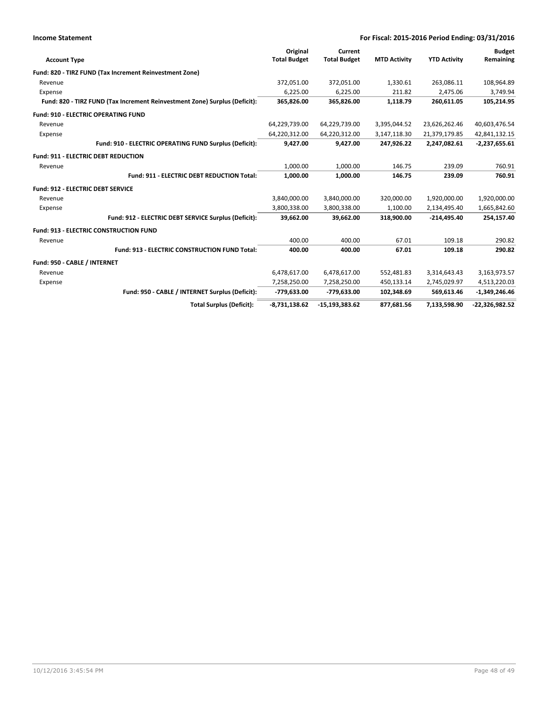| <b>Income Statement</b>                                                    |                                                        | For Fiscal: 2015-2016 Period Ending: 03/31/2016 |                     |                     |                     |                  |
|----------------------------------------------------------------------------|--------------------------------------------------------|-------------------------------------------------|---------------------|---------------------|---------------------|------------------|
|                                                                            |                                                        | Original                                        | Current             |                     |                     | <b>Budget</b>    |
| <b>Account Type</b>                                                        |                                                        | <b>Total Budget</b>                             | <b>Total Budget</b> | <b>MTD Activity</b> | <b>YTD Activity</b> | Remaining        |
| Fund: 820 - TIRZ FUND (Tax Increment Reinvestment Zone)                    |                                                        |                                                 |                     |                     |                     |                  |
| Revenue                                                                    |                                                        | 372,051.00                                      | 372,051.00          | 1,330.61            | 263,086.11          | 108,964.89       |
| Expense                                                                    |                                                        | 6,225.00                                        | 6,225.00            | 211.82              | 2,475.06            | 3,749.94         |
| Fund: 820 - TIRZ FUND (Tax Increment Reinvestment Zone) Surplus (Deficit): |                                                        | 365,826.00                                      | 365,826.00          | 1,118.79            | 260,611.05          | 105,214.95       |
| <b>Fund: 910 - ELECTRIC OPERATING FUND</b>                                 |                                                        |                                                 |                     |                     |                     |                  |
| Revenue                                                                    |                                                        | 64,229,739.00                                   | 64,229,739.00       | 3,395,044.52        | 23,626,262.46       | 40,603,476.54    |
| Expense                                                                    |                                                        | 64,220,312.00                                   | 64,220,312.00       | 3,147,118.30        | 21,379,179.85       | 42,841,132.15    |
|                                                                            | Fund: 910 - ELECTRIC OPERATING FUND Surplus (Deficit): | 9,427.00                                        | 9,427.00            | 247,926.22          | 2,247,082.61        | $-2,237,655.61$  |
| <b>Fund: 911 - ELECTRIC DEBT REDUCTION</b>                                 |                                                        |                                                 |                     |                     |                     |                  |
| Revenue                                                                    |                                                        | 1,000.00                                        | 1,000.00            | 146.75              | 239.09              | 760.91           |
|                                                                            | Fund: 911 - ELECTRIC DEBT REDUCTION Total:             | 1,000.00                                        | 1,000.00            | 146.75              | 239.09              | 760.91           |
| <b>Fund: 912 - ELECTRIC DEBT SERVICE</b>                                   |                                                        |                                                 |                     |                     |                     |                  |
| Revenue                                                                    |                                                        | 3,840,000.00                                    | 3,840,000.00        | 320,000.00          | 1,920,000.00        | 1,920,000.00     |
| Expense                                                                    |                                                        | 3,800,338.00                                    | 3,800,338.00        | 1,100.00            | 2,134,495.40        | 1,665,842.60     |
|                                                                            | Fund: 912 - ELECTRIC DEBT SERVICE Surplus (Deficit):   | 39,662.00                                       | 39,662.00           | 318,900.00          | $-214,495.40$       | 254,157.40       |
| <b>Fund: 913 - ELECTRIC CONSTRUCTION FUND</b>                              |                                                        |                                                 |                     |                     |                     |                  |
| Revenue                                                                    |                                                        | 400.00                                          | 400.00              | 67.01               | 109.18              | 290.82           |
|                                                                            | Fund: 913 - ELECTRIC CONSTRUCTION FUND Total:          | 400.00                                          | 400.00              | 67.01               | 109.18              | 290.82           |
| Fund: 950 - CABLE / INTERNET                                               |                                                        |                                                 |                     |                     |                     |                  |
| Revenue                                                                    |                                                        | 6,478,617.00                                    | 6,478,617.00        | 552,481.83          | 3,314,643.43        | 3,163,973.57     |
| Expense                                                                    |                                                        | 7,258,250.00                                    | 7,258,250.00        | 450,133.14          | 2,745,029.97        | 4,513,220.03     |
|                                                                            | Fund: 950 - CABLE / INTERNET Surplus (Deficit):        | -779,633.00                                     | -779,633.00         | 102,348.69          | 569,613.46          | $-1,349,246.46$  |
|                                                                            | <b>Total Surplus (Deficit):</b>                        | $-8,731,138.62$                                 | $-15.193.383.62$    | 877.681.56          | 7.133.598.90        | $-22.326.982.52$ |